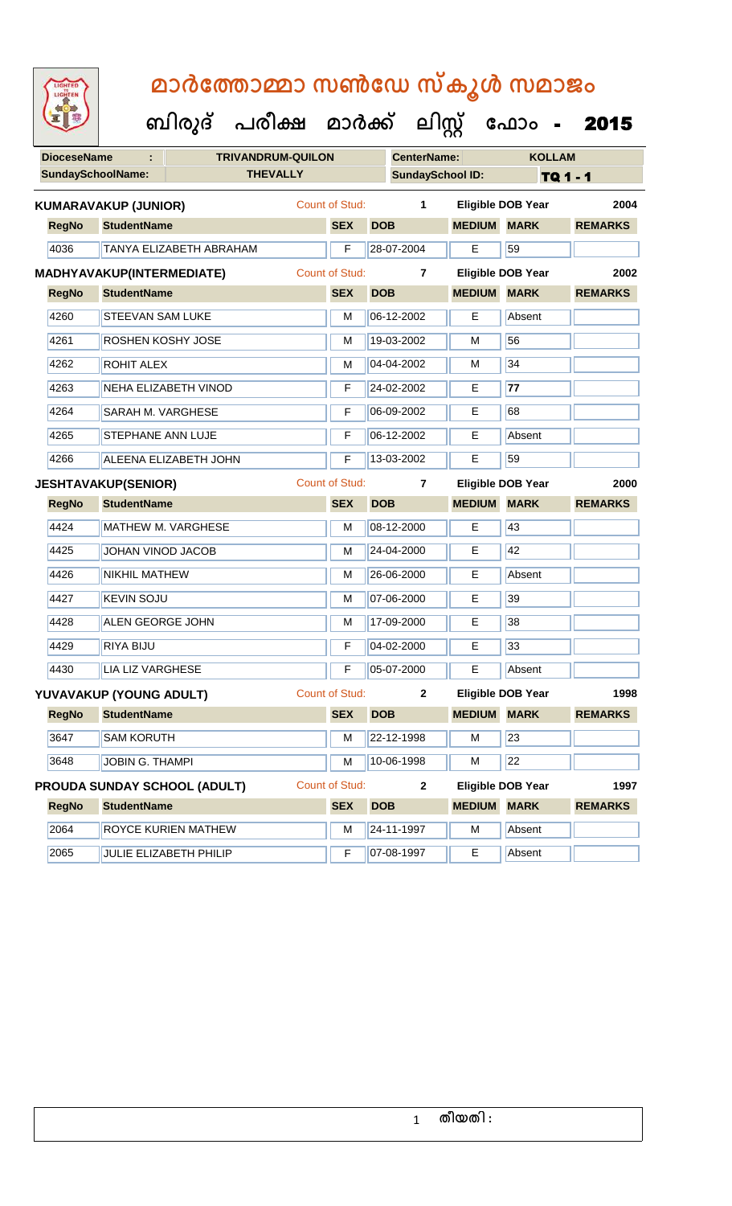| മാർത്തോമ്മാ സൺഡേ സ്കൂൾ സമാജം<br>LIGHTED<br>LIGHTEN |                                     |  |                                      |                       |              |                         |                          |                          |                |  |
|----------------------------------------------------|-------------------------------------|--|--------------------------------------|-----------------------|--------------|-------------------------|--------------------------|--------------------------|----------------|--|
|                                                    |                                     |  | ബിരുദ് പരീക്ഷ മാർക്ക് ലിസ്റ്റ് ഫോം - |                       |              |                         |                          |                          | 2015           |  |
| <b>DioceseName</b>                                 |                                     |  | <b>TRIVANDRUM-QUILON</b>             |                       |              | <b>CenterName:</b>      |                          | <b>KOLLAM</b>            |                |  |
| <b>SundaySchoolName:</b>                           |                                     |  | <b>THEVALLY</b>                      |                       |              | <b>SundaySchool ID:</b> |                          | TQ 1 - 1                 |                |  |
|                                                    | <b>KUMARAVAKUP (JUNIOR)</b>         |  |                                      | Count of Stud:        |              | 1                       |                          | <b>Eligible DOB Year</b> | 2004           |  |
| <b>RegNo</b>                                       | <b>StudentName</b>                  |  |                                      | <b>SEX</b>            | <b>DOB</b>   |                         | <b>MEDIUM</b>            | <b>MARK</b>              | <b>REMARKS</b> |  |
| 4036                                               | TANYA ELIZABETH ABRAHAM             |  |                                      | F                     | 28-07-2004   |                         | E                        | 59                       |                |  |
|                                                    | <b>MADHYAVAKUP(INTERMEDIATE)</b>    |  |                                      | <b>Count of Stud:</b> |              | $\overline{7}$          |                          | <b>Eligible DOB Year</b> | 2002           |  |
| <b>RegNo</b>                                       | <b>StudentName</b>                  |  |                                      | <b>SEX</b>            | <b>DOB</b>   |                         | <b>MEDIUM</b>            | <b>MARK</b>              | <b>REMARKS</b> |  |
| 4260                                               | <b>STEEVAN SAM LUKE</b>             |  |                                      | М                     | 06-12-2002   |                         | E                        | Absent                   |                |  |
| 4261                                               | ROSHEN KOSHY JOSE                   |  |                                      | м                     | 19-03-2002   |                         | м                        | 56                       |                |  |
| 4262                                               | <b>ROHIT ALEX</b>                   |  |                                      | м                     | 04-04-2002   |                         | м                        | 34                       |                |  |
| 4263                                               | NEHA ELIZABETH VINOD                |  |                                      | F                     | 24-02-2002   |                         | E                        | 77                       |                |  |
| 4264                                               | <b>SARAH M. VARGHESE</b>            |  |                                      | F                     | 06-09-2002   |                         | E                        | 68                       |                |  |
| 4265                                               | <b>STEPHANE ANN LUJE</b>            |  |                                      | F                     | 06-12-2002   |                         | E                        | Absent                   |                |  |
| 4266                                               | ALEENA ELIZABETH JOHN               |  |                                      | F                     | 13-03-2002   |                         | E                        | 59                       |                |  |
|                                                    | <b>JESHTAVAKUP(SENIOR)</b>          |  |                                      | <b>Count of Stud:</b> |              | 7                       |                          | <b>Eligible DOB Year</b> | 2000           |  |
| <b>RegNo</b>                                       | <b>StudentName</b>                  |  |                                      | <b>SEX</b>            | <b>DOB</b>   |                         | <b>MEDIUM</b>            | <b>MARK</b>              | <b>REMARKS</b> |  |
| 4424                                               | <b>MATHEW M. VARGHESE</b>           |  |                                      | м                     | 08-12-2000   |                         | E                        | 43                       |                |  |
| 4425                                               | JOHAN VINOD JACOB                   |  |                                      | м                     | 24-04-2000   |                         | Е                        | 42                       |                |  |
| 4426                                               | <b>NIKHIL MATHEW</b>                |  |                                      | м                     | 26-06-2000   |                         | E                        | Absent                   |                |  |
| 4427                                               | <b>KEVIN SOJU</b>                   |  |                                      | М                     | 07-06-2000   |                         | E                        | 39                       |                |  |
| 4428                                               | <b>ALEN GEORGE JOHN</b>             |  |                                      | M                     | 17-09-2000   |                         | E                        | 38                       |                |  |
| 4429                                               | RIYA BIJU                           |  |                                      | F                     | 04-02-2000   |                         | E                        | 33                       |                |  |
| 4430                                               | <b>LIA LIZ VARGHESE</b>             |  |                                      | F                     | 05-07-2000   |                         | E                        | Absent                   |                |  |
|                                                    | YUVAVAKUP (YOUNG ADULT)             |  |                                      | <b>Count of Stud:</b> |              | $\mathbf{2}$            |                          | <b>Eligible DOB Year</b> | 1998           |  |
| <b>RegNo</b>                                       | <b>StudentName</b>                  |  |                                      | <b>SEX</b>            | <b>DOB</b>   |                         | <b>MEDIUM</b>            | <b>MARK</b>              | <b>REMARKS</b> |  |
| 3647                                               | <b>SAM KORUTH</b>                   |  |                                      | M                     | 22-12-1998   |                         | M                        | 23                       |                |  |
| 3648                                               | JOBIN G. THAMPI                     |  |                                      | M                     | 10-06-1998   |                         | м                        | $\overline{22}$          |                |  |
|                                                    | <b>PROUDA SUNDAY SCHOOL (ADULT)</b> |  | <b>Count of Stud:</b>                |                       | $\mathbf{2}$ |                         | <b>Eligible DOB Year</b> | 1997                     |                |  |
| <b>RegNo</b>                                       | <b>StudentName</b>                  |  |                                      | <b>SEX</b>            | <b>DOB</b>   |                         | <b>MEDIUM</b>            | <b>MARK</b>              | <b>REMARKS</b> |  |
| 2064                                               | ROYCE KURIEN MATHEW                 |  |                                      | M                     | 24-11-1997   |                         | M                        | Absent                   |                |  |
| 2065                                               | JULIE ELIZABETH PHILIP              |  |                                      | F                     | 07-08-1997   |                         | E                        | Absent                   |                |  |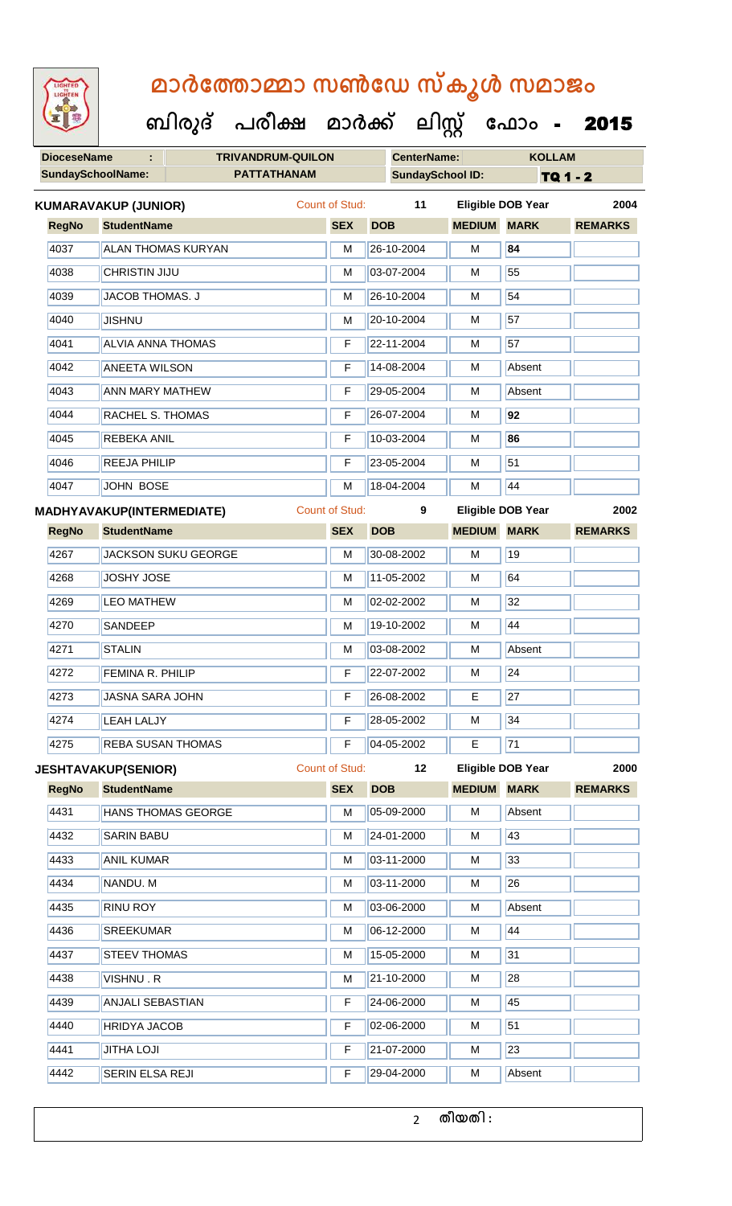**DioceseName : TRIVANDRUM-QUILON CenterName: KOLLAM** SundaySchoolName: **PATTATHANAM SundaySchool ID:** TQ 1 - 2  **ബിരുദ് പരീക്ഷ മാര്ക് ക ലിസ്റ്റ ക ഫ ാോം** - 2015 **RegNo StudentName SEX DOB MEDIUM MARK REMARKS KUMARAVAKUP (JUNIOR)** Count of Stud: **11 Eligible DOB Year 2004** 4037 ALAN THOMAS KURYAN M 26-10-2004 M **84** 4038 CHRISTIN JIJU M 03-07-2004 M 55 4039 JACOB THOMAS. J M 26-10-2004 M 54 4040 JISHNU M 20-10-2004 M 57 4041 ALVIA ANNA THOMAS F 22-11-2004 M 57 4042 ANEETA WILSON F 14-08-2004 M Absent 4043 ANN MARY MATHEW F 29-05-2004 M Absent 4044 RACHEL S. THOMAS F 26-07-2004 M **92** 4045 REBEKA ANIL F 10-03-2004 M **86** 4046 REEJA PHILIP **F 23-05-2004** M 51 4047 JOHN BOSE M 18-04-2004 M 44 **RegNo StudentName SEX DOB MEDIUM MARK REMARKS MADHYAVAKUP(INTERMEDIATE)** Count of Stud: **9 Eligible DOB Year 2002** 4267 JACKSON SUKU GEORGE M M 30-08-2002 M 19 4268 JJOSHY JOSE M M 11-05-2002 M 64 4269 LEO MATHEW M M 02-02-2002 M 32 4270 SANDEEP M 19-10-2002 M 44 4271 STALIN M 03-08-2002 M Absent 4272 FEMINA R. PHILIP F 22-07-2002 M 24 4273 JASNA SARA JOHN F 26-08-2002 E 27 4274 LEAH LALJY **F 28-05-2002** M 34 4275 REBA SUSAN THOMAS F F 04-05-2002 E 71 **RegNo StudentName SEX DOB MEDIUM MARK REMARKS JESHTAVAKUP(SENIOR)** Count of Stud: **12 Eligible DOB Year 2000** 4431 HANS THOMAS GEORGE M M 05-09-2000 M Absent 4432 SARIN BABU M M 24-01-2000 M 43 4433 ANIL KUMAR M 03-11-2000 M 33 4434 NANDU. M M 03-11-2000 M 26 4435 RINU ROY M 03-06-2000 M Absent 4436 SREEKUMAR M M 06-12-2000 M 44 4437 STEEV THOMAS MEDICINE MANUSCRIPT MANUSCRIPT MANUSCRIPT MANUSCRIPT MANUSCRIPT MANUSCRIPT MANUSCRIPT MANUSC 4438 VISHNU . R M 21-10-2000 M 21-10-2000 M 4439 ANJALI SEBASTIAN F 24-06-2000 M 45 4440 HRIDYA JACOB F 02-06-2000 M 51 4441 JITHA LOJI F 21-07-2000 M 23

4442 SERIN ELSA REJI **F 29-04-2000** M Absent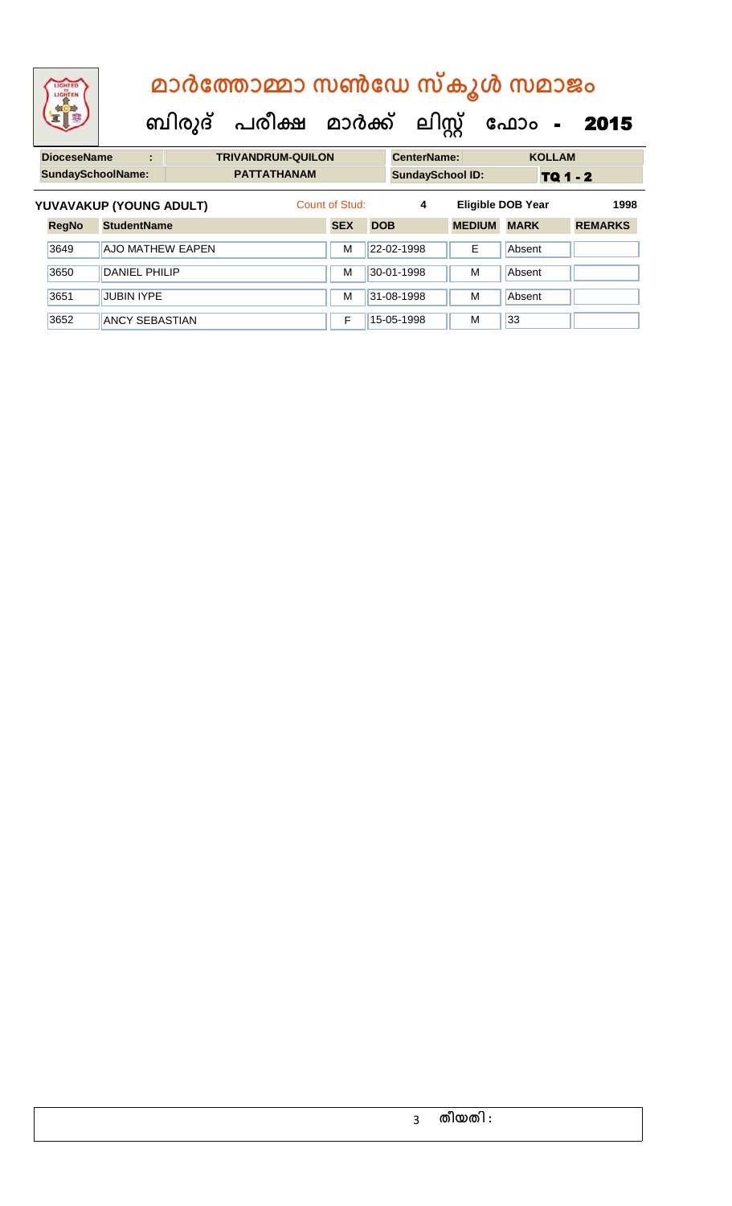# **DioceseName : TRIVANDRUM-QUILON CenterName: KOLLAM ബിരുദ് പരീക്ഷ മാര്ക് ക ലിസ്റ്റ ക ഫ ാോം** - 2015  **മാര്കഫതാമ്മാ സണ്ഫേ സ്കൂള് സമാജോം**

|              |                         | <b>PATTATHANAM</b>                                  | <b>SundaySchool ID:</b> |            |   | TQ 1 - 2    |                                           |  |
|--------------|-------------------------|-----------------------------------------------------|-------------------------|------------|---|-------------|-------------------------------------------|--|
|              |                         | Count of Stud:                                      |                         | 4          |   |             | 1998                                      |  |
| <b>RegNo</b> | <b>StudentName</b>      |                                                     | <b>SEX</b>              | <b>DOB</b> |   | <b>MARK</b> | <b>REMARKS</b>                            |  |
| 3649         | <b>AJO MATHEW EAPEN</b> |                                                     | M                       | 22-02-1998 | Е | Absent      |                                           |  |
| 3650         | <b>DANIEL PHILIP</b>    |                                                     | M                       | 30-01-1998 | M | Absent      |                                           |  |
| 3651         | <b>JUBIN IYPE</b>       |                                                     | M                       | 31-08-1998 | M | Absent      |                                           |  |
| 3652         | <b>ANCY SEBASTIAN</b>   |                                                     | F                       | 15-05-1998 | М | 33          |                                           |  |
|              |                         | <b>SundaySchoolName:</b><br>YUVAVAKUP (YOUNG ADULT) |                         |            |   |             | <b>Eligible DOB Year</b><br><b>MEDIUM</b> |  |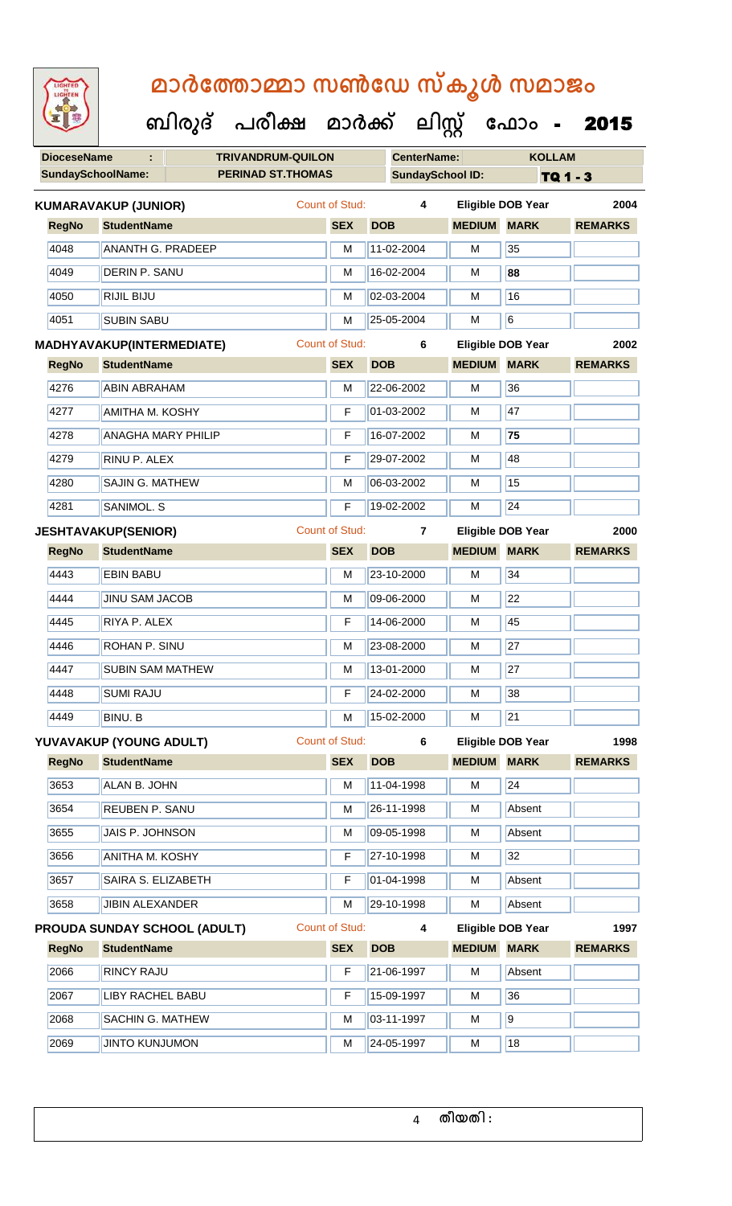|  | മാർത്തോമ്മാ സൺഡേ സ്കൂൾ സമാജം        |  |  |
|--|-------------------------------------|--|--|
|  | സിരുദ് പരീക്ഷ മാർക്ക് ലിസ് പോപ - 20 |  |  |

| <b>KOLLAM</b><br><b>DioceseName</b><br><b>TRIVANDRUM-QUILON</b><br><b>CenterName:</b><br>÷<br><b>SundaySchoolName:</b><br><b>PERINAD ST.THOMAS</b><br><b>SundaySchool ID:</b><br>TQ 1 - 3<br>Count of Stud:<br>$\overline{\mathbf{4}}$<br><b>Eligible DOB Year</b><br>2004<br><b>KUMARAVAKUP (JUNIOR)</b><br><b>MARK</b><br><b>RegNo</b><br><b>StudentName</b><br><b>SEX</b><br><b>DOB</b><br><b>MEDIUM</b><br><b>REMARKS</b><br>35<br>4048<br><b>ANANTH G. PRADEEP</b><br>11-02-2004<br>M<br>M<br>4049<br>16-02-2004<br>88<br><b>DERIN P. SANU</b><br>М<br>M<br>16<br>4050<br>RIJIL BIJU<br>02-03-2004<br>M<br>M<br>6<br>4051<br><b>SUBIN SABU</b><br>25-05-2004<br>M<br>M<br><b>Count of Stud:</b><br>6<br><b>Eligible DOB Year</b><br>2002<br><b>MADHYAVAKUP(INTERMEDIATE)</b><br><b>StudentName</b><br><b>SEX</b><br><b>DOB</b><br><b>MEDIUM</b><br><b>MARK</b><br><b>RegNo</b><br><b>REMARKS</b><br>36<br>4276<br>22-06-2002<br>M<br><b>ABIN ABRAHAM</b><br>M<br>01-03-2002<br>47<br>4277<br><b>AMITHA M. KOSHY</b><br>F<br>M<br>4278<br>16-07-2002<br>75<br><b>ANAGHA MARY PHILIP</b><br>M<br>F<br>48<br>4279<br>RINU P. ALEX<br>29-07-2002<br>F<br>М<br>15<br>4280<br>SAJIN G. MATHEW<br>06-03-2002<br>M<br>M<br>$\overline{24}$<br>4281<br>19-02-2002<br>SANIMOL. S<br>F<br>M<br><b>Count of Stud:</b><br><b>Eligible DOB Year</b><br><b>JESHTAVAKUP(SENIOR)</b><br>$\overline{7}$<br>2000<br><b>SEX</b><br><b>DOB</b><br><b>MEDIUM</b><br><b>MARK</b><br><b>RegNo</b><br><b>StudentName</b><br><b>REMARKS</b><br>34<br>4443<br><b>EBIN BABU</b><br>23-10-2000<br>M<br>М<br>$\overline{22}$<br>4444<br><b>JINU SAM JACOB</b><br>09-06-2000<br>M<br>M<br>RIYA P. ALEX<br>14-06-2000<br>45<br>4445<br>F<br>м<br>27<br>ROHAN P. SINU<br>4446<br>M<br>23-08-2000<br>M<br>27<br>4447<br><b>SUBIN SAM MATHEW</b><br>13-01-2000<br>М<br>М<br>38<br>4448<br><b>SUMI RAJU</b><br>F<br>24-02-2000<br>М<br>21<br>4449<br>BINU. B<br>15-02-2000<br>М<br>М<br>Count of Stud:<br><b>Eligible DOB Year</b><br>YUVAVAKUP (YOUNG ADULT)<br>6<br>1998<br><b>SEX</b><br><b>MEDIUM</b><br><b>MARK</b><br><b>RegNo</b><br><b>StudentName</b><br><b>DOB</b><br><b>REMARKS</b><br>3653<br>24<br>ALAN B. JOHN<br>11-04-1998<br>M<br>М<br>3654<br>26-11-1998<br>Absent<br><b>REUBEN P. SANU</b><br>M<br>М<br>3655<br>JAIS P. JOHNSON<br>09-05-1998<br>Absent<br>М<br>М<br>32<br>3656<br><b>ANITHA M. KOSHY</b><br>27-10-1998<br>М<br>F<br>3657<br>SAIRA S. ELIZABETH<br>01-04-1998<br>Absent<br>F<br>М<br>3658<br>29-10-1998<br><b>JIBIN ALEXANDER</b><br>Absent<br>м<br>М<br>Count of Stud:<br><b>Eligible DOB Year</b><br>PROUDA SUNDAY SCHOOL (ADULT)<br>4<br>1997<br><b>SEX</b><br><b>MEDIUM</b><br><b>MARK</b><br><b>RegNo</b><br><b>StudentName</b><br><b>DOB</b><br><b>REMARKS</b><br>2066<br><b>RINCY RAJU</b><br>21-06-1997<br>Absent<br>F<br>M<br>36<br>2067<br><b>LIBY RACHEL BABU</b><br>F<br>15-09-1997<br>М<br>9<br>2068<br>SACHIN G. MATHEW<br>03-11-1997<br>М<br>М<br>18<br>2069<br><b>JINTO KUNJUMON</b><br>24-05-1997<br>М<br>М | 92 | ബിരുദ് | പരീക്ഷ | മാർക്ക് | ലിസ്റ്റ് | ഫോം | 2015 |
|----------------------------------------------------------------------------------------------------------------------------------------------------------------------------------------------------------------------------------------------------------------------------------------------------------------------------------------------------------------------------------------------------------------------------------------------------------------------------------------------------------------------------------------------------------------------------------------------------------------------------------------------------------------------------------------------------------------------------------------------------------------------------------------------------------------------------------------------------------------------------------------------------------------------------------------------------------------------------------------------------------------------------------------------------------------------------------------------------------------------------------------------------------------------------------------------------------------------------------------------------------------------------------------------------------------------------------------------------------------------------------------------------------------------------------------------------------------------------------------------------------------------------------------------------------------------------------------------------------------------------------------------------------------------------------------------------------------------------------------------------------------------------------------------------------------------------------------------------------------------------------------------------------------------------------------------------------------------------------------------------------------------------------------------------------------------------------------------------------------------------------------------------------------------------------------------------------------------------------------------------------------------------------------------------------------------------------------------------------------------------------------------------------------------------------------------------------------------------------------------------------------------------------------------------------------------------------------------------------------------------------------------------------------------------------------------------------------------------------------------------------------------------------------------------------------------------------------------------------------------------------------------------------------------------------------------------------------------------------------------------------------------------------|----|--------|--------|---------|----------|-----|------|
|                                                                                                                                                                                                                                                                                                                                                                                                                                                                                                                                                                                                                                                                                                                                                                                                                                                                                                                                                                                                                                                                                                                                                                                                                                                                                                                                                                                                                                                                                                                                                                                                                                                                                                                                                                                                                                                                                                                                                                                                                                                                                                                                                                                                                                                                                                                                                                                                                                                                                                                                                                                                                                                                                                                                                                                                                                                                                                                                                                                                                                  |    |        |        |         |          |     |      |
|                                                                                                                                                                                                                                                                                                                                                                                                                                                                                                                                                                                                                                                                                                                                                                                                                                                                                                                                                                                                                                                                                                                                                                                                                                                                                                                                                                                                                                                                                                                                                                                                                                                                                                                                                                                                                                                                                                                                                                                                                                                                                                                                                                                                                                                                                                                                                                                                                                                                                                                                                                                                                                                                                                                                                                                                                                                                                                                                                                                                                                  |    |        |        |         |          |     |      |
|                                                                                                                                                                                                                                                                                                                                                                                                                                                                                                                                                                                                                                                                                                                                                                                                                                                                                                                                                                                                                                                                                                                                                                                                                                                                                                                                                                                                                                                                                                                                                                                                                                                                                                                                                                                                                                                                                                                                                                                                                                                                                                                                                                                                                                                                                                                                                                                                                                                                                                                                                                                                                                                                                                                                                                                                                                                                                                                                                                                                                                  |    |        |        |         |          |     |      |
|                                                                                                                                                                                                                                                                                                                                                                                                                                                                                                                                                                                                                                                                                                                                                                                                                                                                                                                                                                                                                                                                                                                                                                                                                                                                                                                                                                                                                                                                                                                                                                                                                                                                                                                                                                                                                                                                                                                                                                                                                                                                                                                                                                                                                                                                                                                                                                                                                                                                                                                                                                                                                                                                                                                                                                                                                                                                                                                                                                                                                                  |    |        |        |         |          |     |      |
|                                                                                                                                                                                                                                                                                                                                                                                                                                                                                                                                                                                                                                                                                                                                                                                                                                                                                                                                                                                                                                                                                                                                                                                                                                                                                                                                                                                                                                                                                                                                                                                                                                                                                                                                                                                                                                                                                                                                                                                                                                                                                                                                                                                                                                                                                                                                                                                                                                                                                                                                                                                                                                                                                                                                                                                                                                                                                                                                                                                                                                  |    |        |        |         |          |     |      |
|                                                                                                                                                                                                                                                                                                                                                                                                                                                                                                                                                                                                                                                                                                                                                                                                                                                                                                                                                                                                                                                                                                                                                                                                                                                                                                                                                                                                                                                                                                                                                                                                                                                                                                                                                                                                                                                                                                                                                                                                                                                                                                                                                                                                                                                                                                                                                                                                                                                                                                                                                                                                                                                                                                                                                                                                                                                                                                                                                                                                                                  |    |        |        |         |          |     |      |
|                                                                                                                                                                                                                                                                                                                                                                                                                                                                                                                                                                                                                                                                                                                                                                                                                                                                                                                                                                                                                                                                                                                                                                                                                                                                                                                                                                                                                                                                                                                                                                                                                                                                                                                                                                                                                                                                                                                                                                                                                                                                                                                                                                                                                                                                                                                                                                                                                                                                                                                                                                                                                                                                                                                                                                                                                                                                                                                                                                                                                                  |    |        |        |         |          |     |      |
|                                                                                                                                                                                                                                                                                                                                                                                                                                                                                                                                                                                                                                                                                                                                                                                                                                                                                                                                                                                                                                                                                                                                                                                                                                                                                                                                                                                                                                                                                                                                                                                                                                                                                                                                                                                                                                                                                                                                                                                                                                                                                                                                                                                                                                                                                                                                                                                                                                                                                                                                                                                                                                                                                                                                                                                                                                                                                                                                                                                                                                  |    |        |        |         |          |     |      |
|                                                                                                                                                                                                                                                                                                                                                                                                                                                                                                                                                                                                                                                                                                                                                                                                                                                                                                                                                                                                                                                                                                                                                                                                                                                                                                                                                                                                                                                                                                                                                                                                                                                                                                                                                                                                                                                                                                                                                                                                                                                                                                                                                                                                                                                                                                                                                                                                                                                                                                                                                                                                                                                                                                                                                                                                                                                                                                                                                                                                                                  |    |        |        |         |          |     |      |
|                                                                                                                                                                                                                                                                                                                                                                                                                                                                                                                                                                                                                                                                                                                                                                                                                                                                                                                                                                                                                                                                                                                                                                                                                                                                                                                                                                                                                                                                                                                                                                                                                                                                                                                                                                                                                                                                                                                                                                                                                                                                                                                                                                                                                                                                                                                                                                                                                                                                                                                                                                                                                                                                                                                                                                                                                                                                                                                                                                                                                                  |    |        |        |         |          |     |      |
|                                                                                                                                                                                                                                                                                                                                                                                                                                                                                                                                                                                                                                                                                                                                                                                                                                                                                                                                                                                                                                                                                                                                                                                                                                                                                                                                                                                                                                                                                                                                                                                                                                                                                                                                                                                                                                                                                                                                                                                                                                                                                                                                                                                                                                                                                                                                                                                                                                                                                                                                                                                                                                                                                                                                                                                                                                                                                                                                                                                                                                  |    |        |        |         |          |     |      |
|                                                                                                                                                                                                                                                                                                                                                                                                                                                                                                                                                                                                                                                                                                                                                                                                                                                                                                                                                                                                                                                                                                                                                                                                                                                                                                                                                                                                                                                                                                                                                                                                                                                                                                                                                                                                                                                                                                                                                                                                                                                                                                                                                                                                                                                                                                                                                                                                                                                                                                                                                                                                                                                                                                                                                                                                                                                                                                                                                                                                                                  |    |        |        |         |          |     |      |
|                                                                                                                                                                                                                                                                                                                                                                                                                                                                                                                                                                                                                                                                                                                                                                                                                                                                                                                                                                                                                                                                                                                                                                                                                                                                                                                                                                                                                                                                                                                                                                                                                                                                                                                                                                                                                                                                                                                                                                                                                                                                                                                                                                                                                                                                                                                                                                                                                                                                                                                                                                                                                                                                                                                                                                                                                                                                                                                                                                                                                                  |    |        |        |         |          |     |      |
|                                                                                                                                                                                                                                                                                                                                                                                                                                                                                                                                                                                                                                                                                                                                                                                                                                                                                                                                                                                                                                                                                                                                                                                                                                                                                                                                                                                                                                                                                                                                                                                                                                                                                                                                                                                                                                                                                                                                                                                                                                                                                                                                                                                                                                                                                                                                                                                                                                                                                                                                                                                                                                                                                                                                                                                                                                                                                                                                                                                                                                  |    |        |        |         |          |     |      |
|                                                                                                                                                                                                                                                                                                                                                                                                                                                                                                                                                                                                                                                                                                                                                                                                                                                                                                                                                                                                                                                                                                                                                                                                                                                                                                                                                                                                                                                                                                                                                                                                                                                                                                                                                                                                                                                                                                                                                                                                                                                                                                                                                                                                                                                                                                                                                                                                                                                                                                                                                                                                                                                                                                                                                                                                                                                                                                                                                                                                                                  |    |        |        |         |          |     |      |
|                                                                                                                                                                                                                                                                                                                                                                                                                                                                                                                                                                                                                                                                                                                                                                                                                                                                                                                                                                                                                                                                                                                                                                                                                                                                                                                                                                                                                                                                                                                                                                                                                                                                                                                                                                                                                                                                                                                                                                                                                                                                                                                                                                                                                                                                                                                                                                                                                                                                                                                                                                                                                                                                                                                                                                                                                                                                                                                                                                                                                                  |    |        |        |         |          |     |      |
|                                                                                                                                                                                                                                                                                                                                                                                                                                                                                                                                                                                                                                                                                                                                                                                                                                                                                                                                                                                                                                                                                                                                                                                                                                                                                                                                                                                                                                                                                                                                                                                                                                                                                                                                                                                                                                                                                                                                                                                                                                                                                                                                                                                                                                                                                                                                                                                                                                                                                                                                                                                                                                                                                                                                                                                                                                                                                                                                                                                                                                  |    |        |        |         |          |     |      |
|                                                                                                                                                                                                                                                                                                                                                                                                                                                                                                                                                                                                                                                                                                                                                                                                                                                                                                                                                                                                                                                                                                                                                                                                                                                                                                                                                                                                                                                                                                                                                                                                                                                                                                                                                                                                                                                                                                                                                                                                                                                                                                                                                                                                                                                                                                                                                                                                                                                                                                                                                                                                                                                                                                                                                                                                                                                                                                                                                                                                                                  |    |        |        |         |          |     |      |
|                                                                                                                                                                                                                                                                                                                                                                                                                                                                                                                                                                                                                                                                                                                                                                                                                                                                                                                                                                                                                                                                                                                                                                                                                                                                                                                                                                                                                                                                                                                                                                                                                                                                                                                                                                                                                                                                                                                                                                                                                                                                                                                                                                                                                                                                                                                                                                                                                                                                                                                                                                                                                                                                                                                                                                                                                                                                                                                                                                                                                                  |    |        |        |         |          |     |      |
|                                                                                                                                                                                                                                                                                                                                                                                                                                                                                                                                                                                                                                                                                                                                                                                                                                                                                                                                                                                                                                                                                                                                                                                                                                                                                                                                                                                                                                                                                                                                                                                                                                                                                                                                                                                                                                                                                                                                                                                                                                                                                                                                                                                                                                                                                                                                                                                                                                                                                                                                                                                                                                                                                                                                                                                                                                                                                                                                                                                                                                  |    |        |        |         |          |     |      |
|                                                                                                                                                                                                                                                                                                                                                                                                                                                                                                                                                                                                                                                                                                                                                                                                                                                                                                                                                                                                                                                                                                                                                                                                                                                                                                                                                                                                                                                                                                                                                                                                                                                                                                                                                                                                                                                                                                                                                                                                                                                                                                                                                                                                                                                                                                                                                                                                                                                                                                                                                                                                                                                                                                                                                                                                                                                                                                                                                                                                                                  |    |        |        |         |          |     |      |
|                                                                                                                                                                                                                                                                                                                                                                                                                                                                                                                                                                                                                                                                                                                                                                                                                                                                                                                                                                                                                                                                                                                                                                                                                                                                                                                                                                                                                                                                                                                                                                                                                                                                                                                                                                                                                                                                                                                                                                                                                                                                                                                                                                                                                                                                                                                                                                                                                                                                                                                                                                                                                                                                                                                                                                                                                                                                                                                                                                                                                                  |    |        |        |         |          |     |      |
|                                                                                                                                                                                                                                                                                                                                                                                                                                                                                                                                                                                                                                                                                                                                                                                                                                                                                                                                                                                                                                                                                                                                                                                                                                                                                                                                                                                                                                                                                                                                                                                                                                                                                                                                                                                                                                                                                                                                                                                                                                                                                                                                                                                                                                                                                                                                                                                                                                                                                                                                                                                                                                                                                                                                                                                                                                                                                                                                                                                                                                  |    |        |        |         |          |     |      |
|                                                                                                                                                                                                                                                                                                                                                                                                                                                                                                                                                                                                                                                                                                                                                                                                                                                                                                                                                                                                                                                                                                                                                                                                                                                                                                                                                                                                                                                                                                                                                                                                                                                                                                                                                                                                                                                                                                                                                                                                                                                                                                                                                                                                                                                                                                                                                                                                                                                                                                                                                                                                                                                                                                                                                                                                                                                                                                                                                                                                                                  |    |        |        |         |          |     |      |
|                                                                                                                                                                                                                                                                                                                                                                                                                                                                                                                                                                                                                                                                                                                                                                                                                                                                                                                                                                                                                                                                                                                                                                                                                                                                                                                                                                                                                                                                                                                                                                                                                                                                                                                                                                                                                                                                                                                                                                                                                                                                                                                                                                                                                                                                                                                                                                                                                                                                                                                                                                                                                                                                                                                                                                                                                                                                                                                                                                                                                                  |    |        |        |         |          |     |      |
|                                                                                                                                                                                                                                                                                                                                                                                                                                                                                                                                                                                                                                                                                                                                                                                                                                                                                                                                                                                                                                                                                                                                                                                                                                                                                                                                                                                                                                                                                                                                                                                                                                                                                                                                                                                                                                                                                                                                                                                                                                                                                                                                                                                                                                                                                                                                                                                                                                                                                                                                                                                                                                                                                                                                                                                                                                                                                                                                                                                                                                  |    |        |        |         |          |     |      |
|                                                                                                                                                                                                                                                                                                                                                                                                                                                                                                                                                                                                                                                                                                                                                                                                                                                                                                                                                                                                                                                                                                                                                                                                                                                                                                                                                                                                                                                                                                                                                                                                                                                                                                                                                                                                                                                                                                                                                                                                                                                                                                                                                                                                                                                                                                                                                                                                                                                                                                                                                                                                                                                                                                                                                                                                                                                                                                                                                                                                                                  |    |        |        |         |          |     |      |
|                                                                                                                                                                                                                                                                                                                                                                                                                                                                                                                                                                                                                                                                                                                                                                                                                                                                                                                                                                                                                                                                                                                                                                                                                                                                                                                                                                                                                                                                                                                                                                                                                                                                                                                                                                                                                                                                                                                                                                                                                                                                                                                                                                                                                                                                                                                                                                                                                                                                                                                                                                                                                                                                                                                                                                                                                                                                                                                                                                                                                                  |    |        |        |         |          |     |      |
|                                                                                                                                                                                                                                                                                                                                                                                                                                                                                                                                                                                                                                                                                                                                                                                                                                                                                                                                                                                                                                                                                                                                                                                                                                                                                                                                                                                                                                                                                                                                                                                                                                                                                                                                                                                                                                                                                                                                                                                                                                                                                                                                                                                                                                                                                                                                                                                                                                                                                                                                                                                                                                                                                                                                                                                                                                                                                                                                                                                                                                  |    |        |        |         |          |     |      |
|                                                                                                                                                                                                                                                                                                                                                                                                                                                                                                                                                                                                                                                                                                                                                                                                                                                                                                                                                                                                                                                                                                                                                                                                                                                                                                                                                                                                                                                                                                                                                                                                                                                                                                                                                                                                                                                                                                                                                                                                                                                                                                                                                                                                                                                                                                                                                                                                                                                                                                                                                                                                                                                                                                                                                                                                                                                                                                                                                                                                                                  |    |        |        |         |          |     |      |
|                                                                                                                                                                                                                                                                                                                                                                                                                                                                                                                                                                                                                                                                                                                                                                                                                                                                                                                                                                                                                                                                                                                                                                                                                                                                                                                                                                                                                                                                                                                                                                                                                                                                                                                                                                                                                                                                                                                                                                                                                                                                                                                                                                                                                                                                                                                                                                                                                                                                                                                                                                                                                                                                                                                                                                                                                                                                                                                                                                                                                                  |    |        |        |         |          |     |      |
|                                                                                                                                                                                                                                                                                                                                                                                                                                                                                                                                                                                                                                                                                                                                                                                                                                                                                                                                                                                                                                                                                                                                                                                                                                                                                                                                                                                                                                                                                                                                                                                                                                                                                                                                                                                                                                                                                                                                                                                                                                                                                                                                                                                                                                                                                                                                                                                                                                                                                                                                                                                                                                                                                                                                                                                                                                                                                                                                                                                                                                  |    |        |        |         |          |     |      |
|                                                                                                                                                                                                                                                                                                                                                                                                                                                                                                                                                                                                                                                                                                                                                                                                                                                                                                                                                                                                                                                                                                                                                                                                                                                                                                                                                                                                                                                                                                                                                                                                                                                                                                                                                                                                                                                                                                                                                                                                                                                                                                                                                                                                                                                                                                                                                                                                                                                                                                                                                                                                                                                                                                                                                                                                                                                                                                                                                                                                                                  |    |        |        |         |          |     |      |
|                                                                                                                                                                                                                                                                                                                                                                                                                                                                                                                                                                                                                                                                                                                                                                                                                                                                                                                                                                                                                                                                                                                                                                                                                                                                                                                                                                                                                                                                                                                                                                                                                                                                                                                                                                                                                                                                                                                                                                                                                                                                                                                                                                                                                                                                                                                                                                                                                                                                                                                                                                                                                                                                                                                                                                                                                                                                                                                                                                                                                                  |    |        |        |         |          |     |      |
|                                                                                                                                                                                                                                                                                                                                                                                                                                                                                                                                                                                                                                                                                                                                                                                                                                                                                                                                                                                                                                                                                                                                                                                                                                                                                                                                                                                                                                                                                                                                                                                                                                                                                                                                                                                                                                                                                                                                                                                                                                                                                                                                                                                                                                                                                                                                                                                                                                                                                                                                                                                                                                                                                                                                                                                                                                                                                                                                                                                                                                  |    |        |        |         |          |     |      |
|                                                                                                                                                                                                                                                                                                                                                                                                                                                                                                                                                                                                                                                                                                                                                                                                                                                                                                                                                                                                                                                                                                                                                                                                                                                                                                                                                                                                                                                                                                                                                                                                                                                                                                                                                                                                                                                                                                                                                                                                                                                                                                                                                                                                                                                                                                                                                                                                                                                                                                                                                                                                                                                                                                                                                                                                                                                                                                                                                                                                                                  |    |        |        |         |          |     |      |
|                                                                                                                                                                                                                                                                                                                                                                                                                                                                                                                                                                                                                                                                                                                                                                                                                                                                                                                                                                                                                                                                                                                                                                                                                                                                                                                                                                                                                                                                                                                                                                                                                                                                                                                                                                                                                                                                                                                                                                                                                                                                                                                                                                                                                                                                                                                                                                                                                                                                                                                                                                                                                                                                                                                                                                                                                                                                                                                                                                                                                                  |    |        |        |         |          |     |      |
|                                                                                                                                                                                                                                                                                                                                                                                                                                                                                                                                                                                                                                                                                                                                                                                                                                                                                                                                                                                                                                                                                                                                                                                                                                                                                                                                                                                                                                                                                                                                                                                                                                                                                                                                                                                                                                                                                                                                                                                                                                                                                                                                                                                                                                                                                                                                                                                                                                                                                                                                                                                                                                                                                                                                                                                                                                                                                                                                                                                                                                  |    |        |        |         |          |     |      |
|                                                                                                                                                                                                                                                                                                                                                                                                                                                                                                                                                                                                                                                                                                                                                                                                                                                                                                                                                                                                                                                                                                                                                                                                                                                                                                                                                                                                                                                                                                                                                                                                                                                                                                                                                                                                                                                                                                                                                                                                                                                                                                                                                                                                                                                                                                                                                                                                                                                                                                                                                                                                                                                                                                                                                                                                                                                                                                                                                                                                                                  |    |        |        |         |          |     |      |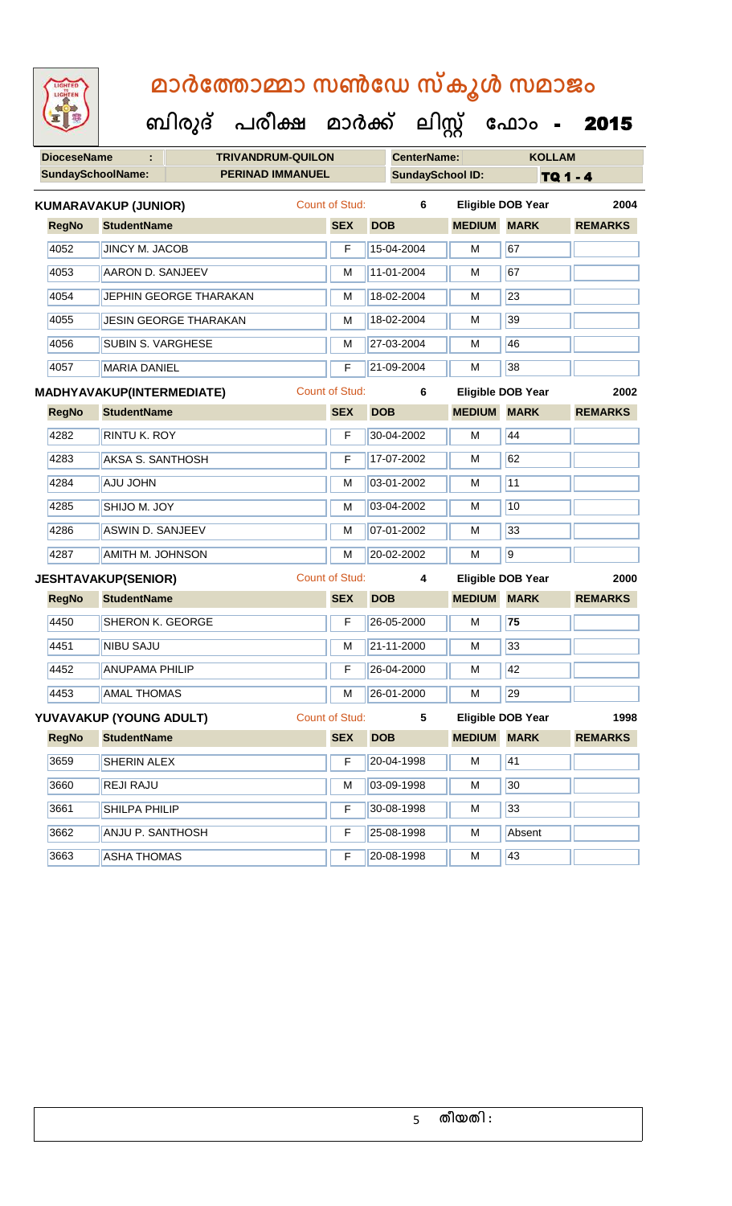| LIGHTED<br>LIGHTEN       | മാർത്തോമ്മാ സൺഡേ സ്കൂൾ സമാജം       |                       |                         |                    |                          |                |  |
|--------------------------|------------------------------------|-----------------------|-------------------------|--------------------|--------------------------|----------------|--|
|                          | ബിരുദ് പരീക്ഷ മാർക്ക് ലിസ്സ് ഫോം - |                       |                         |                    |                          | 2015           |  |
| <b>DioceseName</b>       | <b>TRIVANDRUM-QUILON</b><br>٠      |                       | <b>CenterName:</b>      |                    | <b>KOLLAM</b>            |                |  |
| <b>SundaySchoolName:</b> | <b>PERINAD IMMANUEL</b>            |                       | <b>SundaySchool ID:</b> |                    | TQ 1 - 4                 |                |  |
|                          | <b>KUMARAVAKUP (JUNIOR)</b>        | <b>Count of Stud:</b> | 6                       |                    | <b>Eligible DOB Year</b> | 2004           |  |
| <b>RegNo</b>             | <b>StudentName</b>                 | <b>SEX</b>            | <b>DOB</b>              | <b>MEDIUM</b>      | <b>MARK</b>              | <b>REMARKS</b> |  |
| 4052                     | <b>JINCY M. JACOB</b>              | F                     | 15-04-2004              | М                  | 67                       |                |  |
| 4053                     | AARON D. SANJEEV                   | М                     | 11-01-2004              | м                  | 67                       |                |  |
| 4054                     | <b>JEPHIN GEORGE THARAKAN</b>      | м                     | 18-02-2004              | м                  | 23                       |                |  |
| 4055                     | <b>JESIN GEORGE THARAKAN</b>       | м                     | 18-02-2004              | М                  | 39                       |                |  |
| 4056                     | <b>SUBIN S. VARGHESE</b>           | М                     | 27-03-2004              | м                  | 46                       |                |  |
| 4057                     | <b>MARIA DANIEL</b>                | F                     | 21-09-2004              | M                  | 38                       |                |  |
|                          | MADHYAVAKUP(INTERMEDIATE)          | <b>Count of Stud:</b> | 6                       |                    | Eligible DOB Year        | 2002           |  |
| <b>RegNo</b>             | <b>StudentName</b>                 | <b>SEX</b>            | <b>DOB</b>              | <b>MEDIUM</b>      | <b>MARK</b>              | <b>REMARKS</b> |  |
| 4282                     | <b>RINTU K. ROY</b>                | F                     | 30-04-2002              | М                  | 44                       |                |  |
| 4283                     | <b>AKSA S. SANTHOSH</b>            | F                     | 17-07-2002              | м                  | 62                       |                |  |
| 4284                     | <b>AJU JOHN</b>                    | М                     | 03-01-2002              | м                  | 11                       |                |  |
| 4285                     | SHIJO M. JOY                       | м                     | 03-04-2002              | М                  | 10                       |                |  |
| 4286                     | <b>ASWIN D. SANJEEV</b>            | м                     | 07-01-2002              | м                  | 33                       |                |  |
| 4287                     | <b>AMITH M. JOHNSON</b>            | M                     | 20-02-2002              | М                  | 9                        |                |  |
|                          | <b>JESHTAVAKUP(SENIOR)</b>         | <b>Count of Stud:</b> | 4                       |                    | <b>Eligible DOB Year</b> | 2000           |  |
| <b>RegNo</b>             | <b>StudentName</b>                 | <b>SEX</b>            | <b>DOB</b>              | <b>MEDIUM</b>      | <b>MARK</b>              | <b>REMARKS</b> |  |
| 4450                     | SHERON K. GEORGE                   | F                     | 26-05-2000              | M                  | 75                       |                |  |
| 4451                     | <b>NIBU SAJU</b>                   | M                     | 21-11-2000              | М                  | 33                       |                |  |
| 4452                     | <b>ANUPAMA PHILIP</b>              | F                     | 26-04-2000              | М                  | 42                       |                |  |
| 4453                     | <b>AMAL THOMAS</b>                 | М                     | 26-01-2000              | M                  | 29                       |                |  |
|                          | YUVAVAKUP (YOUNG ADULT)            | <b>Count of Stud:</b> | 5                       |                    | <b>Eligible DOB Year</b> | 1998           |  |
| <b>RegNo</b>             | <b>StudentName</b>                 | <b>SEX</b>            | <b>DOB</b>              | <b>MEDIUM MARK</b> |                          | <b>REMARKS</b> |  |
| 3659                     | <b>SHERIN ALEX</b>                 | F                     | 20-04-1998              | M                  | 41                       |                |  |
| 3660                     | REJI RAJU                          | М                     | 03-09-1998              | M                  | 30                       |                |  |
| 3661                     | SHILPA PHILIP                      | F                     | 30-08-1998              | M                  | 33                       |                |  |
| 3662                     | ANJU P. SANTHOSH                   | F                     | 25-08-1998              | М                  | Absent                   |                |  |

3663 ||ASHA THOMAS || F ||20-08-1998 || M ||43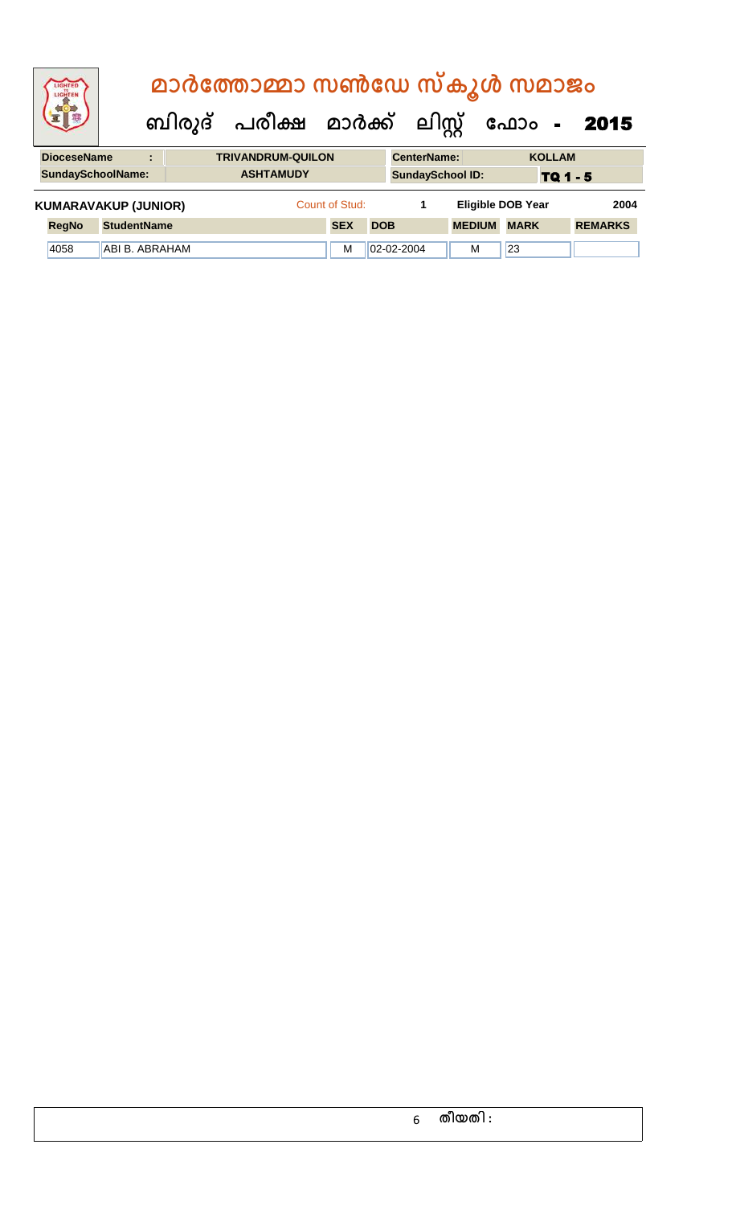|                                                     | <b>IGHTED</b><br>LIGHTER    | മാർത്തോമ്മാ സൺഡേ സ്കൂൾ സമാജം |  |  |                                |                |                    |                         |                          |               |                 |                |
|-----------------------------------------------------|-----------------------------|------------------------------|--|--|--------------------------------|----------------|--------------------|-------------------------|--------------------------|---------------|-----------------|----------------|
|                                                     |                             |                              |  |  | ബിരുദ് പരീക്ഷ മാർക്ക് ലിസ്റ്റ് |                |                    |                         |                          | ഫോം -         |                 | 2015           |
| <b>DioceseName</b><br><b>TRIVANDRUM-QUILON</b><br>÷ |                             |                              |  |  |                                |                | <b>CenterName:</b> |                         |                          | <b>KOLLAM</b> |                 |                |
|                                                     | <b>SundaySchoolName:</b>    |                              |  |  | <b>ASHTAMUDY</b>               |                |                    | <b>SundaySchool ID:</b> |                          |               | <b>TQ 1 - 5</b> |                |
|                                                     | <b>KUMARAVAKUP (JUNIOR)</b> |                              |  |  |                                | Count of Stud: |                    | 1                       | <b>Eligible DOB Year</b> |               |                 | 2004           |
|                                                     | <b>RegNo</b>                | <b>StudentName</b>           |  |  |                                | <b>SEX</b>     | <b>DOB</b>         |                         | <b>MEDIUM</b>            | <b>MARK</b>   |                 | <b>REMARKS</b> |
|                                                     | 4058                        | ABI B. ABRAHAM               |  |  |                                | м              |                    | $ 02 - 02 - 2004$       | м                        | 23            |                 |                |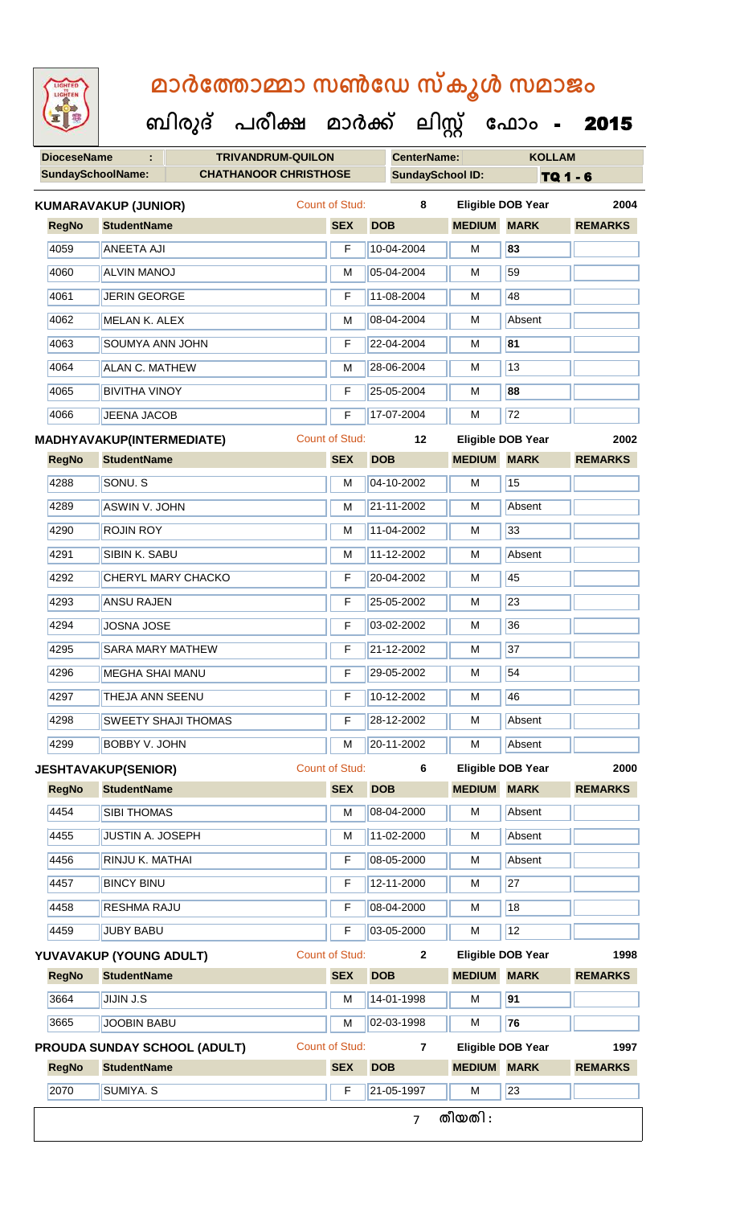**DioceseName : TRIVANDRUM-QUILON CenterName: KOLLAM** SundaySchoolName: **CHATHANOOR CHRISTHOSE** SundaySchool ID: **TQ 1 - 6 ബിരുദ് പരീക്ഷ മാര്ക് ക ലിസ്റ്റ ക ഫ ാോം** - 2015 **RegNo StudentName SEX DOB MEDIUM MARK REMARKS KUMARAVAKUP (JUNIOR)** Count of Stud: **8 Eligible DOB Year 2004** 4059 ANEETA AJI F 10-04-2004 M **83** 4060 ALVIN MANOJ M 05-04-2004 M 59 4061 JERIN GEORGE **F 11-08-2004** M 48 4062 MELAN K. ALEX M M 08-04-2004 M Absent 4063 SOUMYA ANN JOHN F 22-04-2004 M **81** 4064 ALAN C. MATHEW M 28-06-2004 M 28-06-2004 M 4065 BIVITHA VINOY F 25-05-2004 M **88** 4066 JEENA JACOB F 17-07-2004 M 72 **RegNo StudentName SEX DOB MEDIUM MARK REMARKS MADHYAVAKUP(INTERMEDIATE)** Count of Stud: **12 Eligible DOB Year 2002** 4288 SONU. S M 04-10-2002 M 15 4289 ASWIN V. JOHN M 21-11-2002 M Absent 4290 **ROJIN ROY M 11-04-2002 M** 33 4291 SIBIN K. SABU M 11-12-2002 M Absent 4292 CHERYL MARY CHACKO F F 20-04-2002 M 45 4293 | ANSU RAJEN | F | 25-05-2002 | M | 23 4294 JOSNA JOSE F 03-02-2002 M 36 4295 SARA MARY MATHEW F 21-12-2002 M 37 4296 MEGHA SHAI MANU F 29-05-2002 M 54 4297 THEJA ANN SEENU F 10-12-2002 M 46 4298 SWEETY SHAJI THOMAS F 28-12-2002 M Absent 4299 BOBBY V. JOHN M 20-11-2002 M Absent **RegNo StudentName SEX DOB MEDIUM MARK REMARKS JESHTAVAKUP(SENIOR)** Count of Stud: **6 Eligible DOB Year 2000** 4454 SIBI THOMAS M M 08-04-2000 M Absent 4455 JUSTIN A. JOSEPH M 11-02-2000 M Absent 4456 RINJU K. MATHAI F 08-05-2000 M Absent 4457 BINCY BINU F 12-11-2000 M 27 4458 RESHMA RAJU F 08-04-2000 M 18 4459 JUBY BABU F 03-05-2000 M 12 **RegNo StudentName SEX DOB MEDIUM MARK REMARKS YUVAVAKUP (YOUNG ADULT)** Count of Stud: **2 Eligible DOB Year 1998** 3664 JIJIN J.S M 14-01-1998 M **91** 3665 JOOBIN BABU M 02-03-1998 M **76 RegNo StudentName SEX DOB MEDIUM MARK REMARKS PROUDA SUNDAY SCHOOL (ADULT)** Count of Stud: **7 Eligible DOB Year 1997** 2070 SUMIYA. S F 21-05-1997 M 23 7 **തീയതി :**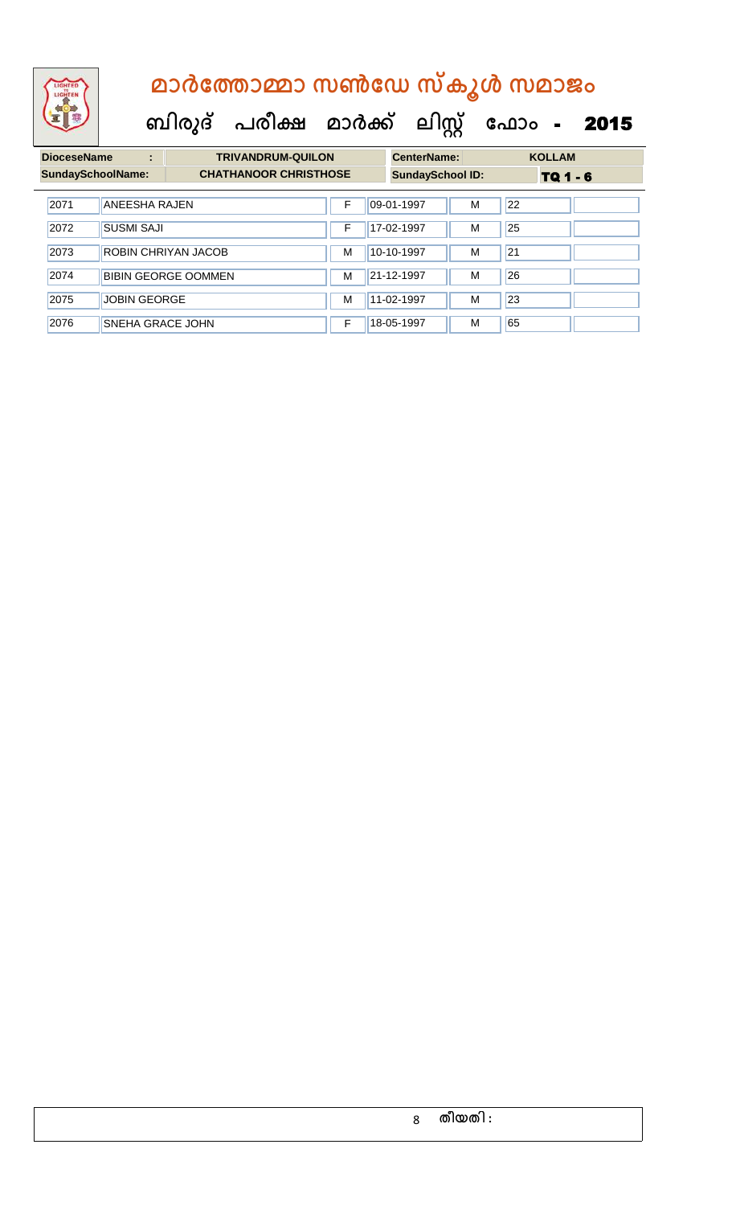| <b>DioceseName</b>       | ÷                       | <b>TRIVANDRUM-QUILON</b>     |                         | <b>CenterName:</b> |                 | <b>KOLLAM</b> |
|--------------------------|-------------------------|------------------------------|-------------------------|--------------------|-----------------|---------------|
| <b>SundaySchoolName:</b> |                         | <b>CHATHANOOR CHRISTHOSE</b> | <b>SundaySchool ID:</b> |                    | <b>TQ 1 - 6</b> |               |
| 2071                     | <b>ANEESHA RAJEN</b>    |                              | F                       | 09-01-1997         | M               | 22            |
| 2072                     | <b>SUSMI SAJI</b>       |                              | F                       | 17-02-1997         | M               | 25            |
| 2073                     |                         | ROBIN CHRIYAN JACOB          | м                       | 10-10-1997         | M               | 21            |
| 2074                     |                         | <b>BIBIN GEORGE OOMMEN</b>   | м                       | 21-12-1997         | M               | 26            |
| 2075                     | <b>JOBIN GEORGE</b>     |                              | M                       | 11-02-1997         | M               | 23            |
| 2076                     | <b>SNEHA GRACE JOHN</b> |                              | F                       | 18-05-1997         | M               | 65            |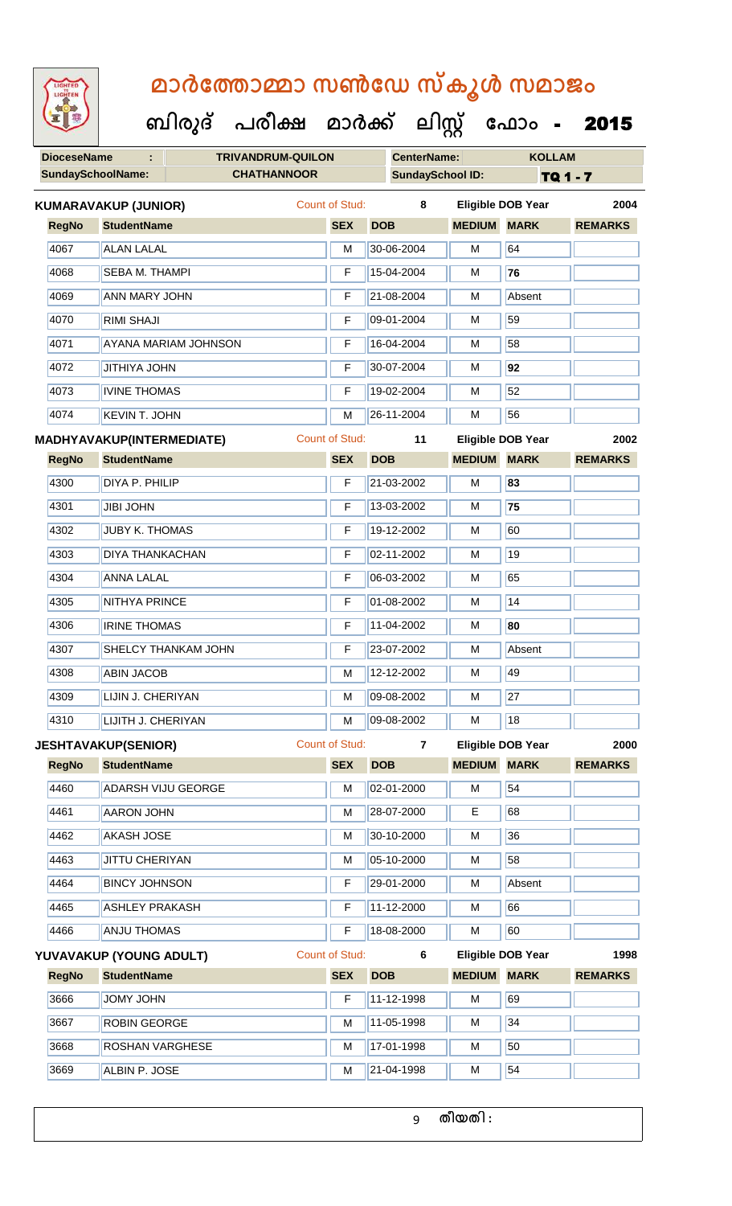**DioceseName : TRIVANDRUM-QUILON CenterName: KOLLAM** SundaySchoolName: **CHATHANNOOR SundaySchool ID:** TQ 1 - 7  **ബിരുദ് പരീക്ഷ മാര്ക് ക ലിസ്റ്റ ക ഫ ാോം** - 2015 **RegNo StudentName SEX DOB MEDIUM MARK REMARKS KUMARAVAKUP (JUNIOR)** Count of Stud: **8 Eligible DOB Year 2004** 4067 ALAN LALAL M 30-06-2004 M 64 4068 SEBA M. THAMPI F 15-04-2004 M **76** 4069 ANN MARY JOHN F 21-08-2004 M Absent 4070 RIMI SHAJI F 09-01-2004 M 59 4071 AYANA MARIAM JOHNSON F 16-04-2004 M 58 4072 JITHIYA JOHN F 30-07-2004 M **92** 4073 | IVINE THOMAS F 19-02-2004 | M 52 4074 KEVIN T. JOHN M 26-11-2004 M 56 **RegNo StudentName SEX DOB MEDIUM MARK REMARKS MADHYAVAKUP(INTERMEDIATE)** Count of Stud: **11 Eligible DOB Year 2002** 4300 DIYA P. PHILIP F 21-03-2002 M **83** 4301 JIBI JOHN F 13-03-2002 M **75** 4302 JUBY K. THOMAS F 19-12-2002 M 60 4303 DIYA THANKACHAN F 02-11-2002 M 19 4304 ANNA LALAL F 06-03-2002 M 65 4305 NITHYA PRINCE F 01-08-2002 M 14 4306 IRINE THOMAS F 11-04-2002 M **80** 4307 SHELCY THANKAM JOHN F 23-07-2002 M Absent 4308 ABIN JACOB M 12-12-2002 M 13-12-12-2004 4309 LIJIN J. CHERIYAN M 109-08-2002 M 27 4310 LIJITH J. CHERIYAN M 09-08-2002 M 18 **RegNo StudentName SEX DOB MEDIUM MARK REMARKS JESHTAVAKUP(SENIOR)** Count of Stud: **7 Eligible DOB Year 2000** 4460 ADARSH VIJU GEORGE M M 02-01-2000 M 54 4461 AARON JOHN M 28-07-2000 E 68 4462 AKASH JOSE M 30-10-2000 M 30-10-2000 M 4463 JJITTU CHERIYAN M M 05-10-2000 M 58 4464 BINCY JOHNSON F 29-01-2000 M Absent 4465 ASHLEY PRAKASH F 11-12-2000 M 66 4466 ANJU THOMAS F 18-08-2000 M 60 **RegNo StudentName SEX DOB MEDIUM MARK REMARKS YUVAVAKUP (YOUNG ADULT)** Count of Stud: **6 Eligible DOB Year 1998** 3666 JJOMY JOHN F 11-12-1998 M 69 3667 ROBIN GEORGE M M 11-05-1998 M 34 3668 ROSHAN VARGHESE M M 17-01-1998 M 50 3669 ALBIN P. JOSE M 21-04-1998 M 3669 M 54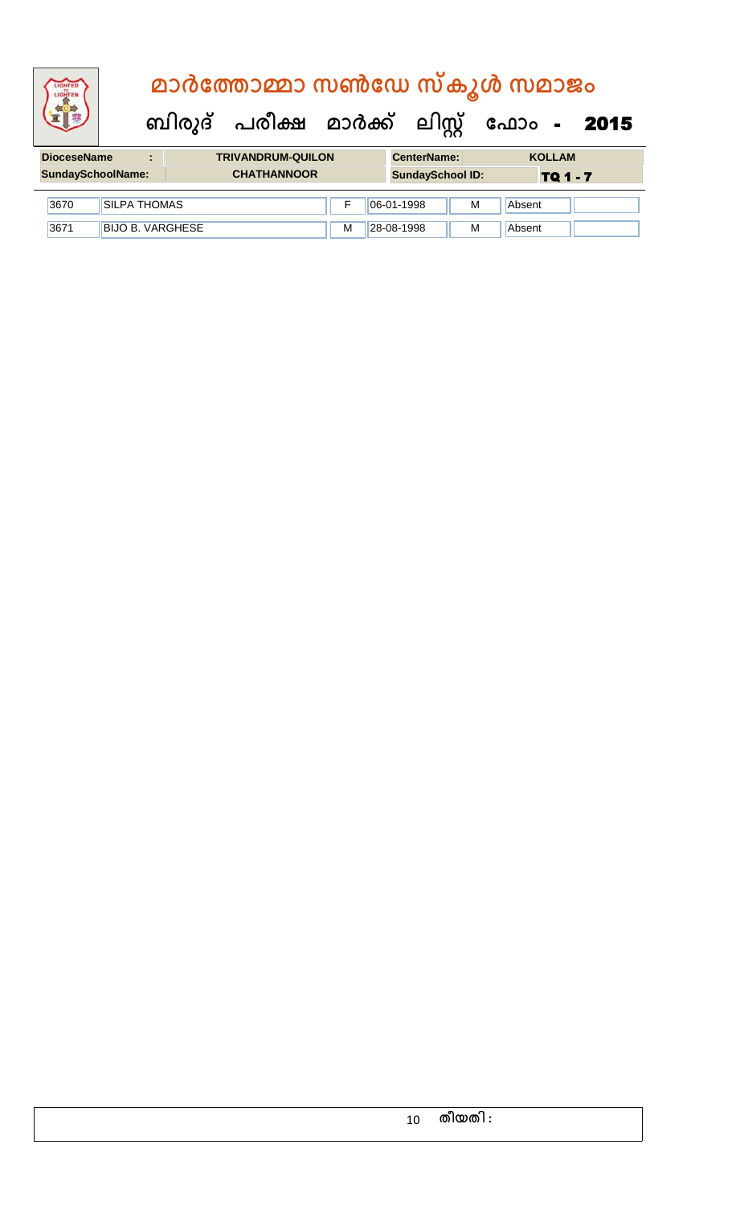# **DioceseName : TRIVANDRUM-QUILON CenterName: KOLLAM ബിരുദ് പരീക്ഷ മാര്ക് ക ലിസ്റ്റ ക ഫ ാോം** - 2015  **മാര്കഫതാമ്മാ സണ്ഫേ സ്കൂള് സമാജോം**

| ---------------- |      |                                                                                       |  |  |   |                | ---------------- | ---------- |  |
|------------------|------|---------------------------------------------------------------------------------------|--|--|---|----------------|------------------|------------|--|
|                  |      | <b>CHATHANNOOR</b><br><b>SundaySchoolName:</b><br><b>SundaySchool ID:</b><br>TQ 1 - 7 |  |  |   |                |                  |            |  |
|                  | 3670 | ISILPA THOMAS                                                                         |  |  |   | $ 06-01-1998 $ | М                | Absent     |  |
|                  | 3671 | <b>BIJO B. VARGHESE</b>                                                               |  |  | M | 28-08-1998     | M                | Absent     |  |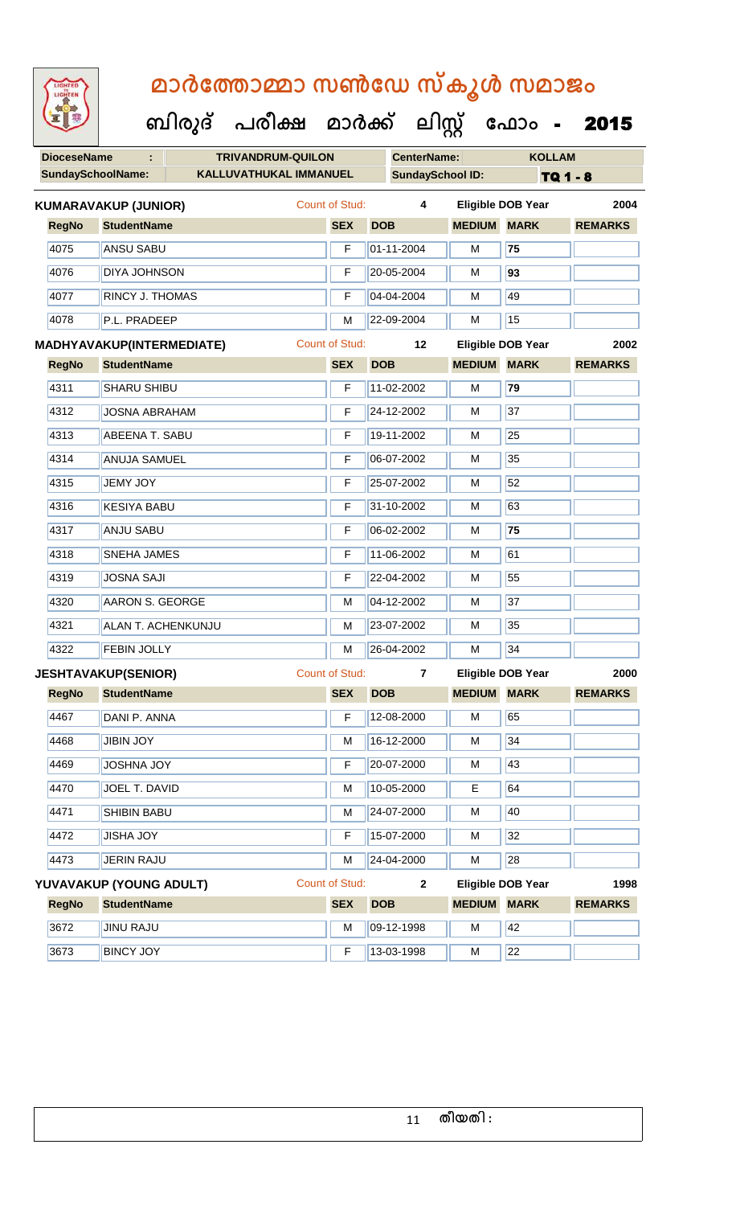LIGHTEN

| 92                 |                             | ബിരുദ് | പരീക്ഷ                   |                       | മാർക്ക്    |                         | ലിസ്റ്റ്           | ഫോം                      | 2015           |
|--------------------|-----------------------------|--------|--------------------------|-----------------------|------------|-------------------------|--------------------|--------------------------|----------------|
| <b>DioceseName</b> | ÷                           |        | <b>TRIVANDRUM-QUILON</b> |                       |            | <b>CenterName:</b>      |                    | <b>KOLLAM</b>            |                |
|                    | <b>SundaySchoolName:</b>    |        | KALLUVATHUKAL IMMANUEL   |                       |            | <b>SundaySchool ID:</b> |                    |                          | TQ 1 - 8       |
|                    | <b>KUMARAVAKUP (JUNIOR)</b> |        |                          | Count of Stud:        |            | 4                       |                    | <b>Eligible DOB Year</b> | 2004           |
| <b>RegNo</b>       | <b>StudentName</b>          |        |                          | <b>SEX</b>            | <b>DOB</b> |                         | <b>MEDIUM MARK</b> |                          | <b>REMARKS</b> |
| 4075               | <b>ANSU SABU</b>            |        |                          | F                     |            | 01-11-2004              | M                  | 75                       |                |
| 4076               | <b>DIYA JOHNSON</b>         |        |                          | F                     |            | 20-05-2004              | M                  | 93                       |                |
| 4077               | <b>RINCY J. THOMAS</b>      |        |                          | F                     |            | 04-04-2004              | M                  | 49                       |                |
| 4078               | P.L. PRADEEP                |        |                          | M                     |            | 22-09-2004              | M                  | 15                       |                |
|                    | MADHYAVAKUP(INTERMEDIATE)   |        |                          | <b>Count of Stud:</b> |            | 12                      |                    | <b>Eligible DOB Year</b> | 2002           |
| <b>RegNo</b>       | <b>StudentName</b>          |        |                          | <b>SEX</b>            | <b>DOB</b> |                         | <b>MEDIUM</b>      | <b>MARK</b>              | <b>REMARKS</b> |
| 4311               | <b>SHARU SHIBU</b>          |        |                          | F                     |            | 11-02-2002              | M                  | 79                       |                |
| 4312               | <b>JOSNA ABRAHAM</b>        |        |                          | F                     |            | 24-12-2002              | M                  | 37                       |                |
| 4313               | <b>ABEENA T. SABU</b>       |        |                          | F                     |            | 19-11-2002              | M                  | 25                       |                |
| 4314               | <b>ANUJA SAMUEL</b>         |        |                          | F                     |            | 06-07-2002              | M                  | 35                       |                |
| 4315               | <b>JEMY JOY</b>             |        |                          | F                     |            | 25-07-2002              | M                  | 52                       |                |
| 4316               | <b>KESIYA BABU</b>          |        |                          | F                     |            | 31-10-2002              | M                  | 63                       |                |
| 4317               | <b>ANJU SABU</b>            |        |                          | F                     |            | 06-02-2002              | M                  | 75                       |                |
| 4318               | <b>SNEHA JAMES</b>          |        |                          | F                     |            | 11-06-2002              | M                  | 61                       |                |
| 4319               | <b>JOSNA SAJI</b>           |        |                          | F                     |            | 22-04-2002              | M                  | 55                       |                |
| 4320               | <b>AARON S. GEORGE</b>      |        |                          | M                     |            | 04-12-2002              | M                  | 37                       |                |
| 4321               | <b>ALAN T. ACHENKUNJU</b>   |        |                          | M                     |            | 23-07-2002              | M                  | 35                       |                |
| 4322               | <b>FEBIN JOLLY</b>          |        |                          | M                     |            | $26-04-2002$            | М                  | 34                       |                |
|                    | <b>JESHTAVAKUP(SENIOR)</b>  |        |                          | Count of Stud:        |            | $\overline{7}$          |                    | Eligible DOB Year        | 2000           |
| <b>RegNo</b>       | <b>StudentName</b>          |        |                          | <b>SEX</b>            | <b>DOB</b> |                         | <b>MEDIUM MARK</b> |                          | <b>REMARKS</b> |
| 4467               | DANI P. ANNA                |        |                          | F                     |            | 12-08-2000              | M                  | 65                       |                |
| 4468               | <b>JIBIN JOY</b>            |        |                          | M                     |            | 16-12-2000              | M                  | 34                       |                |
| 4469               | <b>JOSHNA JOY</b>           |        |                          | F                     |            | 20-07-2000              | M                  | 43                       |                |
| 4470               | <b>JOEL T. DAVID</b>        |        |                          | M                     |            | 10-05-2000              | E                  | 64                       |                |
| 4471               | <b>SHIBIN BABU</b>          |        |                          | М                     |            | 24-07-2000              | M                  | 40                       |                |
| 4472               | <b>JISHA JOY</b>            |        |                          | F                     |            | 15-07-2000              | M                  | 32                       |                |
| 4473               | <b>JERIN RAJU</b>           |        |                          | M                     |            | 24-04-2000              | M                  | 28                       |                |
|                    | YUVAVAKUP (YOUNG ADULT)     |        |                          | Count of Stud:        |            | $\overline{2}$          |                    | <b>Eligible DOB Year</b> | 1998           |
| <b>RegNo</b>       | <b>StudentName</b>          |        |                          | <b>SEX</b>            | <b>DOB</b> |                         | <b>MEDIUM</b>      | <b>MARK</b>              | <b>REMARKS</b> |
| 3672               | <b>JINU RAJU</b>            |        |                          | M                     |            | 09-12-1998              | M                  | 42                       |                |
| 3673               | <b>BINCY JOY</b>            |        |                          | F                     |            | 13-03-1998              | M                  | 22                       |                |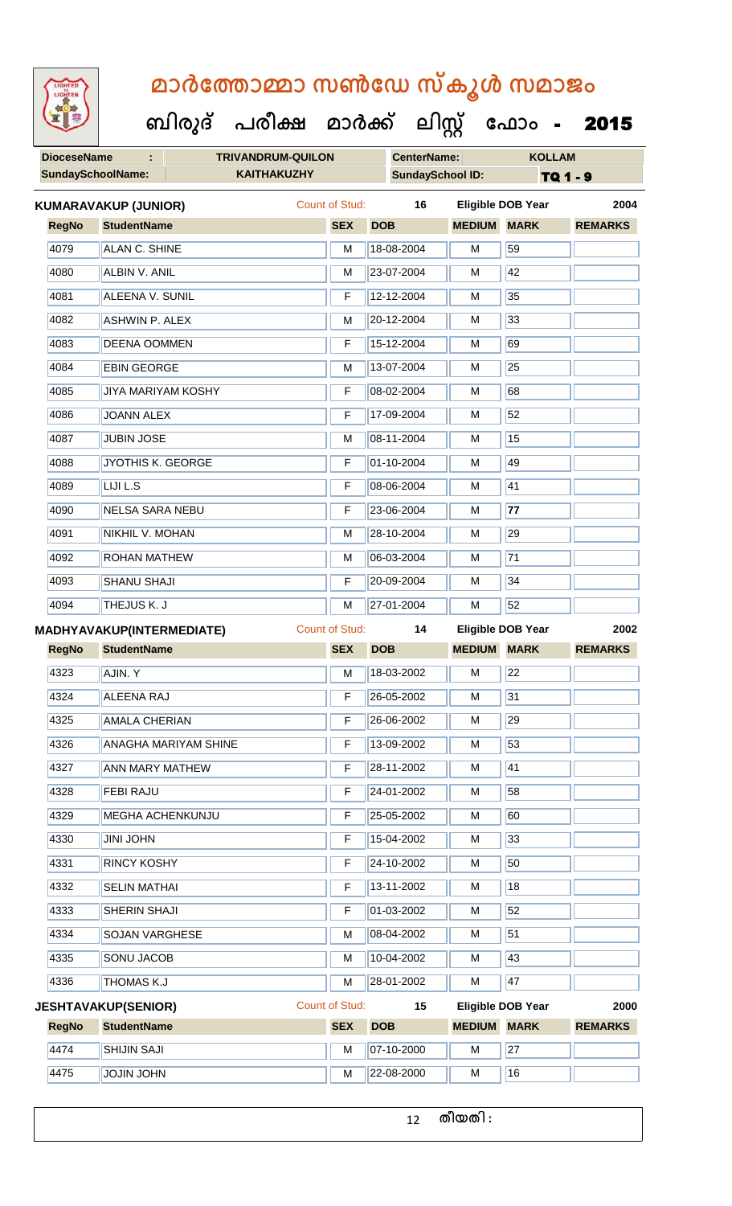**DioceseName : TRIVANDRUM-QUILON CenterName: KOLLAM SundaySchoolName: KAITHAKUZHY SundaySchool ID: TQ 1 - 9 ബിരുദ് പരീക്ഷ മാര്ക് ക ലിസ്റ്റ ക ഫ ാോം** - 2015 **RegNo StudentName SEX DOB MEDIUM MARK REMARKS KUMARAVAKUP (JUNIOR)** Count of Stud: **16 Eligible DOB Year 2004** 4079 ALAN C. SHINE M M 18-08-2004 M 59 4080 ALBIN V. ANIL M 23-07-2004 M 42 4081 ALEENA V. SUNIL F 12-12-2004 M 35 4082 ASHWIN P. ALEX M M 20-12-2004 M 33 4083 DEENA OOMMEN F 15-12-2004 M 69 4084 EBIN GEORGE M 13-07-2004 M 25 4085 JJIYA MARIYAM KOSHY F 08-02-2004 M 68 4086 JOANN ALEX F 17-09-2004 M 52 4087 JUBIN JOSE M M 08-11-2004 M 15 4088 JYOTHIS K. GEORGE F 01-10-2004 M 49 4089 LIJI L.S **F 08-06-2004** M 41 4090 NELSA SARA NEBU F 23-06-2004 M **77** 4091 NIKHIL V. MOHAN M 28-10-2004 M 28-10-2004 M

4092 ROHAN MATHEW M 06-03-2004 M 71 4093 SHANU SHAJI F 20-09-2004 M 34 4094 THEJUS K. J M 27-01-2004 M 52 **RegNo StudentName SEX DOB MEDIUM MARK REMARKS MADHYAVAKUP(INTERMEDIATE)** Count of Stud: **14 Eligible DOB Year 2002** 4323 **AJIN. Y M 18-03-2002 M** 22 4324 ALEENA RAJ F 26-05-2002 M 31 4325 AMALA CHERIAN F 26-06-2002 M 29 4326 ANAGHA MARIYAM SHINE F 13-09-2002 M 53 4327 ANN MARY MATHEW F 28-11-2002 M 41 4328 FEBI RAJU F 24-01-2002 M 58 4329 MEGHA ACHENKUNJU F 25-05-2002 M 60 4330 JINI JOHN F 15-04-2002 M 33 |4331 ||RINCY KOSHY || F ||24-10-2002 || M ||50 4332 SELIN MATHAI **F 13-11-2002** M 18 4333 SHERIN SHAJI **F 01-03-2002** M 52 4334 SOJAN VARGHESE M M 08-04-2002 M 51 4335 SONU JACOB M M 10-04-2002 M 43 4336 THOMAS K.J M 28-01-2002 M 47 **RegNo StudentName SEX DOB MEDIUM MARK REMARKS JESHTAVAKUP(SENIOR)** Count of Stud: **15 Eligible DOB Year 2000** 4474 SHIJIN SAJI M 07-10-2000 M 27 4475 JOJIN JOHN M 22-08-2000 M 16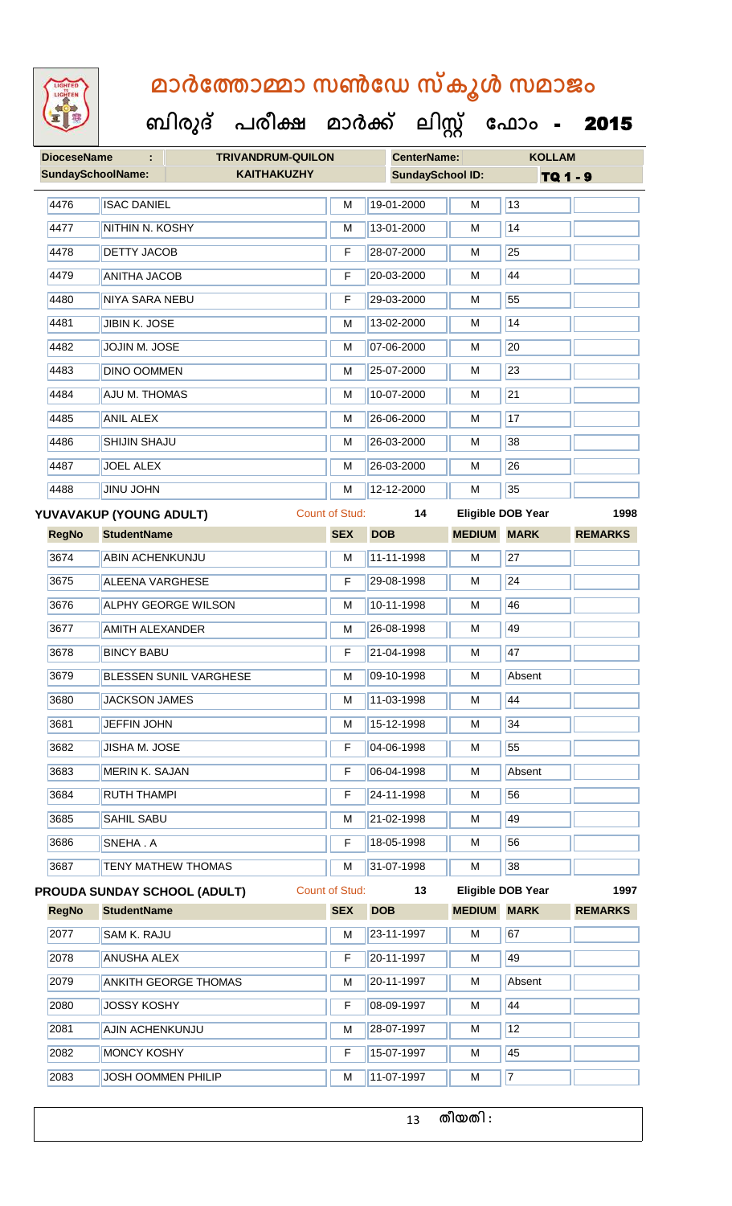

#### **ബിരുദ് പരീക്ഷ മാര്ക് ക ലിസ്റ്റ ക ഫ ാോം** - 2015

| <b>DioceseName</b>       | <b>TRIVANDRUM-QUILON</b><br>÷                    |                | <b>CenterName:</b>      |                    | <b>KOLLAM</b>            |                |
|--------------------------|--------------------------------------------------|----------------|-------------------------|--------------------|--------------------------|----------------|
| <b>SundaySchoolName:</b> | <b>KAITHAKUZHY</b>                               |                | <b>SundaySchool ID:</b> |                    | TQ 1 - 9                 |                |
| 4476                     | <b>ISAC DANIEL</b>                               | M              | 19-01-2000              | M                  | 13                       |                |
| 4477                     | NITHIN N. KOSHY                                  | M              | 13-01-2000              | M                  | 14                       |                |
| 4478                     | <b>DETTY JACOB</b>                               | F              | 28-07-2000              | М                  | 25                       |                |
| 4479                     | <b>ANITHA JACOB</b>                              | F              | 20-03-2000              | M                  | 44                       |                |
| 4480                     | <b>NIYA SARA NEBU</b>                            | F              | 29-03-2000              | M                  | 55                       |                |
| 4481                     | JIBIN K. JOSE                                    | M              | 13-02-2000              | М                  | 14                       |                |
| 4482                     | JOJIN M. JOSE                                    | M              | 07-06-2000              | M                  | 20                       |                |
| 4483                     | <b>DINO OOMMEN</b>                               | M              | 25-07-2000              | M                  | 23                       |                |
| 4484                     | <b>AJU M. THOMAS</b>                             | M              | 10-07-2000              | M                  | $\overline{21}$          |                |
| 4485                     | <b>ANIL ALEX</b>                                 | M              | 26-06-2000              | м                  | 17                       |                |
| 4486                     | SHIJIN SHAJU                                     | M              | 26-03-2000              | M                  | 38                       |                |
| 4487                     | <b>JOEL ALEX</b>                                 | M              | 26-03-2000              | М                  | 26                       |                |
| 4488                     | <b>JINU JOHN</b>                                 |                | 12-12-2000              | М                  | 35                       |                |
|                          | <b>Count of Stud:</b><br>YUVAVAKUP (YOUNG ADULT) |                | 14                      |                    | <b>Eligible DOB Year</b> | 1998           |
| <b>RegNo</b>             | <b>StudentName</b>                               | <b>SEX</b>     | <b>DOB</b>              | <b>MEDIUM</b>      | <b>MARK</b>              | <b>REMARKS</b> |
| 3674                     | <b>ABIN ACHENKUNJU</b>                           | м              | 11-11-1998              | M                  | 27                       |                |
| 3675                     | <b>ALEENA VARGHESE</b>                           | F              | 29-08-1998              | М                  | 24                       |                |
| 3676                     | <b>ALPHY GEORGE WILSON</b>                       | M              | 10-11-1998              | М                  | 46                       |                |
| 3677                     | <b>AMITH ALEXANDER</b>                           | M              | 26-08-1998              | M                  | 49                       |                |
| 3678                     | <b>BINCY BABU</b>                                | F              | 21-04-1998              | M                  | 47                       |                |
| 3679                     | BLESSEN SUNIL VARGHESE                           | M              | 09-10-1998              | М                  | Absent                   |                |
| 3680                     | <b>JACKSON JAMES</b>                             | M              | 11-03-1998              | M                  | 44                       |                |
| 3681                     | <b>JEFFIN JOHN</b>                               | M              | 15-12-1998              | M                  | 34                       |                |
| 3682                     | <b>JISHA M. JOSE</b>                             | F              | 04-06-1998              | М                  | 55                       |                |
| 3683                     | <b>MERIN K. SAJAN</b>                            | F              | 06-04-1998              | M                  | Absent                   |                |
| 3684                     | <b>RUTH THAMPI</b>                               | F              | 24-11-1998              | M                  | 56                       |                |
| 3685                     | SAHIL SABU                                       | M              | 21-02-1998              | М                  | 49                       |                |
| 3686                     | SNEHA.A                                          | F              | 18-05-1998              | М                  | 56                       |                |
| 3687                     | <b>TENY MATHEW THOMAS</b>                        | M              | 31-07-1998              | M                  | 38                       |                |
|                          | <b>PROUDA SUNDAY SCHOOL (ADULT)</b>              | Count of Stud: | 13                      |                    | Eligible DOB Year        | 1997           |
| <b>RegNo</b>             | <b>StudentName</b>                               | <b>SEX</b>     | <b>DOB</b>              | <b>MEDIUM MARK</b> |                          | <b>REMARKS</b> |
| 2077                     | SAM K. RAJU                                      |                | 23-11-1997              | M                  | 67                       |                |
| 2078                     | <b>ANUSHA ALEX</b>                               | F              | 20-11-1997              | M                  | 49                       |                |
| 2079                     | <b>ANKITH GEORGE THOMAS</b>                      | M              | 20-11-1997              | M                  | Absent                   |                |
| 2080                     | <b>JOSSY KOSHY</b>                               | F              | 08-09-1997              | M                  | 44                       |                |
| 2081                     | AJIN ACHENKUNJU                                  | M              | 28-07-1997              | М                  | 12                       |                |
| 2082                     | <b>MONCY KOSHY</b>                               | F              | 15-07-1997              | M                  | 45                       |                |

2083 JOSH OOMMEN PHILIP M M 11-07-1997 M 7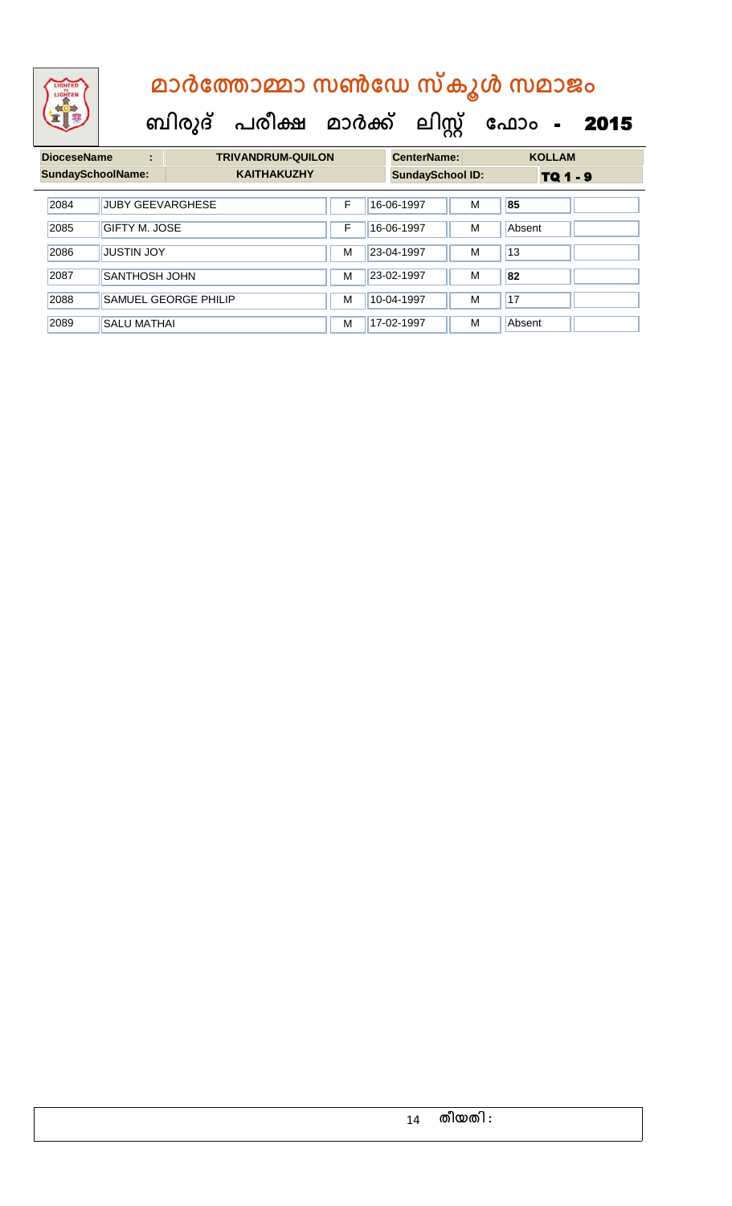**ബിരുദ് പരീക്ഷ മാര്ക് ക ലിസ്റ്റ ക ഫ ാോം** - 2015

**DioceseName : TRIVANDRUM-QUILON CenterName: KOLLAM** SundaySchoolName: **KAITHAKUZHY SundaySchool ID:** TQ 1 - 9 2084 JUBY GEEVARGHESE F 16-06-1997 M **85 2085 GIFTY M. JOSE THE THE 16-06-1997 M** Absent 2086 JUSTIN JOY M 23-04-1997 M 13 2087 SANTHOSH JOHN M 23-02-1997 M **82** 2088 SAMUEL GEORGE PHILIP M M 10-04-1997 M 17 2089 SALU MATHAI M M 17-02-1997 M Absent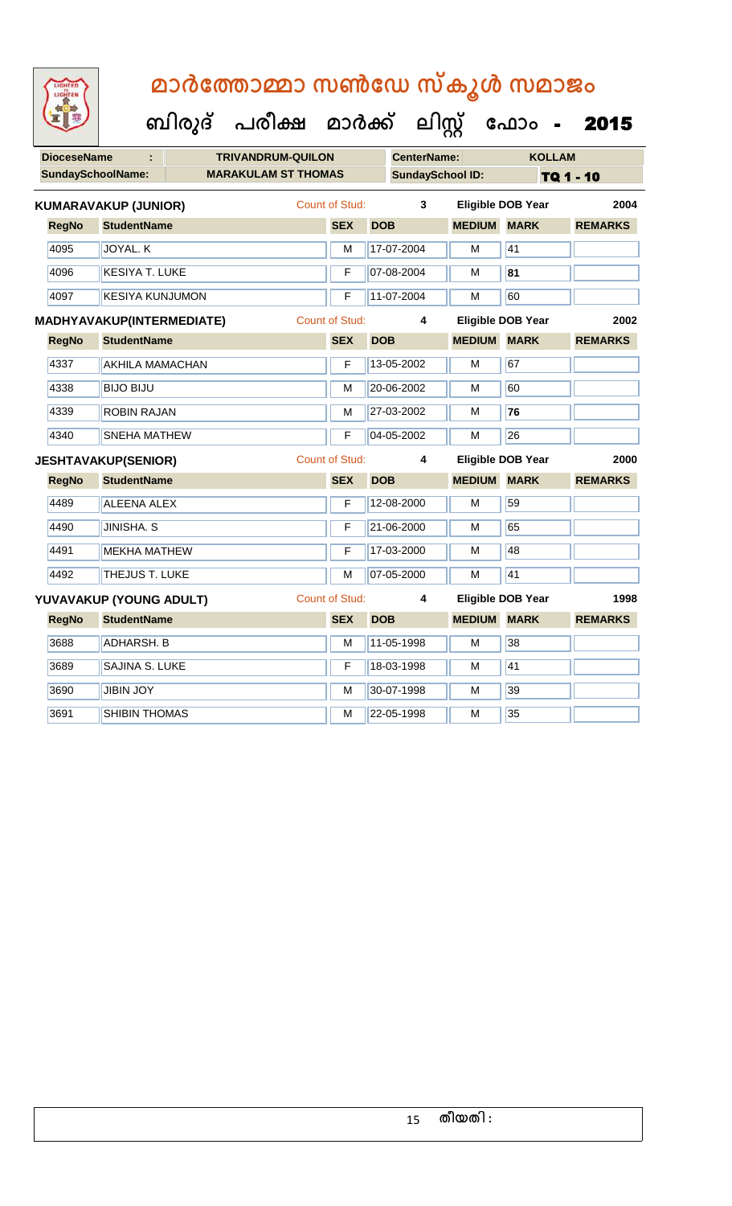| <b>DioceseName</b> | ÷                                | <b>TRIVANDRUM-QUILON</b>   |                       |            | <b>CenterName:</b>      |               | <b>KOLLAM</b>            |                |
|--------------------|----------------------------------|----------------------------|-----------------------|------------|-------------------------|---------------|--------------------------|----------------|
|                    | <b>SundaySchoolName:</b>         | <b>MARAKULAM ST THOMAS</b> |                       |            | <b>SundaySchool ID:</b> |               |                          | TQ 1 - 10      |
|                    | <b>KUMARAVAKUP (JUNIOR)</b>      |                            | Count of Stud:        |            | 3                       |               | <b>Eligible DOB Year</b> | 2004           |
| <b>RegNo</b>       | <b>StudentName</b>               |                            | <b>SEX</b>            | <b>DOB</b> |                         | <b>MEDIUM</b> | <b>MARK</b>              | <b>REMARKS</b> |
| 4095               | JOYAL. K                         |                            | м                     |            | 17-07-2004              | М             | 41                       |                |
| 4096               | <b>KESIYA T. LUKE</b>            |                            | F                     |            | 07-08-2004              | м             | 81                       |                |
| 4097               | <b>KESIYA KUNJUMON</b>           |                            | F                     |            | 11-07-2004              | М             | 60                       |                |
|                    | <b>MADHYAVAKUP(INTERMEDIATE)</b> |                            | <b>Count of Stud:</b> |            | 4                       |               | <b>Eligible DOB Year</b> | 2002           |
| <b>RegNo</b>       | <b>StudentName</b>               |                            | <b>SEX</b>            | <b>DOB</b> |                         | <b>MEDIUM</b> | <b>MARK</b>              | <b>REMARKS</b> |
| 4337               | <b>AKHILA MAMACHAN</b>           |                            | F                     |            | 13-05-2002              | М             | 67                       |                |
| 4338               | <b>BIJO BIJU</b>                 |                            | м                     |            | 20-06-2002              | М             | 60                       |                |
| 4339               | <b>ROBIN RAJAN</b>               |                            | M                     |            | 27-03-2002              | м             | 76                       |                |
| 4340               | <b>SNEHA MATHEW</b>              |                            | F                     |            | 04-05-2002              | м             | 26                       |                |
|                    | <b>JESHTAVAKUP(SENIOR)</b>       |                            | <b>Count of Stud:</b> |            | 4                       |               | <b>Eligible DOB Year</b> | 2000           |
| <b>RegNo</b>       | <b>StudentName</b>               |                            | <b>SEX</b>            | <b>DOB</b> |                         | <b>MEDIUM</b> | <b>MARK</b>              | <b>REMARKS</b> |
| 4489               | <b>ALEENA ALEX</b>               |                            | F                     |            | 12-08-2000              | М             | 59                       |                |
| 4490               | <b>JINISHA. S</b>                |                            | F                     |            | 21-06-2000              | М             | 65                       |                |
| 4491               | <b>MEKHA MATHEW</b>              |                            | F                     |            | 17-03-2000              | м             | 48                       |                |
| 4492               | <b>THEJUS T. LUKE</b>            |                            | M                     |            | 07-05-2000              | М             | $\overline{41}$          |                |
|                    | YUVAVAKUP (YOUNG ADULT)          |                            | <b>Count of Stud:</b> |            | 4                       |               | <b>Eligible DOB Year</b> | 1998           |
| <b>RegNo</b>       | <b>StudentName</b>               |                            | <b>SEX</b>            | <b>DOB</b> |                         | <b>MEDIUM</b> | <b>MARK</b>              | <b>REMARKS</b> |
| 3688               | <b>ADHARSH. B</b>                |                            | M                     |            | 11-05-1998              | М             | 38                       |                |
| 3689               | <b>SAJINA S. LUKE</b>            |                            | F                     |            | 18-03-1998              | М             | 41                       |                |
| 3690               | <b>JIBIN JOY</b>                 |                            | М                     |            | 30-07-1998              | м             | 39                       |                |
| 3691               | SHIBIN THOMAS                    |                            | м                     |            | 22-05-1998              | М             | 35                       |                |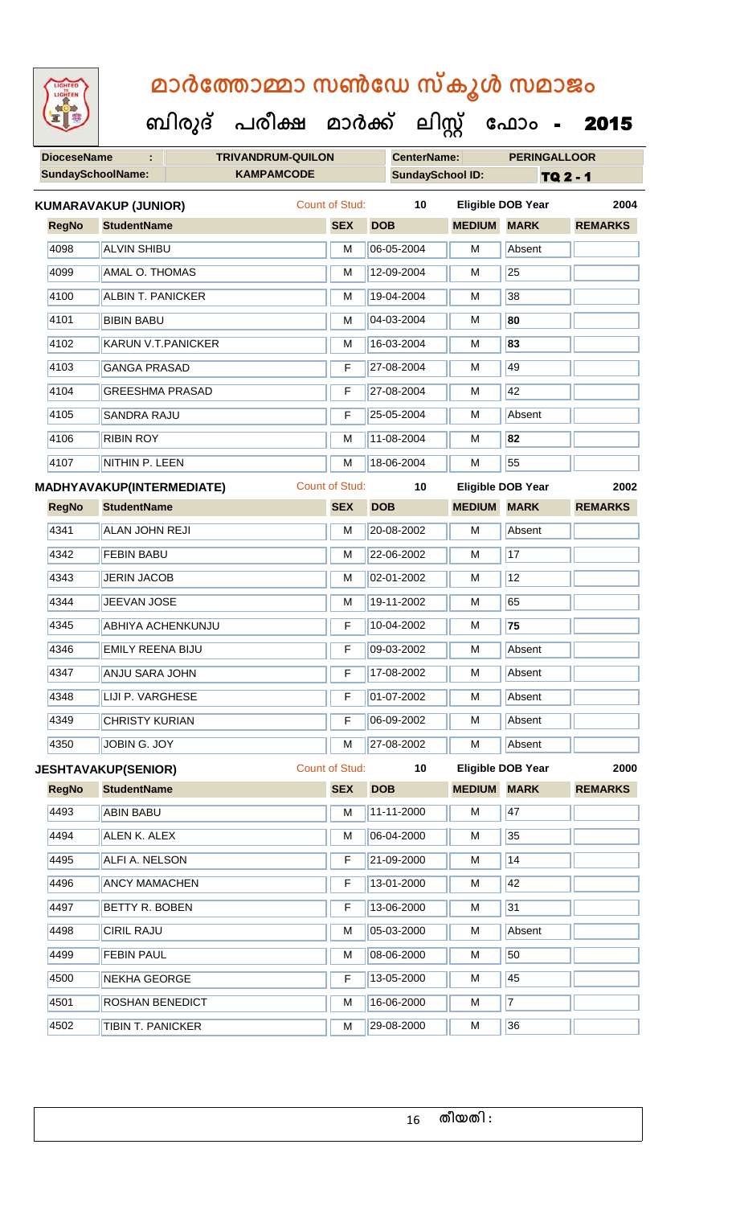**DioceseName : TRIVANDRUM-QUILON CenterName: PERINGALLOOR** SundaySchoolName: **KAMPAMCODE SundaySchool ID:** TQ 2 - 1  **ബിരുദ് പരീക്ഷ മാര്ക് ക ലിസ്റ്റ ക ഫ ാോം** - 2015 **RegNo StudentName SEX DOB MEDIUM MARK REMARKS KUMARAVAKUP (JUNIOR)** Count of Stud: **10 Eligible DOB Year 2004** 4098 ALVIN SHIBU M 06-05-2004 M Absent 4099 | AMAL O. THOMAS M 12-09-2004 | M 25 |4100 || ALBIN T. PANICKER || M || 19-04-2004 || M || 38 4101 BIBIN BABU M 04-03-2004 M **80** 4102 KARUN V.T.PANICKER M 16-03-2004 M **83** 4103 GANGA PRASAD F 27-08-2004 M 49 4104 GREESHMA PRASAD F 27-08-2004 M 42 4105 SANDRA RAJU F 25-05-2004 M Absent 4106 RIBIN ROY M 11-08-2004 M **82** 4107 NITHIN P. LEEN M 18-06-2004 M 55 **RegNo StudentName SEX DOB MEDIUM MARK REMARKS MADHYAVAKUP(INTERMEDIATE)** Count of Stud: **10 Eligible DOB Year 2002** 4341 ALAN JOHN REJI M 20-08-2002 M Absent 4342 FEBIN BABU M 22-06-2002 M 17 4343 JERIN JACOB M M 02-01-2002 M 12 4344 JEEVAN JOSE M 19-11-2002 M 5 4345 ABHIYA ACHENKUNJU F 10-04-2002 M **75** 4346 EMILY REENA BIJU F 09-03-2002 M Absent 4347 ANJU SARA JOHN F 17-08-2002 M Absent 4348 LIJI P. VARGHESE **F 01-07-2002** M Absent 4349 CHRISTY KURIAN F 06-09-2002 M Absent 4350 JOBIN G. JOY M 27-08-2002 M Absent **JESHTAVAKUP(SENIOR)** Count of Stud: **10 Eligible DOB Year 2000**

**RegNo StudentName SEX DOB MEDIUM MARK REMARKS 4493** ABIN BABU M M 11-11-2000 M 47 4494 ALEN K. ALEX M M 06-04-2000 M 35 4495 ALFI A. NELSON **F 21-09-2000** M 14 4496 **ANCY MAMACHEN F** 13-01-2000 **M** 42 4497 BETTY R. BOBEN F 13-06-2000 M 31 4498 CIRIL RAJU M 05-03-2000 M Absent 4499 FEBIN PAUL M 08-06-2000 M 50 4500 NEKHA GEORGE **F 13-05-2000** M 45 4501 ROSHAN BENEDICT M 16-06-2000 M 7 4502 TIBIN T. PANICKER M 29-08-2000 M 36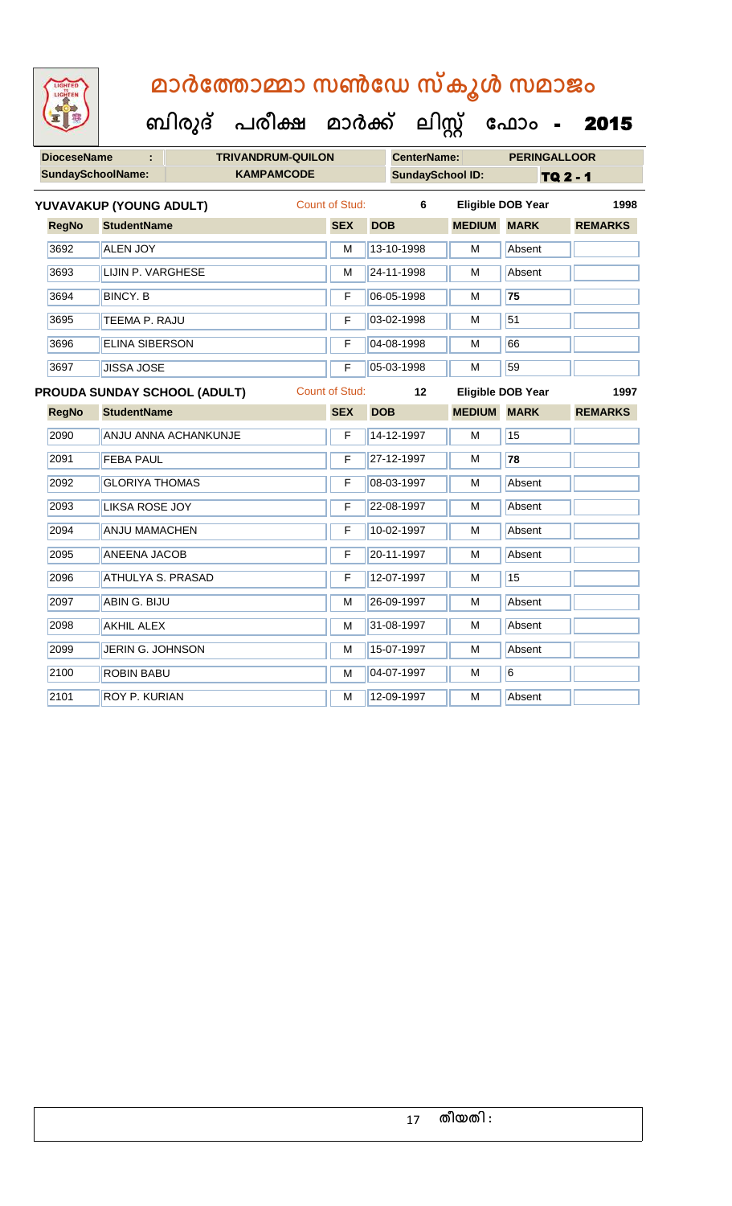| <b>DioceseName</b> |                          | <b>TRIVANDRUM-QUILON</b>     |                       |            | <b>CenterName:</b>      |                    | <b>PERINGALLOOR</b>      |                 |
|--------------------|--------------------------|------------------------------|-----------------------|------------|-------------------------|--------------------|--------------------------|-----------------|
|                    | <b>SundaySchoolName:</b> | <b>KAMPAMCODE</b>            |                       |            | <b>SundaySchool ID:</b> |                    |                          | <b>TQ 2 - 1</b> |
|                    | YUVAVAKUP (YOUNG ADULT)  |                              | Count of Stud:        |            | 6                       |                    | <b>Eligible DOB Year</b> | 1998            |
| <b>RegNo</b>       | <b>StudentName</b>       |                              | <b>SEX</b>            | <b>DOB</b> |                         | <b>MEDIUM</b>      | <b>MARK</b>              | <b>REMARKS</b>  |
| 3692               | <b>ALEN JOY</b>          |                              | М                     |            | 13-10-1998              | М                  | Absent                   |                 |
| 3693               | LIJIN P. VARGHESE        |                              | M                     |            | 24-11-1998              | M                  | Absent                   |                 |
| 3694               | <b>BINCY. B</b>          |                              | F                     |            | 06-05-1998              | M                  | 75                       |                 |
| 3695               | TEEMA P. RAJU            |                              | F                     |            | 03-02-1998              | М                  | 51                       |                 |
| 3696               | <b>ELINA SIBERSON</b>    |                              | F                     |            | 04-08-1998              | м                  | 66                       |                 |
| 3697               | <b>JISSA JOSE</b>        |                              | F                     |            | 05-03-1998              | м                  | 59                       |                 |
|                    |                          | PROUDA SUNDAY SCHOOL (ADULT) | <b>Count of Stud:</b> |            | 12                      |                    | <b>Eligible DOB Year</b> | 1997            |
| <b>RegNo</b>       | <b>StudentName</b>       |                              | <b>SEX</b>            | <b>DOB</b> |                         | <b>MEDIUM MARK</b> |                          | <b>REMARKS</b>  |
| 2090               |                          | ANJU ANNA ACHANKUNJE         | F                     |            | 14-12-1997              | M                  | 15                       |                 |
| 2091               | <b>FEBA PAUL</b>         |                              | F                     |            | 27-12-1997              | M                  | 78                       |                 |
| 2092               | <b>GLORIYA THOMAS</b>    |                              | F                     |            | 08-03-1997              | м                  | Absent                   |                 |
| 2093               | <b>LIKSA ROSE JOY</b>    |                              | F                     |            | 22-08-1997              | M                  | Absent                   |                 |
| 2094               | <b>ANJU MAMACHEN</b>     |                              | F                     |            | 10-02-1997              | м                  | Absent                   |                 |
| 2095               | <b>ANEENA JACOB</b>      |                              | F                     |            | 20-11-1997              | М                  | Absent                   |                 |
| 2096               | <b>ATHULYA S. PRASAD</b> |                              | F                     |            | 12-07-1997              | M                  | 15                       |                 |
| 2097               | ABIN G. BIJU             |                              | М                     |            | 26-09-1997              | м                  | Absent                   |                 |
| 2098               | <b>AKHIL ALEX</b>        |                              | M                     |            | 31-08-1997              | M                  | Absent                   |                 |
| 2099               | JERIN G. JOHNSON         |                              | М                     |            | 15-07-1997              | М                  | Absent                   |                 |
| 2100               | <b>ROBIN BABU</b>        |                              | М                     |            | 04-07-1997              | M                  | 6                        |                 |
| 2101               | <b>ROY P. KURIAN</b>     |                              | м                     |            | 12-09-1997              | М                  | Absent                   |                 |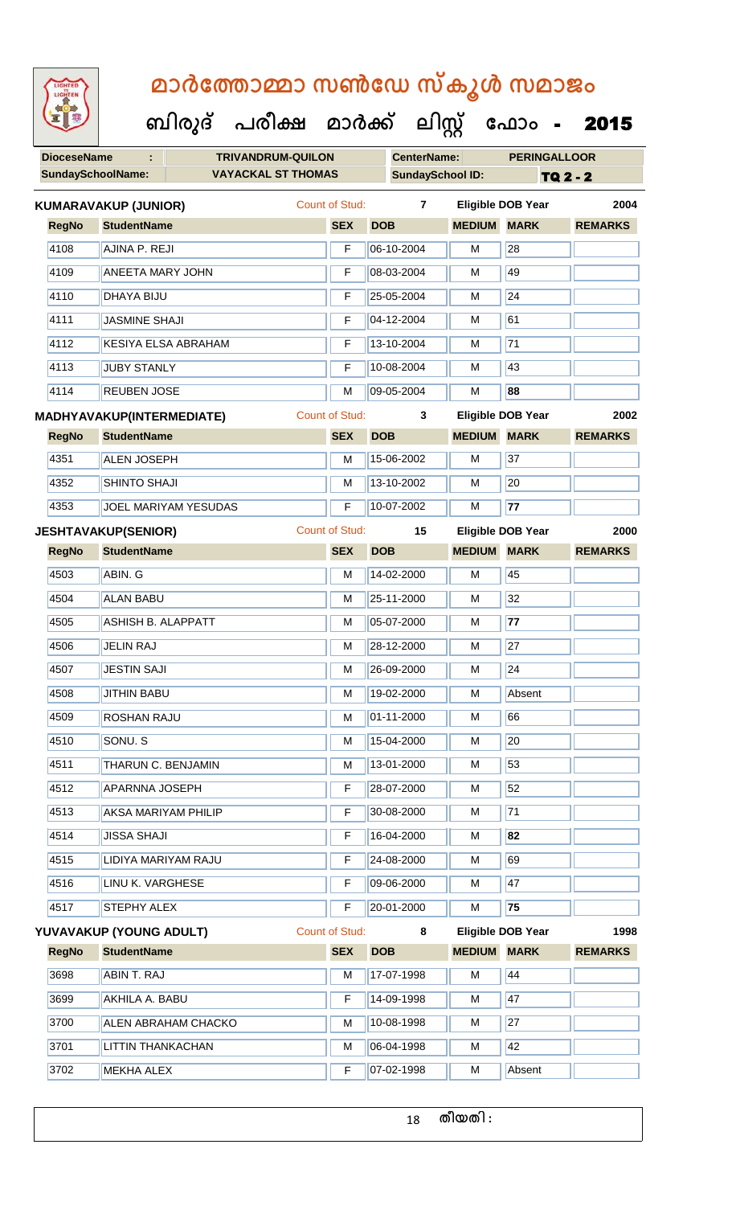**DioceseName : TRIVANDRUM-QUILON CenterName: PERINGALLOOR** SundaySchoolName: **VAYACKAL ST THOMAS SundaySchool ID:** TQ 2 - 2  **ബിരുദ് പരീക്ഷ മാര്ക് ക ലിസ്റ്റ ക ഫ ാോം** - 2015 **RegNo StudentName SEX DOB MEDIUM MARK REMARKS KUMARAVAKUP (JUNIOR)** Count of Stud: **7 Eligible DOB Year 2004** 4108 AJINA P. REJI **F** 06-10-2004 M 28 4109 ANEETA MARY JOHN F 08-03-2004 M 49 4110 DHAYA BIJU F 25-05-2004 M 24 4111 JASMINE SHAJI F 04-12-2004 M 61 4112 KESIYA ELSA ABRAHAM F 13-10-2004 M 71 4113 JUBY STANLY **F** 10-08-2004 M 43 4114 REUBEN JOSE M 09-05-2004 M **88 RegNo StudentName SEX DOB MEDIUM MARK REMARKS MADHYAVAKUP(INTERMEDIATE)** Count of Stud: **3 Eligible DOB Year 2002** 4351 **ALEN JOSEPH M 15-06-2002 M** 37 4352 SHINTO SHAJI M 13-10-2002 M 20 4353 JOEL MARIYAM YESUDAS F 10-07-2002 M **77 RegNo StudentName SEX DOB MEDIUM MARK REMARKS JESHTAVAKUP(SENIOR)** Count of Stud: **15 Eligible DOB Year 2000** 4503 **ABIN. G M 14-02-2000 M** 14-02-2000 M 4504 ALAN BABU M 25-11-2000 M 32 4505 ASHISH B. ALAPPATT M 05-07-2000 M **77** 4506 JELIN RAJ M 28-12-2000 M 27 4507 JESTIN SAJI M 26-09-2000 M 24 4508 JITHIN BABU M 19-02-2000 M Absent 4509 ROSHAN RAJU M 01-11-2000 M 66 4510 SONU. S M 15-04-2000 M 20 4511 **THARUN C. BENJAMIN** M 13-01-2000 M 53 4512 APARNNA JOSEPH F 28-07-2000 M 52 4513 AKSA MARIYAM PHILIP F 30-08-2000 M 71 4514 JISSA SHAJI F 16-04-2000 M **82** 4515 LIDIYA MARIYAM RAJU F 24-08-2000 M 69 4516 LINU K. VARGHESE **F** 09-06-2000 M 47 4517 STEPHY ALEX **F 20-01-2000** M 75 **RegNo StudentName SEX DOB MEDIUM MARK REMARKS YUVAVAKUP (YOUNG ADULT)** Count of Stud: **8 Eligible DOB Year 1998** 3698 **ABIN T. RAJ M 17-07-1998 M** 144 3699 AKHILA A. BABU F 14-09-1998 M 147 3700 ALEN ABRAHAM CHACKO M 10-08-1998 M 27 3701 LITTIN THANKACHAN M M 06-04-1998 M 42 3702 MEKHA ALEX F 07-02-1998 M Absent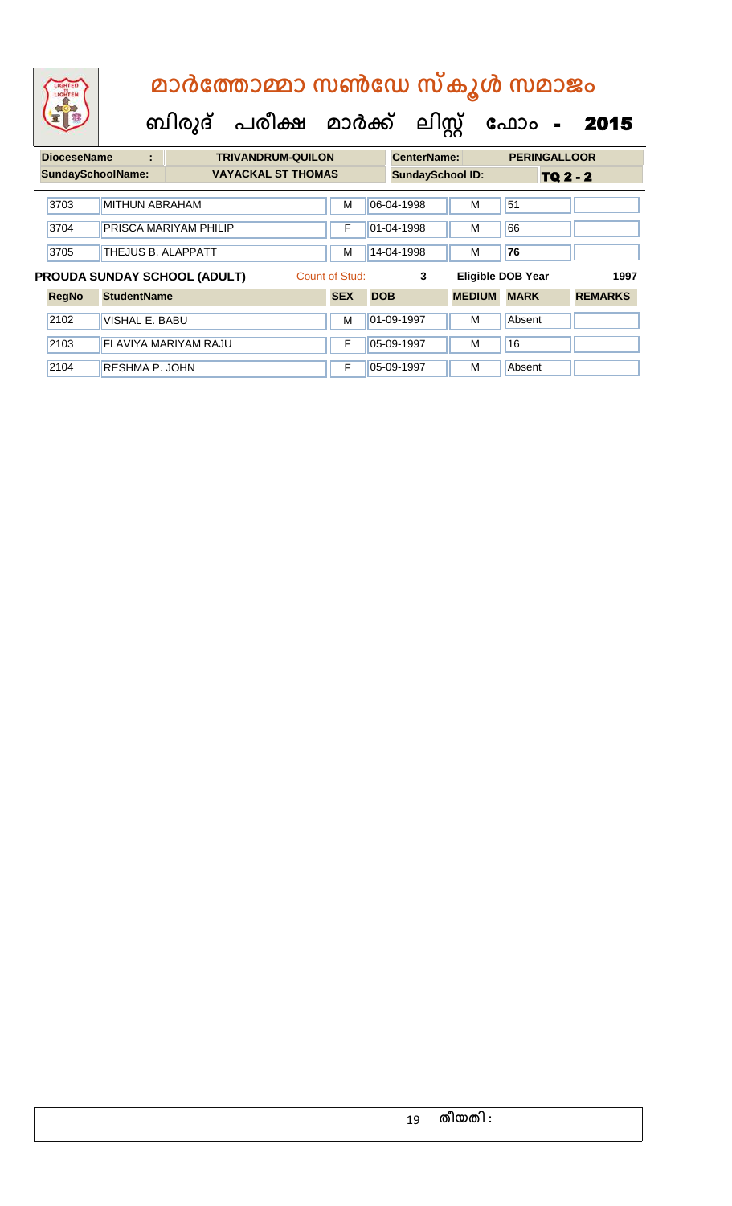| LIGHTER<br>LIGHTER |   | മാർത്തോമ്മാ സൺഡേ സ്കൂൾ സമാജം |                    |                                           |
|--------------------|---|------------------------------|--------------------|-------------------------------------------|
|                    |   |                              |                    | ബിരുദ് പരീക്ഷ മാർക്ക് ലിസ്റ്റ് ഫോം - 2015 |
| <b>DioceseName</b> | ÷ | <b>TRIVANDRUM-QUILON</b>     | <b>CenterName:</b> | <b>PERINGALLOOR</b>                       |

| рюсаамашс                  |                       |                              | INIVANDRUM-QUILUN         |                | UCHIGH NAHIG.           |               | <u>FLNINGALLVUN</u>      |                 |
|----------------------------|-----------------------|------------------------------|---------------------------|----------------|-------------------------|---------------|--------------------------|-----------------|
| <b>SundaySchoolName:</b>   |                       |                              | <b>VAYACKAL ST THOMAS</b> |                | <b>SundaySchool ID:</b> |               |                          | <b>TQ 2 - 2</b> |
| 3703                       | <b>MITHUN ABRAHAM</b> |                              |                           | М              | 06-04-1998              | М             | 51                       |                 |
| 3704                       |                       | PRISCA MARIYAM PHILIP        |                           | F              | 01-04-1998              | М             | 66                       |                 |
|                            |                       |                              |                           | М              |                         |               |                          |                 |
| 3705<br>THEJUS B. ALAPPATT |                       |                              |                           |                | 14-04-1998              | м             | 76                       |                 |
|                            |                       |                              |                           |                |                         |               |                          |                 |
|                            |                       | PROUDA SUNDAY SCHOOL (ADULT) |                           | Count of Stud: | 3                       |               | <b>Eligible DOB Year</b> | 1997            |
| <b>RegNo</b>               | <b>StudentName</b>    |                              |                           | <b>SEX</b>     | <b>DOB</b>              | <b>MEDIUM</b> | <b>MARK</b>              | <b>REMARKS</b>  |
| 2102                       | VISHAL E. BABU        |                              |                           | М              | 01-09-1997              | М             | Absent                   |                 |
| 2103                       |                       | <b>FLAVIYA MARIYAM RAJU</b>  |                           | F              | 05-09-1997              | м             | 16                       |                 |
| 2104                       | <b>RESHMA P. JOHN</b> |                              |                           | F              | 05-09-1997              | м             | Absent                   |                 |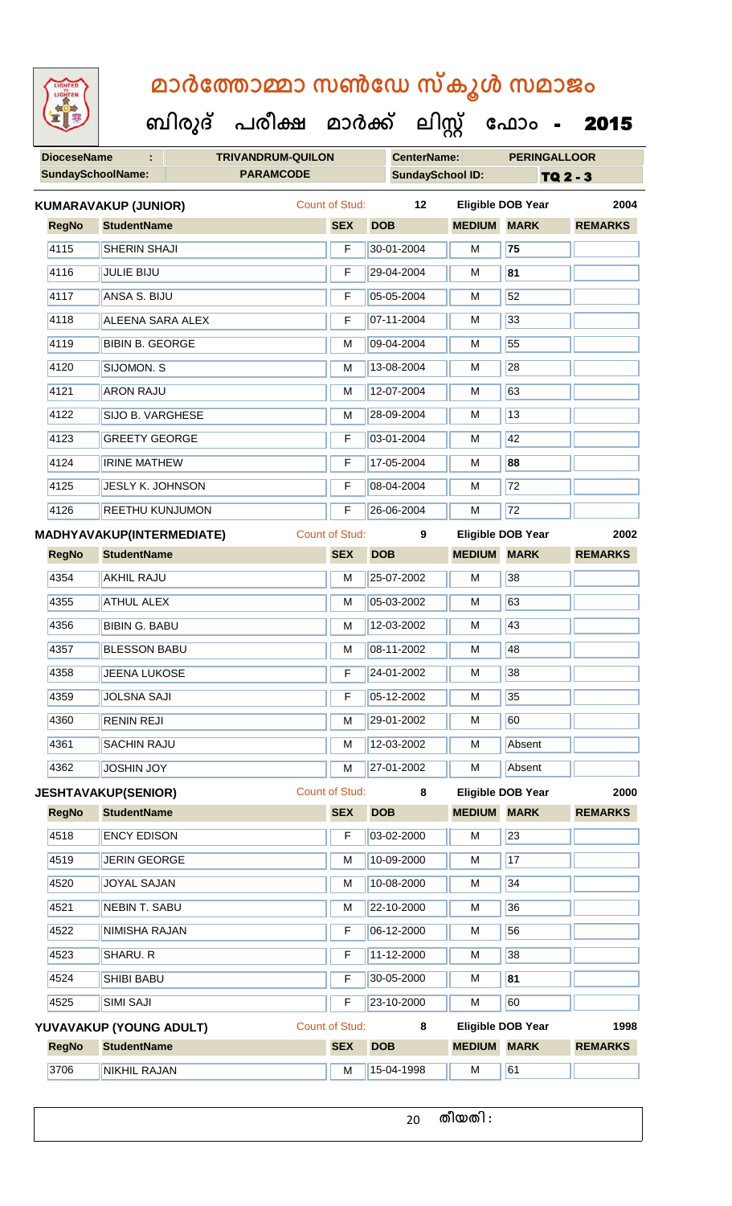**DioceseName : TRIVANDRUM-QUILON CenterName: PERINGALLOOR SundaySchoolName: PARAMCODE SundaySchool ID:** TQ 2 - 3  **ബിരുദ് പരീക്ഷ മാര്ക് ക ലിസ്റ്റ ക ഫ ാോം** - 2015 **RegNo StudentName SEX DOB MEDIUM MARK REMARKS KUMARAVAKUP (JUNIOR)** Count of Stud: **12 Eligible DOB Year 2004** 4115 SHERIN SHAJI F 30-01-2004 M **75** 4116 JULIE BIJU F 29-04-2004 M **81** 4117 | ANSA S. BIJU **F 05-05-2004** | M 52 4118 ALEENA SARA ALEX F 07-11-2004 M 33 4119 BIBIN B. GEORGE M M 09-04-2004 M 55 4120 SIJOMON. S M 13-08-2004 M 28 4121 ARON RAJU M 12-07-2004 M 63 4122 SIJO B. VARGHESE M N 28-09-2004 M 13 4123 GREETY GEORGE **F** 03-01-2004 M 42 4124 IRINE MATHEW F 17-05-2004 M **88** 4125 JESLY K. JOHNSON F 08-04-2004 M 72 4126 REETHU KUNJUMON F 26-06-2004 M 72 **RegNo StudentName SEX DOB MEDIUM MARK REMARKS MADHYAVAKUP(INTERMEDIATE)** Count of Stud: **9 Eligible DOB Year 2002** 4354 AKHIL RAJU M 25-07-2002 M 38 4355 ATHUL ALEX M 05-03-2002 M 63 4356 BIBIN G. BABU M 12-03-2002 M 43 4357 BLESSON BABU M 08-11-2002 M 48 4358 JJEENA LUKOSE **F 24-01-2002** M 38 4359 JOLSNA SAJI F 05-12-2002 M 35 4360 RENIN REJI M M 29-01-2002 M 60 4361 SACHIN RAJU M 12-03-2002 M Absent 4362 JOSHIN JOY M 27-01-2002 M Absent **RegNo StudentName SEX DOB MEDIUM MARK REMARKS JESHTAVAKUP(SENIOR)** Count of Stud: **8 Eligible DOB Year 2000** 4518 ENCY EDISON F 03-02-2000 M 23 4519 JERIN GEORGE M M 10-09-2000 M 17 4520 JJOYAL SAJAN M 10-08-2000 M 34 4521 NEBIN T. SABU M 22-10-2000 M 36 4522 NIMISHA RAJAN F 06-12-2000 M 56 4523 SHARU. R F 11-12-2000 M 38 4524 SHIBI BABU F 30-05-2000 M **81** 4525 SIMI SAJI F 23-10-2000 M 60 **RegNo StudentName SEX DOB MEDIUM MARK REMARKS YUVAVAKUP (YOUNG ADULT)** Count of Stud: **8 Eligible DOB Year 1998** 3706 NIKHIL RAJAN M 15-04-1998 M 61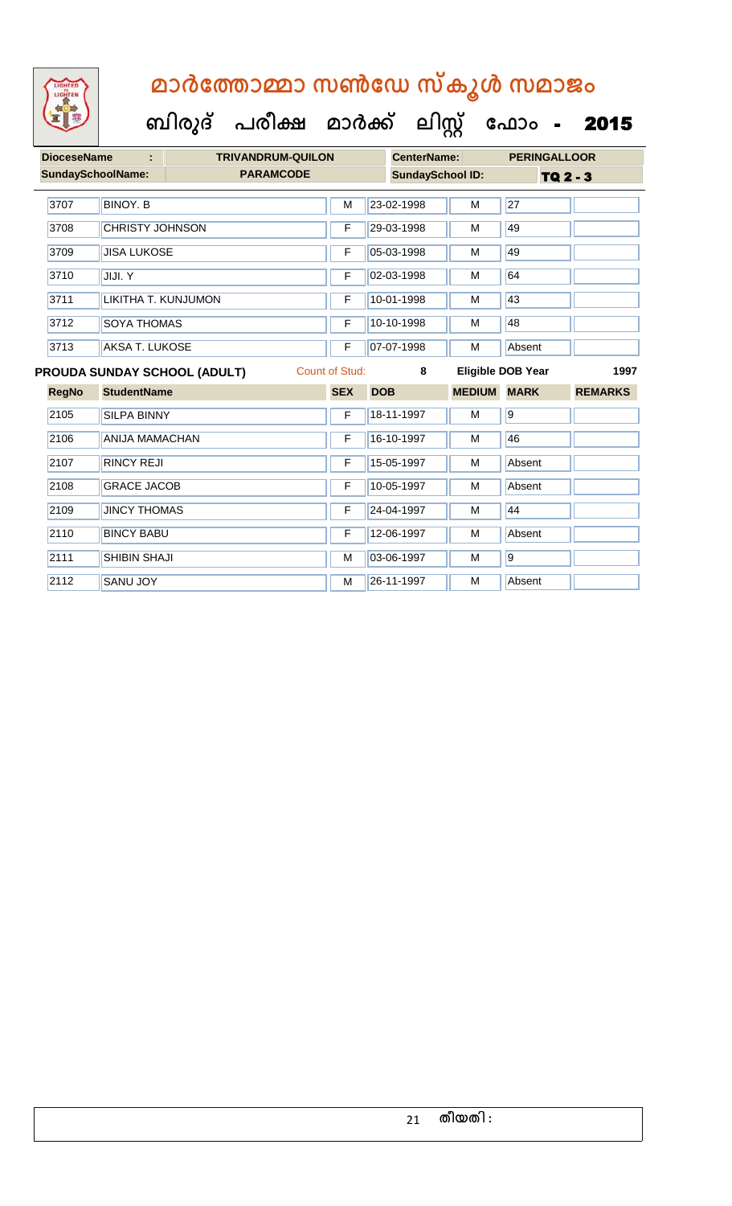

#### **ബിരുദ് പരീക്ഷ മാര്ക് ക ലിസ്റ്റ ക ഫ ാോം** - 2015

| <b>DioceseName</b>       |                        | <b>TRIVANDRUM-QUILON</b>            |                       | <b>CenterName:</b>      |               | <b>PERINGALLOOR</b>      |                |
|--------------------------|------------------------|-------------------------------------|-----------------------|-------------------------|---------------|--------------------------|----------------|
| <b>SundaySchoolName:</b> |                        | <b>PARAMCODE</b>                    |                       | <b>SundaySchool ID:</b> |               | <b>TQ 2 - 3</b>          |                |
| 3707                     | <b>BINOY, B</b>        |                                     | M                     | 23-02-1998              | M             | 27                       |                |
| 3708                     | <b>CHRISTY JOHNSON</b> |                                     | F                     | 29-03-1998              | M             | 49                       |                |
| 3709                     | <b>JISA LUKOSE</b>     |                                     | F                     | 05-03-1998              | M             | 49                       |                |
| 3710                     | JIJI. Y                |                                     | F                     | 02-03-1998              | M             | 64                       |                |
| 3711                     | LIKITHA T. KUNJUMON    |                                     | F                     | 10-01-1998              | M             | 43                       |                |
| 3712                     | <b>SOYA THOMAS</b>     |                                     | F                     | 10-10-1998              | M             | 48                       |                |
| 3713                     | <b>AKSA T. LUKOSE</b>  |                                     |                       | 07-07-1998              | M             | Absent                   |                |
|                          |                        | <b>PROUDA SUNDAY SCHOOL (ADULT)</b> | <b>Count of Stud:</b> | 8                       |               | <b>Eligible DOB Year</b> | 1997           |
|                          |                        |                                     |                       |                         |               |                          |                |
| <b>RegNo</b>             | <b>StudentName</b>     |                                     | <b>SEX</b>            | <b>DOB</b>              | <b>MEDIUM</b> | <b>MARK</b>              | <b>REMARKS</b> |
| 2105                     | <b>SILPA BINNY</b>     |                                     | F                     | 18-11-1997              | M             | $\overline{9}$           |                |
| 2106                     | <b>ANIJA MAMACHAN</b>  |                                     | F                     | 16-10-1997              | M             | 46                       |                |
| 2107                     | <b>RINCY REJI</b>      |                                     | F                     | 15-05-1997              | M             | Absent                   |                |
| 2108                     | <b>GRACE JACOB</b>     |                                     | F                     | 10-05-1997              | M             | Absent                   |                |
| 2109                     | <b>JINCY THOMAS</b>    |                                     | F                     | 24-04-1997              | M             | 44                       |                |
| 2110                     | <b>BINCY BABU</b>      |                                     | F                     | 12-06-1997              | M             | Absent                   |                |
| 2111                     | <b>SHIBIN SHAJI</b>    |                                     | M                     | 03-06-1997              | M             | $\overline{9}$           |                |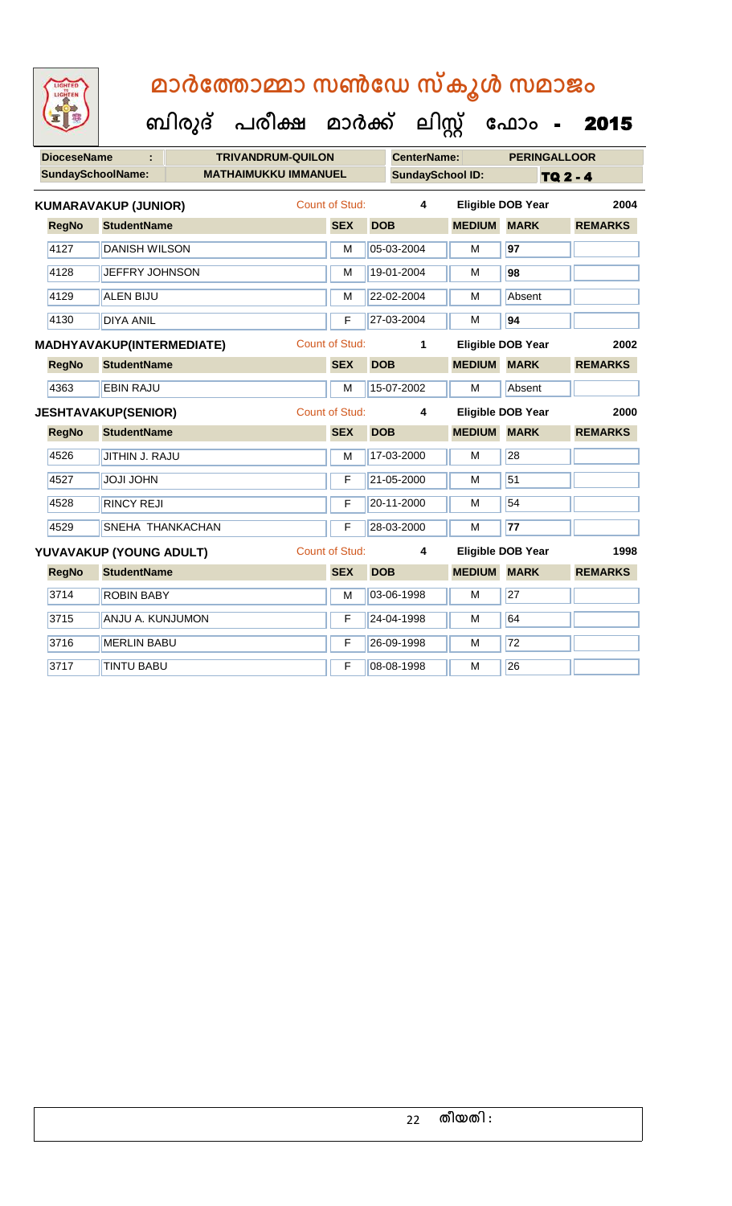LIGHTED

| <b>CenterName:</b><br><b>DioceseName</b><br>÷<br><b>TRIVANDRUM-QUILON</b><br>SundaySchoolName:<br><b>MATHAIMUKKU IMMANUEL</b><br><b>SundaySchool ID:</b> |                     |
|----------------------------------------------------------------------------------------------------------------------------------------------------------|---------------------|
|                                                                                                                                                          | <b>PERINGALLOOR</b> |
|                                                                                                                                                          | <b>TQ 2 - 4</b>     |
| <b>Count of Stud:</b><br>$\overline{\mathbf{4}}$<br><b>Eligible DOB Year</b><br><b>KUMARAVAKUP (JUNIOR)</b>                                              | 2004                |
| <b>MEDIUM MARK</b><br><b>RegNo</b><br><b>StudentName</b><br><b>SEX</b><br><b>DOB</b>                                                                     | <b>REMARKS</b>      |
| 4127<br>05-03-2004<br><b>DANISH WILSON</b><br>M<br>M<br>97                                                                                               |                     |
| 4128<br>JEFFRY JOHNSON<br>19-01-2004<br>98<br>M<br>м                                                                                                     |                     |
| 4129<br>22-02-2004<br>Absent<br><b>ALEN BIJU</b><br>М<br>M                                                                                               |                     |
| 94<br>4130<br>F<br>27-03-2004<br><b>DIYA ANIL</b><br>М                                                                                                   |                     |
| <b>Count of Stud:</b><br><b>Eligible DOB Year</b><br>1<br><b>MADHYAVAKUP(INTERMEDIATE)</b>                                                               | 2002                |
| <b>SEX</b><br><b>DOB</b><br><b>MEDIUM</b><br><b>MARK</b><br><b>RegNo</b><br><b>StudentName</b>                                                           | <b>REMARKS</b>      |
| 15-07-2002<br>4363<br>M<br>Absent<br><b>EBIN RAJU</b><br>M                                                                                               |                     |
| <b>Count of Stud:</b><br><b>Eligible DOB Year</b><br><b>JESHTAVAKUP(SENIOR)</b><br>4                                                                     | 2000                |
| <b>StudentName</b><br><b>SEX</b><br><b>DOB</b><br><b>MEDIUM</b><br><b>MARK</b><br><b>RegNo</b>                                                           | <b>REMARKS</b>      |
| 4526<br>28<br>JITHIN J. RAJU<br>17-03-2000<br>M<br>м                                                                                                     |                     |
| 51<br>4527<br><b>JOJI JOHN</b><br>F<br>21-05-2000<br>M                                                                                                   |                     |
| 54<br>4528<br>20-11-2000<br><b>RINCY REJI</b><br>F<br>М                                                                                                  |                     |
|                                                                                                                                                          |                     |
| 4529<br>SNEHA THANKACHAN<br>F<br>28-03-2000<br>М<br>77                                                                                                   |                     |
| <b>Count of Stud:</b><br>Eligible DOB Year<br>YUVAVAKUP (YOUNG ADULT)<br>4                                                                               | 1998                |
| <b>StudentName</b><br><b>DOB</b><br><b>MEDIUM</b><br><b>MARK</b><br><b>RegNo</b><br><b>SEX</b>                                                           | <b>REMARKS</b>      |
| $\overline{27}$<br>3714<br>03-06-1998<br>M<br><b>ROBIN BABY</b><br>M                                                                                     |                     |
| 3715<br>24-04-1998<br>64<br>ANJU A. KUNJUMON<br>F<br>M                                                                                                   |                     |
| $\overline{72}$<br>3716<br>26-09-1998<br>M<br><b>MERLIN BABU</b><br>F                                                                                    |                     |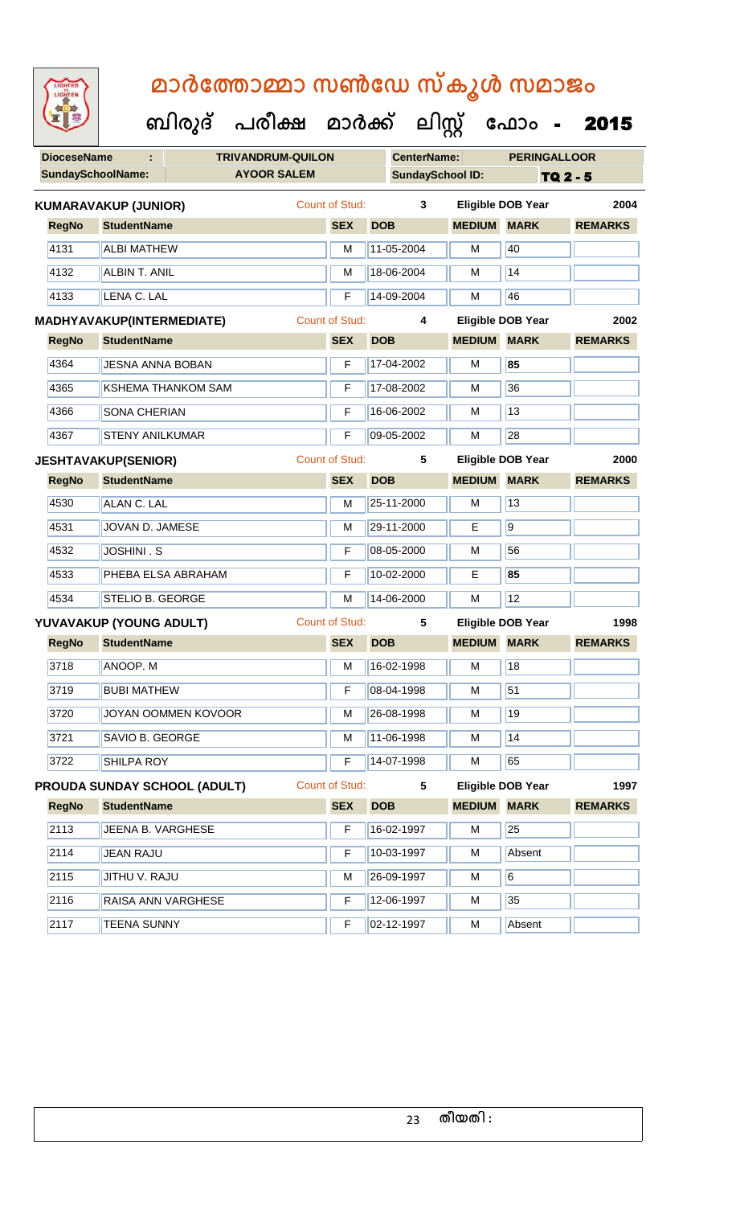| <b>DioceseName</b> | ÷                                | <b>TRIVANDRUM-QUILON</b>            |                       |            | <b>CenterName:</b>      |                    | <b>PERINGALLOOR</b>      |                |
|--------------------|----------------------------------|-------------------------------------|-----------------------|------------|-------------------------|--------------------|--------------------------|----------------|
|                    | <b>SundaySchoolName:</b>         | <b>AYOOR SALEM</b>                  |                       |            | <b>SundaySchool ID:</b> |                    |                          | TQ 2 - 5       |
|                    | <b>KUMARAVAKUP (JUNIOR)</b>      |                                     | Count of Stud:        |            | 3                       |                    | <b>Eligible DOB Year</b> | 2004           |
| <b>RegNo</b>       | <b>StudentName</b>               |                                     | <b>SEX</b>            | <b>DOB</b> |                         | <b>MEDIUM</b>      | <b>MARK</b>              | <b>REMARKS</b> |
| 4131               | <b>ALBI MATHEW</b>               |                                     | м                     |            | 11-05-2004              | M                  | 40                       |                |
| 4132               | <b>ALBIN T. ANIL</b>             |                                     | М                     |            | 18-06-2004              | м                  | $\overline{14}$          |                |
| 4133               | LENA C. LAL                      |                                     | F                     |            | 14-09-2004              | M                  | 46                       |                |
|                    | <b>MADHYAVAKUP(INTERMEDIATE)</b> |                                     | <b>Count of Stud:</b> |            | 4                       |                    | <b>Eligible DOB Year</b> | 2002           |
| <b>RegNo</b>       | <b>StudentName</b>               |                                     | <b>SEX</b>            | <b>DOB</b> |                         | <b>MEDIUM</b>      | <b>MARK</b>              | <b>REMARKS</b> |
| 4364               | <b>JESNA ANNA BOBAN</b>          |                                     | F                     |            | 17-04-2002              | M                  | 85                       |                |
| 4365               |                                  | <b>KSHEMA THANKOM SAM</b>           | F                     |            | 17-08-2002              | м                  | 36                       |                |
| 4366               | SONA CHERIAN                     |                                     | F                     |            | 16-06-2002              | M                  | 13                       |                |
| 4367               | <b>STENY ANILKUMAR</b>           |                                     | F                     |            | 09-05-2002              | M                  | 28                       |                |
|                    | <b>JESHTAVAKUP(SENIOR)</b>       |                                     | <b>Count of Stud:</b> |            | 5                       |                    | <b>Eligible DOB Year</b> | 2000           |
| <b>RegNo</b>       | <b>StudentName</b>               |                                     | <b>SEX</b>            | <b>DOB</b> |                         | <b>MEDIUM MARK</b> |                          | <b>REMARKS</b> |
| 4530               | <b>ALAN C. LAL</b>               |                                     | M                     |            | 25-11-2000              | M                  | 13                       |                |
| 4531               | JOVAN D. JAMESE                  |                                     | M                     |            | 29-11-2000              | E                  | $\overline{9}$           |                |
| 4532               | <b>JOSHINI . S</b>               |                                     | F                     |            | 08-05-2000              | M                  | 56                       |                |
| 4533               |                                  | PHEBA ELSA ABRAHAM                  | F                     |            | 10-02-2000              | E.                 | 85                       |                |
| 4534               | STELIO B. GEORGE                 |                                     | M                     |            | 14-06-2000              | M                  | 12                       |                |
|                    | YUVAVAKUP (YOUNG ADULT)          |                                     | Count of Stud:        |            | 5                       |                    | <b>Eligible DOB Year</b> | 1998           |
| <b>RegNo</b>       | <b>StudentName</b>               |                                     | <b>SEX</b>            | <b>DOB</b> |                         | <b>MEDIUM</b>      | <b>MARK</b>              | <b>REMARKS</b> |
| 3718               | ANOOP. M                         |                                     | м                     |            | 16-02-1998              | M                  | 18                       |                |
| 3719               | <b>BUBI MATHEW</b>               |                                     | F                     |            | 08-04-1998              | M                  | 51                       |                |
| 3720               |                                  | JOYAN OOMMEN KOVOOR                 | M                     |            | 26-08-1998              | M                  | 19                       |                |
| 3721               | SAVIO B. GEORGE                  |                                     | M                     |            | 11-06-1998              | M                  | 14                       |                |
| 3722               | SHILPA ROY                       |                                     | F                     |            | 14-07-1998              | M                  | 65                       |                |
|                    |                                  | <b>PROUDA SUNDAY SCHOOL (ADULT)</b> | <b>Count of Stud:</b> |            | 5                       |                    | <b>Eligible DOB Year</b> | 1997           |
| <b>RegNo</b>       | <b>StudentName</b>               |                                     | <b>SEX</b>            | <b>DOB</b> |                         | <b>MEDIUM</b>      | <b>MARK</b>              | <b>REMARKS</b> |
| 2113               | JEENA B. VARGHESE                |                                     | F                     |            | 16-02-1997              | M                  | 25                       |                |
| 2114               | <b>JEAN RAJU</b>                 |                                     | F                     |            | 10-03-1997              | M                  | Absent                   |                |
| 2115               | JITHU V. RAJU                    |                                     | M                     |            | 26-09-1997              | M                  | 6                        |                |
| 2116               |                                  | RAISA ANN VARGHESE                  | F                     |            | 12-06-1997              | M                  | 35                       |                |
| 2117               | <b>TEENA SUNNY</b>               |                                     | F                     |            | 02-12-1997              | M                  | Absent                   |                |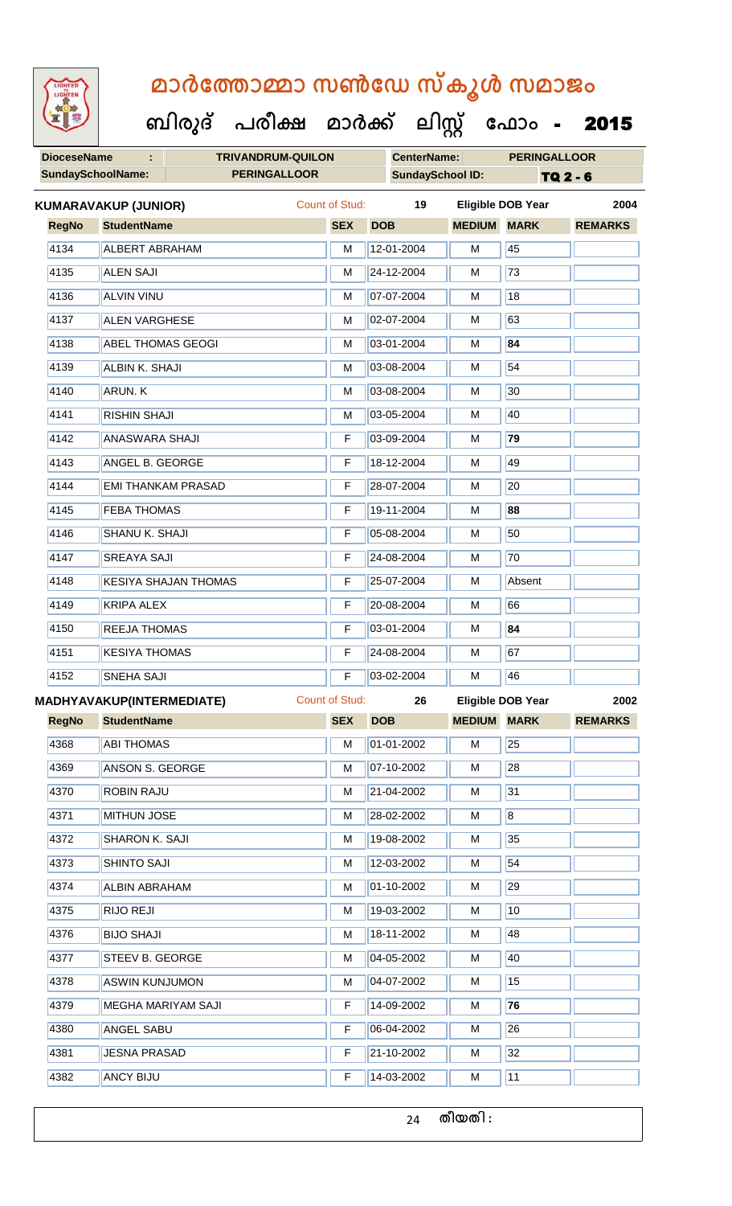**ബിരുദ് പരീക്ഷ മാര്ക് ക ലിസ്റ്റ ക ഫ ാോം** - 2015

| <b>DioceseName</b><br>÷  |                             |                             |  | <b>TRIVANDRUM-QUILON</b><br><b>CenterName:</b> |                         |                    | <b>PERINGALLOOR</b>      |                |
|--------------------------|-----------------------------|-----------------------------|--|------------------------------------------------|-------------------------|--------------------|--------------------------|----------------|
| <b>SundaySchoolName:</b> |                             | <b>PERINGALLOOR</b>         |  |                                                | <b>SundaySchool ID:</b> |                    | TQ 2 - 6                 |                |
|                          | <b>KUMARAVAKUP (JUNIOR)</b> |                             |  | <b>Count of Stud:</b>                          | 19                      |                    | <b>Eligible DOB Year</b> | 2004           |
| <b>RegNo</b>             | <b>StudentName</b>          |                             |  | <b>SEX</b>                                     | <b>DOB</b>              | <b>MEDIUM MARK</b> |                          | <b>REMARKS</b> |
| 4134                     | <b>ALBERT ABRAHAM</b>       |                             |  | M                                              | 12-01-2004              | M                  | 45                       |                |
| 4135                     | <b>ALEN SAJI</b>            |                             |  | М                                              | 24-12-2004              | M                  | $\overline{73}$          |                |
| 4136                     | <b>ALVIN VINU</b>           |                             |  | M                                              | 07-07-2004              | M                  | 18                       |                |
| 4137                     | <b>ALEN VARGHESE</b>        |                             |  | M                                              | 02-07-2004              | М                  | 63                       |                |
| 4138                     | <b>ABEL THOMAS GEOGI</b>    |                             |  | M                                              | 03-01-2004              | M                  | 84                       |                |
| 4139                     | ALBIN K. SHAJI              |                             |  | М                                              | 03-08-2004              | M                  | 54                       |                |
| 4140                     | <b>ARUN.K</b>               |                             |  | М                                              | 03-08-2004              | M                  | 30                       |                |
| 4141                     | <b>RISHIN SHAJI</b>         |                             |  | M                                              | 03-05-2004              | М                  | 40                       |                |
| 4142                     | <b>ANASWARA SHAJI</b>       |                             |  | F                                              | 03-09-2004              | M                  | 79                       |                |
| 4143                     | <b>ANGEL B. GEORGE</b>      |                             |  | F                                              | 18-12-2004              | M                  | 49                       |                |
| 4144                     | <b>EMI THANKAM PRASAD</b>   |                             |  | F                                              | 28-07-2004              | M                  | 20                       |                |
| 4145                     | <b>FEBA THOMAS</b>          |                             |  | F                                              | 19-11-2004              | M                  | 88                       |                |
| 4146                     | SHANU K. SHAJI              |                             |  | F                                              | 05-08-2004              | M                  | 50                       |                |
| 4147                     | <b>SREAYA SAJI</b>          |                             |  | F                                              | 24-08-2004              | М                  | $\overline{70}$          |                |
| 4148                     |                             | <b>KESIYA SHAJAN THOMAS</b> |  | F                                              | 25-07-2004              | М                  | Absent                   |                |
| 4149                     | <b>KRIPA ALEX</b>           |                             |  | F                                              | 20-08-2004              | M                  | 66                       |                |
| 4150                     | REEJA THOMAS                |                             |  | F                                              | 03-01-2004              | М                  | 84                       |                |
| 4151                     | <b>KESIYA THOMAS</b>        |                             |  | F                                              | 24-08-2004              | М                  | 67                       |                |
| 4152                     | <b>SNEHA SAJI</b>           |                             |  | F<br>_______                                   | 03-02-2004              | М                  | 46                       |                |
|                          | MADHYAVAKUP(INTERMEDIATE)   |                             |  | <b>Count of Stud:</b>                          | 26                      |                    | Eligible DOB Year        | 2002           |
| <b>RegNo</b>             | <b>StudentName</b>          |                             |  | <b>SEX</b>                                     | <b>DOB</b>              | <b>MEDIUM MARK</b> |                          | <b>REMARKS</b> |
| 4368                     | <b>ABI THOMAS</b>           |                             |  | М                                              | 01-01-2002              | М                  | 25                       |                |
| 4369                     | <b>ANSON S. GEORGE</b>      |                             |  | М                                              | 07-10-2002              | M                  | $\overline{28}$          |                |
| 4370                     | ROBIN RAJU                  |                             |  | М                                              | 21-04-2002              | М                  | 31                       |                |
| 4371                     | <b>MITHUN JOSE</b>          |                             |  | М                                              | 28-02-2002              | М                  | $\overline{8}$           |                |
| 4372                     | <b>SHARON K. SAJI</b>       |                             |  | M                                              | 19-08-2002              | М                  | 35                       |                |
| 4373                     | SHINTO SAJI                 |                             |  | М                                              | 12-03-2002              | М                  | 54                       |                |
| 4374                     | <b>ALBIN ABRAHAM</b>        |                             |  | М                                              | 01-10-2002              | М                  | 29                       |                |
| 4375                     | <b>RIJO REJI</b>            |                             |  | М                                              | 19-03-2002              | М                  | 10                       |                |
| 4376                     | <b>BIJO SHAJI</b>           |                             |  | М                                              | 18-11-2002              | M                  | 48                       |                |
| 4377                     | STEEV B. GEORGE             |                             |  | М                                              | 04-05-2002              | М                  | 40                       |                |
| 4378                     | <b>ASWIN KUNJUMON</b>       |                             |  | М                                              | 04-07-2002              | М                  | 15                       |                |
| 4379                     | MEGHA MARIYAM SAJI          |                             |  | F                                              | 14-09-2002              | М                  | 76                       |                |
| 4380                     | <b>ANGEL SABU</b>           |                             |  | F                                              | 06-04-2002              | M                  | 26                       |                |
| 4381                     | <b>JESNA PRASAD</b>         |                             |  | F                                              | 21-10-2002              | М                  | 32                       |                |
| 4382                     | <b>ANCY BIJU</b>            |                             |  | F                                              | 14-03-2002              | M                  | 11                       |                |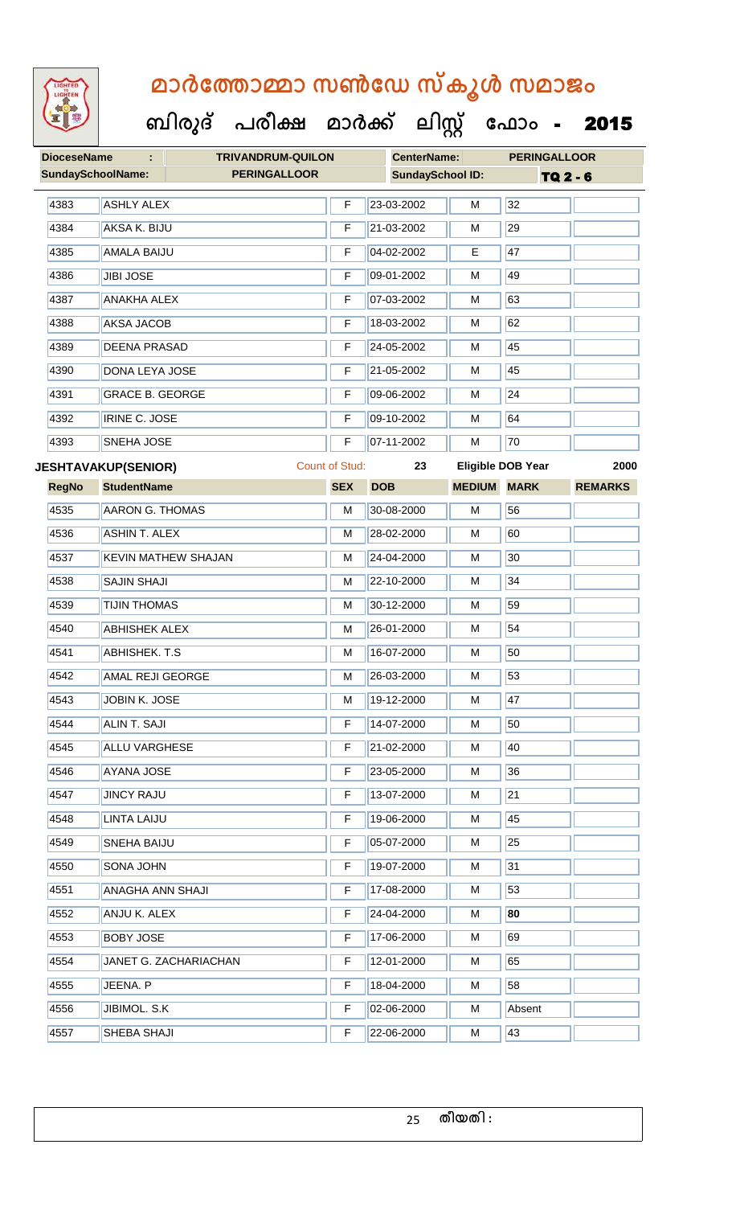

| <b>DioceseName</b> | ÷                          | <b>TRIVANDRUM-QUILON</b>   |                       | <b>CenterName:</b>      |               | <b>PERINGALLOOR</b>      |                |
|--------------------|----------------------------|----------------------------|-----------------------|-------------------------|---------------|--------------------------|----------------|
|                    | <b>SundaySchoolName:</b>   | <b>PERINGALLOOR</b>        |                       | <b>SundaySchool ID:</b> |               | TQ 2 - 6                 |                |
| 4383               | <b>ASHLY ALEX</b>          |                            | F                     | 23-03-2002              | М             | 32                       |                |
| 4384               | AKSA K. BIJU               |                            | F                     | 21-03-2002              | М             | 29                       |                |
| 4385               | <b>AMALA BAIJU</b>         |                            | F                     | 04-02-2002              | E             | 47                       |                |
| 4386               | <b>JIBI JOSE</b>           |                            | F                     | 09-01-2002              | М             | 49                       |                |
| 4387               | <b>ANAKHA ALEX</b>         |                            | F                     | 07-03-2002              | M             | 63                       |                |
| 4388               | <b>AKSA JACOB</b>          |                            | F                     | 18-03-2002              | М             | 62                       |                |
| 4389               | <b>DEENA PRASAD</b>        |                            | F                     | 24-05-2002              | М             | 45                       |                |
| 4390               | <b>DONA LEYA JOSE</b>      |                            | F                     | 21-05-2002              | М             | 45                       |                |
| 4391               | <b>GRACE B. GEORGE</b>     |                            | F                     | 09-06-2002              | M             | 24                       |                |
| 4392               | <b>IRINE C. JOSE</b>       |                            | F                     | 09-10-2002              | м             | 64                       |                |
| 4393               | <b>SNEHA JOSE</b>          |                            | F                     | 07-11-2002              | М             | 70                       |                |
|                    | <b>JESHTAVAKUP(SENIOR)</b> |                            | <b>Count of Stud:</b> | 23                      |               | <b>Eligible DOB Year</b> | 2000           |
| <b>RegNo</b>       | <b>StudentName</b>         |                            | <b>SEX</b>            | <b>DOB</b>              | <b>MEDIUM</b> | <b>MARK</b>              | <b>REMARKS</b> |
| 4535               | <b>AARON G. THOMAS</b>     |                            | M                     | 30-08-2000              | M             | 56                       |                |
| 4536               | <b>ASHIN T. ALEX</b>       |                            | M                     | 28-02-2000              | м             | 60                       |                |
| 4537               |                            | <b>KEVIN MATHEW SHAJAN</b> | M                     | 24-04-2000              | М             | 30                       |                |
| 4538               | <b>SAJIN SHAJI</b>         |                            | M                     | 22-10-2000              | М             | 34                       |                |
| 4539               | <b>TIJIN THOMAS</b>        |                            | M                     | 30-12-2000              | M             | 59                       |                |
| 4540               | <b>ABHISHEK ALEX</b>       |                            | M                     | 26-01-2000              | М             | 54                       |                |
| 4541               | <b>ABHISHEK. T.S</b>       |                            | M                     | 16-07-2000              | M             | 50                       |                |
| 4542               | <b>AMAL REJI GEORGE</b>    |                            | М                     | 26-03-2000              | М             | 53                       |                |
| 4543               | JOBIN K. JOSE              |                            | M                     | 19-12-2000              | М             | 47                       |                |
| 4544               | ALIN T. SAJI               |                            | F                     | 14-07-2000              | М             | 50                       |                |
| 4545               | <b>ALLU VARGHESE</b>       |                            | F                     | 21-02-2000              | М             | 40                       |                |
| 4546               | <b>AYANA JOSE</b>          |                            | F                     | 23-05-2000              | М             | 36                       |                |
| 4547               | <b>JINCY RAJU</b>          |                            | F                     | 13-07-2000              | м             | 21                       |                |
| 4548               | <b>LINTA LAIJU</b>         |                            | F                     | 19-06-2000              | М             | 45                       |                |
| 4549               | SNEHA BAIJU                |                            | F                     | 05-07-2000              | M             | 25                       |                |
| 4550               | SONA JOHN                  |                            | F                     | 19-07-2000              | М             | 31                       |                |
| 4551               | <b>ANAGHA ANN SHAJI</b>    |                            | F                     | 17-08-2000              | М             | 53                       |                |
| 4552               | ANJU K. ALEX               |                            | F                     | 24-04-2000              | м             | 80                       |                |
| 4553               | <b>BOBY JOSE</b>           |                            | F                     | 17-06-2000              | М             | 69                       |                |
| 4554               |                            | JANET G. ZACHARIACHAN      | F                     | 12-01-2000              | М             | 65                       |                |
| 4555               | JEENA. P                   |                            | F                     | 18-04-2000              | М             | 58                       |                |
| 4556               | JIBIMOL. S.K               |                            | F                     | 02-06-2000              | М             | Absent                   |                |
| 4557               | SHEBA SHAJI                |                            | F                     | 22-06-2000              | Μ             | 43                       |                |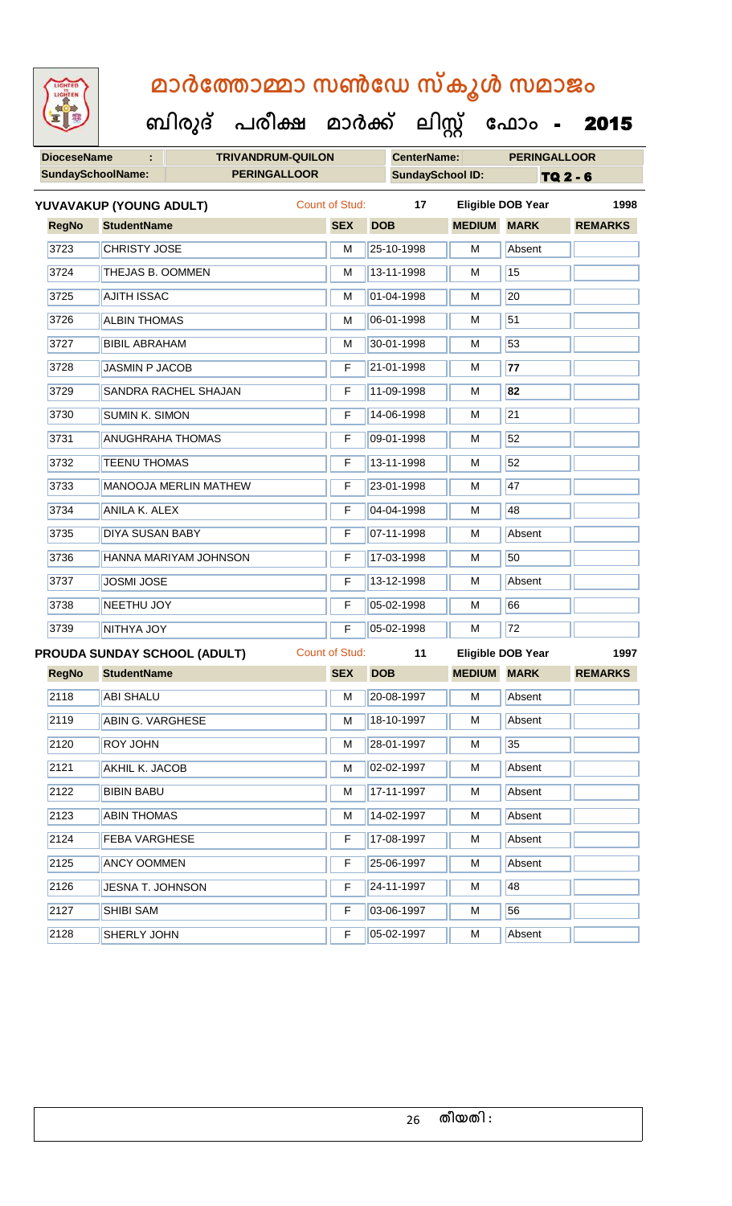**DioceseName : TRIVANDRUM-QUILON CenterName: PERINGALLOOR SundaySchoolName: PERINGALLOOR SundaySchool ID:** TQ 2 - 6  **ബിരുദ് പരീക്ഷ മാര്ക് ക ലിസ്റ്റ ക ഫ ാോം** - 2015 **RegNo StudentName SEX DOB MEDIUM MARK REMARKS YUVAVAKUP (YOUNG ADULT)** Count of Stud: **17 Eligible DOB Year 1998** 3723 CHRISTY JOSE M 25-10-1998 M Absent 3724 THEJAS B. OOMMEN M 13-11-1998 M 13-11-1998 M 3725 AJITH ISSAC M 101-04-1998 M 20 3726 ALBIN THOMAS M M 06-01-1998 M 3727 BIBIL ABRAHAM M 30-01-1998 M 30-01-1998 M 3728 JASMIN P JACOB **F 21-01-1998 M** M 77 3729 SANDRA RACHEL SHAJAN F 11-09-1998 M 32 3730 SUMIN K. SIMON **F** 14-06-1998 M 21 3731 ANUGHRAHA THOMAS F F 09-01-1998 M 52 3732 TEENU THOMAS F 13-11-1998 M 52 3733 MANOOJA MERLIN MATHEW F 23-01-1998 M 17 3734 ANILA K. ALEX F 04-04-1998 M 48 3735 DIYA SUSAN BABY **F 07-11-1998** M Absent 3736 HANNA MARIYAM JOHNSON F 17-03-1998 M 50 3737 JOSMI JOSE **F 13-12-1998** M Absent 3738 NEETHU JOY F 05-02-1998 M 66 3739 NITHYA JOY **F 05-02-1998** M 72 **RegNo StudentName SEX DOB MEDIUM MARK REMARKS PROUDA SUNDAY SCHOOL (ADULT)** Count of Stud: **11 Eligible DOB Year 1997** 2118 ABI SHALU M 20-08-1997 M Absent 2119 ABIN G. VARGHESE M 18-10-1997 M Absent 2120 ROY JOHN M 28-01-1997 M 35 2121 AKHIL K. JACOB M 02-02-1997 M Absent 2122 BIBIN BABU M 17-11-1997 M Absent 2123 **ABIN THOMAS** M 14-02-1997 **M** Absent 2124 **FEBA VARGHESE F 17-08-1997** M Absent 2125 ANCY OOMMEN F 25-06-1997 M Absent 2126 JESNA T. JOHNSON F 24-11-1997 M 48 2127 SHIBI SAM **F** 03-06-1997 M 56

2128 SHERLY JOHN **F 05-02-1997** M Absent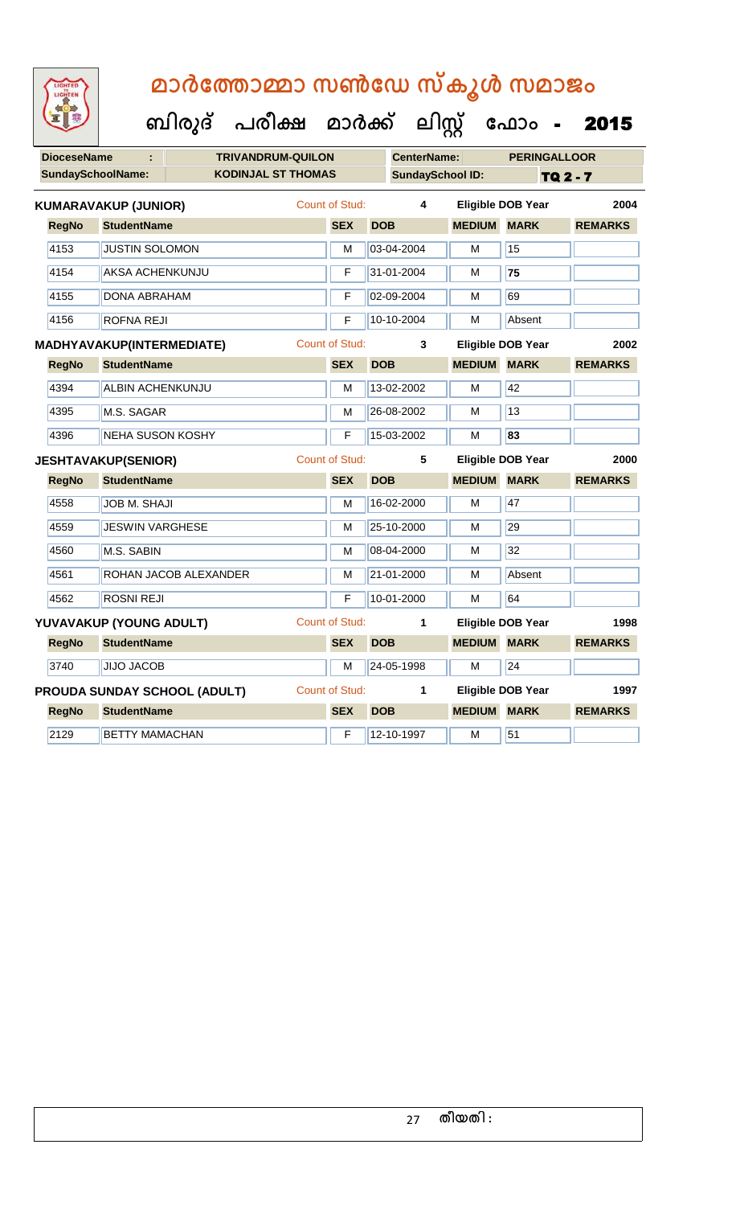LIGHTED

|                    |                                     | ബിരുദ് | പരിക്ഷ                    | മാർക്ക്               |                    | ലിസ്റ്റ്                | ഫോം                      | 2015            |
|--------------------|-------------------------------------|--------|---------------------------|-----------------------|--------------------|-------------------------|--------------------------|-----------------|
| <b>DioceseName</b> |                                     |        | <b>TRIVANDRUM-QUILON</b>  |                       | <b>CenterName:</b> |                         | <b>PERINGALLOOR</b>      |                 |
|                    | <b>SundaySchoolName:</b>            |        | <b>KODINJAL ST THOMAS</b> |                       |                    | <b>SundaySchool ID:</b> |                          | <b>TQ 2 - 7</b> |
|                    | <b>KUMARAVAKUP (JUNIOR)</b>         |        |                           | Count of Stud:        | 4                  |                         | <b>Eligible DOB Year</b> | 2004            |
| <b>RegNo</b>       | <b>StudentName</b>                  |        |                           | <b>SEX</b>            | <b>DOB</b>         | <b>MEDIUM MARK</b>      |                          | <b>REMARKS</b>  |
| 4153               | <b>JUSTIN SOLOMON</b>               |        |                           | M                     | 03-04-2004         | M                       | 15                       |                 |
| 4154               | <b>AKSA ACHENKUNJU</b>              |        |                           | F                     | 31-01-2004         | M                       | 75                       |                 |
| 4155               | <b>DONA ABRAHAM</b>                 |        |                           | F                     | 02-09-2004         | M                       | 69                       |                 |
| 4156               | <b>ROFNA REJI</b>                   |        |                           | F                     | 10-10-2004         | М                       | Absent                   |                 |
|                    | MADHYAVAKUP(INTERMEDIATE)           |        |                           | <b>Count of Stud:</b> | 3                  |                         | <b>Eligible DOB Year</b> | 2002            |
| <b>RegNo</b>       | <b>StudentName</b>                  |        |                           | <b>SEX</b>            | <b>DOB</b>         | <b>MEDIUM</b>           | <b>MARK</b>              | <b>REMARKS</b>  |
| 4394               | <b>ALBIN ACHENKUNJU</b>             |        |                           | м                     | 13-02-2002         | м                       | 42                       |                 |
| 4395               | M.S. SAGAR                          |        |                           | M                     | 26-08-2002         | M                       | 13                       |                 |
| 4396               | <b>NEHA SUSON KOSHY</b>             |        |                           | F                     | 15-03-2002         | M                       | 83                       |                 |
|                    | <b>JESHTAVAKUP(SENIOR)</b>          |        |                           | <b>Count of Stud:</b> | 5                  |                         | <b>Eligible DOB Year</b> | 2000            |
| <b>RegNo</b>       | <b>StudentName</b>                  |        |                           | <b>SEX</b>            | <b>DOB</b>         | <b>MEDIUM MARK</b>      |                          | <b>REMARKS</b>  |
| 4558               | <b>JOB M. SHAJI</b>                 |        |                           | M                     | 16-02-2000         | M                       | 47                       |                 |
| 4559               | <b>JESWIN VARGHESE</b>              |        |                           | M                     | 25-10-2000         | M                       | 29                       |                 |
| 4560               | M.S. SABIN                          |        |                           | M                     | 08-04-2000         | M                       | $\overline{32}$          |                 |
| 4561               | ROHAN JACOB ALEXANDER               |        |                           | M                     | 21-01-2000         | м                       | Absent                   |                 |
| 4562               | <b>ROSNI REJI</b>                   |        |                           | F                     | 10-01-2000         | M                       | 64                       |                 |
|                    | YUVAVAKUP (YOUNG ADULT)             |        |                           | <b>Count of Stud:</b> | 1                  |                         | <b>Eligible DOB Year</b> | 1998            |
| <b>RegNo</b>       | <b>StudentName</b>                  |        |                           | <b>SEX</b>            | <b>DOB</b>         | <b>MEDIUM MARK</b>      |                          | <b>REMARKS</b>  |
| 3740               | <b>JIJO JACOB</b>                   |        |                           | M                     | 24-05-1998         | M                       | $\overline{24}$          |                 |
|                    | <b>PROUDA SUNDAY SCHOOL (ADULT)</b> |        |                           | <b>Count of Stud:</b> | 1                  |                         | Eligible DOB Year        | 1997            |
| <b>RegNo</b>       | <b>StudentName</b>                  |        |                           | <b>SEX</b>            | <b>DOB</b>         | <b>MEDIUM</b>           | <b>MARK</b>              | <b>REMARKS</b>  |
| 2129               | <b>BETTY MAMACHAN</b>               |        |                           | F                     | 12-10-1997         | M                       | 51                       |                 |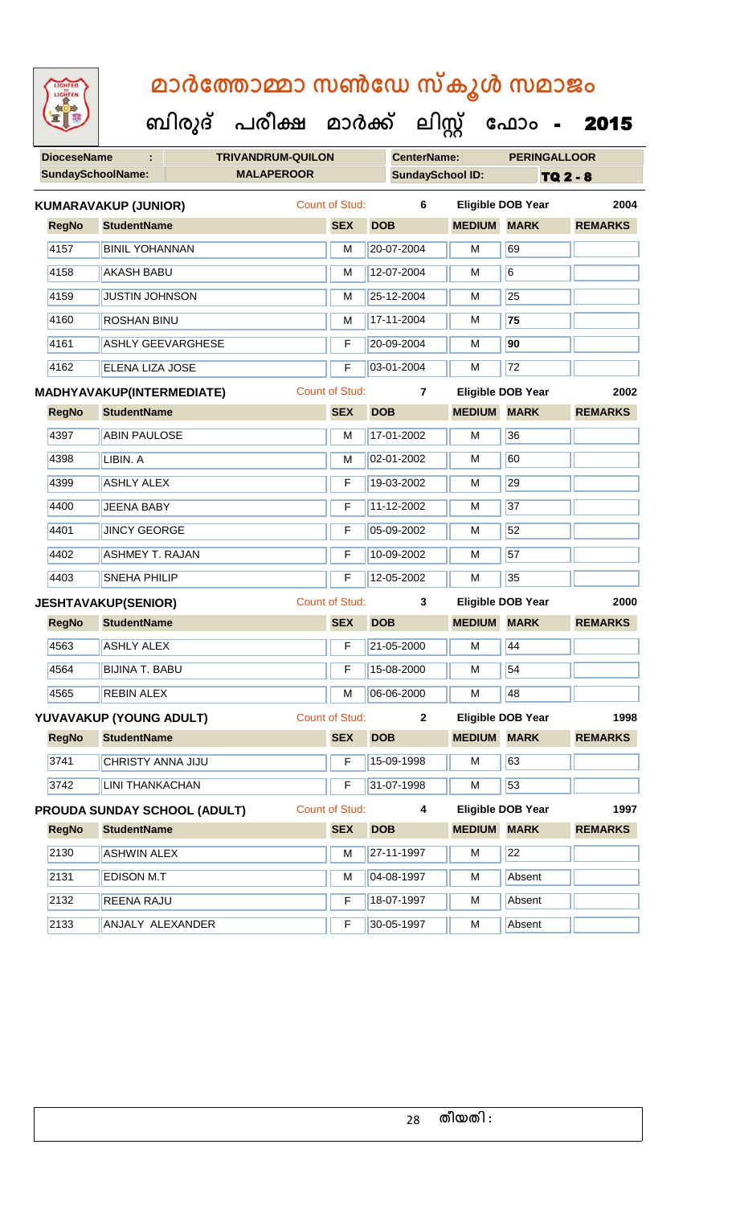| LIGHTED<br>LIGHTEN |                                  |                              | മാർത്തോമ്മാ സൺഡേ സ്കൂൾ സമാജം<br>ബിരുദ് പരീക്ഷ മാർക്ക് ലിസ്റ്റ് ഫോം - 2015 |                       |                         |                    |                    |                          |                |  |
|--------------------|----------------------------------|------------------------------|---------------------------------------------------------------------------|-----------------------|-------------------------|--------------------|--------------------|--------------------------|----------------|--|
| <b>DioceseName</b> |                                  |                              | <b>TRIVANDRUM-QUILON</b>                                                  |                       |                         | <b>CenterName:</b> |                    | <b>PERINGALLOOR</b>      |                |  |
|                    | <b>SundaySchoolName:</b>         |                              | <b>MALAPEROOR</b>                                                         |                       | <b>SundaySchool ID:</b> |                    |                    | <b>TQ 2 - 8</b>          |                |  |
|                    | <b>KUMARAVAKUP (JUNIOR)</b>      |                              |                                                                           | <b>Count of Stud:</b> |                         | 6                  |                    | <b>Eligible DOB Year</b> | 2004           |  |
| <b>RegNo</b>       | <b>StudentName</b>               |                              |                                                                           | <b>SEX</b>            | <b>DOB</b>              |                    | <b>MEDIUM</b>      | <b>MARK</b>              | <b>REMARKS</b> |  |
| 4157               | <b>BINIL YOHANNAN</b>            |                              |                                                                           | м                     |                         | 20-07-2004         | м                  | 69                       |                |  |
| 4158               | <b>AKASH BABU</b>                |                              |                                                                           | M                     |                         | 12-07-2004         | м                  | 6                        |                |  |
| 4159               | <b>JUSTIN JOHNSON</b>            |                              |                                                                           | М                     |                         | 25-12-2004         | м                  | 25                       |                |  |
| 4160               | <b>ROSHAN BINU</b>               |                              |                                                                           | М                     |                         | 17-11-2004         | м                  | 75                       |                |  |
| 4161               | <b>ASHLY GEEVARGHESE</b>         |                              |                                                                           | F                     |                         | 20-09-2004         | м                  | 90                       |                |  |
| 4162               | <b>ELENA LIZA JOSE</b>           |                              |                                                                           | F                     |                         | 03-01-2004         | м                  | 72                       |                |  |
|                    | <b>MADHYAVAKUP(INTERMEDIATE)</b> |                              |                                                                           | <b>Count of Stud:</b> |                         | $\overline{7}$     |                    | <b>Eligible DOB Year</b> | 2002           |  |
| <b>RegNo</b>       | <b>StudentName</b>               |                              |                                                                           | <b>SEX</b>            | <b>DOB</b>              |                    | <b>MEDIUM</b>      | <b>MARK</b>              | <b>REMARKS</b> |  |
| 4397               | <b>ABIN PAULOSE</b>              |                              |                                                                           | м                     |                         | 17-01-2002         | м                  | 36                       |                |  |
| 4398               | LIBIN. A                         |                              |                                                                           | M                     |                         | 02-01-2002         | м                  | 60                       |                |  |
| 4399               | <b>ASHLY ALEX</b>                |                              |                                                                           | F                     |                         | 19-03-2002         | м                  | 29                       |                |  |
| 4400               | <b>JEENA BABY</b>                |                              |                                                                           | F                     |                         | 11-12-2002         | м                  | 37                       |                |  |
| 4401               | <b>JINCY GEORGE</b>              |                              |                                                                           | F                     |                         | 05-09-2002         | м                  | 52                       |                |  |
| 4402               | <b>ASHMEY T. RAJAN</b>           |                              |                                                                           | F                     |                         | 10-09-2002         | м                  | 57                       |                |  |
| 4403               | <b>SNEHA PHILIP</b>              |                              |                                                                           | F                     |                         | 12-05-2002         | м                  | 35                       |                |  |
|                    | <b>JESHTAVAKUP(SENIOR)</b>       |                              |                                                                           | <b>Count of Stud:</b> |                         | 3                  |                    | <b>Eligible DOB Year</b> | 2000           |  |
| <b>RegNo</b>       | <b>StudentName</b>               |                              |                                                                           | <b>SEX</b>            | <b>DOB</b>              |                    | <b>MEDIUM MARK</b> |                          | <b>REMARKS</b> |  |
| 4563               | <b>ASHLY ALEX</b>                |                              |                                                                           | F                     |                         | 21-05-2000         | М                  | 44                       |                |  |
| 4564               | <b>BIJINA T. BABU</b>            |                              |                                                                           | F                     |                         | 15-08-2000         | M                  | 54                       |                |  |
| 4565               | <b>REBIN ALEX</b>                |                              |                                                                           | M                     |                         | 06-06-2000         | м                  | 48                       |                |  |
|                    | YUVAVAKUP (YOUNG ADULT)          |                              |                                                                           | <b>Count of Stud:</b> |                         | $\mathbf{2}$       |                    | <b>Eligible DOB Year</b> | 1998           |  |
| <b>RegNo</b>       | <b>StudentName</b>               |                              |                                                                           | <b>SEX</b>            | <b>DOB</b>              |                    | <b>MEDIUM MARK</b> |                          | <b>REMARKS</b> |  |
| 3741               | CHRISTY ANNA JIJU                |                              |                                                                           | F                     |                         | 15-09-1998         | M                  | 63                       |                |  |
| 3742               | <b>LINI THANKACHAN</b>           |                              |                                                                           | F                     |                         | 31-07-1998         | м                  | 53                       |                |  |
|                    |                                  | PROUDA SUNDAY SCHOOL (ADULT) |                                                                           | <b>Count of Stud:</b> |                         | 4                  |                    | <b>Eligible DOB Year</b> | 1997           |  |
| <b>RegNo</b>       | <b>StudentName</b>               |                              |                                                                           | <b>SEX</b>            | <b>DOB</b>              |                    | <b>MEDIUM</b>      | <b>MARK</b>              | <b>REMARKS</b> |  |
| 2130               | <b>ASHWIN ALEX</b>               |                              |                                                                           | M                     |                         | 27-11-1997         | M                  | 22                       |                |  |
| 2131               | <b>EDISON M.T</b>                |                              |                                                                           | M                     |                         | 04-08-1997         | M                  | Absent                   |                |  |
| 2132               | REENA RAJU                       |                              |                                                                           | F                     |                         | 18-07-1997         | M                  | Absent                   |                |  |
| 2133               | ANJALY ALEXANDER                 |                              |                                                                           | F                     |                         | 30-05-1997         | М                  | Absent                   |                |  |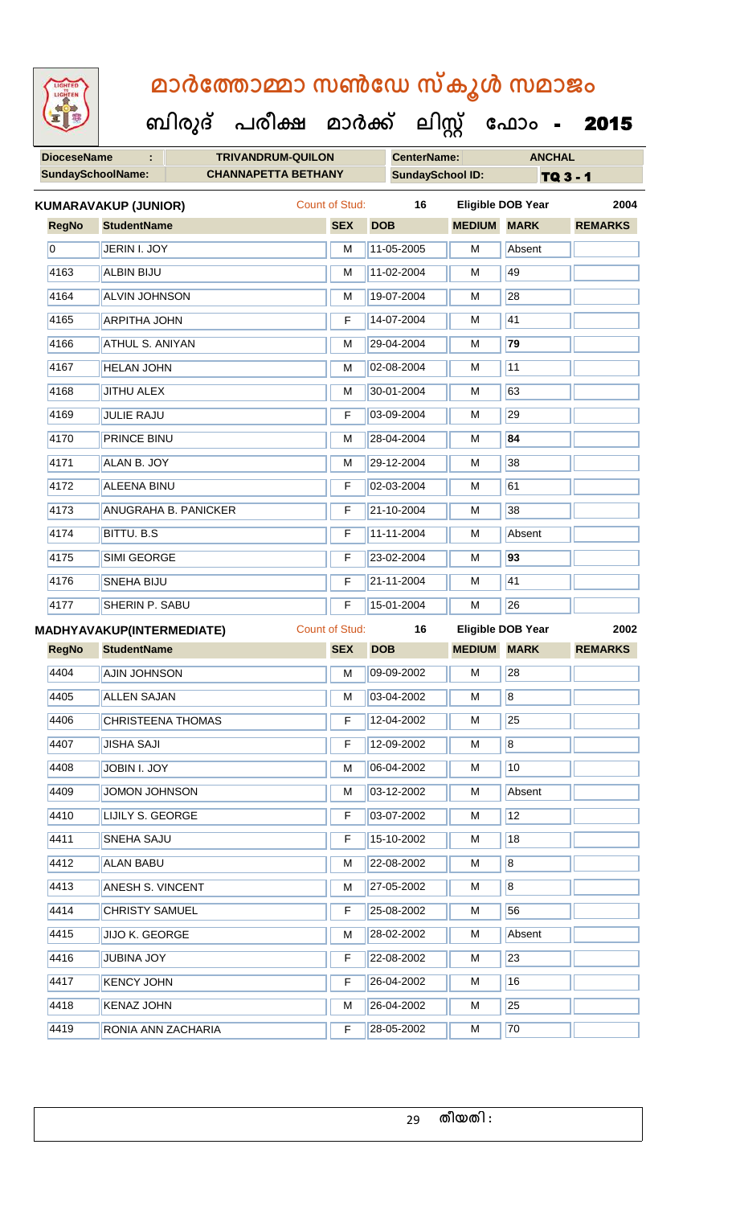# LIGHTED

# **മാര്കഫതാമ്മാ സണ്ഫേ സ്കൂള് സമാജോം**

ക

ں<br>ت

| W                        | ബിരുദ്                           | പരീക്ഷ                     | മാർക്ക്               |            | <u> ലിസ്റ്റ്</u>        |                    | ഫോം -                    | 2015           |
|--------------------------|----------------------------------|----------------------------|-----------------------|------------|-------------------------|--------------------|--------------------------|----------------|
| <b>DioceseName</b>       | ÷                                | <b>TRIVANDRUM-QUILON</b>   |                       |            | <b>CenterName:</b>      |                    | <b>ANCHAL</b>            |                |
| <b>SundaySchoolName:</b> |                                  | <b>CHANNAPETTA BETHANY</b> |                       |            | <b>SundaySchool ID:</b> |                    |                          | TQ 3 - 1       |
|                          | <b>KUMARAVAKUP (JUNIOR)</b>      |                            | Count of Stud:        |            | 16                      |                    | <b>Eligible DOB Year</b> | 2004           |
| <b>RegNo</b>             | <b>StudentName</b>               |                            | <b>SEX</b>            | <b>DOB</b> |                         | <b>MEDIUM</b>      | <b>MARK</b>              | <b>REMARKS</b> |
| $\overline{0}$           | JERIN I. JOY                     |                            | M                     | 11-05-2005 |                         | M                  | Absent                   |                |
| 4163                     | <b>ALBIN BIJU</b>                |                            | M                     | 11-02-2004 |                         | M                  | 49                       |                |
| 4164                     | <b>ALVIN JOHNSON</b>             |                            | М                     | 19-07-2004 |                         | M                  | 28                       |                |
| 4165                     | <b>ARPITHA JOHN</b>              |                            | F                     | 14-07-2004 |                         | M                  | 41                       |                |
| 4166                     | ATHUL S. ANIYAN                  |                            | M                     | 29-04-2004 |                         | M                  | 79                       |                |
| 4167                     | <b>HELAN JOHN</b>                |                            | M                     | 02-08-2004 |                         | М                  | 11                       |                |
| 4168                     | <b>JITHU ALEX</b>                |                            | M                     | 30-01-2004 |                         | M                  | 63                       |                |
| 4169                     | <b>JULIE RAJU</b>                |                            | F                     | 03-09-2004 |                         | M                  | 29                       |                |
| 4170                     | <b>PRINCE BINU</b>               |                            | M                     | 28-04-2004 |                         | M                  | 84                       |                |
| 4171                     | ALAN B. JOY                      |                            | M                     | 29-12-2004 |                         | M                  | 38                       |                |
| 4172                     | <b>ALEENA BINU</b>               |                            | F                     | 02-03-2004 |                         | M                  | 61                       |                |
| 4173                     | <b>ANUGRAHA B. PANICKER</b>      |                            | F                     | 21-10-2004 |                         | M                  | 38                       |                |
| 4174                     | <b>BITTU. B.S</b>                |                            | F                     | 11-11-2004 |                         | M                  | Absent                   |                |
| 4175                     | <b>SIMI GEORGE</b>               |                            | F                     | 23-02-2004 |                         | M                  | 93                       |                |
| 4176                     | <b>SNEHA BIJU</b>                |                            | F                     | 21-11-2004 |                         | M                  | 41                       |                |
| 4177                     | <b>SHERIN P. SABU</b>            |                            | F                     | 15-01-2004 |                         | M                  | 26                       |                |
|                          | <b>MADHYAVAKUP(INTERMEDIATE)</b> |                            | <b>Count of Stud:</b> |            | 16                      |                    | Eligible DOB Year        | 2002           |
| <b>RegNo</b>             | <b>StudentName</b>               |                            | <b>SEX</b>            | <b>DOB</b> |                         | <b>MEDIUM MARK</b> |                          | <b>REMARKS</b> |
| 4404                     | <b>AJIN JOHNSON</b>              |                            | M                     | 09-09-2002 |                         | M                  | 28                       |                |
| 4405                     | <b>ALLEN SAJAN</b>               |                            | M                     | 03-04-2002 |                         | M                  | $\overline{\mathbf{8}}$  |                |
| 4406                     | <b>CHRISTEENA THOMAS</b>         |                            | F                     | 12-04-2002 |                         | M                  | 25                       |                |
| 4407                     | <b>JISHA SAJI</b>                |                            | F                     | 12-09-2002 |                         | M                  | $\overline{\mathbf{8}}$  |                |
| 4408                     | JOBIN I. JOY                     |                            | M                     | 06-04-2002 |                         | M                  | 10                       |                |
| 4409                     | <b>JOMON JOHNSON</b>             |                            | М                     | 03-12-2002 |                         | М                  | Absent                   |                |
| 4410                     | LIJILY S. GEORGE                 |                            | F.                    | 03-07-2002 |                         | М                  | 12                       |                |
| 4411                     | <b>SNEHA SAJU</b>                |                            | F                     | 15-10-2002 |                         | M                  | 18                       |                |

4412 ALAN BABU M 22-08-2002 M 8 4413 ANESH S. VINCENT M 27-05-2002 M 8

4414 CHRISTY SAMUEL F 25-08-2002 M 56

4416 JUBINA JOY **F** 22-08-2002 M 23

4417 KENCY JOHN F 26-04-2002 M 16 4418 KENAZ JOHN M 26-04-2002 M 25 4419 RONIA ANN ZACHARIA F 28-05-2002 M 70

4415 JJJO K. GEORGE M 28-02-2002 M Absent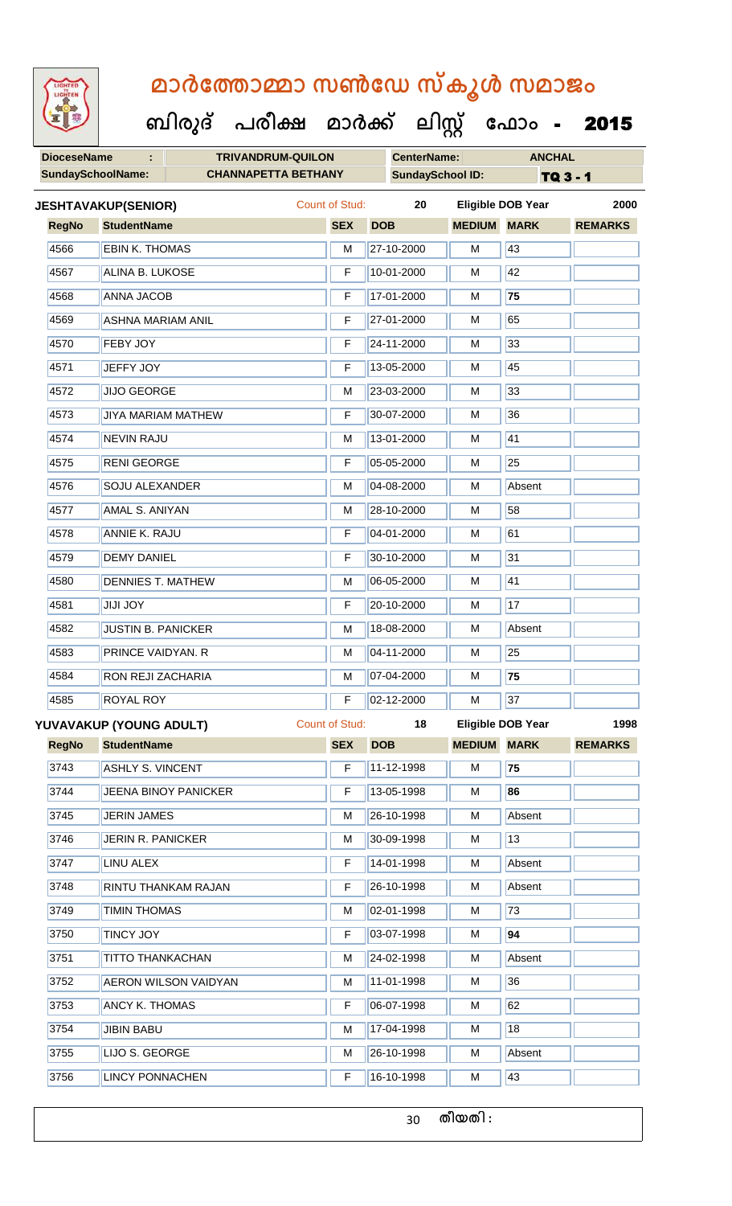**ബിരുദ് പരീക്ഷ മാര്ക് ക ലിസ്റ്റ ക ഫ ാോം** - 2015

**DioceseName : TRIVANDRUM-QUILON CenterName: ANCHAL**

|              | <b>SundaySchoolName:</b>    | <b>CHANNAPETTA BETHANY</b> |                       | <b>SundaySchool ID:</b> |                    |                           | TQ 3 - 1       |  |
|--------------|-----------------------------|----------------------------|-----------------------|-------------------------|--------------------|---------------------------|----------------|--|
|              | <b>JESHTAVAKUP(SENIOR)</b>  |                            | <b>Count of Stud:</b> | 20                      |                    | <b>Eligible DOB Year</b>  | 2000           |  |
| <b>RegNo</b> | <b>StudentName</b>          |                            | <b>SEX</b>            | <b>DOB</b>              | <b>MEDIUM</b>      | <b>MARK</b>               | <b>REMARKS</b> |  |
| 4566         | <b>EBIN K. THOMAS</b>       |                            | M                     | 27-10-2000              | M                  | 43                        |                |  |
| 4567         | ALINA B. LUKOSE             |                            | F                     | 10-01-2000              | M                  | 42                        |                |  |
| 4568         | <b>ANNA JACOB</b>           |                            | F                     | 17-01-2000              | М                  | 75                        |                |  |
| 4569         | <b>ASHNA MARIAM ANIL</b>    |                            | F                     | 27-01-2000              | M                  | 65                        |                |  |
| 4570         | FEBY JOY                    |                            | F                     | 24-11-2000              | M                  | 33                        |                |  |
| 4571         | <b>JEFFY JOY</b>            |                            | F                     | 13-05-2000              | M                  | 45                        |                |  |
| 4572         | <b>JIJO GEORGE</b>          |                            | M                     | 23-03-2000              | M                  | 33                        |                |  |
| 4573         | <b>JIYA MARIAM MATHEW</b>   |                            | F                     | 30-07-2000              | M                  | 36                        |                |  |
| 4574         | <b>NEVIN RAJU</b>           |                            | M                     | 13-01-2000              | М                  | 41                        |                |  |
| 4575         | <b>RENI GEORGE</b>          |                            | F                     | 05-05-2000              | M                  | 25                        |                |  |
| 4576         | <b>SOJU ALEXANDER</b>       |                            | М                     | 04-08-2000              | M                  | Absent                    |                |  |
| 4577         | AMAL S. ANIYAN              |                            | M                     | 28-10-2000              | M                  | 58                        |                |  |
| 4578         | <b>ANNIE K. RAJU</b>        |                            | F                     | 04-01-2000              | м                  | 61                        |                |  |
| 4579         | <b>DEMY DANIEL</b>          |                            | F                     | 30-10-2000              | M                  | 31                        |                |  |
| 4580         | <b>DENNIES T. MATHEW</b>    |                            | M                     | 06-05-2000              | M                  | 41                        |                |  |
| 4581         | <b>YOL ILIL</b>             |                            | F<br>M<br>M           | 20-10-2000              | М                  | 17                        |                |  |
| 4582         | <b>JUSTIN B. PANICKER</b>   |                            |                       | 18-08-2000              | M                  | Absent                    |                |  |
| 4583         | PRINCE VAIDYAN. R           |                            |                       | 04-11-2000              | M                  | 25                        |                |  |
| 4584         | RON REJI ZACHARIA           |                            | M                     | 07-04-2000              | М                  | 75                        |                |  |
| 4585         | <b>ROYAL ROY</b>            |                            | F                     | 02-12-2000              | M                  | 37                        |                |  |
|              | YUVAVAKUP (YOUNG ADULT)     |                            | Count of Stud:        | 18                      |                    | Eligible DOB Year<br>1998 |                |  |
| <b>RegNo</b> | <b>StudentName</b>          |                            | <b>SEX</b>            | <b>DOB</b>              | <b>MEDIUM MARK</b> |                           | <b>REMARKS</b> |  |
| 3743         | <b>ASHLY S. VINCENT</b>     |                            | F                     | 11-12-1998              | М                  | 75                        |                |  |
| 3744         | <b>JEENA BINOY PANICKER</b> |                            | F                     | 13-05-1998              | М                  | 86                        |                |  |
| 3745         | <b>JERIN JAMES</b>          |                            | М                     | 26-10-1998              | М                  | Absent                    |                |  |
| 3746         | JERIN R. PANICKER           |                            | М                     | 30-09-1998              | М                  | 13                        |                |  |
| 3747         | LINU ALEX                   |                            | F                     | 14-01-1998              | М                  | Absent                    |                |  |
| 3748         | RINTU THANKAM RAJAN         |                            | F                     | 26-10-1998              | М                  | Absent                    |                |  |
| 3749         | <b>TIMIN THOMAS</b>         |                            | М                     | 02-01-1998              | М                  | 73                        |                |  |
| 3750         | <b>TINCY JOY</b>            |                            | F                     | 03-07-1998              | М                  | 94                        |                |  |
| 3751         | <b>TITTO THANKACHAN</b>     |                            | M                     | 24-02-1998              | М                  | Absent                    |                |  |
| 3752         | <b>AERON WILSON VAIDYAN</b> |                            | M                     | 11-01-1998              | М                  | 36                        |                |  |
| 3753         | <b>ANCY K. THOMAS</b>       |                            | F                     | 06-07-1998              | М                  | 62                        |                |  |
| 3754         | <b>JIBIN BABU</b>           |                            | M                     | 17-04-1998              | М                  | 18                        |                |  |
| 3755         | LIJO S. GEORGE              |                            | М                     | 26-10-1998              | М                  | Absent                    |                |  |
| 3756         | <b>LINCY PONNACHEN</b>      |                            | F                     | 16-10-1998              | М                  | 43                        |                |  |
|              |                             |                            |                       |                         |                    |                           |                |  |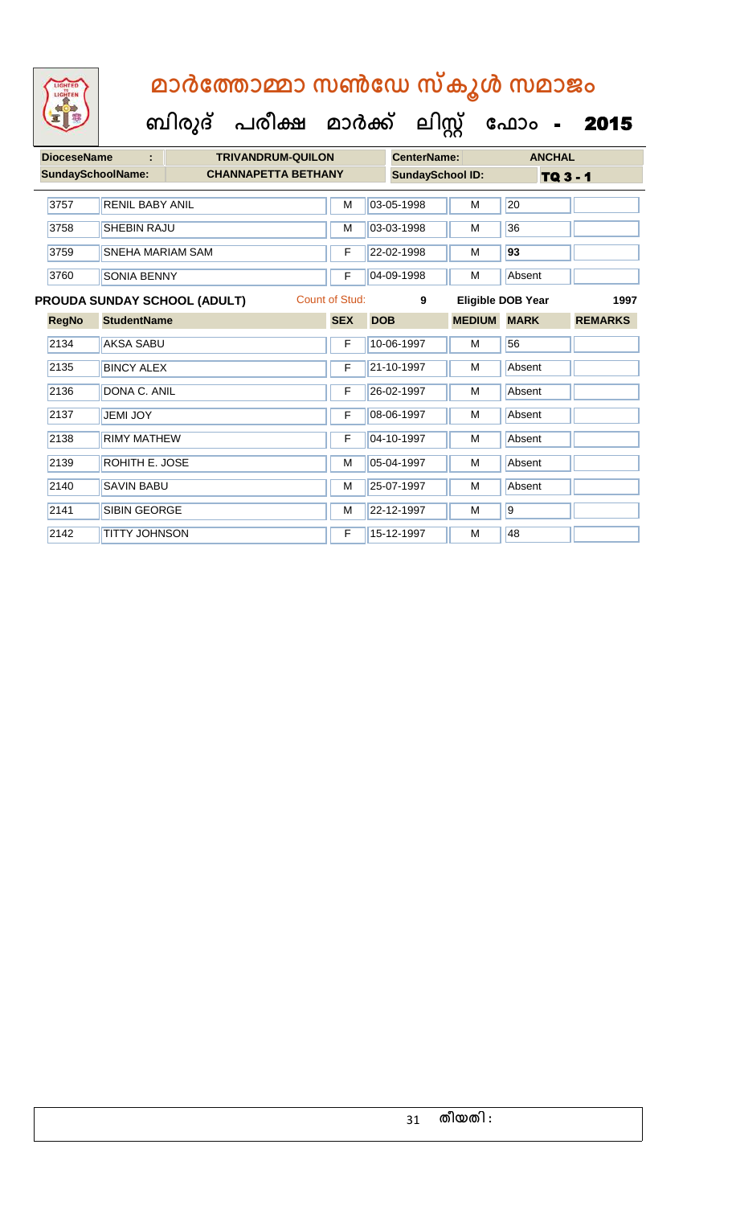

|  | <b>DioceseName</b>                                            | ÷                      | <b>TRIVANDRUM-QUILON</b>   |                       |            |            | <b>CenterName:</b>      |                          | <b>ANCHAL</b>  |                |  |
|--|---------------------------------------------------------------|------------------------|----------------------------|-----------------------|------------|------------|-------------------------|--------------------------|----------------|----------------|--|
|  | <b>SundaySchoolName:</b>                                      |                        | <b>CHANNAPETTA BETHANY</b> |                       |            |            | <b>SundaySchool ID:</b> |                          | TQ 3 - 1       |                |  |
|  |                                                               |                        |                            |                       |            |            |                         |                          |                |                |  |
|  | 3757                                                          | <b>RENIL BABY ANIL</b> |                            |                       | M          |            | 03-05-1998              | M                        | 20             |                |  |
|  | 3758                                                          | SHEBIN RAJU            |                            |                       | M          |            | 03-03-1998              | M                        | 36             |                |  |
|  | 3759<br><b>SNEHA MARIAM SAM</b><br>3760<br><b>SONIA BENNY</b> |                        |                            | F                     |            | 22-02-1998 | M                       | 93                       |                |                |  |
|  |                                                               |                        |                            | F                     |            | 04-09-1998 | M                       | Absent                   |                |                |  |
|  | <b>PROUDA SUNDAY SCHOOL (ADULT)</b>                           |                        |                            | <b>Count of Stud:</b> |            | 9          |                         | <b>Eligible DOB Year</b> | 1997           |                |  |
|  | <b>RegNo</b>                                                  | <b>StudentName</b>     |                            |                       | <b>SEX</b> | <b>DOB</b> |                         | <b>MEDIUM</b>            | <b>MARK</b>    | <b>REMARKS</b> |  |
|  | 2134                                                          | <b>AKSA SABU</b>       |                            |                       | F          |            | 10-06-1997              | М                        | 56             |                |  |
|  | 2135                                                          | <b>BINCY ALEX</b>      |                            |                       | F          |            | 21-10-1997              | M                        | Absent         |                |  |
|  | 2136                                                          | DONA C. ANIL           |                            |                       | F          |            | 26-02-1997              | M                        | Absent         |                |  |
|  | 2137                                                          | <b>JEMI JOY</b>        |                            |                       | F          |            | 08-06-1997              | М                        | Absent         |                |  |
|  | 2138                                                          | <b>RIMY MATHEW</b>     |                            |                       | F          |            | 04-10-1997              | м                        | Absent         |                |  |
|  | 2139                                                          | ROHITH E. JOSE         |                            |                       | M          |            | 05-04-1997              | M                        | Absent         |                |  |
|  | 2140                                                          | <b>SAVIN BABU</b>      |                            |                       | M          |            | 25-07-1997              | M                        | Absent         |                |  |
|  | 2141                                                          | <b>SIBIN GEORGE</b>    |                            |                       | M          |            | 22-12-1997              | M                        | $\overline{9}$ |                |  |
|  | 2142                                                          | <b>TITTY JOHNSON</b>   |                            |                       | F          |            | 15-12-1997              | M                        | 48             |                |  |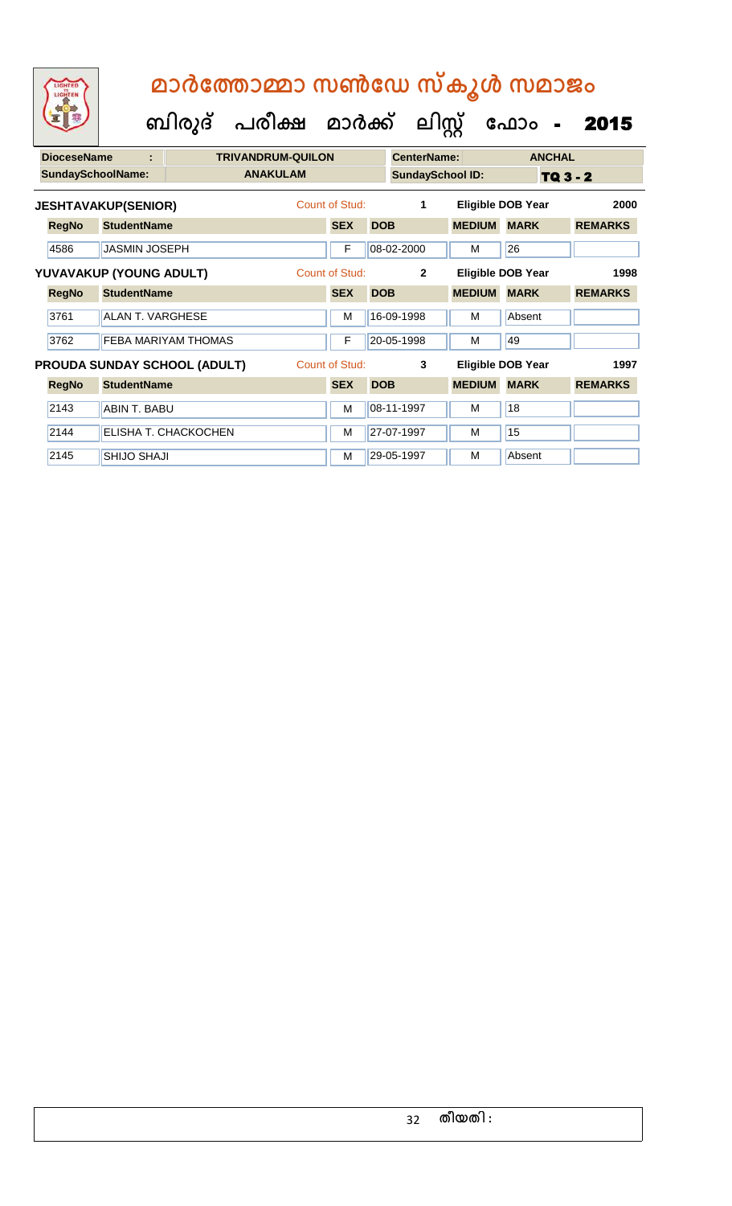| <b>DioceseName</b><br>÷    |                                                       |                         | <b>TRIVANDRUM-QUILON</b> |                |                |                         | <b>CenterName:</b> |                          | <b>ANCHAL</b>            |                |
|----------------------------|-------------------------------------------------------|-------------------------|--------------------------|----------------|----------------|-------------------------|--------------------|--------------------------|--------------------------|----------------|
| <b>SundaySchoolName:</b>   |                                                       |                         | <b>ANAKULAM</b>          |                |                | <b>SundaySchool ID:</b> |                    | TQ 3 - 2                 |                          |                |
| <b>JESHTAVAKUP(SENIOR)</b> |                                                       |                         |                          | Count of Stud: |                | 1                       |                    | <b>Eligible DOB Year</b> | 2000                     |                |
|                            | <b>RegNo</b>                                          | <b>StudentName</b>      |                          |                | <b>SEX</b>     | <b>DOB</b>              |                    | <b>MEDIUM</b>            | <b>MARK</b>              | <b>REMARKS</b> |
|                            | 4586                                                  | <b>JASMIN JOSEPH</b>    |                          |                | F              |                         | 08-02-2000         | М                        | 26                       |                |
|                            | YUVAVAKUP (YOUNG ADULT)                               |                         |                          |                | Count of Stud: |                         | $\overline{2}$     |                          | <b>Eligible DOB Year</b> | 1998           |
|                            | <b>RegNo</b>                                          | <b>StudentName</b>      |                          |                | <b>SEX</b>     | <b>DOB</b>              |                    | <b>MEDIUM</b>            | <b>MARK</b>              | <b>REMARKS</b> |
|                            | 3761                                                  | <b>ALAN T. VARGHESE</b> |                          |                | M              |                         | 16-09-1998         | м                        | Absent                   |                |
|                            | 3762                                                  |                         | FEBA MARIYAM THOMAS      |                | F              |                         | 20-05-1998         | м                        | 49                       |                |
|                            | Count of Stud:<br><b>PROUDA SUNDAY SCHOOL (ADULT)</b> |                         |                          |                |                |                         | 3                  |                          | Eligible DOB Year        | 1997           |
|                            | <b>RegNo</b>                                          | <b>StudentName</b>      |                          |                | <b>SEX</b>     | <b>DOB</b>              |                    | <b>MEDIUM</b>            | <b>MARK</b>              | <b>REMARKS</b> |
|                            | 2143                                                  | <b>ABIN T. BABU</b>     |                          |                | M              |                         | 08-11-1997         | м                        | 18                       |                |
|                            | 2144                                                  |                         | ELISHA T. CHACKOCHEN     |                | M              |                         | 27-07-1997         | м                        | 15                       |                |
|                            | 2145                                                  | <b>SHIJO SHAJI</b>      |                          |                | M              |                         | 29-05-1997         | м                        | Absent                   |                |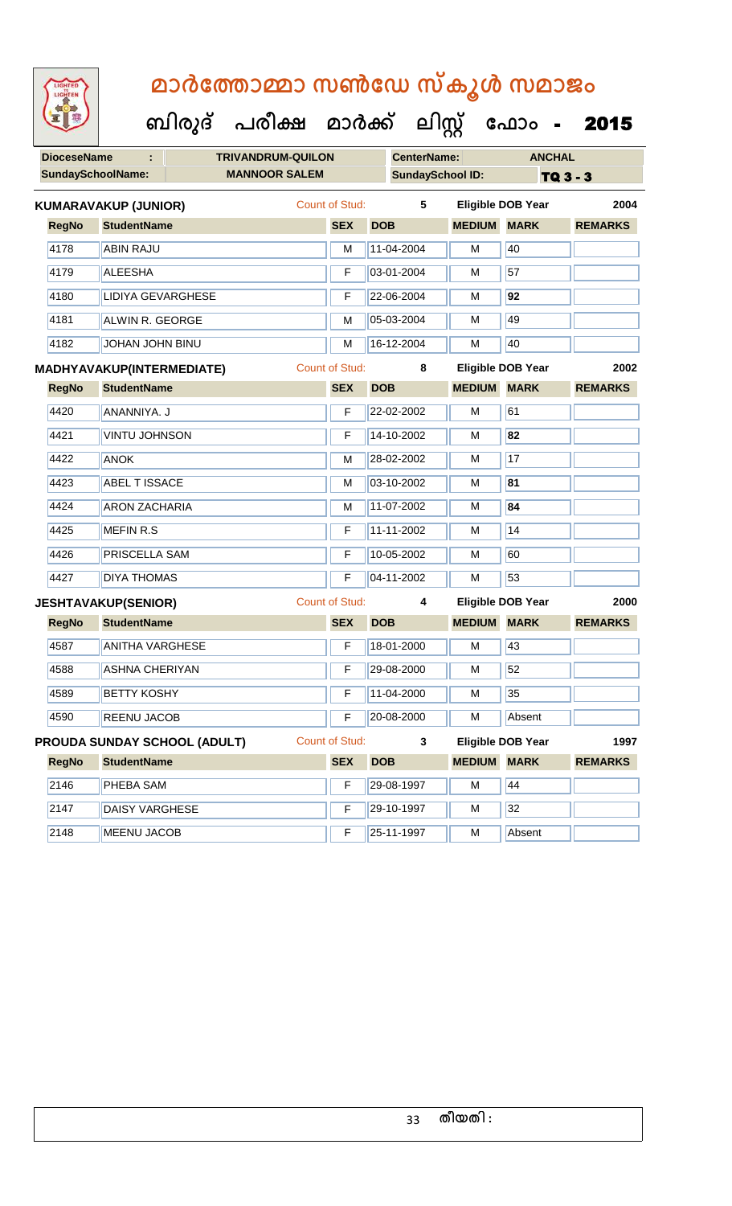| <b>IGHTED</b> |
|---------------|
|               |
|               |
|               |
|               |

| <b>DioceseName</b><br><b>TRIVANDRUM-QUILON</b><br>÷ |                                     |                |                       |                 | <b>CenterName:</b>       |                          | <b>ANCHAL</b>  |  |
|-----------------------------------------------------|-------------------------------------|----------------|-----------------------|-----------------|--------------------------|--------------------------|----------------|--|
| <b>SundaySchoolName:</b><br><b>MANNOOR SALEM</b>    |                                     |                |                       |                 | <b>SundaySchool ID:</b>  |                          | TQ 3 - 3       |  |
|                                                     | <b>KUMARAVAKUP (JUNIOR)</b>         | Count of Stud: | 5                     |                 | <b>Eligible DOB Year</b> | 2004                     |                |  |
| <b>RegNo</b>                                        | <b>StudentName</b>                  |                | <b>SEX</b>            | <b>DOB</b>      | <b>MEDIUM MARK</b>       |                          | <b>REMARKS</b> |  |
| 4178                                                | <b>ABIN RAJU</b>                    |                | M                     | 11-04-2004      | М                        | 40                       |                |  |
| 4179                                                | <b>ALEESHA</b>                      | F              | 03-01-2004            | M               | 57                       |                          |                |  |
| 4180                                                | <b>LIDIYA GEVARGHESE</b>            | F              | 22-06-2004            | М               | 92                       |                          |                |  |
| 4181                                                | ALWIN R. GEORGE                     |                |                       | 05-03-2004<br>М |                          | 49                       |                |  |
| 4182                                                | <b>JOHAN JOHN BINU</b>              |                | M                     | 16-12-2004      | M                        | 40                       |                |  |
|                                                     | <b>MADHYAVAKUP(INTERMEDIATE)</b>    |                | <b>Count of Stud:</b> | 8               | <b>Eligible DOB Year</b> | 2002                     |                |  |
| <b>RegNo</b>                                        | <b>StudentName</b>                  |                |                       | <b>DOB</b>      | <b>MEDIUM</b>            | <b>MARK</b>              | <b>REMARKS</b> |  |
| 4420                                                | ANANNIYA. J                         |                | F                     | 22-02-2002      | M                        | 61                       |                |  |
| 4421                                                | <b>VINTU JOHNSON</b><br><b>ANOK</b> |                |                       | 14-10-2002      | М                        | $\overline{82}$          |                |  |
| 4422                                                |                                     |                |                       | 28-02-2002      | M                        | 17                       |                |  |
| 4423                                                | <b>ABEL T ISSACE</b>                |                |                       | 03-10-2002      | 81<br>М                  |                          |                |  |
| 4424                                                | <b>ARON ZACHARIA</b>                |                | М                     | 11-07-2002      | М                        | 84                       |                |  |
| 4425                                                | MEFIN R.S                           |                | F                     | 11-11-2002      | M                        | 14                       |                |  |
| 4426                                                | PRISCELLA SAM                       |                | F                     | 10-05-2002      | М                        | 60                       |                |  |
| 4427                                                | <b>DIYA THOMAS</b>                  |                |                       | 04-11-2002      | M                        | 53                       |                |  |
|                                                     | <b>JESHTAVAKUP(SENIOR)</b>          |                | <b>Count of Stud:</b> | 4               | <b>Eligible DOB Year</b> | 2000                     |                |  |
| <b>RegNo</b>                                        | <b>StudentName</b>                  |                | <b>SEX</b>            | <b>DOB</b>      | <b>MEDIUM</b>            | <b>MARK</b>              | <b>REMARKS</b> |  |
| 4587                                                | <b>ANITHA VARGHESE</b>              |                | F                     | 18-01-2000      | M                        | 43                       |                |  |
| 4588                                                | <b>ASHNA CHERIYAN</b>               |                | F                     | 29-08-2000      | М                        | 52                       |                |  |
| 4589                                                | <b>BETTY KOSHY</b>                  |                | F                     | 11-04-2000      | М                        | 35                       |                |  |
| 4590                                                | REENU JACOB                         |                |                       | 20-08-2000      | М                        | Absent                   |                |  |
|                                                     | <b>PROUDA SUNDAY SCHOOL (ADULT)</b> |                | <b>Count of Stud:</b> | 3               |                          | <b>Eligible DOB Year</b> | 1997           |  |
| <b>RegNo</b>                                        | <b>StudentName</b>                  |                | <b>SEX</b>            | <b>DOB</b>      | <b>MEDIUM</b>            | <b>MARK</b>              | <b>REMARKS</b> |  |
| 2146                                                | PHEBA SAM                           |                | F                     | 29-08-1997      | М                        | 44                       |                |  |
| 2147                                                | <b>DAISY VARGHESE</b>               |                | F                     | 29-10-1997      | М                        | 32                       |                |  |
| 2148                                                | <b>MEENU JACOB</b>                  |                | F                     | 25-11-1997      | M                        | Absent                   |                |  |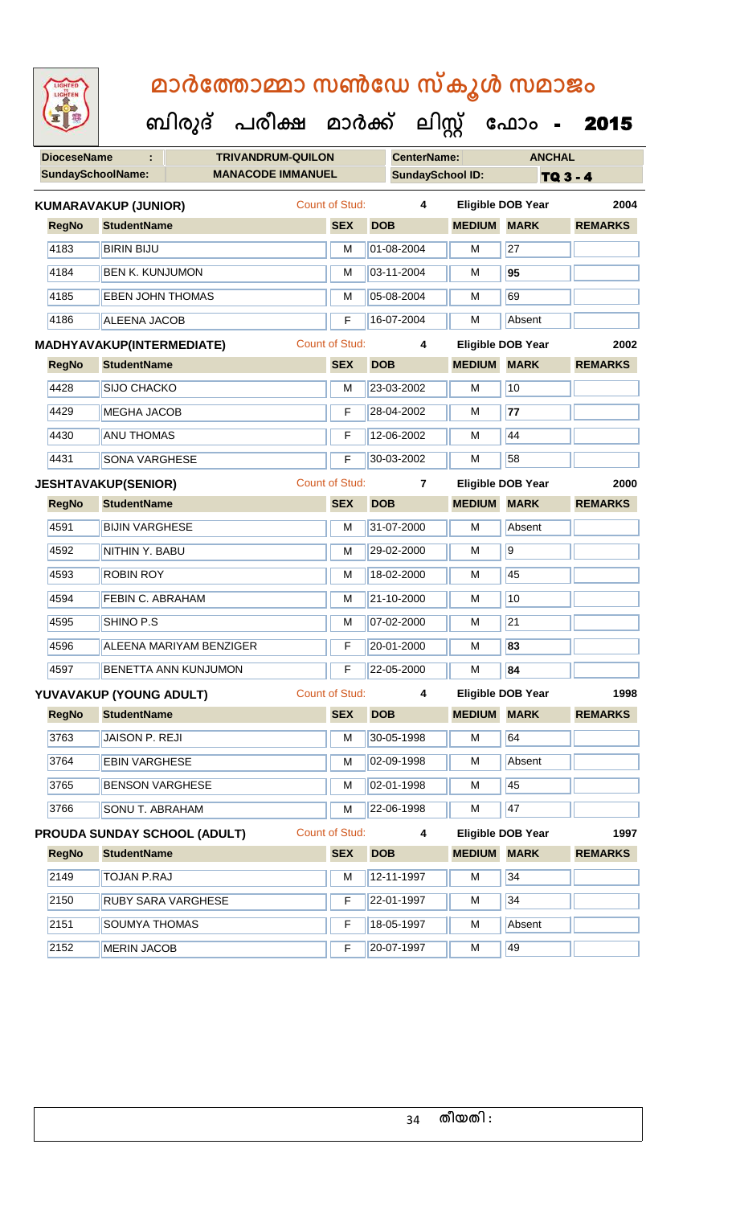| 92                                                   |                                     | ബിരുദ്     | പരീക്ഷ     | മാർക്ക്               |                         | ലിസ്റ്റ്           |                          | ഫോം                      | 2015           |
|------------------------------------------------------|-------------------------------------|------------|------------|-----------------------|-------------------------|--------------------|--------------------------|--------------------------|----------------|
| <b>DioceseName</b>                                   | <b>TRIVANDRUM-QUILON</b>            |            |            |                       |                         | <b>CenterName:</b> |                          | <b>ANCHAL</b>            |                |
| <b>SundaySchoolName:</b><br><b>MANACODE IMMANUEL</b> |                                     |            |            |                       | <b>SundaySchool ID:</b> |                    | <b>TQ 3 - 4</b>          |                          |                |
| <b>Count of Stud:</b><br><b>KUMARAVAKUP (JUNIOR)</b> |                                     |            |            |                       |                         | 4                  |                          | <b>Eligible DOB Year</b> | 2004           |
| <b>RegNo</b>                                         | <b>StudentName</b>                  |            |            | <b>SEX</b>            | <b>DOB</b>              |                    | <b>MEDIUM</b>            | <b>MARK</b>              | <b>REMARKS</b> |
| 4183                                                 | <b>BIRIN BIJU</b>                   |            |            | M                     |                         | 01-08-2004         | М                        | 27                       |                |
| 4184                                                 | <b>BEN K. KUNJUMON</b>              |            |            | M                     |                         | 03-11-2004         | М                        | 95                       |                |
| 4185                                                 | <b>EBEN JOHN THOMAS</b>             |            |            | M                     |                         | 05-08-2004         | M                        | 69                       |                |
| 4186                                                 | <b>ALEENA JACOB</b>                 |            |            | F                     |                         | 16-07-2004         | M                        | Absent                   |                |
|                                                      | MADHYAVAKUP(INTERMEDIATE)           |            |            | <b>Count of Stud:</b> |                         | 4                  |                          | <b>Eligible DOB Year</b> | 2002           |
| <b>RegNo</b>                                         | <b>StudentName</b>                  | <b>SEX</b> | <b>DOB</b> |                       | <b>MEDIUM</b>           | <b>MARK</b>        | <b>REMARKS</b>           |                          |                |
| 4428                                                 | SIJO CHACKO                         |            |            | M                     |                         | 23-03-2002         | М                        | 10                       |                |
| 4429                                                 | <b>MEGHA JACOB</b>                  |            |            | F                     |                         | 28-04-2002         | М                        | 77                       |                |
| 4430                                                 | <b>ANU THOMAS</b>                   |            |            | F                     |                         | 12-06-2002         | M                        | 44                       |                |
| 4431<br><b>SONA VARGHESE</b>                         |                                     |            |            | F                     |                         | 30-03-2002         | М                        | 58                       |                |
|                                                      | <b>JESHTAVAKUP(SENIOR)</b>          |            |            | <b>Count of Stud:</b> |                         | $\overline{7}$     | <b>Eligible DOB Year</b> | 2000                     |                |
| <b>RegNo</b>                                         | <b>StudentName</b>                  |            |            | <b>SEX</b>            | <b>DOB</b>              |                    | <b>MEDIUM</b>            | <b>MARK</b>              | <b>REMARKS</b> |
| 4591                                                 | <b>BIJIN VARGHESE</b>               |            |            | M                     |                         | 31-07-2000         | М                        | Absent                   |                |
| 4592                                                 | NITHIN Y. BABU                      |            |            | M                     |                         | 29-02-2000         | M                        | $\overline{9}$           |                |
| 4593                                                 | <b>ROBIN ROY</b>                    |            |            | M                     |                         | 18-02-2000         | M                        | 45                       |                |
| 4594                                                 | FEBIN C. ABRAHAM                    |            |            | M                     |                         | 21-10-2000         | M                        | 10                       |                |
| 4595                                                 | SHINO P.S                           |            |            | M                     |                         | 07-02-2000         | м                        | 21                       |                |
| 4596                                                 | ALEENA MARIYAM BENZIGER             |            |            | F                     |                         | 20-01-2000         | м                        | 83                       |                |
| 4597                                                 | BENETTA ANN KUNJUMON                |            |            | F                     |                         | 22-05-2000         | M                        | 84                       |                |
|                                                      | YUVAVAKUP (YOUNG ADULT)             |            |            | Count of Stud:        |                         | 4                  |                          | <b>Eligible DOB Year</b> | 1998           |
| <b>RegNo</b>                                         | <b>StudentName</b>                  |            |            | <b>SEX</b>            | <b>DOB</b>              |                    | <b>MEDIUM MARK</b>       |                          | <b>REMARKS</b> |
| 3763                                                 | JAISON P. REJI                      |            |            | M                     |                         | 30-05-1998         | M                        | 64                       |                |
| 3764                                                 | <b>EBIN VARGHESE</b>                |            |            | M                     |                         | 02-09-1998         | М                        | Absent                   |                |
| 3765                                                 | <b>BENSON VARGHESE</b>              |            |            | M                     |                         | 02-01-1998         | М                        | 45                       |                |
| 3766                                                 | SONU T. ABRAHAM                     |            |            | M                     |                         | 22-06-1998         | M                        | 47                       |                |
|                                                      | <b>PROUDA SUNDAY SCHOOL (ADULT)</b> |            |            | <b>Count of Stud:</b> |                         | 4                  |                          | <b>Eligible DOB Year</b> | 1997           |
| <b>RegNo</b>                                         | <b>StudentName</b>                  |            |            | <b>SEX</b>            | <b>DOB</b>              |                    | <b>MEDIUM</b>            | <b>MARK</b>              | <b>REMARKS</b> |
| 2149                                                 | <b>TOJAN P.RAJ</b>                  |            |            | M                     |                         | 12-11-1997         | M                        | 34                       |                |
| 2150                                                 | RUBY SARA VARGHESE                  |            |            | F                     |                         | 22-01-1997         | М                        | 34                       |                |
| 2151                                                 | SOUMYA THOMAS                       |            |            | F                     |                         | 18-05-1997         | М                        | Absent                   |                |
| 2152                                                 | <b>MERIN JACOB</b>                  |            |            | F                     |                         | 20-07-1997         | М                        | 49                       |                |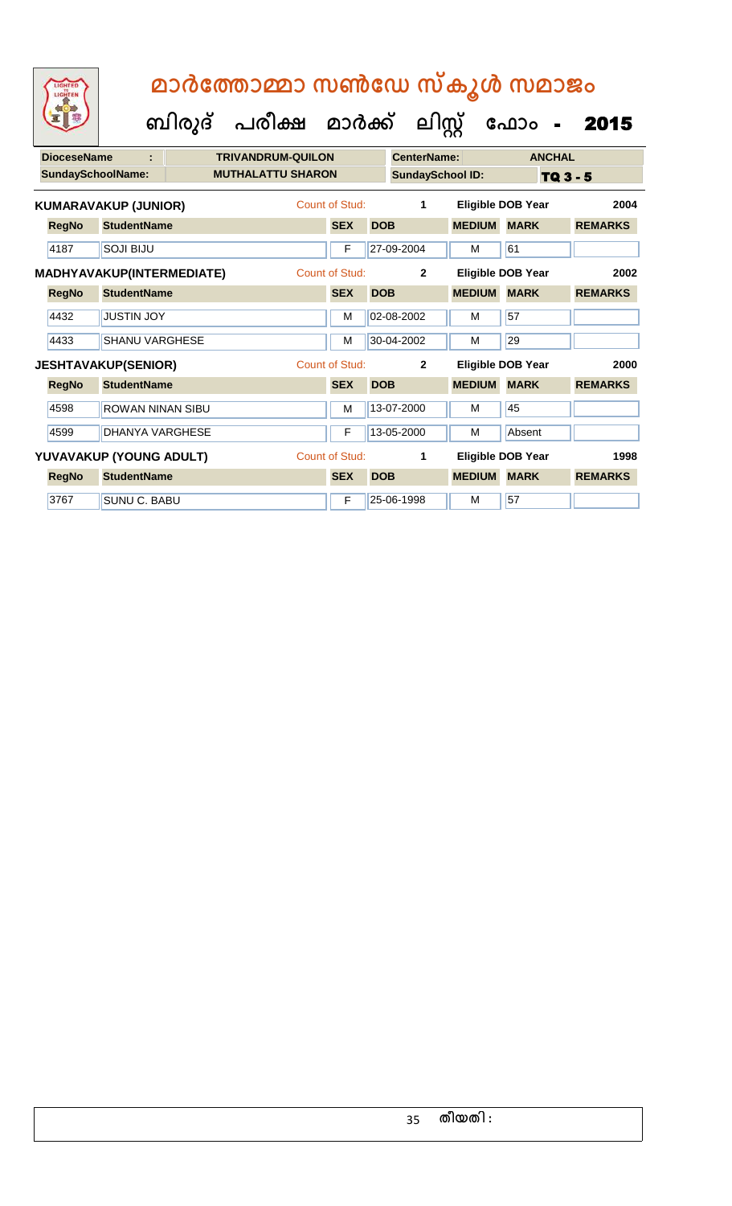| <b>DioceseName</b><br>÷     |                                           |                                  | <b>TRIVANDRUM-QUILON</b> |  |                                  |            | CenterName:             |               | <b>ANCHAL</b>            |                |
|-----------------------------|-------------------------------------------|----------------------------------|--------------------------|--|----------------------------------|------------|-------------------------|---------------|--------------------------|----------------|
| <b>SundaySchoolName:</b>    |                                           |                                  | <b>MUTHALATTU SHARON</b> |  |                                  |            | <b>SundaySchool ID:</b> |               | TQ 3 - 5                 |                |
| <b>KUMARAVAKUP (JUNIOR)</b> |                                           |                                  |                          |  | Count of Stud:                   |            | 1                       |               | <b>Eligible DOB Year</b> | 2004           |
|                             | <b>RegNo</b>                              | <b>StudentName</b>               |                          |  | <b>SEX</b>                       | <b>DOB</b> |                         | <b>MEDIUM</b> | <b>MARK</b>              | <b>REMARKS</b> |
|                             | 4187                                      | <b>SOJI BIJU</b>                 |                          |  | F                                |            | 27-09-2004              | M             | 61                       |                |
|                             |                                           | <b>MADHYAVAKUP(INTERMEDIATE)</b> |                          |  | Count of Stud:<br>$\overline{2}$ |            |                         |               | Eligible DOB Year        |                |
|                             | <b>RegNo</b>                              | <b>StudentName</b>               |                          |  | <b>SEX</b>                       | <b>DOB</b> |                         | <b>MEDIUM</b> | <b>MARK</b>              | <b>REMARKS</b> |
|                             | 4432                                      | <b>JUSTIN JOY</b>                |                          |  | M                                |            | 02-08-2002              | M             | 57                       |                |
|                             | 4433                                      | <b>SHANU VARGHESE</b>            |                          |  | M                                |            | 30-04-2002              | M             | 29                       |                |
| <b>JESHTAVAKUP(SENIOR)</b>  |                                           |                                  | Count of Stud:           |  | $\mathbf{2}$                     |            | Eligible DOB Year       | 2000          |                          |                |
|                             | <b>RegNo</b>                              | <b>StudentName</b>               |                          |  | <b>SEX</b>                       | <b>DOB</b> |                         | <b>MEDIUM</b> | <b>MARK</b>              | <b>REMARKS</b> |
|                             | 4598                                      | <b>ROWAN NINAN SIBU</b>          |                          |  | м                                |            | 13-07-2000              | M             | 45                       |                |
|                             | 4599                                      | <b>DHANYA VARGHESE</b>           |                          |  | F                                |            | 13-05-2000              | M             | Absent                   |                |
|                             | Count of Stud:<br>YUVAVAKUP (YOUNG ADULT) |                                  |                          |  |                                  |            | 1                       |               | Eligible DOB Year        | 1998           |
|                             | <b>RegNo</b>                              | <b>StudentName</b>               |                          |  | <b>SEX</b>                       | <b>DOB</b> |                         | <b>MEDIUM</b> | <b>MARK</b>              | <b>REMARKS</b> |
|                             | 3767                                      | <b>SUNU C. BABU</b>              |                          |  | F                                |            | 25-06-1998              | M             | 57                       |                |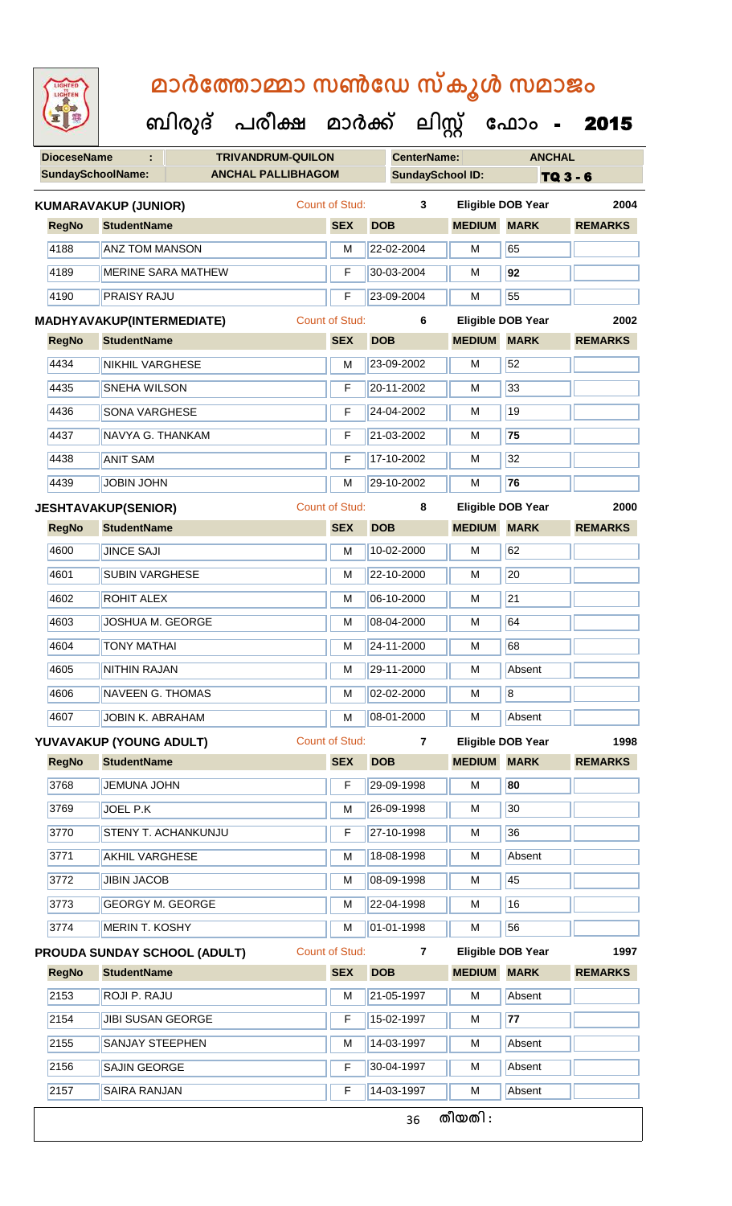**DioceseName : TRIVANDRUM-QUILON CenterName: ANCHAL** SundaySchoolName: **ANCHAL PALLIBHAGOM SundaySchool ID:** TQ 3 - 6  **ബിരുദ് പരീക്ഷ മാര്ക് ക ലിസ്റ്റ ക ഫ ാോം** - 2015 **RegNo StudentName SEX DOB MEDIUM MARK REMARKS KUMARAVAKUP (JUNIOR)** Count of Stud: **3 Eligible DOB Year 2004** 4188 **ANZ TOM MANSON** M 22-02-2004 M 65 4189 MERINE SARA MATHEW F 30-03-2004 M **92** 4190 PRAISY RAJU F 23-09-2004 M 55 **RegNo StudentName SEX DOB MEDIUM MARK REMARKS MADHYAVAKUP(INTERMEDIATE)** Count of Stud: **6 Eligible DOB Year 2002** 4434 NIKHIL VARGHESE M M 23-09-2002 M 52 4435 SNEHA WILSON F 20-11-2002 M 33 4436 SONA VARGHESE F 724-04-2002 M 19 4437 NAVYA G. THANKAM F 21-03-2002 M **75** 4438 ANIT SAM F 17-10-2002 M 32 4439 JOBIN JOHN M 29-10-2002 M **76 RegNo StudentName SEX DOB MEDIUM MARK REMARKS JESHTAVAKUP(SENIOR)** Count of Stud: **8 Eligible DOB Year 2000** 4600 JINCE SAJI M 10-02-2000 M 62 4601 SUBIN VARGHESE M M 22-10-2000 M 20 4602 ROHIT ALEX M 06-10-2000 M 21 4603 JOSHUA M. GEORGE M 1 M 08-04-2000 M 64 |4604 || TONY MATHAI MILLET || MILLET || MILLET || MILLET || MILLET || MILLET || MILLET || MILLET || MILLET | 4605 NITHIN RAJAN M 29-11-2000 M Absent 4606 NAVEEN G. THOMAS M M 02-02-2000 M 8 4607 JOBIN K. ABRAHAM M M 08-01-2000 M Absent **RegNo StudentName SEX DOB MEDIUM MARK REMARKS YUVAVAKUP (YOUNG ADULT)** Count of Stud: **7 Eligible DOB Year 1998** 3768 JEMUNA JOHN F 29-09-1998 M **80** 3769 JJOEL P.K M 26-09-1998 M 30 3770 STENY T. ACHANKUNJU F 27-10-1998 M 36 3771 | AKHIL VARGHESE M 18-08-1998 | M Absent 3772 JJBIN JACOB M 08-09-1998 M 45 3773 GEORGY M. GEORGE M N 22-04-1998 M 16 3774 MERIN T. KOSHY M 01-01-1998 M 56 **RegNo StudentName SEX DOB MEDIUM MARK REMARKS PROUDA SUNDAY SCHOOL (ADULT)** Count of Stud: **7 Eligible DOB Year 1997** 2153 ROJI P. RAJU M 21-05-1997 M Absent 2154 JIBI SUSAN GEORGE F 15-02-1997 M **77** 2155 SANJAY STEEPHEN M M 14-03-1997 M Absent 2156 SAJIN GEORGE **F 30-04-1997** M Absent 2157 SAIRA RANJAN F 14-03-1997 M Absent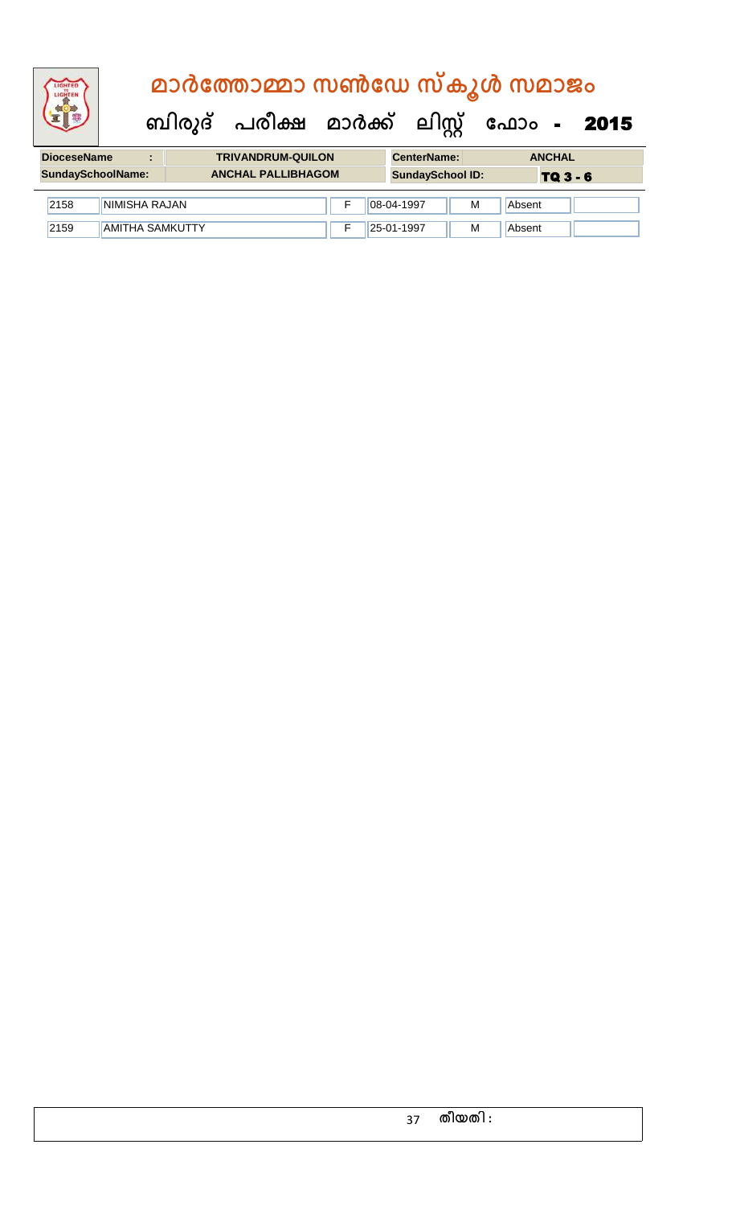# **ബിരുദ് പരീക്ഷ മാര്ക് ക ലിസ്റ്റ ക ഫ ാോം** - 2015  **മാര്കഫതാമ്മാ സണ്ഫേ സ്കൂള് സമാജോം**

| <b>DioceseName</b> |                          | <b>TRIVANDRUM-QUILON</b>  | <b>CenterName:</b>      |   | <b>ANCHAL</b> |
|--------------------|--------------------------|---------------------------|-------------------------|---|---------------|
|                    | <b>SundaySchoolName:</b> | <b>ANCHAL PALLIBHAGOM</b> | <b>SundaySchool ID:</b> |   | TQ 3 - 6      |
| 2158               | NIMISHA RAJAN            |                           | 08-04-1997              | M | Absent        |
| 2159               | <b>AMITHA SAMKUTTY</b>   |                           | 25-01-1997              | M | Absent        |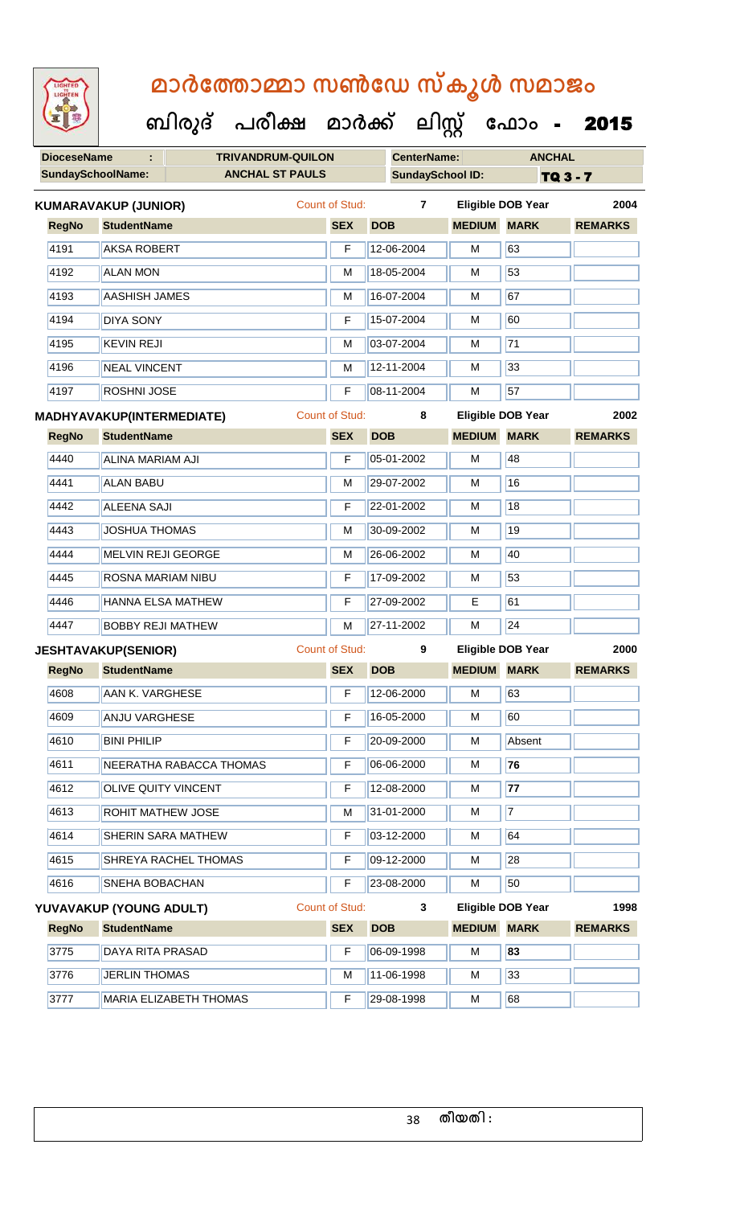|              | <b>DioceseName</b><br>÷.<br><b>TRIVANDRUM-QUILON</b><br><b>SundaySchoolName:</b> |                               |                       |            | <b>CenterName:</b>      |               | <b>ANCHAL</b>            |                 |
|--------------|----------------------------------------------------------------------------------|-------------------------------|-----------------------|------------|-------------------------|---------------|--------------------------|-----------------|
|              |                                                                                  | <b>ANCHAL ST PAULS</b>        |                       |            | <b>SundaySchool ID:</b> |               |                          | <b>TQ 3 - 7</b> |
|              | <b>KUMARAVAKUP (JUNIOR)</b>                                                      |                               | <b>Count of Stud:</b> |            | $\overline{7}$          |               | <b>Eligible DOB Year</b> | 2004            |
| <b>RegNo</b> | <b>StudentName</b>                                                               |                               | <b>SEX</b>            | <b>DOB</b> |                         | <b>MEDIUM</b> | <b>MARK</b>              | <b>REMARKS</b>  |
| 4191         | <b>AKSA ROBERT</b>                                                               |                               | F                     |            | 12-06-2004              | М             | 63                       |                 |
| 4192         | <b>ALAN MON</b>                                                                  |                               | M                     |            | 18-05-2004              | М             | 53                       |                 |
| 4193         | <b>AASHISH JAMES</b>                                                             |                               | M                     |            | 16-07-2004              | M             | 67                       |                 |
| 4194         | <b>DIYA SONY</b>                                                                 |                               | F                     |            | 15-07-2004              | M             | 60                       |                 |
| 4195         | <b>KEVIN REJI</b>                                                                |                               | M                     |            | 03-07-2004              | M             | $\overline{71}$          |                 |
| 4196         | <b>NEAL VINCENT</b>                                                              |                               | M                     |            | 12-11-2004              | M             | 33                       |                 |
| 4197         | <b>ROSHNI JOSE</b>                                                               |                               | F                     |            | 08-11-2004              | M             | 57                       |                 |
|              | <b>MADHYAVAKUP(INTERMEDIATE)</b>                                                 |                               | <b>Count of Stud:</b> |            | 8                       |               | Eligible DOB Year        | 2002            |
| <b>RegNo</b> | <b>StudentName</b>                                                               |                               | <b>SEX</b>            | <b>DOB</b> |                         | <b>MEDIUM</b> | <b>MARK</b>              | <b>REMARKS</b>  |
| 4440         | ALINA MARIAM AJI                                                                 |                               | F                     |            | 05-01-2002              | M             | 48                       |                 |
| 4441         | <b>ALAN BABU</b>                                                                 |                               | M                     |            | 29-07-2002              | M             | 16                       |                 |
| 4442         | <b>ALEENA SAJI</b>                                                               |                               | F                     |            | 22-01-2002              | M             | 18                       |                 |
| 4443         | <b>JOSHUA THOMAS</b>                                                             |                               | M                     |            | 30-09-2002              | M             | 19                       |                 |
| 4444         | MELVIN REJI GEORGE                                                               |                               | M                     |            | 26-06-2002              | M             | 40                       |                 |
| 4445         | ROSNA MARIAM NIBU                                                                |                               | F                     |            | 17-09-2002              | M             | 53                       |                 |
| 4446         | <b>HANNA ELSA MATHEW</b>                                                         |                               | F                     |            | 27-09-2002              | E             | 61                       |                 |
| 4447         | <b>BOBBY REJI MATHEW</b>                                                         |                               | M                     |            | 27-11-2002              | M             | 24                       |                 |
|              | <b>JESHTAVAKUP(SENIOR)</b>                                                       |                               | <b>Count of Stud:</b> |            | 9                       |               | <b>Eligible DOB Year</b> | 2000            |
| <b>RegNo</b> | <b>StudentName</b>                                                               |                               | <b>SEX</b>            | <b>DOB</b> |                         | <b>MEDIUM</b> | <b>MARK</b>              | <b>REMARKS</b>  |
| 4608         | AAN K. VARGHESE                                                                  |                               | F                     |            | 12-06-2000              | М             | 63                       |                 |
| 4609         | <b>ANJU VARGHESE</b>                                                             |                               | F                     |            | 16-05-2000              | М             | 60                       |                 |
| 4610         | <b>BINI PHILIP</b>                                                               |                               | F                     |            | 20-09-2000              | М             | Absent                   |                 |
| 4611         |                                                                                  | NEERATHA RABACCA THOMAS       | F                     |            | 06-06-2000              | М             | 76                       |                 |
| 4612         | OLIVE QUITY VINCENT                                                              |                               | F                     |            | 12-08-2000              | м             | 77                       |                 |
| 4613         | ROHIT MATHEW JOSE                                                                |                               | м                     |            | 31-01-2000              | M             | $\overline{7}$           |                 |
| 4614         |                                                                                  | SHERIN SARA MATHEW            | F                     |            | 03-12-2000              | М             | 64                       |                 |
| 4615         |                                                                                  | SHREYA RACHEL THOMAS          | F                     |            | 09-12-2000              | М             | 28                       |                 |
| 4616         | SNEHA BOBACHAN                                                                   |                               | F                     |            | 23-08-2000              | М             | 50                       |                 |
|              | YUVAVAKUP (YOUNG ADULT)                                                          |                               | <b>Count of Stud:</b> |            | 3                       |               | <b>Eligible DOB Year</b> | 1998            |
| <b>RegNo</b> | <b>StudentName</b>                                                               |                               | <b>SEX</b>            | <b>DOB</b> |                         | <b>MEDIUM</b> | <b>MARK</b>              | <b>REMARKS</b>  |
| 3775         | DAYA RITA PRASAD                                                                 |                               | F                     |            | 06-09-1998              | М             | 83                       |                 |
| 3776         | <b>JERLIN THOMAS</b>                                                             |                               | М                     |            | 11-06-1998              | М             | 33                       |                 |
| 3777         |                                                                                  | <b>MARIA ELIZABETH THOMAS</b> | F                     |            | 29-08-1998              | М             | 68                       |                 |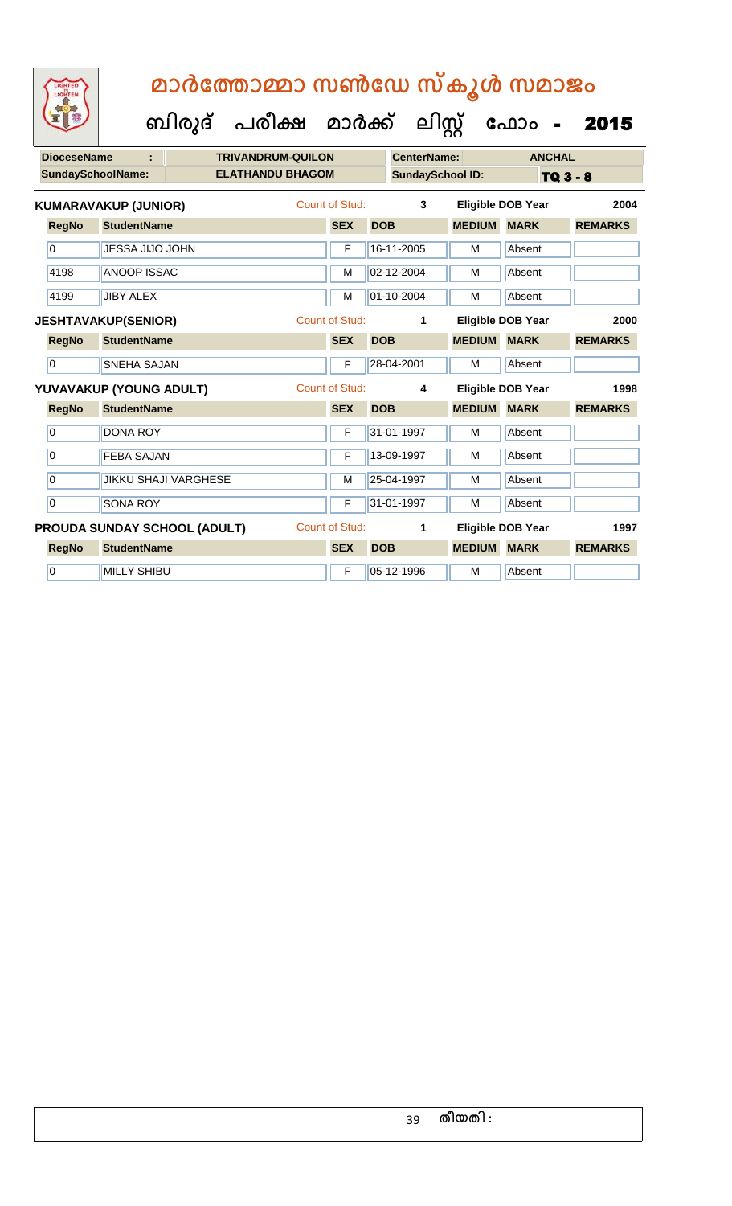**DioceseName : TRIVANDRUM-QUILON CenterName: ANCHAL** SundaySchoolName: **ELATHANDU BHAGOM SundaySchool ID:** TQ 3 - 8  **ബിരുദ് പരീക്ഷ മാര്ക് ക ലിസ്റ്റ ക ഫ ാോം** - 2015 **RegNo StudentName SEX DOB MEDIUM MARK REMARKS KUMARAVAKUP (JUNIOR)** Count of Stud: **3 Eligible DOB Year 2004** 0 **JUESSA JIJO JOHN F 16-11-2005** M Absent 4198 ANOOP ISSAC M 02-12-2004 M Absent 4199 JJIBY ALEX M 01-10-2004 M Absent **RegNo StudentName SEX DOB MEDIUM MARK REMARKS JESHTAVAKUP(SENIOR)** Count of Stud: **1 Eligible DOB Year 2000** 0 SNEHA SAJAN F 28-04-2001 M Absent **RegNo StudentName SEX DOB MEDIUM MARK REMARKS YUVAVAKUP (YOUNG ADULT)** Count of Stud: **4 Eligible DOB Year 1998** 0 DONA ROY F 31-01-1997 M Absent 0 FEBA SAJAN F 13-09-1997 M Absent 0 JIKKU SHAJI VARGHESE M 25-04-1997 M Absent 0 SONA ROY F 31-01-1997 M Absent **RegNo StudentName SEX DOB MEDIUM MARK REMARKS PROUDA SUNDAY SCHOOL (ADULT)** Count of Stud: **1 Eligible DOB Year 1997** 0 MILLY SHIBU F 05-12-1996 M Absent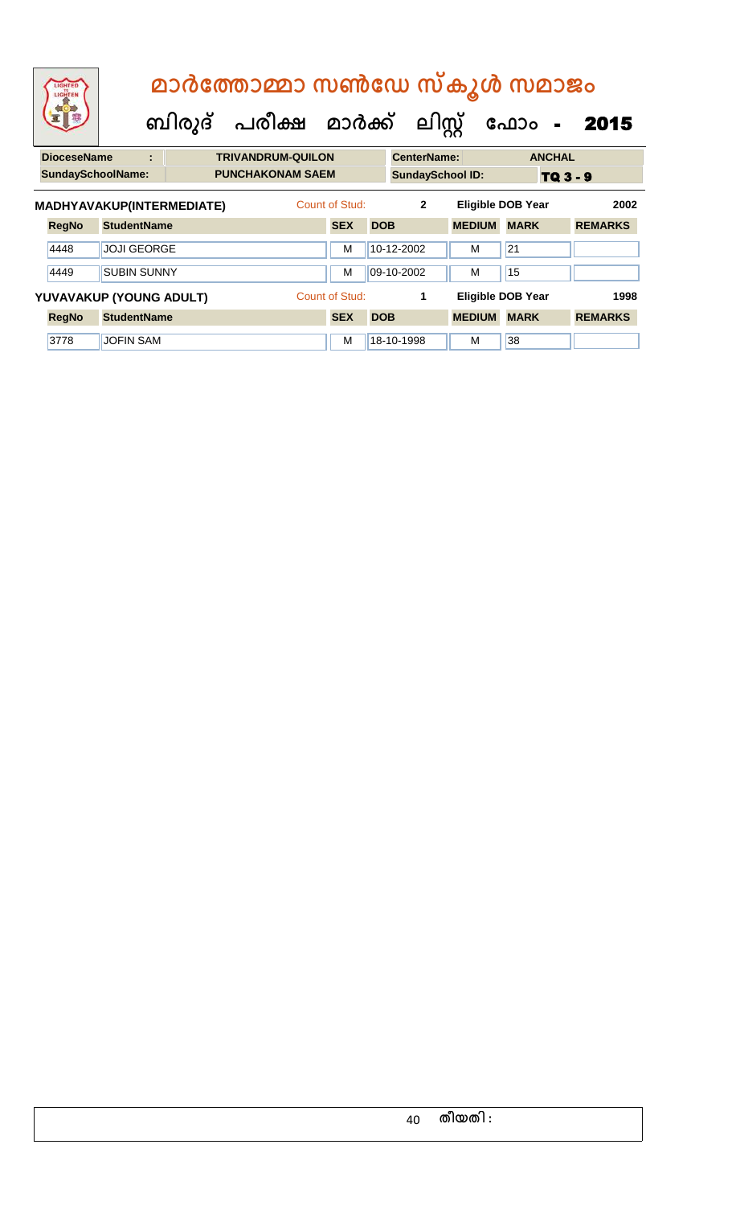|                                                         | LIGHTED<br>LIGHTEN                                                                              |                    |   |  |  | മാർത്തോമ്മാ സൺഡേ സ്കൂൾ സമാജം |                |            |                         |               |    |                          |               |                |  |
|---------------------------------------------------------|-------------------------------------------------------------------------------------------------|--------------------|---|--|--|------------------------------|----------------|------------|-------------------------|---------------|----|--------------------------|---------------|----------------|--|
| ബിരുദ് പരീക്ഷ മാർക്ക് ലിസ്റ്റ്<br>ഫോം<br>$\blacksquare$ |                                                                                                 |                    |   |  |  |                              |                |            |                         |               |    |                          | 2015          |                |  |
|                                                         | <b>DioceseName</b>                                                                              |                    | ÷ |  |  | <b>TRIVANDRUM-QUILON</b>     |                |            | <b>CenterName:</b>      |               |    |                          | <b>ANCHAL</b> |                |  |
|                                                         | <b>SundaySchoolName:</b>                                                                        |                    |   |  |  | <b>PUNCHAKONAM SAEM</b>      |                |            | <b>SundaySchool ID:</b> |               |    |                          | TQ 3 - 9      |                |  |
|                                                         | Count of Stud:<br>$\mathbf{2}$<br>MADHYAVAKUP(INTERMEDIATE)<br><b>Eligible DOB Year</b><br>2002 |                    |   |  |  |                              |                |            |                         |               |    |                          |               |                |  |
|                                                         | <b>RegNo</b>                                                                                    | <b>StudentName</b> |   |  |  |                              | <b>SEX</b>     | <b>DOB</b> |                         | <b>MEDIUM</b> |    | <b>MARK</b>              |               | <b>REMARKS</b> |  |
|                                                         | 4448                                                                                            | <b>JOJI GEORGE</b> |   |  |  |                              | M              |            | 10-12-2002              | м             | 21 |                          |               |                |  |
|                                                         | 4449                                                                                            | <b>SUBIN SUNNY</b> |   |  |  |                              | M              |            | 09-10-2002              | M             | 15 |                          |               |                |  |
|                                                         | YUVAVAKUP (YOUNG ADULT)                                                                         |                    |   |  |  |                              | Count of Stud: |            | 1                       |               |    | <b>Eligible DOB Year</b> |               | 1998           |  |
|                                                         | <b>RegNo</b>                                                                                    | <b>StudentName</b> |   |  |  |                              | <b>SEX</b>     | <b>DOB</b> |                         | <b>MEDIUM</b> |    | <b>MARK</b>              |               | <b>REMARKS</b> |  |

3778 JUCFIN SAM M 18-10-1998 M 38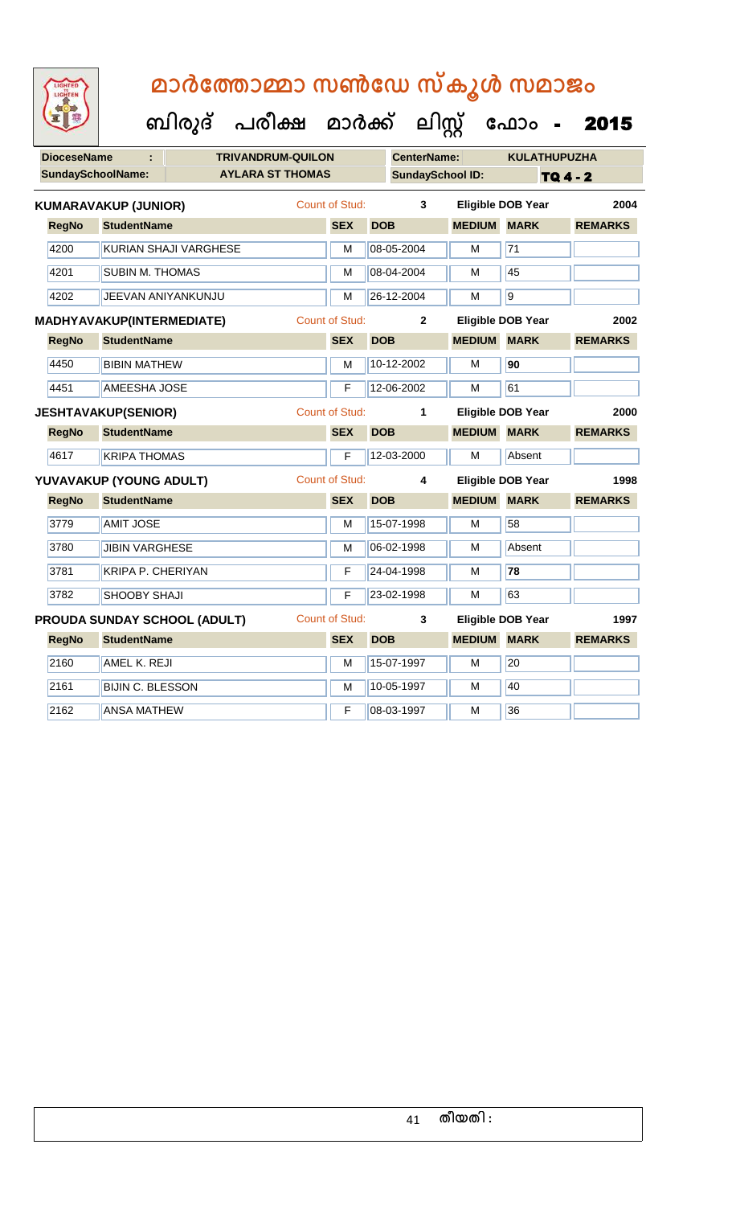**DioceseName : TRIVANDRUM-QUILON CenterName: KULATHUPUZHA** SundaySchoolName: **AYLARA ST THOMAS SundaySchool ID:** TQ 4 - 2  **ബിരുദ് പരീക്ഷ മാര്ക് ക ലിസ്റ്റ ക ഫ ാോം** - 2015 **RegNo StudentName SEX DOB MEDIUM MARK REMARKS KUMARAVAKUP (JUNIOR)** Count of Stud: **3 Eligible DOB Year 2004** 4200 KURIAN SHAJI VARGHESE M M 08-05-2004 M 71 4201 SUBIN M. THOMAS M N 08-04-2004 M 45 4202 JEEVAN ANIYANKUNJU M 26-12-2004 M 9 **RegNo StudentName SEX DOB MEDIUM MARK REMARKS MADHYAVAKUP(INTERMEDIATE)** Count of Stud: **2 Eligible DOB Year 2002** 4450 BIBIN MATHEW M 10-12-2002 M **90** 4451 AMEESHA JOSE **F** 12-06-2002 M 61 **RegNo StudentName SEX DOB MEDIUM MARK REMARKS JESHTAVAKUP(SENIOR)** Count of Stud: **1 Eligible DOB Year 2000** 4617 KRIPA THOMAS F 12-03-2000 M Absent **RegNo StudentName SEX DOB MEDIUM MARK REMARKS YUVAVAKUP (YOUNG ADULT)** Count of Stud: **4 Eligible DOB Year 1998** 3779 | AMIT JOSE M 15-07-1998 | M 58 3780 JJIBIN VARGHESE M 106-02-1998 M Absent 3781 KRIPA P. CHERIYAN **F 24-04-1998** M 78 3782 SHOOBY SHAJI F 23-02-1998 M 63 **RegNo StudentName SEX DOB MEDIUM MARK REMARKS PROUDA SUNDAY SCHOOL (ADULT)** Count of Stud: **3 Eligible DOB Year 1997** 2160 AMEL K. REJI M M 15-07-1997 M 20 2161 BIJIN C. BLESSON M 10-05-1997 M 10-05-1997 2162 ANSA MATHEW F 08-03-1997 M 36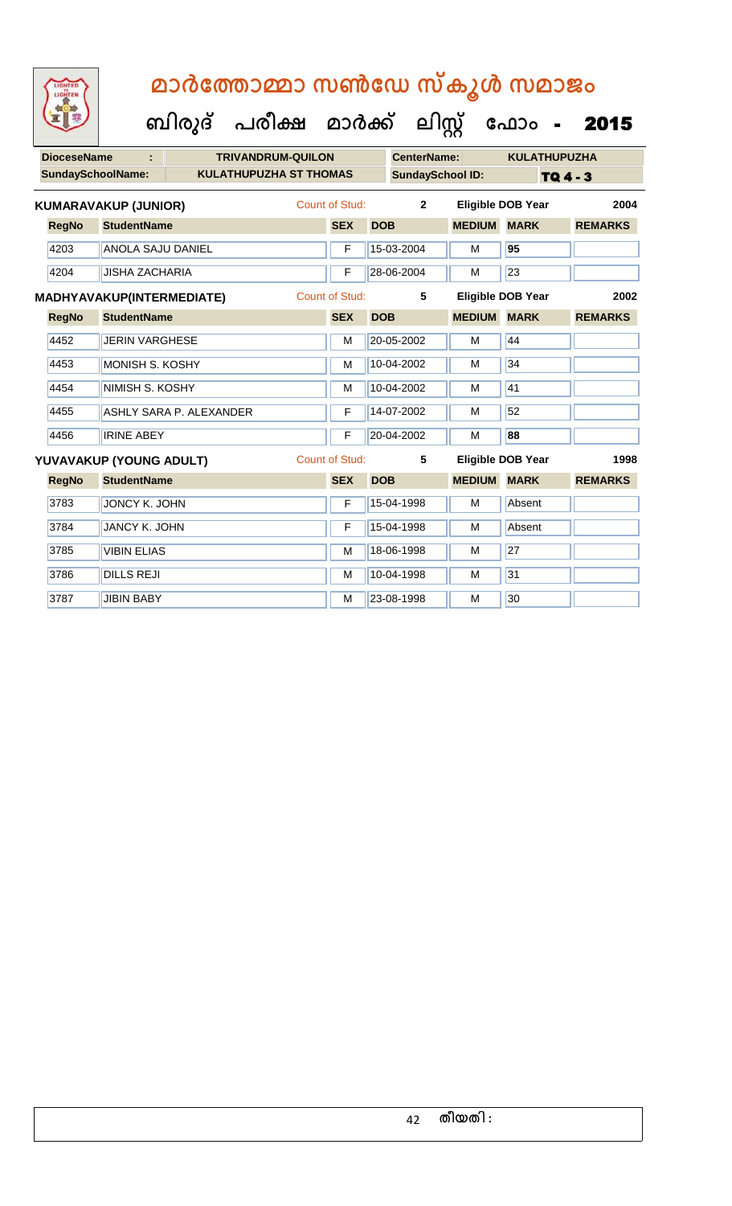**ക ഫ ാോം** - 2015

 **ബിരുദ് പരീക്ഷ മാര്ക്**

**DioceseName : TRIVANDRUM-QUILON CenterName: KULATHUPUZHA** SundaySchoolName: **KULATHUPUZHA ST THOMAS** SundaySchool ID: **TQ 4 - 3 ക ലിസ്റ്റ RegNo StudentName SEX DOB MEDIUM MARK REMARKS KUMARAVAKUP (JUNIOR)** Count of Stud: **2 Eligible DOB Year 2004** 4203 ANOLA SAJU DANIEL F 15-03-2004 M **95** 4204 JISHA ZACHARIA F 28-06-2004 M 23 **RegNo StudentName SEX DOB MEDIUM MARK REMARKS MADHYAVAKUP(INTERMEDIATE)** Count of Stud: **5 Eligible DOB Year 2002** 4452 JERIN VARGHESE M M 20-05-2002 M 44 4453 MONISH S. KOSHY M M 10-04-2002 M 34 4454 NIMISH S. KOSHY M 10-04-2002 M 41 4455 ASHLY SARA P. ALEXANDER F 14-07-2002 M 52 4456 IRINE ABEY F 20-04-2002 M **88 RegNo StudentName SEX DOB MEDIUM MARK REMARKS YUVAVAKUP (YOUNG ADULT)** Count of Stud: **5 Eligible DOB Year 1998** 3783 JONCY K. JOHN F 15-04-1998 M Absent 3784 JJANCY K. JOHN F 15-04-1998 M Absent 3785 VIBIN ELIAS M 18-06-1998 M 27 3786 DILLS REJI M 10-04-1998 M 31 3787 JJIBIN BABY M 23-08-1998 M 30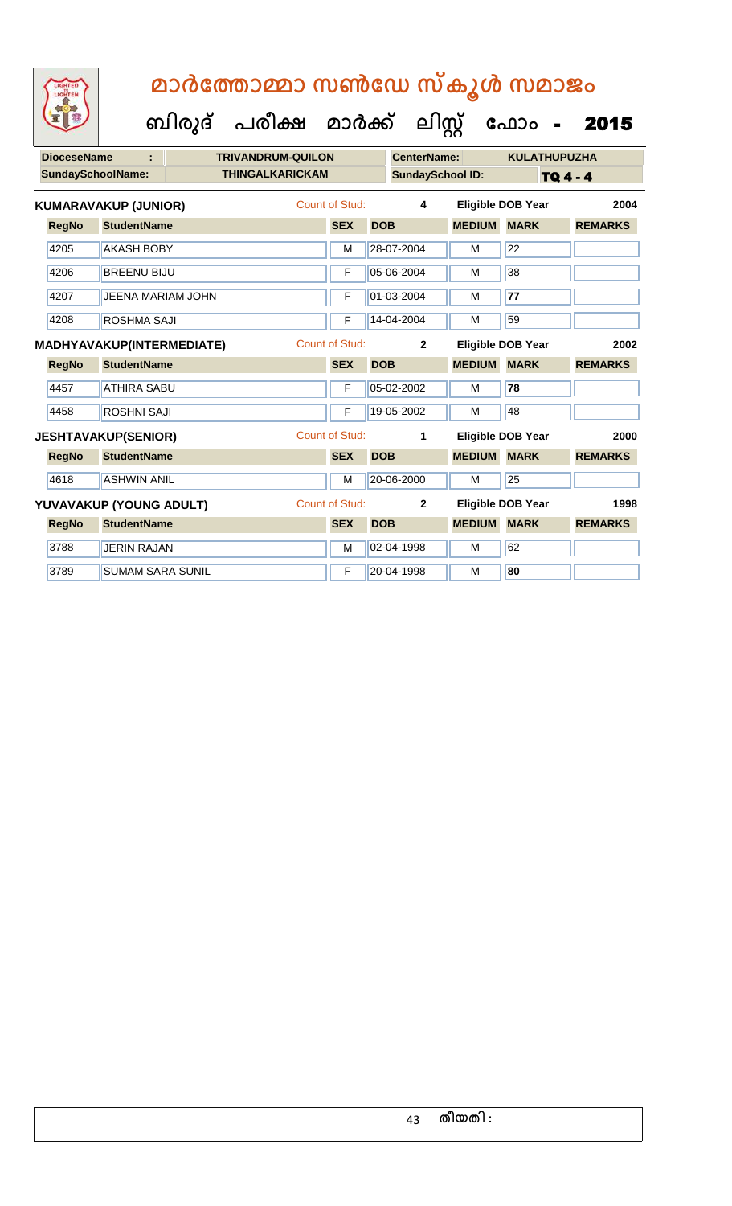**DioceseName : TRIVANDRUM-QUILON CenterName: KULATHUPUZHA** SundaySchoolName: THINGALKARICKAM **SundaySchool ID:** TQ 4 - 4  **ബിരുദ് പരീക്ഷ മാര്ക് ക ലിസ്റ്റ ക ഫ ാോം** - 2015 **RegNo StudentName SEX DOB MEDIUM MARK REMARKS KUMARAVAKUP (JUNIOR)** Count of Stud: **4 Eligible DOB Year 2004** 4205 AKASH BOBY M 28-07-2004 M 22 4206 BREENU BIJU F 05-06-2004 M 38 4207 JEENA MARIAM JOHN F 01-03-2004 M **77** 4208 ROSHMA SAJI F 14-04-2004 M 59 **RegNo StudentName SEX DOB MEDIUM MARK REMARKS MADHYAVAKUP(INTERMEDIATE)** Count of Stud: **2 Eligible DOB Year 2002** 4457 ATHIRA SABU F 05-02-2002 M **78** 4458 ROSHNI SAJI F 19-05-2002 M 48 **RegNo StudentName SEX DOB MEDIUM MARK REMARKS JESHTAVAKUP(SENIOR)** Count of Stud: **1 Eligible DOB Year 2000** 4618 ASHWIN ANIL M 20-06-2000 M 25 **RegNo StudentName SEX DOB MEDIUM MARK REMARKS YUVAVAKUP (YOUNG ADULT)** Count of Stud: **2 Eligible DOB Year 1998** 3788 JUERIN RAJAN M 02-04-1998 M 62 3789 SUMAM SARA SUNIL F 20-04-1998 M **80**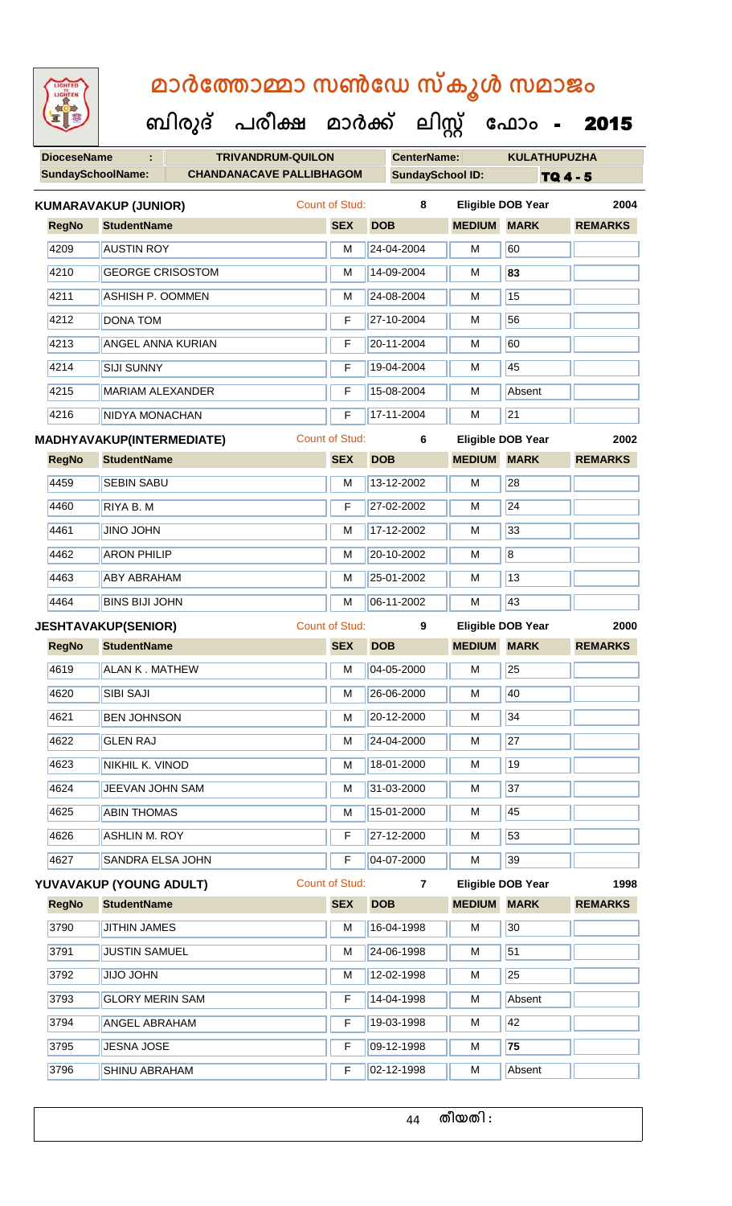| LIGHTED<br>LIGHTEN       |                                  | മാർത്തോമ്മാ സൺഡേ സ്കൂൾ സമാജം         |                       |            |                         |               |                          |                 |
|--------------------------|----------------------------------|--------------------------------------|-----------------------|------------|-------------------------|---------------|--------------------------|-----------------|
|                          |                                  | ബിരുദ് പരീക്ഷ മാർക്ക് ലിസ്റ്റ് ഫോം - |                       |            |                         |               |                          | 2015            |
| <b>DioceseName</b>       | ċ                                | <b>TRIVANDRUM-QUILON</b>             |                       |            | <b>CenterName:</b>      |               | <b>KULATHUPUZHA</b>      |                 |
| <b>SundaySchoolName:</b> |                                  | <b>CHANDANACAVE PALLIBHAGOM</b>      |                       |            | <b>SundaySchool ID:</b> |               |                          | <b>TQ 4 - 5</b> |
|                          | <b>KUMARAVAKUP (JUNIOR)</b>      |                                      | Count of Stud:        |            | 8                       |               | <b>Eligible DOB Year</b> | 2004            |
| <b>RegNo</b>             | <b>StudentName</b>               |                                      | <b>SEX</b>            | <b>DOB</b> |                         | <b>MEDIUM</b> | <b>MARK</b>              | <b>REMARKS</b>  |
| 4209                     | <b>AUSTIN ROY</b>                |                                      | м                     | 24-04-2004 |                         | M             | 60                       |                 |
| 4210                     | <b>GEORGE CRISOSTOM</b>          |                                      | М                     | 14-09-2004 |                         | м             | 83                       |                 |
| 4211                     | <b>ASHISH P. OOMMEN</b>          |                                      | м                     | 24-08-2004 |                         | м             | 15                       |                 |
| 4212                     | <b>DONA TOM</b>                  |                                      | F                     | 27-10-2004 |                         | м             | 56                       |                 |
| 4213                     | ANGEL ANNA KURIAN                |                                      | F                     | 20-11-2004 |                         | м             | 60                       |                 |
| 4214                     | <b>SIJI SUNNY</b>                |                                      | F                     | 19-04-2004 |                         | м             | 45                       |                 |
| 4215                     | <b>MARIAM ALEXANDER</b>          |                                      | F                     | 15-08-2004 |                         | M             | Absent                   |                 |
| 4216                     | NIDYA MONACHAN                   |                                      | F                     | 17-11-2004 |                         | M             | 21                       |                 |
|                          | <b>MADHYAVAKUP(INTERMEDIATE)</b> |                                      | <b>Count of Stud:</b> |            | 6                       |               | <b>Eligible DOB Year</b> | 2002            |
| <b>RegNo</b>             | <b>StudentName</b>               |                                      | <b>SEX</b>            | <b>DOB</b> |                         | <b>MEDIUM</b> | <b>MARK</b>              | <b>REMARKS</b>  |
| 4459                     | <b>SEBIN SABU</b>                |                                      | м                     | 13-12-2002 |                         | м             | 28                       |                 |
| 4460                     | RIYA B. M                        |                                      | F                     | 27-02-2002 |                         | м             | 24                       |                 |
| 4461                     | <b>UHOL ONIL</b>                 |                                      | м                     | 17-12-2002 |                         | м             | 33                       |                 |
| 4462                     | <b>ARON PHILIP</b>               |                                      | М                     | 20-10-2002 |                         | м             | $\overline{8}$           |                 |
| 4463                     | <b>ABY ABRAHAM</b>               |                                      | М                     | 25-01-2002 |                         | M             | 13                       |                 |
| 4464                     | <b>BINS BIJI JOHN</b>            |                                      | M                     | 06-11-2002 |                         | M             | 43                       |                 |
|                          | <b>JESHTAVAKUP(SENIOR)</b>       |                                      | <b>Count of Stud:</b> |            | 9                       |               | <b>Eligible DOB Year</b> | 2000            |
| <b>RegNo</b>             | <b>StudentName</b>               |                                      | <b>SEX</b>            | <b>DOB</b> |                         | <b>MEDIUM</b> | <b>MARK</b>              | <b>REMARKS</b>  |
| 4619                     | <b>ALAN K. MATHEW</b>            |                                      | M                     | 04-05-2000 |                         | M             | 25                       |                 |
| 4620                     | SIBI SAJI                        |                                      | М                     | 26-06-2000 |                         | M             | 40                       |                 |
| 4621                     | <b>BEN JOHNSON</b>               |                                      | M                     | 20-12-2000 |                         | м             | 34                       |                 |
| 4622                     | <b>GLEN RAJ</b>                  |                                      | М                     | 24-04-2000 |                         | M             | 27                       |                 |
| 4623                     | NIKHIL K. VINOD                  |                                      | M                     | 18-01-2000 |                         | M             | 19                       |                 |
| 4624                     | JEEVAN JOHN SAM                  |                                      | M                     | 31-03-2000 |                         | M             | 37                       |                 |
| 4625                     | <b>ABIN THOMAS</b>               |                                      | м                     | 15-01-2000 |                         | M             | 45                       |                 |
| 4626                     | <b>ASHLIN M. ROY</b>             |                                      | F                     | 27-12-2000 |                         | M             | 53                       |                 |
| 4627                     | SANDRA ELSA JOHN                 |                                      | F                     | 04-07-2000 |                         | M             | 39                       |                 |
|                          | YUVAVAKUP (YOUNG ADULT)          |                                      | <b>Count of Stud:</b> |            | $\overline{7}$          |               | <b>Eligible DOB Year</b> | 1998            |
| <b>RegNo</b>             | <b>StudentName</b>               |                                      | <b>SEX</b>            | <b>DOB</b> |                         | <b>MEDIUM</b> | <b>MARK</b>              | <b>REMARKS</b>  |
| 3790                     | <b>JITHIN JAMES</b>              |                                      | м                     | 16-04-1998 |                         | M             | 30                       |                 |
| 3791                     | <b>JUSTIN SAMUEL</b>             |                                      | M                     | 24-06-1998 |                         | M             | 51                       |                 |
| 3792                     | <b>UHOL OLIL</b>                 |                                      | М                     | 12-02-1998 |                         | M             | 25                       |                 |
| 3793                     | <b>GLORY MERIN SAM</b>           |                                      | F                     | 14-04-1998 |                         | M             | Absent                   |                 |
| 3794                     | <b>ANGEL ABRAHAM</b>             |                                      | F                     | 19-03-1998 |                         | M             | 42                       |                 |
| 3795                     | <b>JESNA JOSE</b>                |                                      | F                     | 09-12-1998 |                         | M             | 75                       |                 |
| 3796                     | <b>SHINU ABRAHAM</b>             |                                      | F                     | 02-12-1998 |                         | м             | Absent                   |                 |
|                          |                                  |                                      |                       |            |                         |               |                          |                 |

44 **തീയതി :**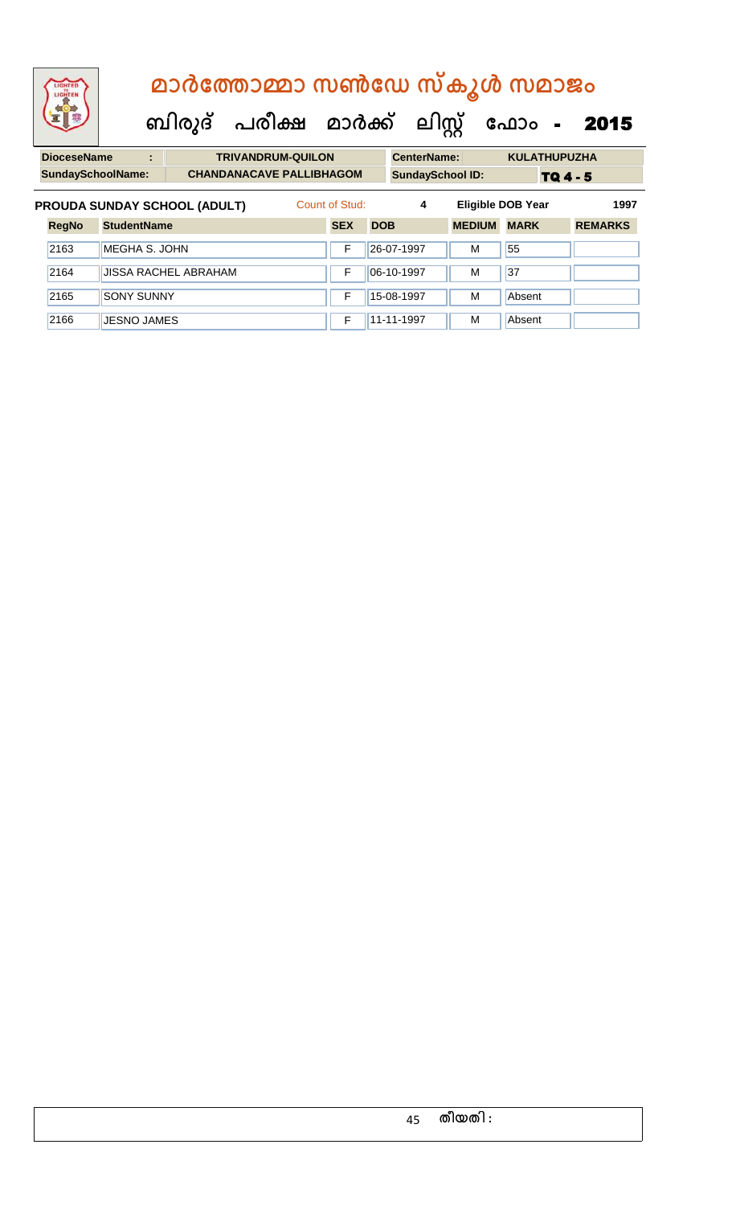| LIGHTED<br>LIGHTEN                  | മാർത്തോമ്മാ സൺഡേ സ്കൂൾ സമാജം                                                                              |   |                                |  |                          |                |            |                    |               |                          |                        |  |
|-------------------------------------|-----------------------------------------------------------------------------------------------------------|---|--------------------------------|--|--------------------------|----------------|------------|--------------------|---------------|--------------------------|------------------------|--|
|                                     |                                                                                                           |   | ബിരുദ് പരീക്ഷ മാർക്ക് ലിസ്റ്റ് |  |                          |                |            |                    |               | ഫോം                      | 2015<br>$\blacksquare$ |  |
| <b>DioceseName</b>                  |                                                                                                           | t |                                |  | <b>TRIVANDRUM-QUILON</b> |                |            | <b>CenterName:</b> |               | <b>KULATHUPUZHA</b>      |                        |  |
|                                     | <b>SundaySchoolName:</b><br><b>CHANDANACAVE PALLIBHAGOM</b><br><b>SundaySchool ID:</b><br><b>TQ 4 - 5</b> |   |                                |  |                          |                |            |                    |               |                          |                        |  |
| <b>PROUDA SUNDAY SCHOOL (ADULT)</b> |                                                                                                           |   |                                |  |                          | Count of Stud: |            | 4                  |               | <b>Eligible DOB Year</b> | 1997                   |  |
| <b>RegNo</b>                        | <b>StudentName</b>                                                                                        |   |                                |  |                          | <b>SEX</b>     | <b>DOB</b> |                    | <b>MEDIUM</b> | <b>MARK</b>              | <b>REMARKS</b>         |  |
| 2163                                | MEGHA S. JOHN                                                                                             |   |                                |  |                          | F              |            | 26-07-1997         | м             | 55                       |                        |  |
| 2164<br><b>JISSA RACHEL ABRAHAM</b> |                                                                                                           |   |                                |  |                          | F              |            | 06-10-1997         | м             | 37                       |                        |  |
| 2165                                | <b>SONY SUNNY</b>                                                                                         |   |                                |  |                          | F              |            | 15-08-1997         | м             | Absent                   |                        |  |

2166 JJESNO JAMES **F** 11-11-1997 M Absent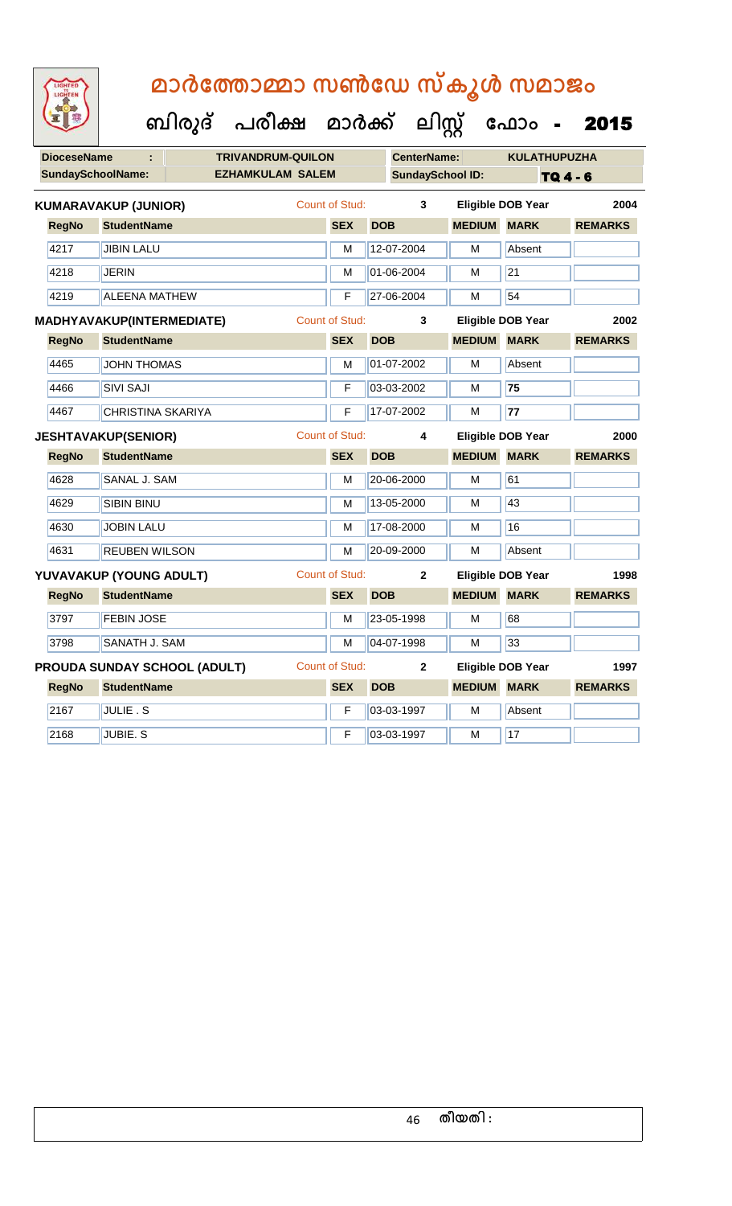|                          |                                  | ബിരുദ് | പരീക്ഷ                   | മാർക്ക്               |            | ലിസ്റ്റ്                |                    | ഫോം                      | 2015           |
|--------------------------|----------------------------------|--------|--------------------------|-----------------------|------------|-------------------------|--------------------|--------------------------|----------------|
| <b>DioceseName</b>       |                                  |        | <b>TRIVANDRUM-QUILON</b> |                       |            | <b>CenterName:</b>      |                    | <b>KULATHUPUZHA</b>      |                |
| <b>SundaySchoolName:</b> |                                  |        | <b>EZHAMKULAM SALEM</b>  |                       |            | <b>SundaySchool ID:</b> |                    |                          | TQ 4 - 6       |
|                          | <b>KUMARAVAKUP (JUNIOR)</b>      |        |                          | Count of Stud:        |            | 3                       |                    | <b>Eligible DOB Year</b> | 2004           |
| <b>RegNo</b>             | <b>StudentName</b>               |        |                          | <b>SEX</b>            | <b>DOB</b> |                         | <b>MEDIUM</b>      | <b>MARK</b>              | <b>REMARKS</b> |
| 4217                     | <b>JIBIN LALU</b>                |        |                          | M                     |            | 12-07-2004              | М                  | Absent                   |                |
| 4218                     | <b>JERIN</b>                     |        |                          | M                     |            | 01-06-2004              | М                  | $\overline{21}$          |                |
| 4219                     | <b>ALEENA MATHEW</b>             |        |                          | F                     |            | 27-06-2004              | M                  | 54                       |                |
|                          | <b>MADHYAVAKUP(INTERMEDIATE)</b> |        |                          | <b>Count of Stud:</b> |            | 3                       |                    | <b>Eligible DOB Year</b> | 2002           |
| <b>RegNo</b>             | <b>StudentName</b>               |        |                          | <b>SEX</b>            | <b>DOB</b> |                         | <b>MEDIUM MARK</b> |                          | <b>REMARKS</b> |
| 4465                     | <b>JOHN THOMAS</b>               |        |                          | M                     |            | 01-07-2002              | M                  | Absent                   |                |
| 4466                     | <b>SIVI SAJI</b>                 |        |                          | F                     |            | 03-03-2002              | M                  | 75                       |                |
| 4467                     | <b>CHRISTINA SKARIYA</b>         |        |                          | F                     |            | 17-07-2002              | М                  | 77                       |                |
|                          | <b>JESHTAVAKUP(SENIOR)</b>       |        |                          | <b>Count of Stud:</b> |            | 4                       |                    | <b>Eligible DOB Year</b> | 2000           |
| <b>RegNo</b>             | <b>StudentName</b>               |        |                          | <b>SEX</b>            | <b>DOB</b> |                         | <b>MEDIUM MARK</b> |                          | <b>REMARKS</b> |
| 4628                     | SANAL J. SAM                     |        |                          | M                     |            | 20-06-2000              | М                  | 61                       |                |
| 4629                     | <b>SIBIN BINU</b>                |        |                          | M                     |            | 13-05-2000              | M                  | 43                       |                |
| 4630                     | <b>JOBIN LALU</b>                |        |                          | M                     |            | 17-08-2000              | M                  | 16                       |                |
| 4631                     | <b>REUBEN WILSON</b>             |        |                          | M                     |            | 20-09-2000              | М                  | Absent                   |                |
|                          | YUVAVAKUP (YOUNG ADULT)          |        |                          | <b>Count of Stud:</b> |            | $\mathbf{2}$            |                    | <b>Eligible DOB Year</b> | 1998           |
| <b>RegNo</b>             | <b>StudentName</b>               |        |                          | <b>SEX</b>            | <b>DOB</b> |                         | <b>MEDIUM</b>      | <b>MARK</b>              | <b>REMARKS</b> |
| 3797                     | <b>FEBIN JOSE</b>                |        |                          | M                     |            | 23-05-1998              | M                  | 68                       |                |
| 3798                     | SANATH J. SAM                    |        |                          | М                     |            | 04-07-1998              | M                  | 33                       |                |
|                          | PROUDA SUNDAY SCHOOL (ADULT)     |        |                          | <b>Count of Stud:</b> |            | $\mathbf{2}$            |                    | <b>Eligible DOB Year</b> | 1997           |
| <b>RegNo</b>             | <b>StudentName</b>               |        |                          | <b>SEX</b>            | <b>DOB</b> |                         | <b>MEDIUM</b>      | <b>MARK</b>              | <b>REMARKS</b> |
| 2167                     | <b>JULIE.S</b>                   |        |                          | F                     |            | 03-03-1997              | M                  | Absent                   |                |
| 2168                     | <b>JUBIE.S</b>                   |        |                          | F                     |            | 03-03-1997              | М                  | 17                       |                |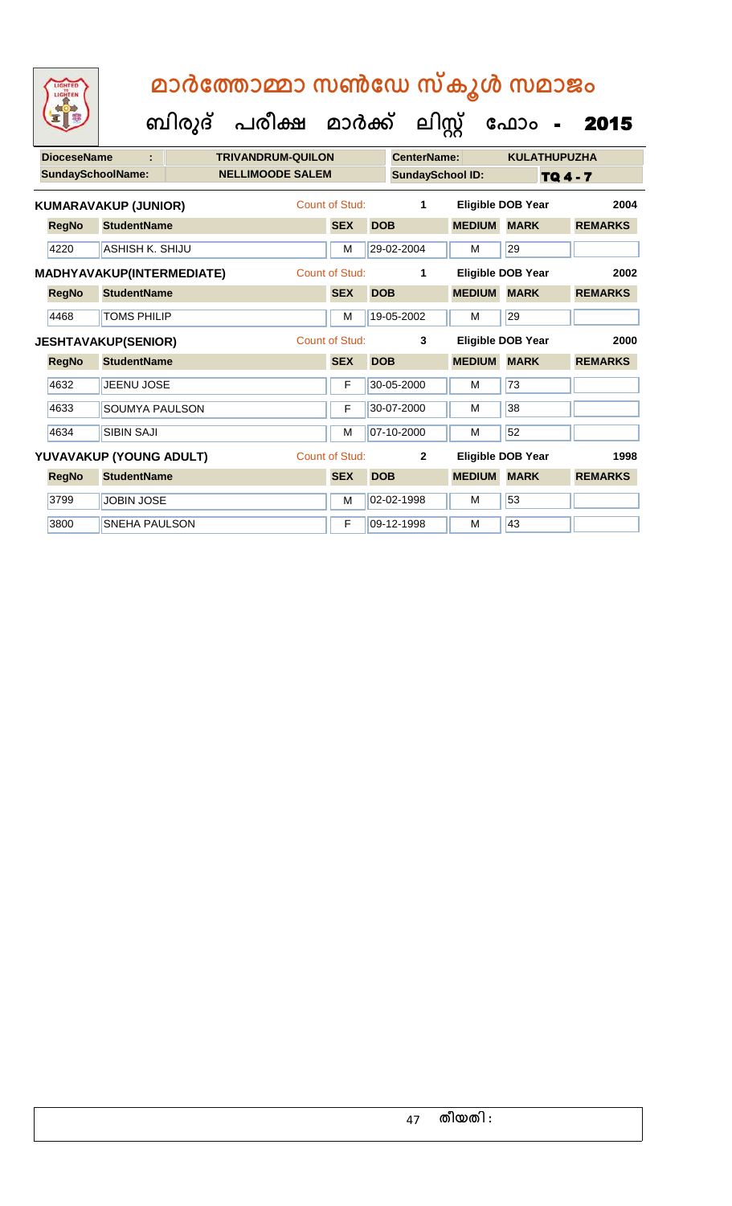| <b>DioceseName</b>       |                             | <b>TRIVANDRUM-QUILON</b> |                |            | <b>CenterName:</b>      |               | <b>KULATHUPUZHA</b>      |                |
|--------------------------|-----------------------------|--------------------------|----------------|------------|-------------------------|---------------|--------------------------|----------------|
| <b>SundaySchoolName:</b> |                             | <b>NELLIMOODE SALEM</b>  |                |            | <b>SundaySchool ID:</b> |               |                          | TQ 4 - 7       |
|                          | <b>KUMARAVAKUP (JUNIOR)</b> |                          | Count of Stud: |            | 1                       |               | <b>Eligible DOB Year</b> | 2004           |
| <b>RegNo</b>             | <b>StudentName</b>          |                          | <b>SEX</b>     | <b>DOB</b> |                         | <b>MEDIUM</b> | <b>MARK</b>              | <b>REMARKS</b> |
| 4220                     | ASHISH K. SHIJU             |                          | M              |            | 29-02-2004              | м             | 29                       |                |
|                          | MADHYAVAKUP(INTERMEDIATE)   |                          | Count of Stud: |            | 1                       |               | <b>Eligible DOB Year</b> | 2002           |
| <b>RegNo</b>             | <b>StudentName</b>          |                          | <b>SEX</b>     | <b>DOB</b> |                         | <b>MEDIUM</b> | <b>MARK</b>              | <b>REMARKS</b> |
| 4468                     | <b>TOMS PHILIP</b>          |                          | M              |            | 19-05-2002              | М             | 29                       |                |
|                          | <b>JESHTAVAKUP(SENIOR)</b>  |                          | Count of Stud: |            | 3                       |               | Eligible DOB Year        | 2000           |
| <b>RegNo</b>             | <b>StudentName</b>          |                          | <b>SEX</b>     | <b>DOB</b> |                         | <b>MEDIUM</b> | <b>MARK</b>              | <b>REMARKS</b> |
| 4632                     | <b>JEENU JOSE</b>           |                          | F              |            | 30-05-2000              | М             | 73                       |                |
| 4633                     | <b>SOUMYA PAULSON</b>       |                          | F              |            | 30-07-2000              | M             | 38                       |                |
| 4634                     | <b>SIBIN SAJI</b>           |                          | M              |            | 07-10-2000              | М             | 52                       |                |
|                          | YUVAVAKUP (YOUNG ADULT)     |                          | Count of Stud: |            | $\overline{2}$          |               | Eligible DOB Year        | 1998           |
| <b>RegNo</b>             | <b>StudentName</b>          |                          | <b>SEX</b>     | <b>DOB</b> |                         | <b>MEDIUM</b> | <b>MARK</b>              | <b>REMARKS</b> |
| 3799                     | <b>JOBIN JOSE</b>           |                          | M              |            | 02-02-1998              | M             | 53                       |                |
| 3800                     | <b>SNEHA PAULSON</b>        |                          | F              |            | 09-12-1998              | М             | 43                       |                |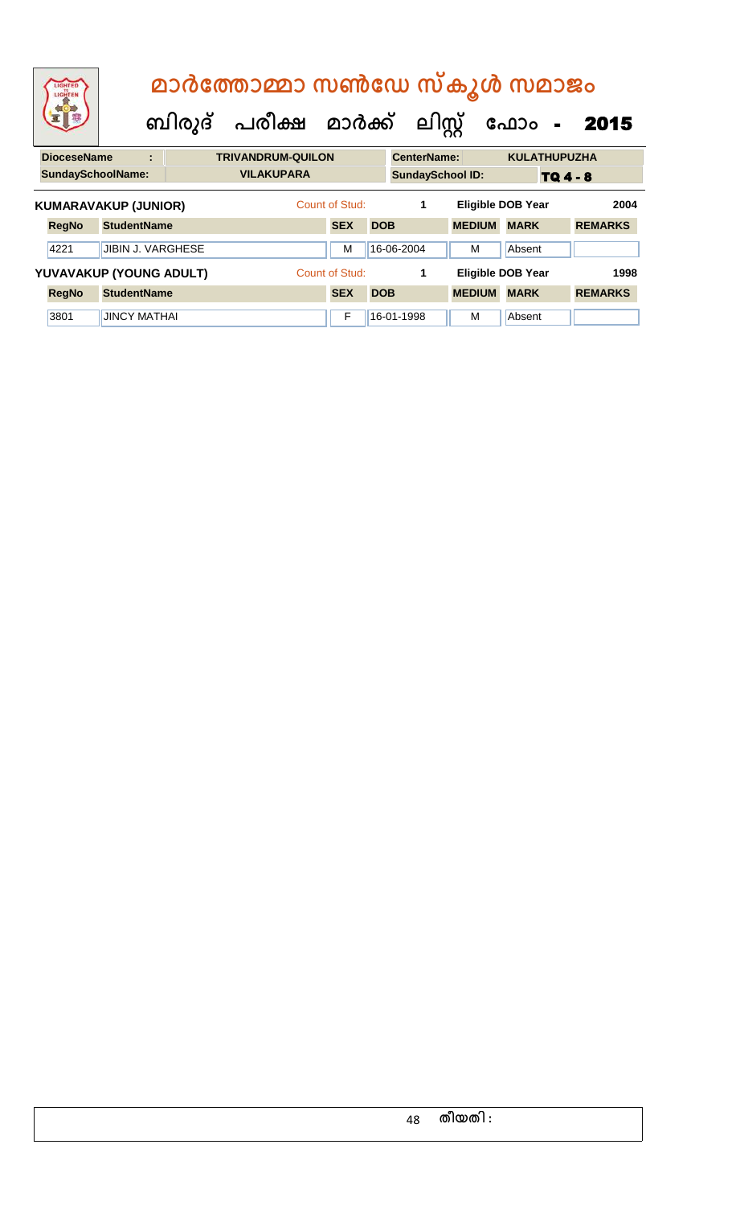| LIGHTED<br>LIGHTEN          | മാർത്തോമ്മാ സൺഡേ സ്കൂൾ സമാജം<br>ബിരുദ് പരീക്ഷ മാർക്ക് ലിസ്റ്റ്<br>ഫോം<br>2015<br>$\sim$ |                |  |                          |  |                |            |                    |                         |  |                          |                 |                |
|-----------------------------|-----------------------------------------------------------------------------------------|----------------|--|--------------------------|--|----------------|------------|--------------------|-------------------------|--|--------------------------|-----------------|----------------|
| <b>DioceseName</b>          |                                                                                         | $\blacksquare$ |  | <b>TRIVANDRUM-QUILON</b> |  |                |            | <b>CenterName:</b> |                         |  | <b>KULATHUPUZHA</b>      |                 |                |
| <b>SundaySchoolName:</b>    |                                                                                         |                |  | <b>VILAKUPARA</b>        |  |                |            |                    | <b>SundaySchool ID:</b> |  |                          | <b>TQ 4 - 8</b> |                |
| <b>KUMARAVAKUP (JUNIOR)</b> |                                                                                         |                |  |                          |  | Count of Stud: |            | 1                  |                         |  | <b>Eligible DOB Year</b> |                 | 2004           |
| <b>RegNo</b>                | <b>StudentName</b>                                                                      |                |  |                          |  | <b>SEX</b>     | <b>DOB</b> |                    | <b>MEDIUM</b>           |  | <b>MARK</b>              |                 | <b>REMARKS</b> |
| 4221                        | <b>JIBIN J. VARGHESE</b>                                                                |                |  |                          |  | м              |            | 16-06-2004         | м                       |  | Absent                   |                 |                |
| YUVAVAKUP (YOUNG ADULT)     |                                                                                         |                |  |                          |  | Count of Stud: |            | 1                  |                         |  | <b>Eligible DOB Year</b> |                 | 1998           |
| <b>RegNo</b>                | <b>StudentName</b>                                                                      |                |  |                          |  | <b>SEX</b>     | <b>DOB</b> |                    | <b>MEDIUM</b>           |  | <b>MARK</b>              |                 | <b>REMARKS</b> |
| 3801                        | <b>JINCY MATHAI</b>                                                                     |                |  |                          |  | F              |            | 16-01-1998         | м                       |  | Absent                   |                 |                |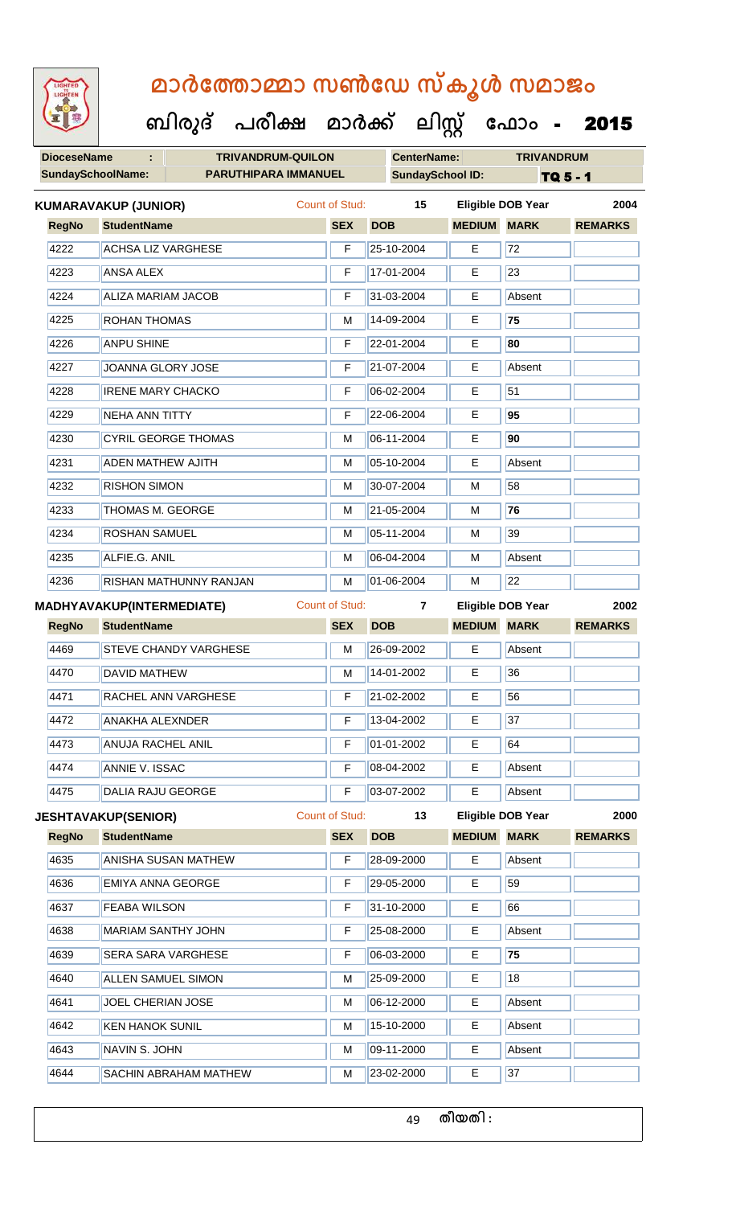**DioceseName : TRIVANDRUM-QUILON CenterName: TRIVANDRUM** SundaySchoolName: **PARUTHIPARA IMMANUEL** SundaySchool ID: TQ 5 - 1  **ബിരുദ് പരീക്ഷ മാര്ക് ക ലിസ്റ്റ ക ഫ ാോം** - 2015 **RegNo StudentName SEX DOB MEDIUM MARK REMARKS KUMARAVAKUP (JUNIOR)** Count of Stud: **15 Eligible DOB Year 2004** 4222 ACHSA LIZ VARGHESE **F** 25-10-2004 **E** 72 4223 **ANSA ALEX F 17-01-2004** E 23 4224 ALIZA MARIAM JACOB F 31-03-2004 E Absent 4225 ROHAN THOMAS M 14-09-2004 E **75** 4226 ANPU SHINE F 22-01-2004 E **80** 4227 JJOANNA GLORY JOSE F 21-07-2004 E Absent 4228 **IRENE MARY CHACKO F 06-02-2004 E** 51 4229 NEHA ANN TITTY F 22-06-2004 E **95** 4230 CYRIL GEORGE THOMAS M 06-11-2004 E **90** 4231 ADEN MATHEW AJITH M 05-10-2004 E Absent 4232 RISHON SIMON M 30-07-2004 M 58 4233 THOMAS M. GEORGE M 21-05-2004 M **76** 4234 **ROSHAN SAMUEL M M** 05-11-2004 M 39 4235 **ALFIE.G. ANIL M 06-04-2004 M** Absent 4236 RISHAN MATHUNNY RANJAN M 01-06-2004 M 22 **RegNo StudentName SEX DOB MEDIUM MARK REMARKS MADHYAVAKUP(INTERMEDIATE)** Count of Stud: **7 Eligible DOB Year 2002** 4469 STEVE CHANDY VARGHESE M M 26-09-2002 E Absent 4470 DAVID MATHEW M M 14-01-2002 E 36 4471 RACHEL ANN VARGHESE **F** 21-02-2002 **F** 56 4472 | ANAKHA ALEXNDER | F | 13-04-2002 | E | 37 4473 ANUJA RACHEL ANIL F 01-01-2002 E 64 4474 ANNIE V. ISSAC F 08-04-2002 E Absent 4475 DALIA RAJU GEORGE F 03-07-2002 E Absent **RegNo StudentName SEX DOB MEDIUM MARK REMARKS JESHTAVAKUP(SENIOR)** Count of Stud: **13 Eligible DOB Year 2000** 4635 ANISHA SUSAN MATHEW F 28-09-2000 E Absent 4636 **EMIYA ANNA GEORGE F 29-05-2000** E 59 4637 FEABA WILSON F 31-10-2000 E 66 4638 MARIAM SANTHY JOHN F 25-08-2000 E Absent

4639 SERA SARA VARGHESE F 06-03-2000 E **75**

4640 ALLEN SAMUEL SIMON M 25-09-2000 E 18

4644 SACHIN ABRAHAM MATHEW M 23-02-2000 E 37

4641 JOEL CHERIAN JOSE M M 06-12-2000 E Absent

4642 KEN HANOK SUNIL M 15-10-2000 E Absent 4643 NAVIN S. JOHN M 09-11-2000 E Absent

49 **തീയതി :**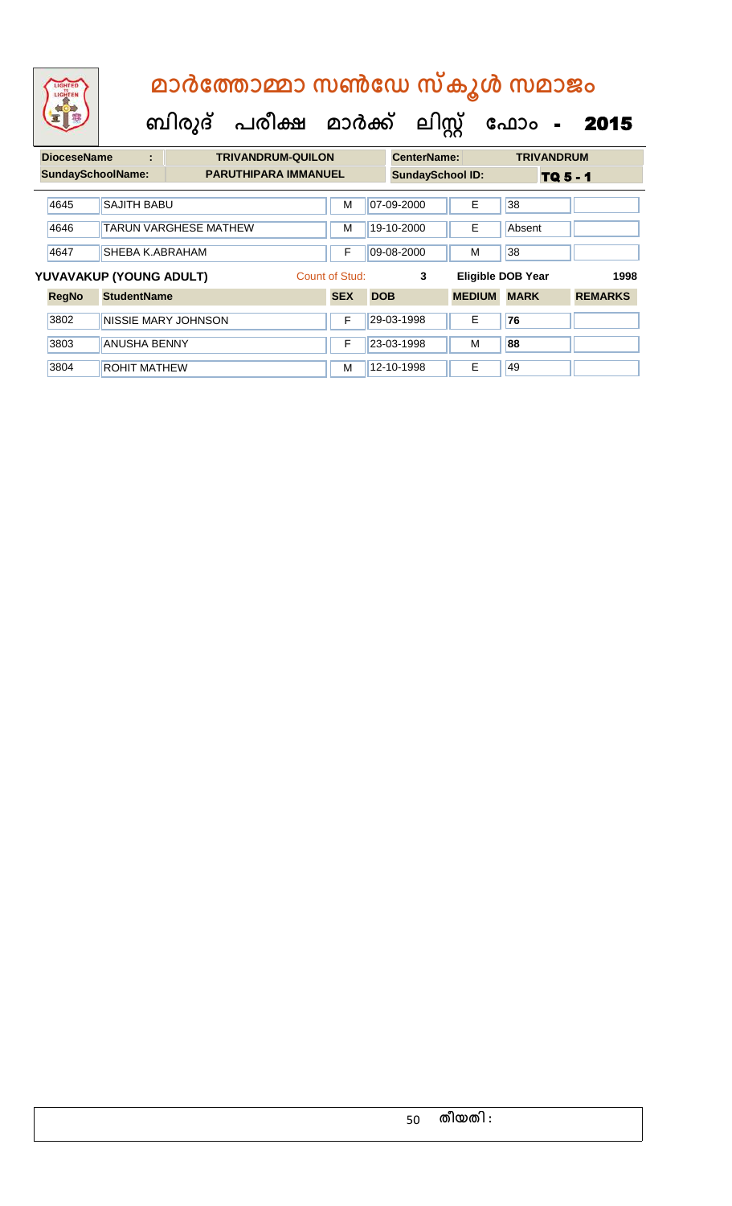# **ബിരുദ് പരീക്ഷ മാര്ക് ക ലിസ്റ്റ ക ഫ ാോം** - 2015  **മാര്കഫതാമ്മാ സണ്ഫേ സ്കൂള് സമാജോം**

| <b>DioceseName</b>       | ÷                       | <b>TRIVANDRUM-QUILON</b>     |                | <b>CenterName:</b>      |               | <b>TRIVANDRUM</b>        |                |
|--------------------------|-------------------------|------------------------------|----------------|-------------------------|---------------|--------------------------|----------------|
| <b>SundaySchoolName:</b> |                         | <b>PARUTHIPARA IMMANUEL</b>  |                | <b>SundaySchool ID:</b> |               | TQ 5 - 1                 |                |
| 4645                     | <b>SAJITH BABU</b>      |                              | М              | 07-09-2000              | E             | 38                       |                |
| 4646                     |                         | <b>TARUN VARGHESE MATHEW</b> | М              | 19-10-2000              | E             | Absent                   |                |
| 4647                     | SHEBA K.ABRAHAM         |                              | F              | 09-08-2000              | M             | 38                       |                |
|                          | YUVAVAKUP (YOUNG ADULT) |                              | Count of Stud: | 3                       |               | <b>Eligible DOB Year</b> | 1998           |
| <b>RegNo</b>             | <b>StudentName</b>      |                              | <b>SEX</b>     | <b>DOB</b>              | <b>MEDIUM</b> | <b>MARK</b>              | <b>REMARKS</b> |
| 3802                     |                         | NISSIE MARY JOHNSON          | F              | 29-03-1998              | E             | 76                       |                |
| 3803                     | <b>ANUSHA BENNY</b>     |                              | F              | 23-03-1998              | м             | 88                       |                |
| 3804                     | <b>ROHIT MATHEW</b>     |                              | м              | 12-10-1998              | E             | 49                       |                |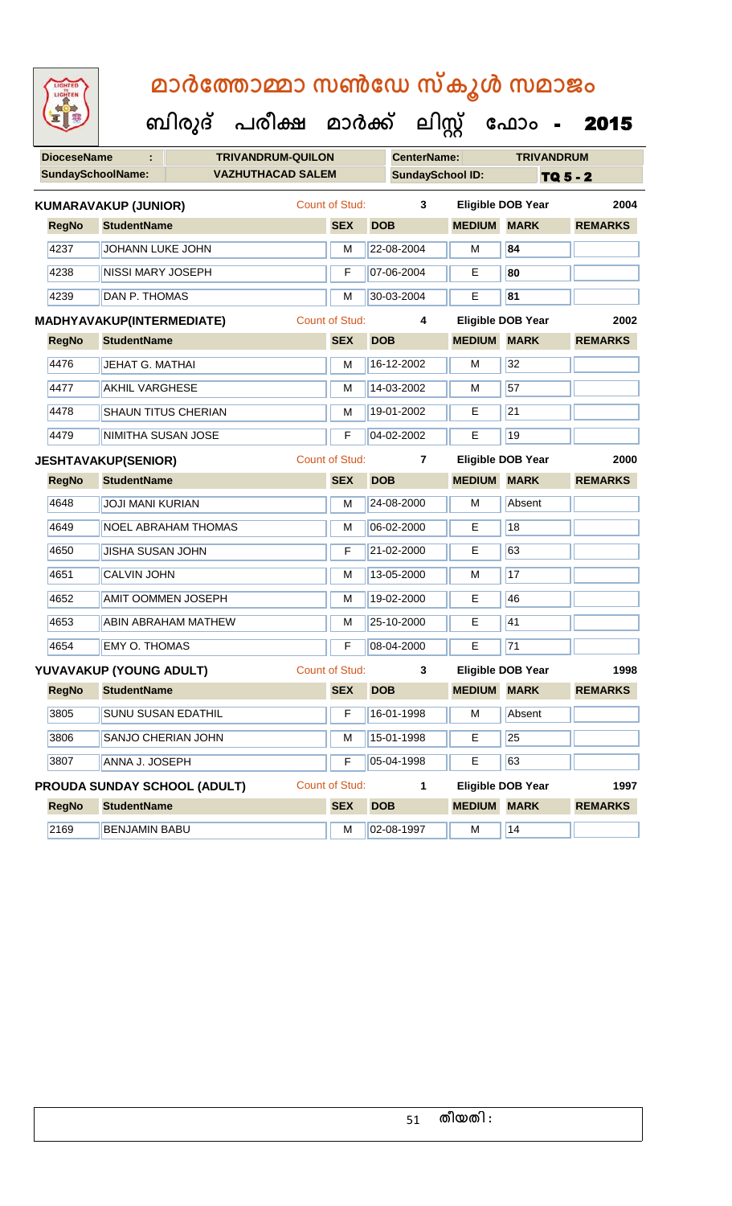**DioceseName : TRIVANDRUM-QUILON CenterName: TRIVANDRUM** SundaySchoolName: **VAZHUTHACAD SALEM SundaySchool ID:** TQ 5 - 2  **ബിരുദ് പരീക്ഷ മാര്ക് ക ലിസ്റ്റ ക ഫ ാോം** - 2015 **RegNo StudentName SEX DOB MEDIUM MARK REMARKS KUMARAVAKUP (JUNIOR)** Count of Stud: **3 Eligible DOB Year 2004** 4237 JOHANN LUKE JOHN M 22-08-2004 M **84** 4238 NISSI MARY JOSEPH F 07-06-2004 E **80** 4239 **DAN P. THOMAS** M 30-03-2004 **E** 81 **RegNo StudentName SEX DOB MEDIUM MARK REMARKS MADHYAVAKUP(INTERMEDIATE)** Count of Stud: **4 Eligible DOB Year 2002** 4476 JEHAT G. MATHAI M M 16-12-2002 M 32 4477 | AKHIL VARGHESE M | M | 14-03-2002 | M | 57 4478 SHAUN TITUS CHERIAN M 19-01-2002 E 21 **4479 NIMITHA SUSAN JOSE THE PULLE REF** 04-02-2002 **F** 19 **RegNo StudentName SEX DOB MEDIUM MARK REMARKS JESHTAVAKUP(SENIOR)** Count of Stud: **7 Eligible DOB Year 2000** 4648 JJOJI MANI KURIAN M 24-08-2000 M Absent 4649 NOEL ABRAHAM THOMAS M M 06-02-2000 E 18 4650 JISHA SUSAN JOHN F 21-02-2000 E 63 4651 CALVIN JOHN M 13-05-2000 M 17 4652 AMIT OOMMEN JOSEPH M 19-02-2000 E 46 4653 **ABIN ABRAHAM MATHEW M 25-10-2000** E 41 4654 EMY O. THOMAS F CONSERVED THE 108-04-2000 F 71 **RegNo StudentName SEX DOB MEDIUM MARK REMARKS YUVAVAKUP (YOUNG ADULT)** Count of Stud: **3 Eligible DOB Year 1998** 3805 SUNU SUSAN EDATHIL **F 16-01-1998** M Absent 3806 SANJO CHERIAN JOHN M 15-01-1998 E 25 3807 ANNA J. JOSEPH F 05-04-1998 E 63 **RegNo StudentName SEX DOB MEDIUM MARK REMARKS PROUDA SUNDAY SCHOOL (ADULT)** Count of Stud: **1 Eligible DOB Year 1997** 2169 BENJAMIN BABU M M 02-08-1997 M 14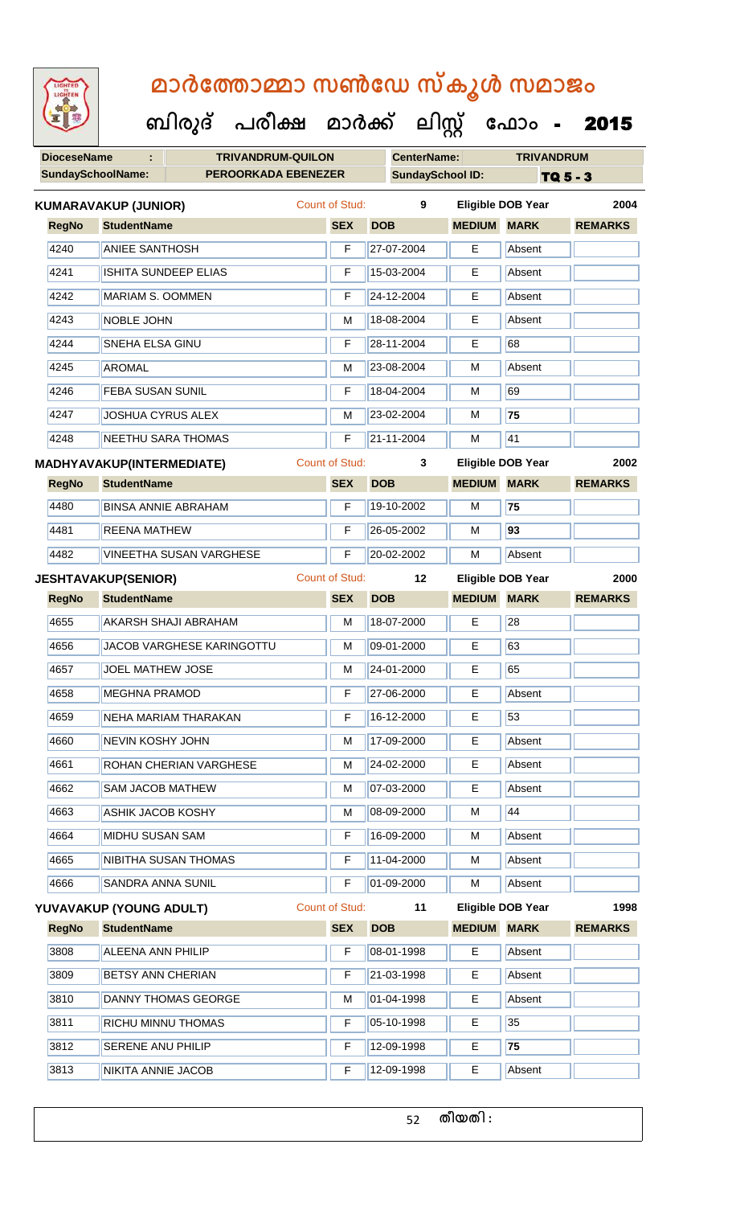**DioceseName : TRIVANDRUM-QUILON CenterName: TRIVANDRUM** SundaySchoolName: **PEROORKADA EBENEZER** SundaySchool ID: TQ 5 - 3  **ബിരുദ് പരീക്ഷ മാര്ക് ക ലിസ്റ്റ ക ഫ ാോം** - 2015 **RegNo StudentName SEX DOB MEDIUM MARK REMARKS KUMARAVAKUP (JUNIOR)** Count of Stud: **9 Eligible DOB Year 2004** 4240 ANIEE SANTHOSH F 27-07-2004 E Absent 4241 ISHITA SUNDEEP ELIAS **F** 15-03-2004 E Absent |4242 || MARIAM S. OOMMEN || F || 24-12-2004 || E || Absent 4243 NOBLE JOHN M 18-08-2004 E Absent 4244 SNEHA ELSA GINU F 28-11-2004 E 68 4245 ||AROMAL || M ||23-08-2004 || M ||Absent 4246 FEBA SUSAN SUNIL F 18-04-2004 M 69 4247 JOSHUA CYRUS ALEX M 23-02-2004 M **75** 4248 NEETHU SARA THOMAS F 21-11-2004 M 41 **RegNo StudentName SEX DOB MEDIUM MARK REMARKS MADHYAVAKUP(INTERMEDIATE)** Count of Stud: **3 Eligible DOB Year 2002** 4480 BINSA ANNIE ABRAHAM F 19-10-2002 M **75** 4481 REENA MATHEW F 26-05-2002 M **93** 4482 VINEETHA SUSAN VARGHESE F 20-02-2002 M Absent **RegNo StudentName SEX DOB MEDIUM MARK REMARKS JESHTAVAKUP(SENIOR)** Count of Stud: **12 Eligible DOB Year 2000** 4655 AKARSH SHAJI ABRAHAM M 18-07-2000 E 28 4656 | JACOB VARGHESE KARINGOTTU | M | 09-01-2000 | E | 63 4657 JOEL MATHEW JOSE M M 24-01-2000 E 65 4658 MEGHNA PRAMOD F 27-06-2000 E Absent 4659 NEHA MARIAM THARAKAN F 16-12-2000 E 53 4660 NEVIN KOSHY JOHN M 17-09-2000 E Absent 4661 ROHAN CHERIAN VARGHESE M M 24-02-2000 E Absent 4662 SAM JACOB MATHEW M 07-03-2000 E Absent 4663 ASHIK JACOB KOSHY M 08-09-2000 M 44 4664 MIDHU SUSAN SAM **F 16-09-2000** M Absent 4665 NIBITHA SUSAN THOMAS F 11-04-2000 M Absent 4666 SANDRA ANNA SUNIL TE 01-09-2000 M Absent **RegNo StudentName SEX DOB MEDIUM MARK REMARKS YUVAVAKUP (YOUNG ADULT)** Count of Stud: **11 Eligible DOB Year 1998** 3808 ALEENA ANN PHILIP **F 08-01-1998** E Absent 3809 BETSY ANN CHERIAN F 21-03-1998 E Absent 3810 DANNY THOMAS GEORGE M M 01-04-1998 E Absent 3811 RICHU MINNU THOMAS F F 05-10-1998 E 35 3812 SERENE ANU PHILIP F 12-09-1998 E **75** 3813 NIKITA ANNIE JACOB F 12-09-1998 E Absent

52 **തീയതി :**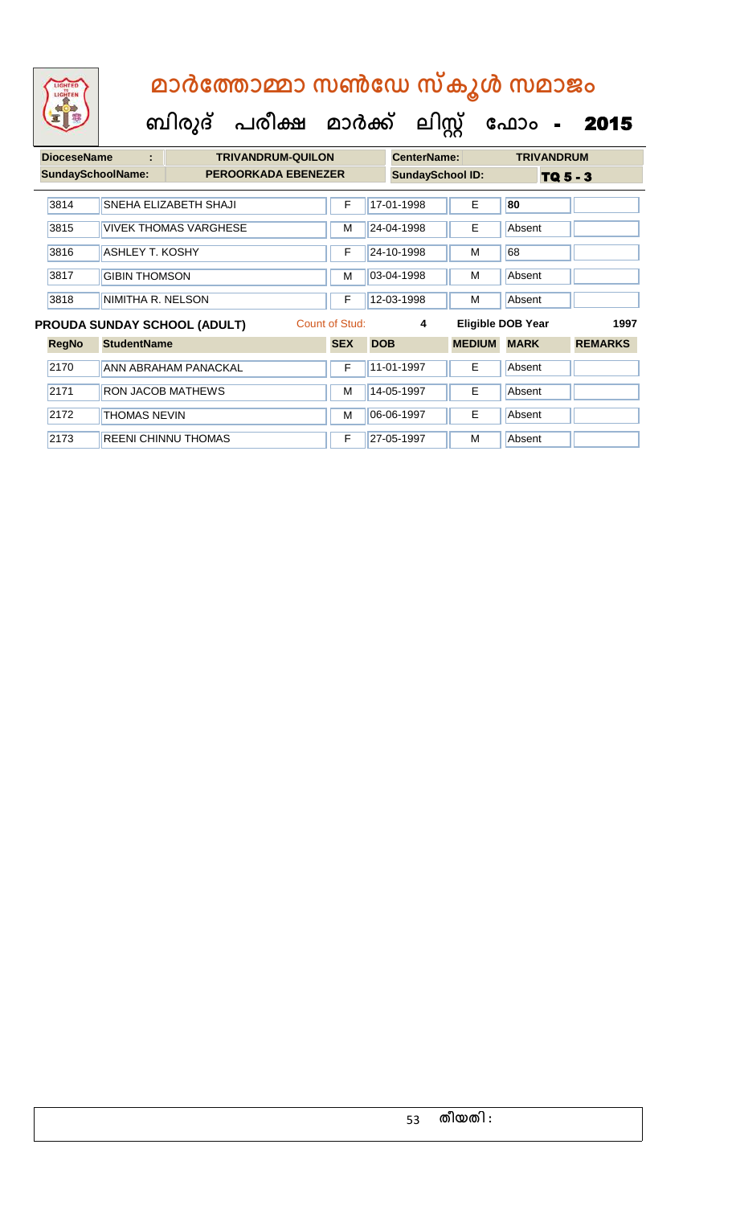| <b>DioceseName</b>       | ÷                        |                                     | <b>TRIVANDRUM-QUILON</b> |                |            | <b>CenterName:</b>      |               | <b>TRIVANDRUM</b>        |                |
|--------------------------|--------------------------|-------------------------------------|--------------------------|----------------|------------|-------------------------|---------------|--------------------------|----------------|
| <b>SundaySchoolName:</b> |                          | <b>PEROORKADA EBENEZER</b>          |                          |                |            | <b>SundaySchool ID:</b> |               | $TQ_5 - 3$               |                |
| 3814                     |                          | SNEHA ELIZABETH SHAJI               |                          | F              |            | 17-01-1998              | E             | 80                       |                |
| 3815                     |                          | <b>VIVEK THOMAS VARGHESE</b>        |                          | м              |            | 24-04-1998              | Е             | Absent                   |                |
| 3816                     | <b>ASHLEY T. KOSHY</b>   |                                     |                          | F              |            | 24-10-1998              | м             | 68                       |                |
| 3817                     | <b>GIBIN THOMSON</b>     |                                     |                          | м              |            | 03-04-1998              | M             | Absent                   |                |
| 3818                     | NIMITHA R. NELSON        |                                     |                          | F              |            | 12-03-1998              | M             | Absent                   |                |
|                          |                          | <b>PROUDA SUNDAY SCHOOL (ADULT)</b> |                          | Count of Stud: |            | 4                       |               | <b>Eligible DOB Year</b> | 1997           |
| <b>RegNo</b>             | <b>StudentName</b>       |                                     |                          | <b>SEX</b>     | <b>DOB</b> |                         | <b>MEDIUM</b> | <b>MARK</b>              | <b>REMARKS</b> |
| 2170                     |                          | ANN ABRAHAM PANACKAL                |                          | F              |            | 11-01-1997              | E             | Absent                   |                |
| 2171                     | <b>RON JACOB MATHEWS</b> |                                     |                          | M              |            | 14-05-1997              | E.            | Absent                   |                |
| 2172                     | <b>THOMAS NEVIN</b>      |                                     |                          | M              |            | 06-06-1997              | E             | Absent                   |                |
| 2173                     |                          | <b>REENI CHINNU THOMAS</b>          |                          | F              |            | 27-05-1997              | м             | Absent                   |                |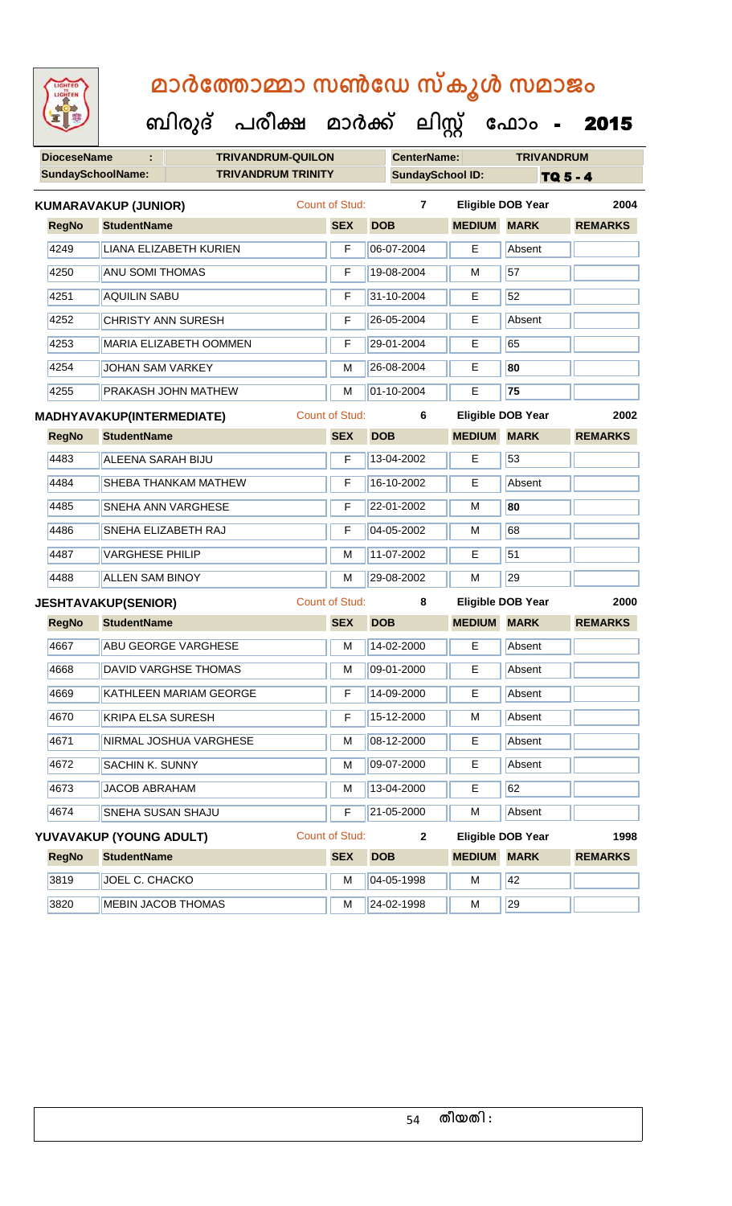| LIGHTED<br>LIGHTEN       |                                  |  | മാർത്തോമ്മാ സൺഡേ സ്കൂൾ സമാജം         |                       |                  |                          |                          |                 |
|--------------------------|----------------------------------|--|--------------------------------------|-----------------------|------------------|--------------------------|--------------------------|-----------------|
|                          |                                  |  | ബിരുദ് പരീക്ഷ മാർക്ക് ലിസ്റ്റ് ഫോം - |                       |                  |                          |                          | 2015            |
| <b>DioceseName</b>       |                                  |  | <b>TRIVANDRUM-QUILON</b>             |                       |                  | <b>CenterName:</b>       | <b>TRIVANDRUM</b>        |                 |
| <b>SundaySchoolName:</b> |                                  |  | <b>TRIVANDRUM TRINITY</b>            |                       |                  | <b>SundaySchool ID:</b>  |                          | <b>TQ 5 - 4</b> |
|                          | <b>KUMARAVAKUP (JUNIOR)</b>      |  |                                      | <b>Count of Stud:</b> |                  | 7                        | <b>Eligible DOB Year</b> | 2004            |
| <b>RegNo</b>             | <b>StudentName</b>               |  |                                      | <b>SEX</b>            | <b>DOB</b>       | <b>MEDIUM</b>            | <b>MARK</b>              | <b>REMARKS</b>  |
| 4249                     | <b>LIANA ELIZABETH KURIEN</b>    |  |                                      | F                     | 06-07-2004       | E.                       | Absent                   |                 |
| 4250                     | <b>ANU SOMI THOMAS</b>           |  |                                      | F                     | 19-08-2004       | м                        | 57                       |                 |
| 4251                     | <b>AQUILIN SABU</b>              |  |                                      | F                     | 31-10-2004       | Е                        | 52                       |                 |
| 4252                     | <b>CHRISTY ANN SURESH</b>        |  |                                      | F                     | 26-05-2004       | E.                       | Absent                   |                 |
| 4253                     | <b>MARIA ELIZABETH OOMMEN</b>    |  |                                      | F                     | 29-01-2004       | E.                       | 65                       |                 |
| 4254                     | JOHAN SAM VARKEY                 |  |                                      | М                     | 26-08-2004       | E                        | 80                       |                 |
| 4255                     | PRAKASH JOHN MATHEW              |  |                                      | M                     | 01-10-2004       | Е                        | 75                       |                 |
|                          | <b>MADHYAVAKUP(INTERMEDIATE)</b> |  | <b>Count of Stud:</b>                |                       | 6                | <b>Eligible DOB Year</b> | 2002                     |                 |
| <b>RegNo</b>             | <b>StudentName</b>               |  |                                      | <b>SEX</b>            | <b>DOB</b>       | <b>MEDIUM</b>            | <b>MARK</b>              | <b>REMARKS</b>  |
| 4483                     | <b>ALEENA SARAH BIJU</b>         |  |                                      | F                     | 13-04-2002       | Е                        | 53                       |                 |
| 4484                     | SHEBA THANKAM MATHEW             |  |                                      | F                     | 16-10-2002       | Е                        | Absent                   |                 |
| 4485                     | SNEHA ANN VARGHESE               |  |                                      | F                     | 22-01-2002       | м                        | 80                       |                 |
| 4486                     | SNEHA ELIZABETH RAJ              |  |                                      | F                     | 04-05-2002       | м                        | 68                       |                 |
| 4487                     | <b>VARGHESE PHILIP</b>           |  |                                      | М                     | 11-07-2002       | E.                       | 51                       |                 |
| 4488                     | <b>ALLEN SAM BINOY</b>           |  |                                      | M                     | 29-08-2002       | м                        | 29                       |                 |
|                          | <b>JESHTAVAKUP(SENIOR)</b>       |  |                                      |                       | Count of Stud: 8 |                          | Eligible DOB Year        | 2000            |
| <b>RegNo</b>             | <b>StudentName</b>               |  |                                      | <b>SEX</b>            | <b>DOB</b>       | <b>MEDIUM</b>            | <b>MARK</b>              | <b>REMARKS</b>  |
| 4667                     | <b>ABU GEORGE VARGHESE</b>       |  |                                      | M                     | 14-02-2000       | E.                       | Absent                   |                 |
| 4668                     | <b>DAVID VARGHSE THOMAS</b>      |  |                                      | М                     | 09-01-2000       | E.                       | Absent                   |                 |
| 4669                     | KATHLEEN MARIAM GEORGE           |  |                                      | F                     | 14-09-2000       | Е                        | Absent                   |                 |
| 4670                     | KRIPA ELSA SURESH                |  |                                      | F                     | 15-12-2000       | M                        | Absent                   |                 |
| 4671                     | NIRMAL JOSHUA VARGHESE           |  |                                      | М                     | 08-12-2000       | Е                        | Absent                   |                 |
| 4672                     | SACHIN K. SUNNY                  |  |                                      | М                     | 09-07-2000       | Е                        | Absent                   |                 |
| 4673                     | <b>JACOB ABRAHAM</b>             |  |                                      | М                     | 13-04-2000       | Е                        | 62                       |                 |
| 4674                     | SNEHA SUSAN SHAJU                |  |                                      | F                     | 21-05-2000       | м                        | Absent                   |                 |
|                          | YUVAVAKUP (YOUNG ADULT)          |  |                                      | Count of Stud:        |                  | $\mathbf{2}$             | <b>Eligible DOB Year</b> | 1998            |
| <b>RegNo</b>             | <b>StudentName</b>               |  |                                      | <b>SEX</b>            | <b>DOB</b>       | <b>MEDIUM MARK</b>       |                          | <b>REMARKS</b>  |
| 3819                     | JOEL C. CHACKO                   |  |                                      | М                     | 04-05-1998       | м                        | 42                       |                 |
| 3820                     | <b>MEBIN JACOB THOMAS</b>        |  |                                      | M                     | 24-02-1998       | M                        | 29                       |                 |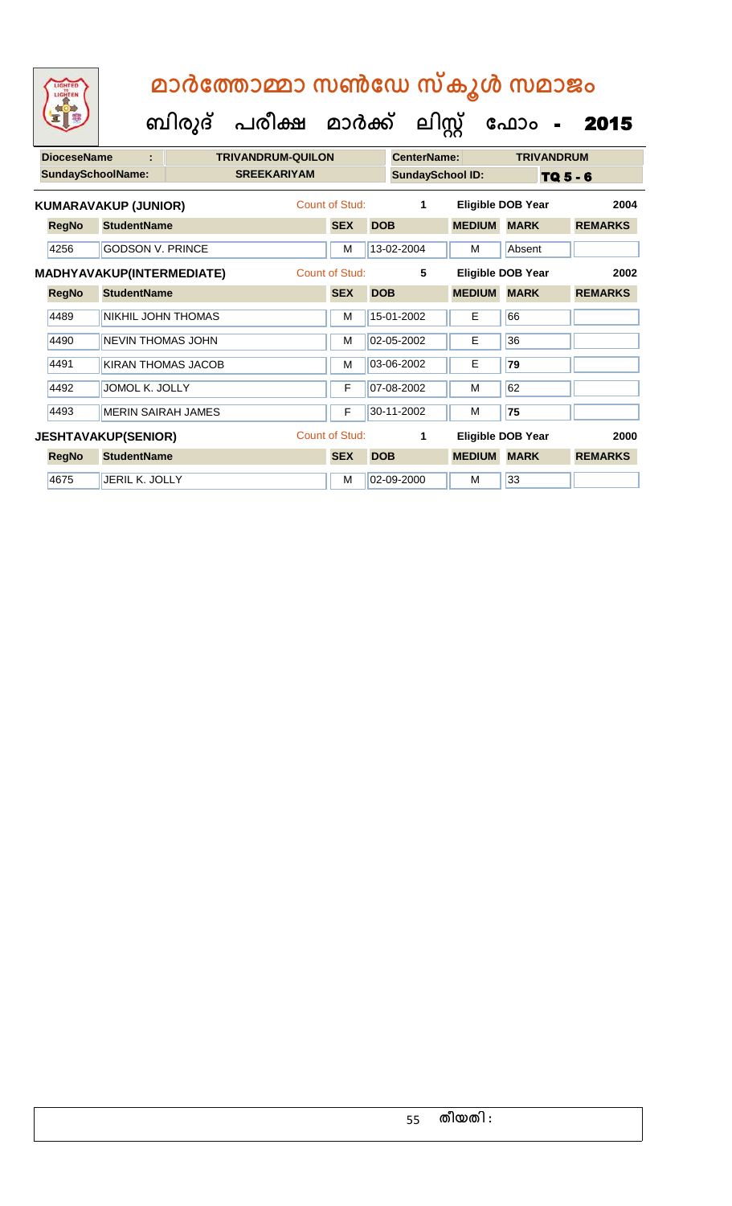| <b>DioceseName</b> | t                           | <b>TRIVANDRUM-QUILON</b> |                |            | CenterName:             |               | <b>TRIVANDRUM</b>        |                |
|--------------------|-----------------------------|--------------------------|----------------|------------|-------------------------|---------------|--------------------------|----------------|
|                    | <b>SundaySchoolName:</b>    | <b>SREEKARIYAM</b>       |                |            | <b>SundaySchool ID:</b> |               | TQ 5 - 6                 |                |
|                    | <b>KUMARAVAKUP (JUNIOR)</b> |                          | Count of Stud: |            | 1                       |               | <b>Eligible DOB Year</b> | 2004           |
| <b>RegNo</b>       | <b>StudentName</b>          |                          | <b>SEX</b>     | <b>DOB</b> |                         | <b>MEDIUM</b> | <b>MARK</b>              | <b>REMARKS</b> |
| 4256               | <b>GODSON V. PRINCE</b>     |                          | M              |            | 13-02-2004              | м             | Absent                   |                |
|                    | MADHYAVAKUP(INTERMEDIATE)   |                          | Count of Stud: |            | 5                       |               | Eligible DOB Year        | 2002           |
| <b>RegNo</b>       | <b>StudentName</b>          |                          | <b>SEX</b>     | <b>DOB</b> |                         | <b>MEDIUM</b> | <b>MARK</b>              | <b>REMARKS</b> |
| 4489               | NIKHIL JOHN THOMAS          |                          | M              |            | 15-01-2002              | E             | 66                       |                |
| 4490               | <b>NEVIN THOMAS JOHN</b>    |                          | M              |            | 02-05-2002              | E             | 36                       |                |
| 4491               | KIRAN THOMAS JACOB          |                          | M              |            | 03-06-2002              | E             | 79                       |                |
| 4492               | JOMOL K. JOLLY              |                          | F              |            | 07-08-2002              | М             | 62                       |                |
| 4493               | MERIN SAIRAH JAMES          |                          | F              |            | 30-11-2002              | м             | 75                       |                |
|                    | <b>JESHTAVAKUP(SENIOR)</b>  |                          | Count of Stud: |            | 1                       |               | Eligible DOB Year        | 2000           |
| <b>RegNo</b>       | <b>StudentName</b>          |                          | <b>SEX</b>     | <b>DOB</b> |                         | <b>MEDIUM</b> | <b>MARK</b>              | <b>REMARKS</b> |
| 4675               | JERIL K. JOLLY              |                          | M              |            | 02-09-2000              | м             | 33                       |                |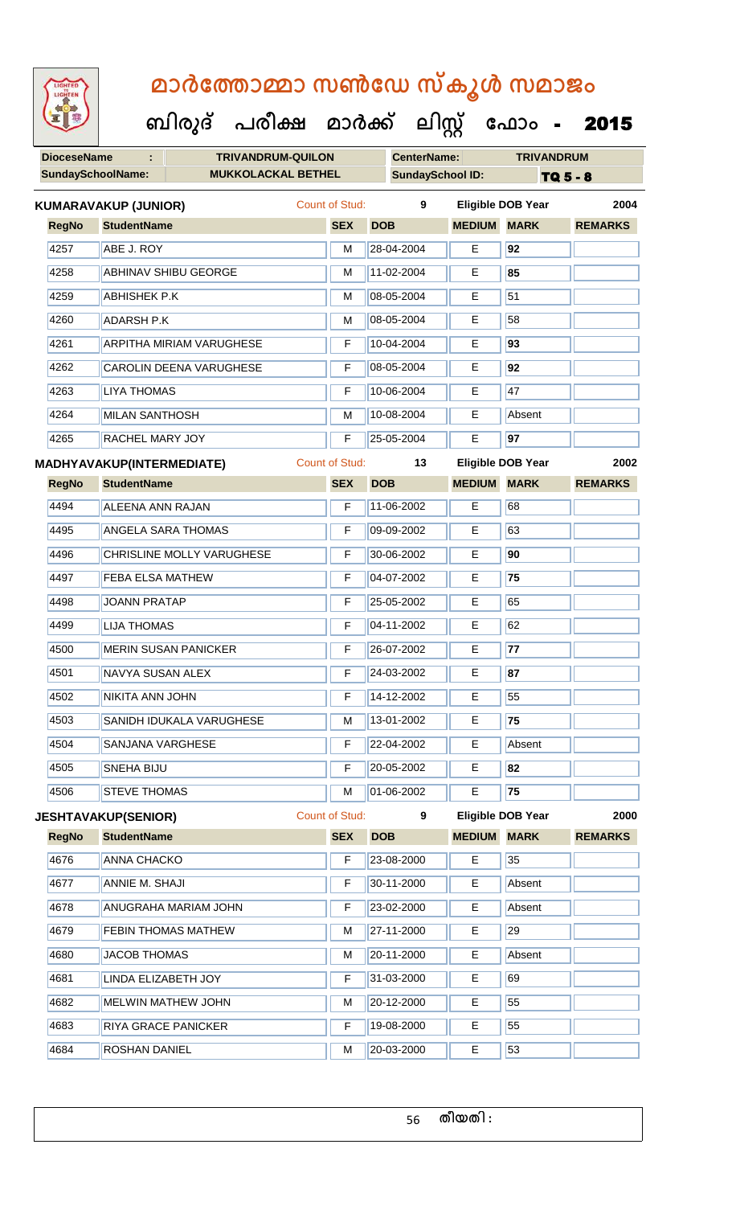**DioceseName : TRIVANDRUM-QUILON CenterName: TRIVANDRUM** SundaySchoolName: **MUKKOLACKAL BETHEL SundaySchool ID:** TQ 5 - 8  **ബിരുദ് പരീക്ഷ മാര്ക് ക ലിസ്റ്റ ക ഫ ാോം** - 2015 **RegNo StudentName SEX DOB MEDIUM MARK REMARKS KUMARAVAKUP (JUNIOR)** Count of Stud: **9 Eligible DOB Year 2004** 4257 ABE J. ROY M 28-04-2004 E **92** 4258 ABHINAV SHIBU GEORGE M 11-02-2004 E **85** 4259 **ABHISHEK P.K M 108-05-2004** E 51 4260 ADARSH P.K M 08-05-2004 E 58 4261 ARPITHA MIRIAM VARUGHESE F 10-04-2004 E **93** 4262 CAROLIN DEENA VARUGHESE F 08-05-2004 E **92** 4263 LIYA THOMAS F 10-06-2004 E 47 4264 MILAN SANTHOSH M 10-08-2004 E Absent 4265 RACHEL MARY JOY F 25-05-2004 E **97 RegNo StudentName SEX DOB MEDIUM MARK REMARKS MADHYAVAKUP(INTERMEDIATE)** Count of Stud: **13 Eligible DOB Year 2002** 4494 ALEENA ANN RAJAN F 11-06-2002 E 68 4495 ANGELA SARA THOMAS F 09-09-2002 E 63 4496 CHRISLINE MOLLY VARUGHESE F 30-06-2002 E **90** 4497 FEBA ELSA MATHEW F 04-07-2002 E **75** 4498 JOANN PRATAP F 25-05-2002 E 65 4499 LIJA THOMAS F **F 04-11-2002** E 62 4500 MERIN SUSAN PANICKER F 26-07-2002 E **77** 4501 NAVYA SUSAN ALEX F 24-03-2002 E **87** 4502 NIKITA ANN JOHN F 14-12-2002 E 55 4503 SANIDH IDUKALA VARUGHESE M 13-01-2002 E **75** 4504 SANJANA VARGHESE **F** 22-04-2002 **E** Absent 4505 SNEHA BIJU F 20-05-2002 E **82** 4506 STEVE THOMAS M 01-06-2002 E **75 RegNo StudentName SEX DOB MEDIUM MARK REMARKS JESHTAVAKUP(SENIOR)** Count of Stud: **9 Eligible DOB Year 2000** 4676 ANNA CHACKO **F 23-08-2000** E 35 4677 ANNIE M. SHAJI F 30-11-2000 E Absent 4678 ANUGRAHA MARIAM JOHN F 23-02-2000 E Absent 4679 FEBIN THOMAS MATHEW M 27-11-2000 E 29 4680 JACOB THOMAS MEDICINE MEDICINE Absent 4681 LINDA ELIZABETH JOY F 31-03-2000 E 69 4682 MELWIN MATHEW JOHN M M 20-12-2000 E 55 4683 RIYA GRACE PANICKER **F 19-08-2000** E 55

4684 **ROSHAN DANIEL M 20-03-2000** E 53

56 **തീയതി :**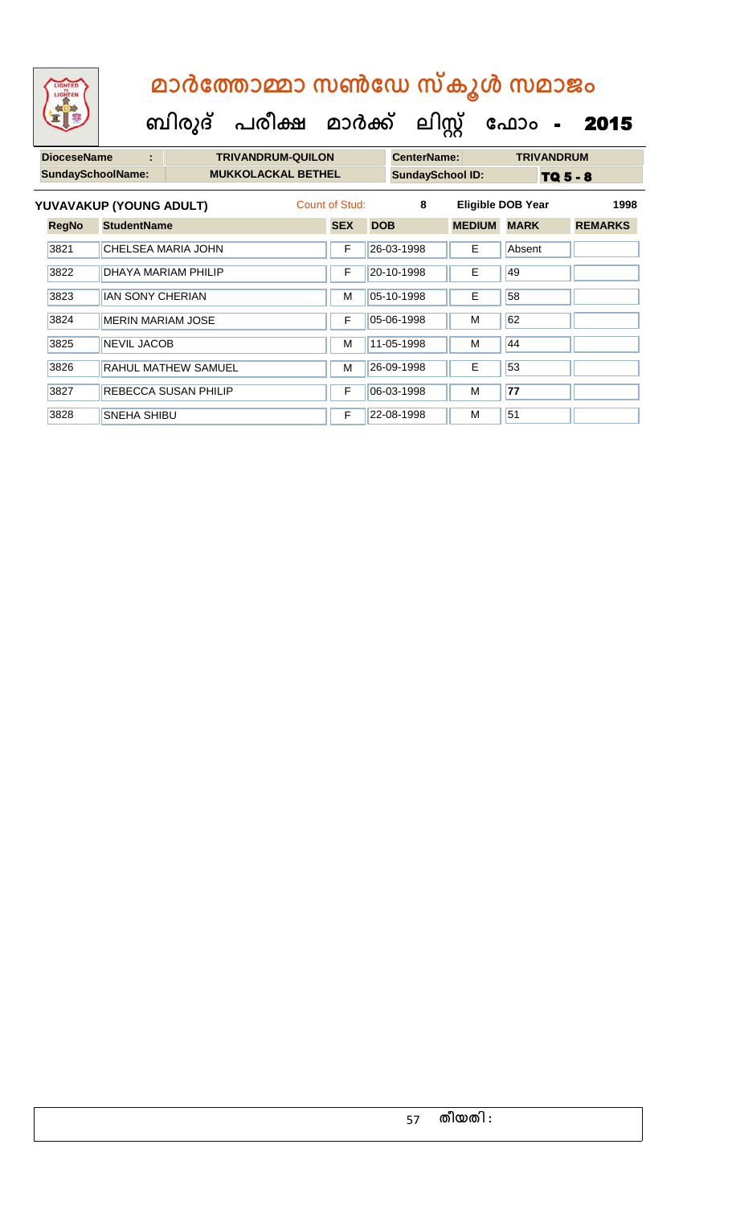# **ബിരുദ് പരീക്ഷ മാര്ക് ക ലിസ്റ്റ ക ഫ ാോം** - 2015  **മാര്കഫതാമ്മാ സണ്ഫേ സ്കൂള് സമാജോം**

| <b>DioceseName</b> |                           |                             | <b>TRIVANDRUM-QUILON</b> |                |            | <b>CenterName:</b>      |                          | <b>TRIVANDRUM</b> |                 |
|--------------------|---------------------------|-----------------------------|--------------------------|----------------|------------|-------------------------|--------------------------|-------------------|-----------------|
|                    | SundaySchoolName:         | <b>MUKKOLACKAL BETHEL</b>   |                          |                |            | <b>SundaySchool ID:</b> |                          |                   | <b>TQ 5 - 8</b> |
|                    | YUVAVAKUP (YOUNG ADULT)   |                             |                          | Count of Stud: |            | 8                       | <b>Eligible DOB Year</b> |                   | 1998            |
| <b>RegNo</b>       | <b>StudentName</b>        |                             |                          | <b>SEX</b>     | <b>DOB</b> |                         | <b>MEDIUM</b>            | <b>MARK</b>       | <b>REMARKS</b>  |
| 3821               | <b>CHELSEA MARIA JOHN</b> |                             |                          | F              | 26-03-1998 |                         | Е                        | Absent            |                 |
| 3822               |                           | DHAYA MARIAM PHILIP         |                          | F              | 20-10-1998 |                         | E.                       | 49                |                 |
| 3823               | <b>IAN SONY CHERIAN</b>   |                             |                          | M              | 05-10-1998 |                         | E                        | 58                |                 |
| 3824               | <b>MERIN MARIAM JOSE</b>  |                             |                          | F              | 05-06-1998 |                         | м                        | 62                |                 |
| 3825               | <b>NEVIL JACOB</b>        |                             |                          | м              | 11-05-1998 |                         | M                        | 44                |                 |
| 3826               |                           | RAHUL MATHEW SAMUEL         |                          | м              | 26-09-1998 |                         | E                        | 53                |                 |
| 3827               |                           | <b>REBECCA SUSAN PHILIP</b> |                          | F              | 06-03-1998 |                         | М                        | 77                |                 |
| 3828               | <b>SNEHA SHIBU</b>        |                             |                          | F              | 22-08-1998 |                         | M                        | 51                |                 |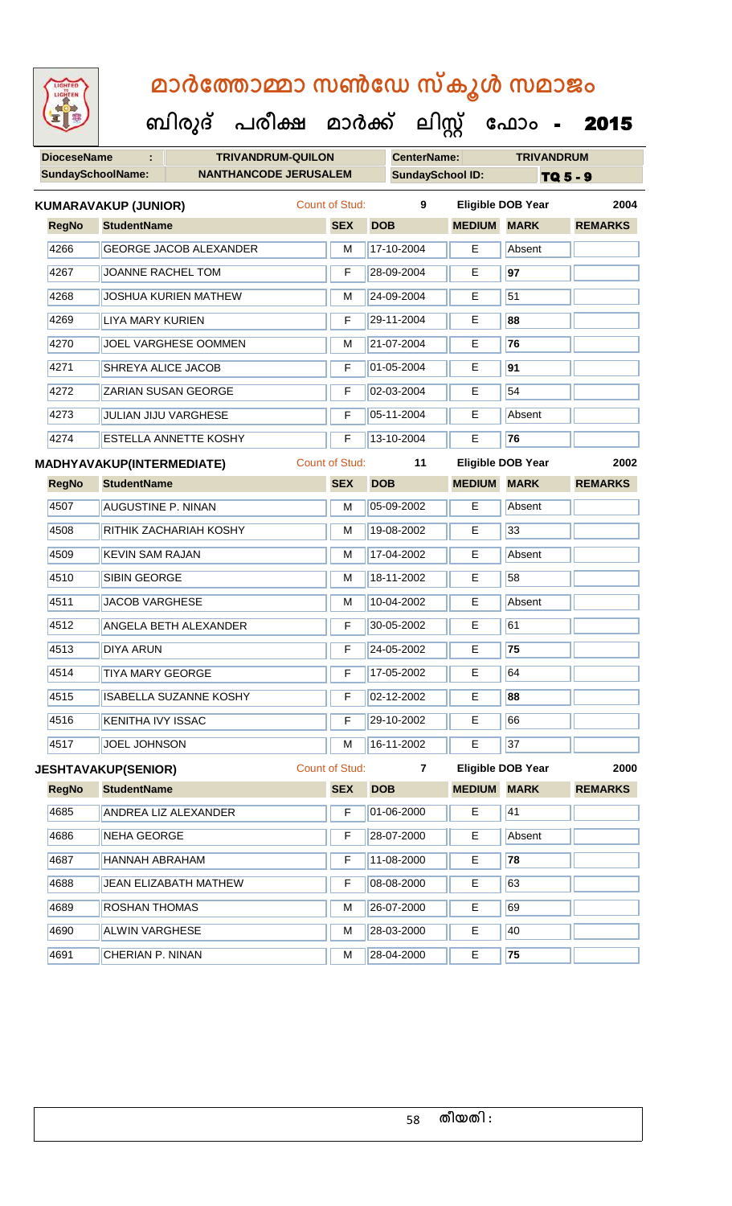**DioceseName : TRIVANDRUM-QUILON CenterName: TRIVANDRUM** SundaySchoolName: **NANTHANCODE JERUSALEM** SundaySchool ID: **TQ 5 - 9 ബിരുദ് പരീക്ഷ മാര്ക് ക ലിസ്റ്റ ക ഫ ാോം** - 2015 **RegNo StudentName SEX DOB MEDIUM MARK REMARKS KUMARAVAKUP (JUNIOR)** Count of Stud: **9 Eligible DOB Year 2004** 4266 GEORGE JACOB ALEXANDER M 17-10-2004 E Absent 4267 JOANNE RACHEL TOM F 28-09-2004 E **97** 4268 | JOSHUA KURIEN MATHEW | M | 24-09-2004 | E | 51 4269 LIYA MARY KURIEN F 29-11-2004 E **88** 4270 JOEL VARGHESE OOMMEN M 21-07-2004 E **76** 4271 SHREYA ALICE JACOB F 01-05-2004 E **91** 4272 ZARIAN SUSAN GEORGE F 02-03-2004 E 54 4273 JULIAN JIJU VARGHESE **F 105-11-2004** E Absent 4274 ESTELLA ANNETTE KOSHY F 13-10-2004 E **76 RegNo StudentName SEX DOB MEDIUM MARK REMARKS MADHYAVAKUP(INTERMEDIATE)** Count of Stud: **11 Eligible DOB Year 2002** 4507 AUGUSTINE P. NINAN M 105-09-2002 E Absent 4508 RITHIK ZACHARIAH KOSHY M 19-08-2002 E 33 4509 KEVIN SAM RAJAN MEDITIAN MEDITIAN MEDITIAN MEDITIAN MEDITIAN ADSent 4510 SIBIN GEORGE M M 18-11-2002 E 58 4511 JACOB VARGHESE M 10-04-2002 E Absent 4512 ANGELA BETH ALEXANDER **F** 30-05-2002 E 61 4513 DIYA ARUN F 24-05-2002 E **75** 4514 TIYA MARY GEORGE F 17-05-2002 E 64 4515 ISABELLA SUZANNE KOSHY F 02-12-2002 E **88** 4516 KENITHA IVY ISSAC F 29-10-2002 E 66 4517 JOEL JOHNSON M 16-11-2002 E 37 **JESHTAVAKUP(SENIOR)** Count of Stud: **7 Eligible DOB Year 2000**

**RegNo StudentName SEX DOB MEDIUM MARK REMARKS** 4685 ANDREA LIZ ALEXANDER F 01-06-2000 E 41 4686 NEHA GEORGE **F 28-07-2000** E Absent 4687 HANNAH ABRAHAM F 11-08-2000 E **78** 4688 JULA ELIZABATH MATHEW F 08-08-2000 E 63 4689 ROSHAN THOMAS M M 26-07-2000 E 69 4690 ALWIN VARGHESE M M 28-03-2000 E 40 4691 CHERIAN P. NINAN M 28-04-2000 E **75**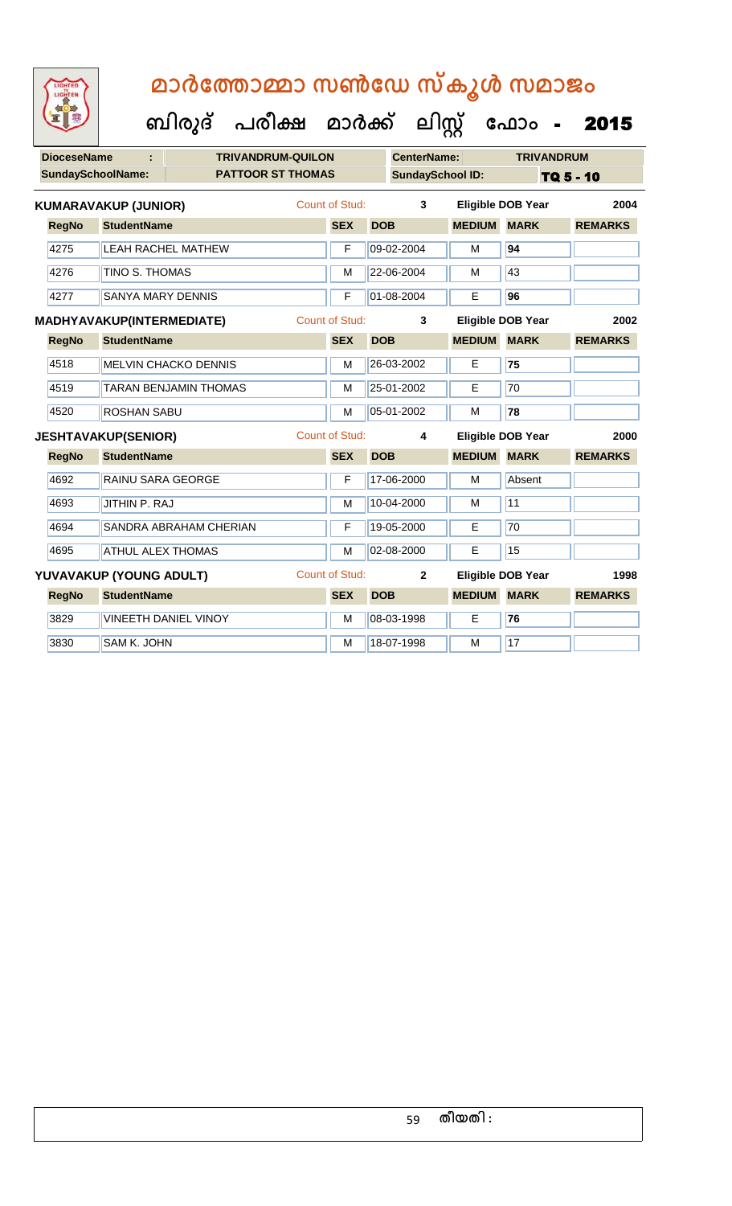**ബിരുദ് പരീക്ഷ മാര്ക് ക ലിസ്റ്റ ക ഫ ാോം** - 2015

| <b>DioceseName</b>       | ÷                           | <b>TRIVANDRUM-QUILON</b>     |                       |            | <b>CenterName:</b>      |               | <b>TRIVANDRUM</b>        |                |
|--------------------------|-----------------------------|------------------------------|-----------------------|------------|-------------------------|---------------|--------------------------|----------------|
| <b>SundaySchoolName:</b> |                             | <b>PATTOOR ST THOMAS</b>     |                       |            | <b>SundaySchool ID:</b> |               |                          | TQ 5 - 10      |
|                          | <b>KUMARAVAKUP (JUNIOR)</b> |                              | <b>Count of Stud:</b> |            | 3                       |               | <b>Eligible DOB Year</b> | 2004           |
| <b>RegNo</b>             | <b>StudentName</b>          |                              | <b>SEX</b>            | <b>DOB</b> |                         | <b>MEDIUM</b> | <b>MARK</b>              | <b>REMARKS</b> |
| 4275                     |                             | <b>LEAH RACHEL MATHEW</b>    | F                     |            | 09-02-2004              | M             | 94                       |                |
| 4276                     | TINO S. THOMAS              |                              | M                     |            | 22-06-2004              | M             | 43                       |                |
| 4277                     | <b>SANYA MARY DENNIS</b>    |                              | F                     |            | 01-08-2004              | Е             | 96                       |                |
|                          | MADHYAVAKUP(INTERMEDIATE)   |                              | <b>Count of Stud:</b> |            | 3                       |               | <b>Eligible DOB Year</b> | 2002           |
| <b>RegNo</b>             | <b>StudentName</b>          |                              | <b>SEX</b>            | <b>DOB</b> |                         | <b>MEDIUM</b> | <b>MARK</b>              | <b>REMARKS</b> |
| 4518                     |                             | <b>MELVIN CHACKO DENNIS</b>  | M                     |            | 26-03-2002              | E             | 75                       |                |
| 4519                     |                             | <b>TARAN BENJAMIN THOMAS</b> | M                     |            | 25-01-2002              | E             | $\overline{70}$          |                |
| 4520                     | <b>ROSHAN SABU</b>          |                              | M                     |            | 05-01-2002              | M             | 78                       |                |
|                          | <b>JESHTAVAKUP(SENIOR)</b>  |                              | Count of Stud:        |            | 4                       |               | <b>Eligible DOB Year</b> | 2000           |
| <b>RegNo</b>             | <b>StudentName</b>          |                              | <b>SEX</b>            | <b>DOB</b> |                         | <b>MEDIUM</b> | <b>MARK</b>              | <b>REMARKS</b> |
| 4692                     | RAINU SARA GEORGE           |                              | F                     |            | 17-06-2000              | M             | Absent                   |                |
| 4693                     | JITHIN P. RAJ               |                              | M                     |            | 10-04-2000              | M             | 11                       |                |
| 4694                     |                             | SANDRA ABRAHAM CHERIAN       | F                     |            | 19-05-2000              | E             | 70                       |                |
| 4695                     | <b>ATHUL ALEX THOMAS</b>    |                              | M                     |            | 02-08-2000              | E             | 15                       |                |
|                          | YUVAVAKUP (YOUNG ADULT)     |                              | <b>Count of Stud:</b> |            | $\overline{2}$          |               | Eligible DOB Year        | 1998           |
| <b>RegNo</b>             | <b>StudentName</b>          |                              | <b>SEX</b>            | <b>DOB</b> |                         | <b>MEDIUM</b> | <b>MARK</b>              | <b>REMARKS</b> |
| 3829                     |                             | <b>VINEETH DANIEL VINOY</b>  | M                     |            | 08-03-1998              | E             | 76                       |                |
| 3830                     | SAM K. JOHN                 |                              | M                     |            | 18-07-1998              | M             | 17                       |                |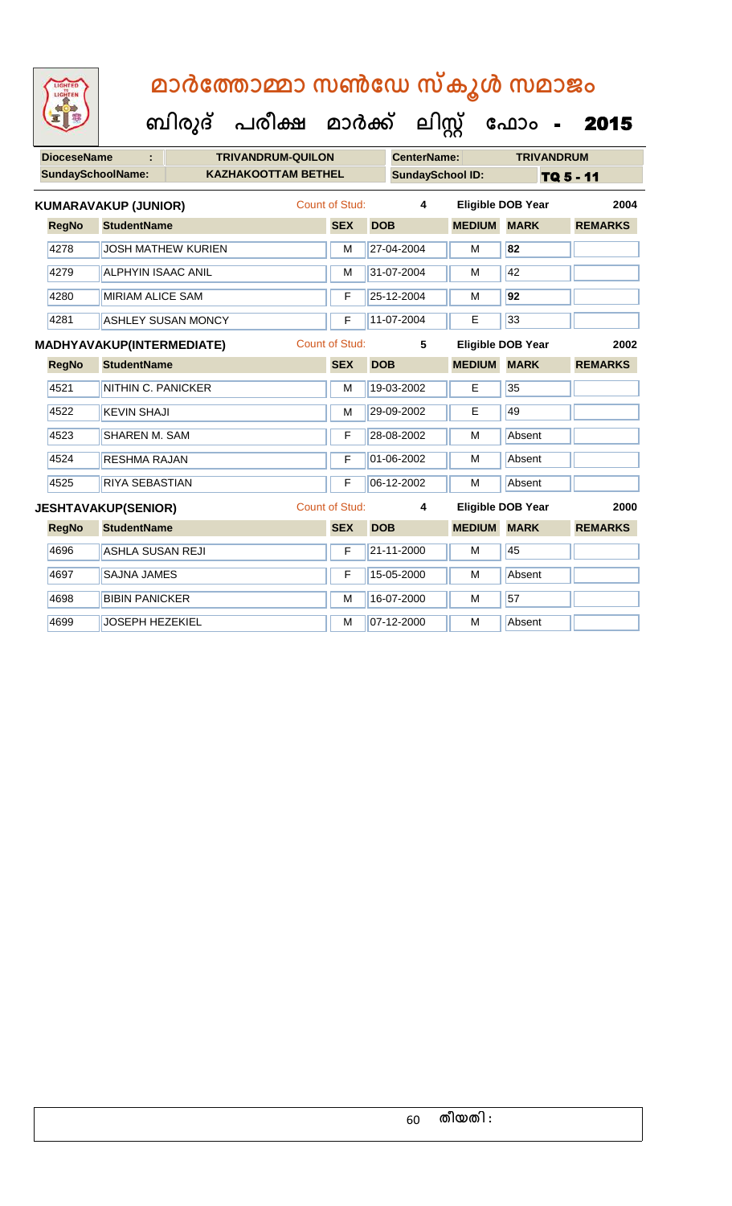| LIGHTED<br>LIGHTEN |                             | ബിരുദ്                           | മാർത്തോമ്മാ സൺഡേ സ്കൂൾ സമാജം<br>പരീക്ഷ മാർക്ക് |                |            | ലിസ്റ്റ്                |               | ഫോം -                    | 2015           |
|--------------------|-----------------------------|----------------------------------|------------------------------------------------|----------------|------------|-------------------------|---------------|--------------------------|----------------|
| <b>DioceseName</b> |                             |                                  | <b>TRIVANDRUM-QUILON</b>                       |                |            | <b>CenterName:</b>      |               | <b>TRIVANDRUM</b>        |                |
|                    | <b>SundaySchoolName:</b>    |                                  | <b>KAZHAKOOTTAM BETHEL</b>                     |                |            | <b>SundaySchool ID:</b> |               |                          | TQ 5 - 11      |
|                    | <b>KUMARAVAKUP (JUNIOR)</b> |                                  |                                                | Count of Stud: |            | 4                       |               | <b>Eligible DOB Year</b> | 2004           |
| <b>RegNo</b>       | <b>StudentName</b>          |                                  |                                                | <b>SEX</b>     | <b>DOB</b> |                         | <b>MEDIUM</b> | <b>MARK</b>              | <b>REMARKS</b> |
| 4278               |                             | <b>JOSH MATHEW KURIEN</b>        |                                                | M              |            | 27-04-2004              | м             | 82                       |                |
| 4279               |                             | ALPHYIN ISAAC ANIL               |                                                | М              |            | 31-07-2004              | м             | 42                       |                |
| 4280               |                             | <b>MIRIAM ALICE SAM</b>          |                                                | F              |            | 25-12-2004              | м             | 92                       |                |
| 4281               |                             | <b>ASHLEY SUSAN MONCY</b>        |                                                | F              |            | 11-07-2004              | E             | 33                       |                |
|                    |                             | <b>MADHYAVAKUP(INTERMEDIATE)</b> |                                                | Count of Stud: |            | 5                       |               | <b>Eligible DOB Year</b> | 2002           |
| <b>RegNo</b>       | <b>StudentName</b>          |                                  |                                                | <b>SEX</b>     | <b>DOB</b> |                         | <b>MEDIUM</b> | <b>MARK</b>              | <b>REMARKS</b> |
|                    |                             |                                  |                                                |                |            |                         |               |                          |                |
| 4521               |                             | NITHIN C. PANICKER               |                                                | M              |            | 19-03-2002              | E             | 35                       |                |
| 4522               | <b>KEVIN SHAJI</b>          |                                  |                                                | М              |            | 29-09-2002              | E             | 49                       |                |
| 4523               | <b>SHAREN M. SAM</b>        |                                  |                                                | F              |            | 28-08-2002              | м             | Absent                   |                |

4524 RESHMA RAJAN F 01-06-2002 M Absent

4525 RIYA SEBASTIAN F 06-12-2002 M Absent

4696 ASHLA SUSAN REJI F 21-11-2000 M 45

4698 BIBIN PANICKER M M 16-07-2000 M 57

4697 SAJNA JAMES **F 15-05-2000** M Absent

4699 JOSEPH HEZEKIEL M 07-12-2000 M Absent

**RegNo StudentName SEX DOB MEDIUM MARK REMARKS JESHTAVAKUP(SENIOR)** Count of Stud: **4 Eligible DOB Year 2000**

#### 60 **തീയതി :**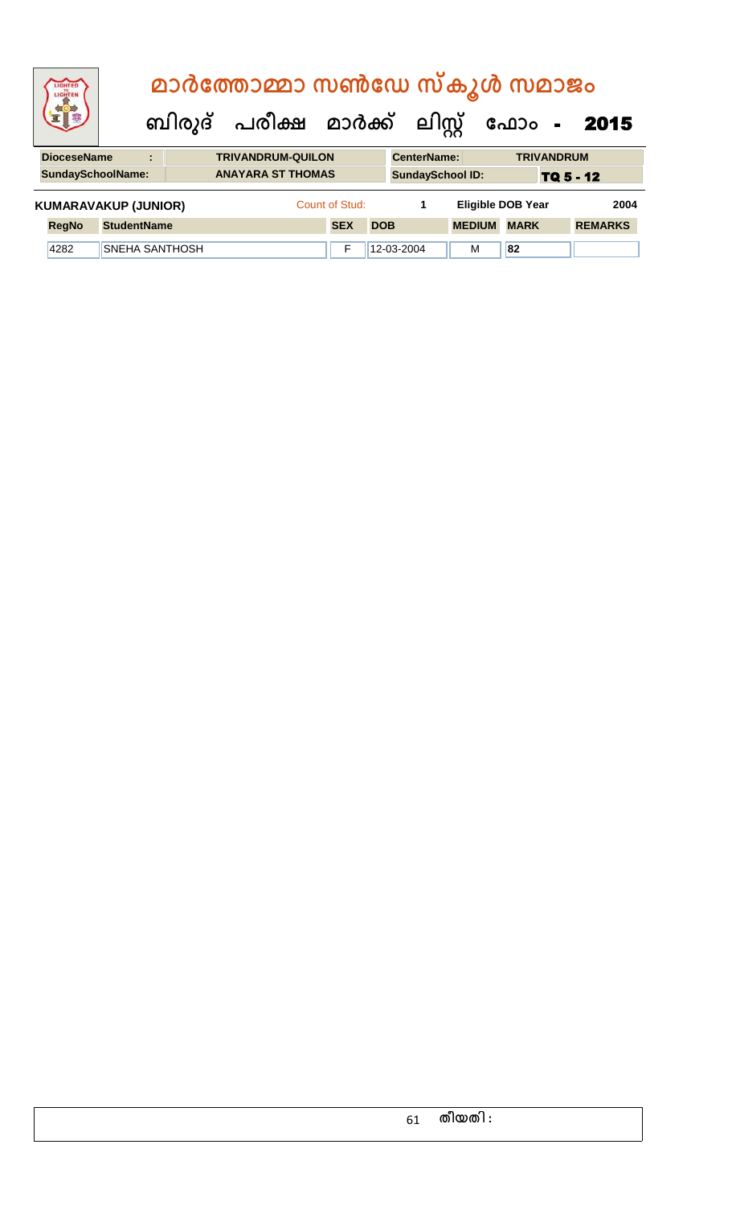| LIGHTED<br>LIGHTEN                 |                             |  |  | മാർത്തോമ്മാ സൺഡേ സ്കൂൾ സമാജം   |                |            |                         |                          |             |                   |                |
|------------------------------------|-----------------------------|--|--|--------------------------------|----------------|------------|-------------------------|--------------------------|-------------|-------------------|----------------|
|                                    |                             |  |  | ബിരുദ് പരീക്ഷ മാർക്ക് ലിസ്റ്റ് |                |            |                         |                          |             |                   | ഫോം - 2015     |
| <b>DioceseName</b>                 | ÷                           |  |  | <b>TRIVANDRUM-QUILON</b>       |                |            | <b>CenterName:</b>      |                          |             | <b>TRIVANDRUM</b> |                |
| <b>SundaySchoolName:</b>           |                             |  |  | <b>ANAYARA ST THOMAS</b>       |                |            | <b>SundaySchool ID:</b> |                          |             | TQ 5 - 12         |                |
|                                    | <b>KUMARAVAKUP (JUNIOR)</b> |  |  |                                | Count of Stud: |            | 1                       | <b>Eligible DOB Year</b> |             |                   | 2004           |
| <b>StudentName</b><br><b>RegNo</b> |                             |  |  |                                | <b>SEX</b>     | <b>DOB</b> |                         | <b>MEDIUM</b>            | <b>MARK</b> |                   | <b>REMARKS</b> |
| 4282                               | <b>SNEHA SANTHOSH</b>       |  |  |                                | F              |            | 12-03-2004              | M                        | 82          |                   |                |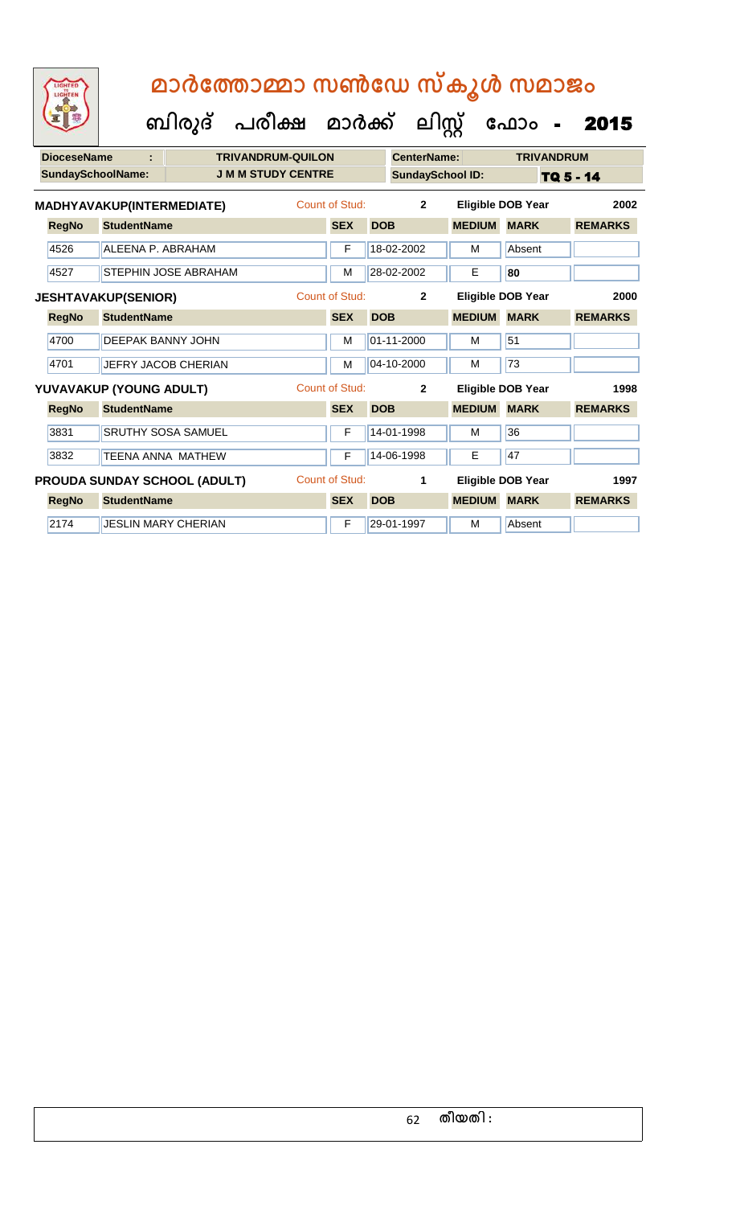| <b>DioceseName</b> |                            |                                     | <b>TRIVANDRUM-QUILON</b>  |                       |            | <b>CenterName:</b>      |               | <b>TRIVANDRUM</b>        |                |
|--------------------|----------------------------|-------------------------------------|---------------------------|-----------------------|------------|-------------------------|---------------|--------------------------|----------------|
|                    | <b>SundaySchoolName:</b>   |                                     | <b>J M M STUDY CENTRE</b> |                       |            | <b>SundaySchool ID:</b> |               |                          | TQ 5 - 14      |
|                    | MADHYAVAKUP(INTERMEDIATE)  |                                     |                           | Count of Stud:        |            | $\overline{2}$          |               | <b>Eligible DOB Year</b> | 2002           |
| <b>RegNo</b>       | <b>StudentName</b>         |                                     |                           | <b>SEX</b>            | <b>DOB</b> |                         | <b>MEDIUM</b> | <b>MARK</b>              | <b>REMARKS</b> |
| 4526               | ALEENA P. ABRAHAM          |                                     |                           | F                     |            | 18-02-2002              | М             | Absent                   |                |
| 4527               |                            | <b>STEPHIN JOSE ABRAHAM</b>         |                           | M                     |            | 28-02-2002              | Е             | 80                       |                |
|                    | <b>JESHTAVAKUP(SENIOR)</b> |                                     |                           | <b>Count of Stud:</b> |            | $\overline{2}$          |               | Eligible DOB Year        | 2000           |
| <b>RegNo</b>       | <b>StudentName</b>         |                                     |                           | <b>SEX</b>            | <b>DOB</b> |                         | <b>MEDIUM</b> | <b>MARK</b>              | <b>REMARKS</b> |
| 4700               | <b>DEEPAK BANNY JOHN</b>   |                                     |                           | M                     |            | 01-11-2000              | м             | 51                       |                |
| 4701               |                            | JEFRY JACOB CHERIAN                 |                           | M                     |            | 04-10-2000              | м             | 73                       |                |
|                    | YUVAVAKUP (YOUNG ADULT)    |                                     |                           | <b>Count of Stud:</b> |            | $\mathbf{2}$            |               | <b>Eligible DOB Year</b> | 1998           |
| <b>RegNo</b>       | <b>StudentName</b>         |                                     |                           | <b>SEX</b>            | <b>DOB</b> |                         | <b>MEDIUM</b> | <b>MARK</b>              | <b>REMARKS</b> |
| 3831               |                            | <b>SRUTHY SOSA SAMUEL</b>           |                           | F                     |            | 14-01-1998              | M             | 36                       |                |
| 3832               | <b>TEENA ANNA MATHEW</b>   |                                     |                           | F                     |            | 14-06-1998              | Е             | 47                       |                |
|                    |                            | <b>PROUDA SUNDAY SCHOOL (ADULT)</b> |                           | Count of Stud:        |            | 1                       |               | Eligible DOB Year        | 1997           |
| <b>RegNo</b>       | <b>StudentName</b>         |                                     |                           | <b>SEX</b>            | <b>DOB</b> |                         | <b>MEDIUM</b> | <b>MARK</b>              | <b>REMARKS</b> |
| 2174               | <b>JESLIN MARY CHERIAN</b> |                                     |                           | F                     |            | 29-01-1997              | м             | Absent                   |                |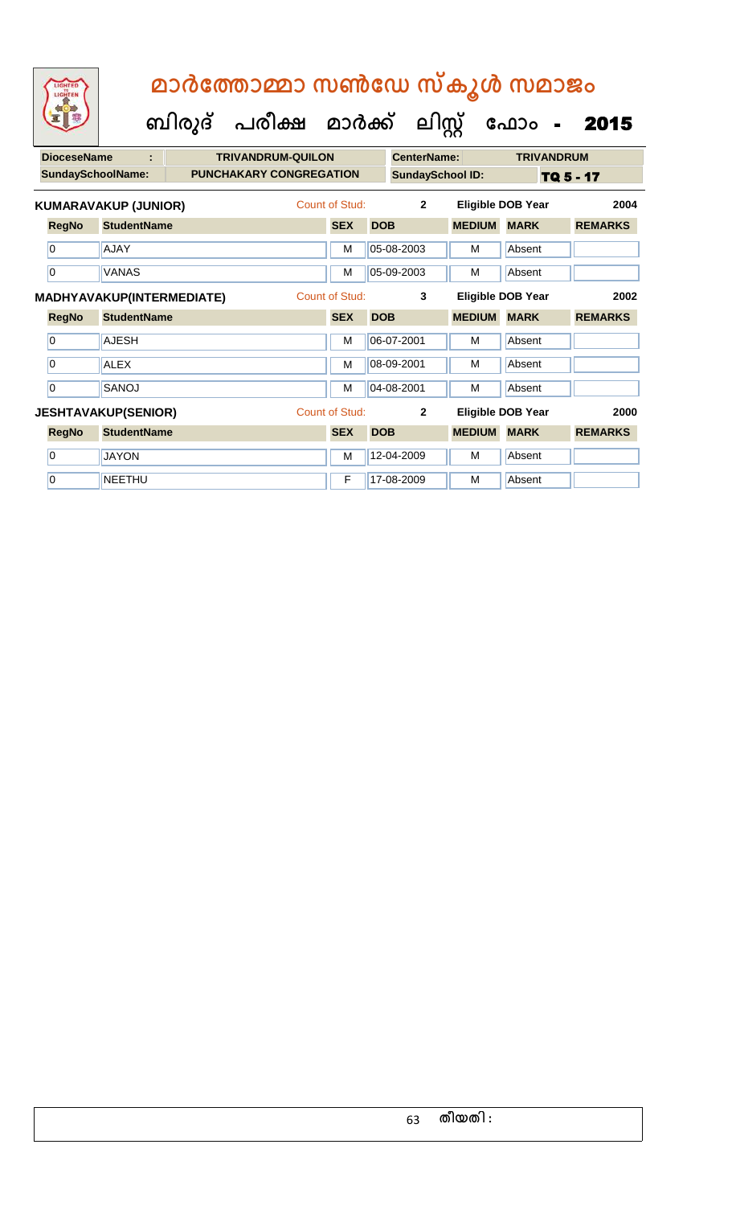| <b>DioceseName</b>       | t                           | <b>TRIVANDRUM-QUILON</b>       |                       |            | <b>CenterName:</b>      |               | <b>TRIVANDRUM</b>        |                |
|--------------------------|-----------------------------|--------------------------------|-----------------------|------------|-------------------------|---------------|--------------------------|----------------|
| <b>SundaySchoolName:</b> |                             | <b>PUNCHAKARY CONGREGATION</b> |                       |            | <b>SundaySchool ID:</b> |               |                          | TQ 5 - 17      |
|                          | <b>KUMARAVAKUP (JUNIOR)</b> |                                | Count of Stud:        |            | $\overline{2}$          |               | <b>Eligible DOB Year</b> | 2004           |
| <b>RegNo</b>             | <b>StudentName</b>          |                                | <b>SEX</b>            | <b>DOB</b> |                         | <b>MEDIUM</b> | <b>MARK</b>              | <b>REMARKS</b> |
| 0                        | <b>AJAY</b>                 |                                | M                     |            | 05-08-2003              | M             | Absent                   |                |
| 0                        | <b>VANAS</b>                |                                | M                     |            | 05-09-2003              | M             | Absent                   |                |
|                          | MADHYAVAKUP(INTERMEDIATE)   |                                | <b>Count of Stud:</b> |            | 3                       |               | Eligible DOB Year        | 2002           |
| <b>RegNo</b>             | <b>StudentName</b>          |                                | <b>SEX</b>            | <b>DOB</b> |                         | <b>MEDIUM</b> | <b>MARK</b>              | <b>REMARKS</b> |
| 0                        | <b>AJESH</b>                |                                | M                     |            | 06-07-2001              | M             | Absent                   |                |
| 0                        | <b>ALEX</b>                 |                                | M                     |            | 08-09-2001              | м             | Absent                   |                |
| $\overline{0}$           | SANOJ                       |                                | M                     |            | 04-08-2001              | м             | Absent                   |                |
|                          | <b>JESHTAVAKUP(SENIOR)</b>  |                                | <b>Count of Stud:</b> |            | $\overline{2}$          |               | <b>Eligible DOB Year</b> | 2000           |
| <b>RegNo</b>             | <b>StudentName</b>          |                                | <b>SEX</b>            | <b>DOB</b> |                         | <b>MEDIUM</b> | <b>MARK</b>              | <b>REMARKS</b> |
| 0                        | <b>JAYON</b>                |                                | M                     |            | 12-04-2009              | м             | Absent                   |                |
| $\overline{0}$           | <b>NEETHU</b>               |                                | F                     |            | 17-08-2009              | M             | Absent                   |                |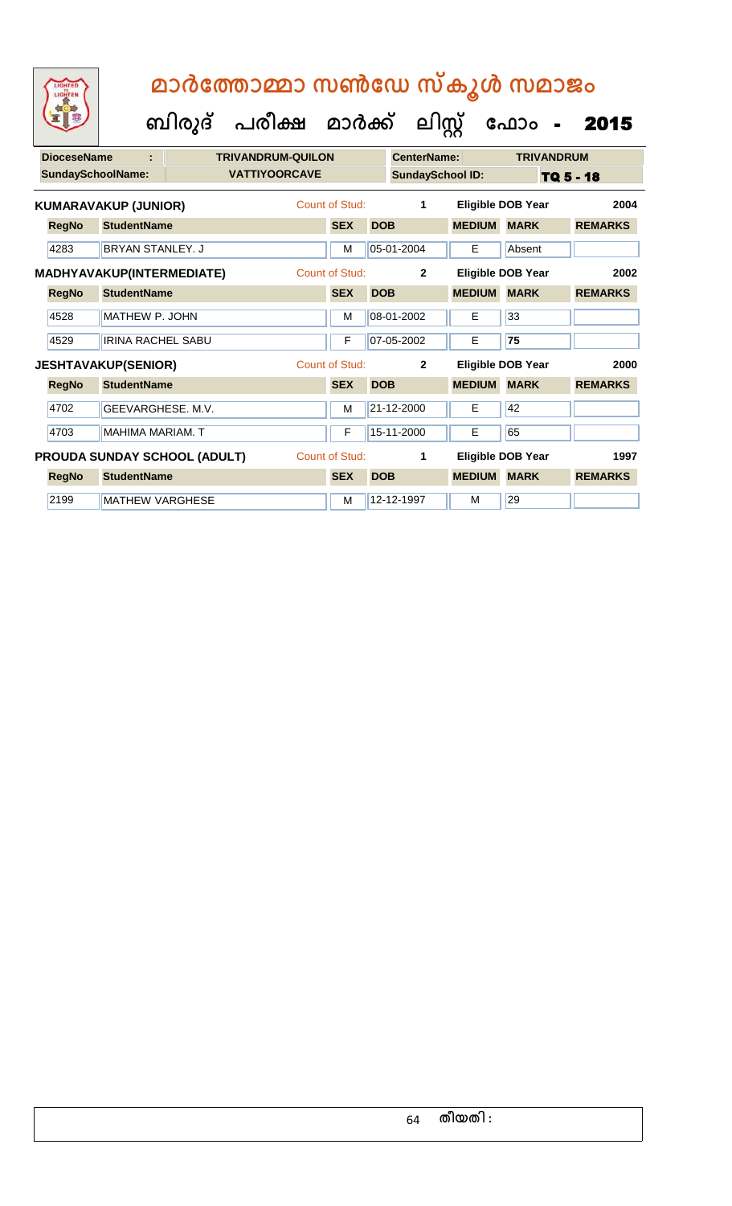| <b>DioceseName</b>       | ÷                            | <b>TRIVANDRUM-QUILON</b> |                       |            | <b>CenterName:</b>      |                          |             | <b>TRIVANDRUM</b> |                |  |
|--------------------------|------------------------------|--------------------------|-----------------------|------------|-------------------------|--------------------------|-------------|-------------------|----------------|--|
| <b>SundaySchoolName:</b> |                              | <b>VATTIYOORCAVE</b>     |                       |            | <b>SundaySchool ID:</b> |                          |             | TQ 5 - 18         |                |  |
|                          | <b>KUMARAVAKUP (JUNIOR)</b>  |                          | Count of Stud:        |            | 1                       | <b>Eligible DOB Year</b> |             |                   | 2004           |  |
| <b>RegNo</b>             | <b>StudentName</b>           |                          | <b>SEX</b>            | <b>DOB</b> |                         | <b>MEDIUM</b>            | <b>MARK</b> |                   | <b>REMARKS</b> |  |
| 4283                     | <b>BRYAN STANLEY, J</b>      |                          | M                     |            | 05-01-2004              | E                        | Absent      |                   |                |  |
|                          | MADHYAVAKUP(INTERMEDIATE)    |                          | Count of Stud:        |            | $\overline{2}$          | Eligible DOB Year        |             |                   | 2002           |  |
| <b>RegNo</b>             | <b>StudentName</b>           |                          | <b>SEX</b>            | <b>DOB</b> |                         | <b>MEDIUM</b>            | <b>MARK</b> |                   | <b>REMARKS</b> |  |
| 4528                     | MATHEW P. JOHN               |                          | M                     |            | 08-01-2002              | E                        | 33          |                   |                |  |
| 4529                     | <b>IRINA RACHEL SABU</b>     |                          | F                     |            | 07-05-2002              | Е                        | 75          |                   |                |  |
|                          | <b>JESHTAVAKUP(SENIOR)</b>   |                          | Count of Stud:        |            | $\mathbf{2}$            | <b>Eligible DOB Year</b> |             |                   | 2000           |  |
| <b>RegNo</b>             | <b>StudentName</b>           |                          | <b>SEX</b>            | <b>DOB</b> |                         | <b>MEDIUM</b>            | <b>MARK</b> |                   | <b>REMARKS</b> |  |
| 4702                     | GEEVARGHESE. M.V.            |                          | M                     |            | 21-12-2000              | Е                        | 42          |                   |                |  |
| 4703                     | <b>MAHIMA MARIAM. T</b>      |                          | F                     |            | 15-11-2000              | Е                        | 65          |                   |                |  |
|                          | PROUDA SUNDAY SCHOOL (ADULT) |                          | <b>Count of Stud:</b> |            | 1                       | <b>Eligible DOB Year</b> |             |                   | 1997           |  |
| <b>RegNo</b>             | <b>StudentName</b>           |                          | <b>SEX</b>            | <b>DOB</b> |                         | <b>MEDIUM</b>            | <b>MARK</b> |                   | <b>REMARKS</b> |  |
| 2199                     | <b>MATHEW VARGHESE</b>       |                          | M                     |            | 12-12-1997              | м                        | 29          |                   |                |  |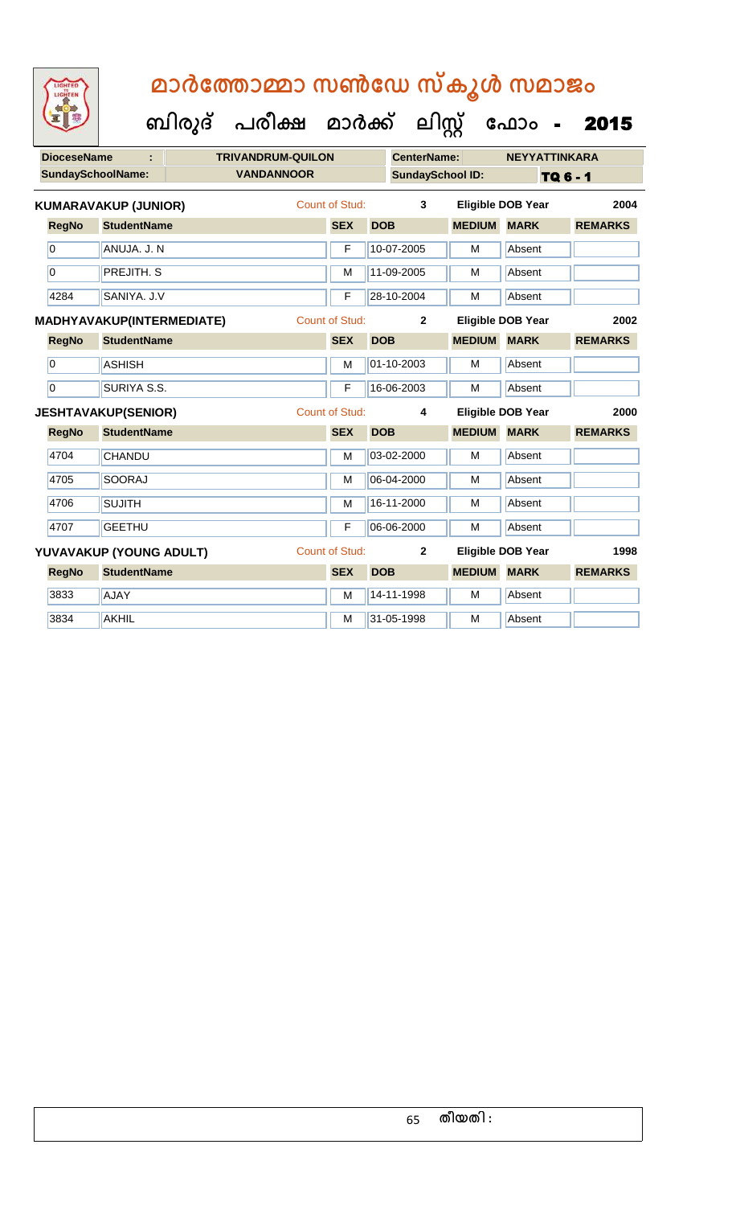**DioceseName : TRIVANDRUM-QUILON CenterName: NEYYATTINKARA SundaySchoolName: VANDANNOOR SundaySchool ID:** TQ 6 - 1  **ബിരുദ് പരീക്ഷ മാര്ക് ക ലിസ്റ്റ ക ഫ ാോം** - 2015 **RegNo StudentName SEX DOB MEDIUM MARK REMARKS KUMARAVAKUP (JUNIOR)** Count of Stud: **3 Eligible DOB Year 2004** 0 ANUJA. J. N F 10-07-2005 M Absent 0 **PREJITH. S** M 11-09-2005 M Absent 4284 SANIYA. J.V F 28-10-2004 M Absent **RegNo StudentName SEX DOB MEDIUM MARK REMARKS MADHYAVAKUP(INTERMEDIATE)** Count of Stud: **2 Eligible DOB Year 2002** 0 ASHISH M 01-10-2003 M Absent 0 SURIYA S.S. F 16-06-2003 M Absent **RegNo StudentName SEX DOB MEDIUM MARK REMARKS JESHTAVAKUP(SENIOR)** Count of Stud: **4 Eligible DOB Year 2000** 4704 CHANDU M 03-02-2000 M Absent 4705 SOORAJ M 06-04-2000 M Absent 4706 SUJITH M 16-11-2000 M Absent 4707 GEETHU F 06-06-2000 M Absent **RegNo StudentName SEX DOB MEDIUM MARK REMARKS YUVAVAKUP (YOUNG ADULT)** Count of Stud: **2 Eligible DOB Year 1998** 3833 AJAY M 14-11-1998 M Absent **3834 AKHIL ARGENT M 31-05-1998 M Absent**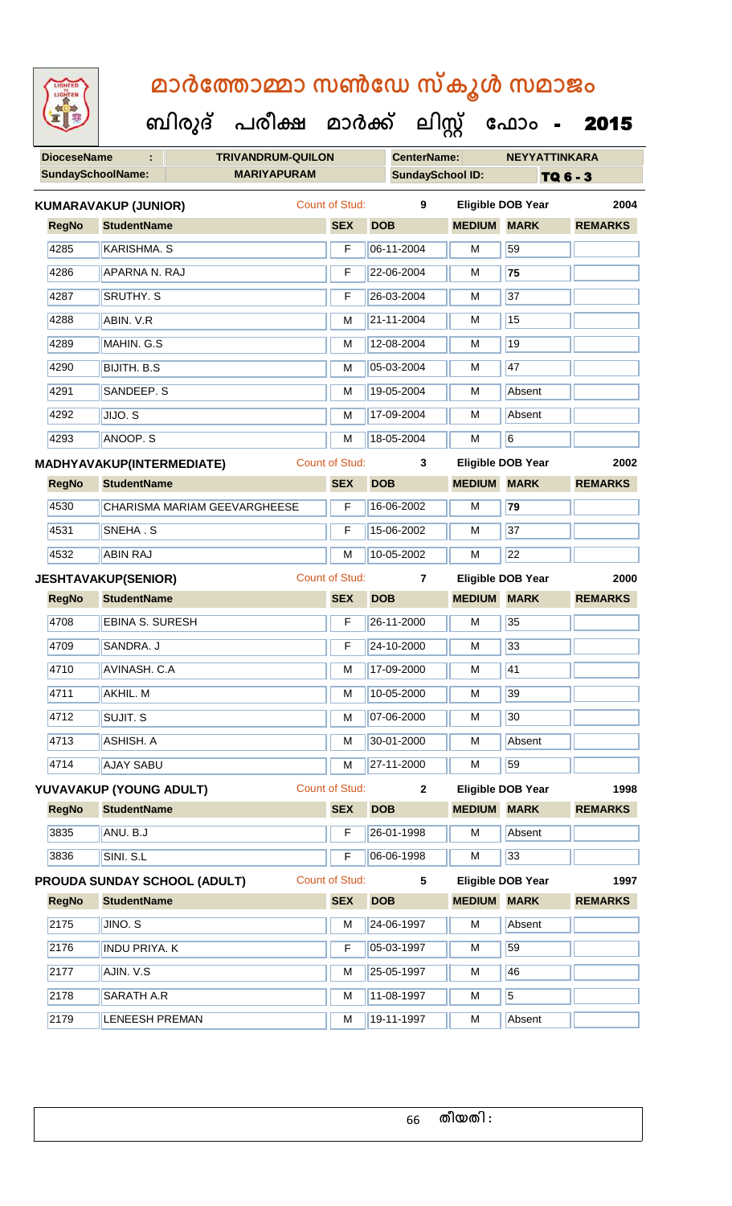**DioceseName : TRIVANDRUM-QUILON CenterName: NEYYATTINKARA** SundaySchoolName: **MARIYAPURAM SundaySchool ID:** TQ 6 - 3  **ബിരുദ് പരീക്ഷ മാര്ക് ക ലിസ്റ്റ ക ഫ ാോം** - 2015 **RegNo StudentName SEX DOB MEDIUM MARK REMARKS KUMARAVAKUP (JUNIOR)** Count of Stud: **9 Eligible DOB Year 2004** 4285 KARISHMA. S F 06-11-2004 M 59 4286 APARNA N. RAJ F 22-06-2004 M **75** 4287 SRUTHY. S F 26-03-2004 M 37 4288 ABIN. V.R M 21-11-2004 M 15 4289 MAHIN. G.S MAHIN. G.S MEDICAL MEDICAL MEDICAL MEDICAL MEDICAL MEDICAL MEDICAL MEDICAL MEDICAL MEDICAL MEDICAL MEDICAL MEDICAL MEDICAL MEDICAL MEDICAL MEDICAL MEDICAL MEDICAL MEDICAL MEDICAL MEDICAL MEDICAL MEDICAL MED 4290 BIJITH. B.S M 05-03-2004 M 47 4291 SANDEEP. S M 19-05-2004 M Absent 4292 JIJO. S M 17-09-2004 M Absent 4293 ||ANOOP. S M 18-05-2004 || M 6 **RegNo StudentName SEX DOB MEDIUM MARK REMARKS MADHYAVAKUP(INTERMEDIATE)** Count of Stud: **3 Eligible DOB Year 2002** 4530 CHARISMA MARIAM GEEVARGHEESE F 16-06-2002 M **79** 4531 SNEHA . S F 15-06-2002 M 37 4532 ABIN RAJ M 10-05-2002 M 22 **RegNo StudentName SEX DOB MEDIUM MARK REMARKS JESHTAVAKUP(SENIOR)** Count of Stud: **7 Eligible DOB Year 2000** 4708 **EBINA S. SURESH F 26-11-2000** M 35 4709 SANDRA. J F 24-10-2000 M 33 4710 AVINASH. C.A M 17-09-2000 M 141 4711 AKHIL. M M 10-05-2000 M 39 4712 SUJIT. S M 07-06-2000 M 30 4713 | ASHISH. A M 30-01-2000 | M Absent 4714 AJAY SABU M 27-11-2000 M 59 **RegNo StudentName SEX DOB MEDIUM MARK REMARKS YUVAVAKUP (YOUNG ADULT)** Count of Stud: **2 Eligible DOB Year 1998** 3835 ANU. B.J F 26-01-1998 M Absent 3836 SINI. S.L **F 06-06-1998** M 33 **RegNo StudentName SEX DOB MEDIUM MARK REMARKS PROUDA SUNDAY SCHOOL (ADULT)** Count of Stud: **5 Eligible DOB Year 1997** 2175 JINO. S M 24-06-1997 M Absent 2176 **INDU PRIYA. K F 105-03-1997** M 59 2177 **AJIN. V.S M 25-05-1997 M** 25-05-1997 M 2178 SARATH A.R M 11-08-1997 M 5 2179 LENEESH PREMAN M M 19-11-1997 M Absent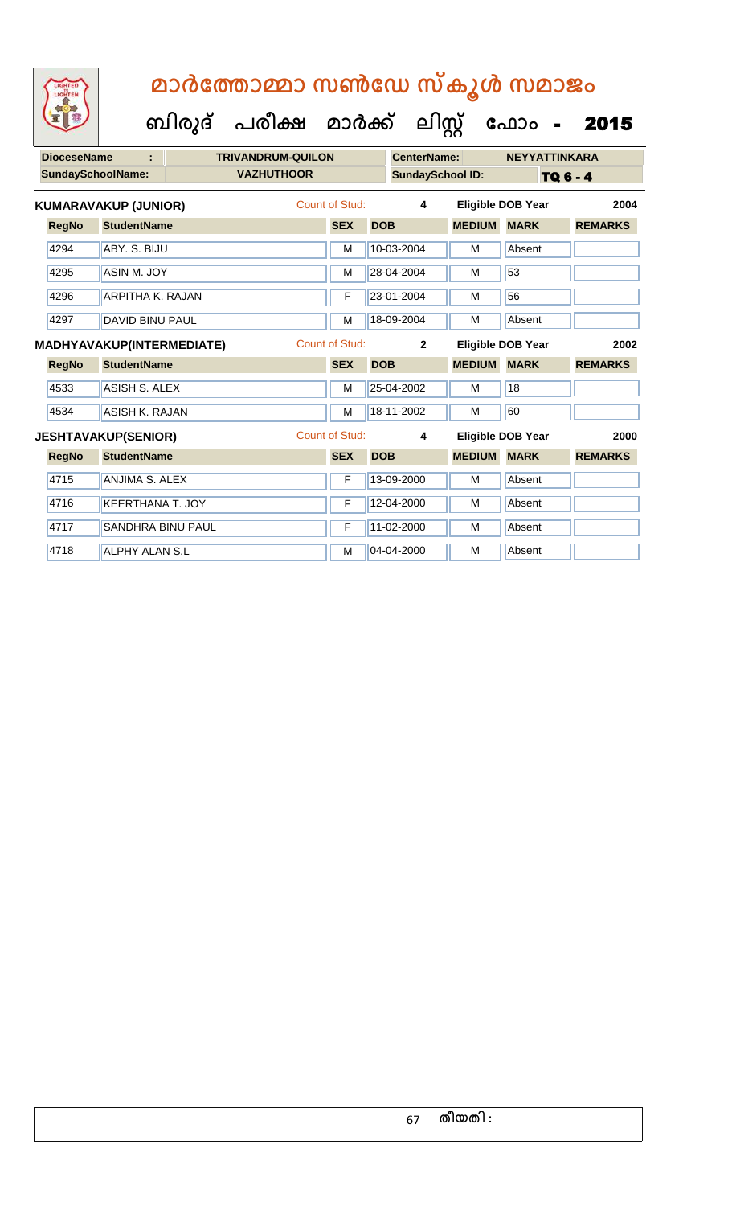| <b>DioceseName</b> |                             | <b>TRIVANDRUM-QUILON</b> |                       |            | <b>CenterName:</b>      |               | <b>NEYYATTINKARA</b>     |                |
|--------------------|-----------------------------|--------------------------|-----------------------|------------|-------------------------|---------------|--------------------------|----------------|
|                    | <b>SundaySchoolName:</b>    | <b>VAZHUTHOOR</b>        |                       |            | <b>SundaySchool ID:</b> |               | TQ 6 - 4                 |                |
|                    | <b>KUMARAVAKUP (JUNIOR)</b> |                          | <b>Count of Stud:</b> |            | 4                       |               | <b>Eligible DOB Year</b> | 2004           |
| <b>RegNo</b>       | <b>StudentName</b>          |                          | <b>SEX</b>            | <b>DOB</b> |                         | <b>MEDIUM</b> | <b>MARK</b>              | <b>REMARKS</b> |
| 4294               | ABY, S. BIJU                |                          | M                     |            | 10-03-2004              | M             | Absent                   |                |
| 4295               | ASIN M. JOY                 |                          | M                     |            | 28-04-2004              | M             | 53                       |                |
| 4296               | <b>ARPITHA K. RAJAN</b>     |                          | F                     |            | 23-01-2004              | M             | 56                       |                |
| 4297               | <b>DAVID BINU PAUL</b>      |                          | M                     |            | 18-09-2004              | M             | Absent                   |                |
|                    | MADHYAVAKUP(INTERMEDIATE)   |                          | Count of Stud:        |            | $\overline{2}$          |               | <b>Eligible DOB Year</b> | 2002           |
| <b>RegNo</b>       | <b>StudentName</b>          |                          | <b>SEX</b>            | <b>DOB</b> |                         | <b>MEDIUM</b> | <b>MARK</b>              | <b>REMARKS</b> |
| 4533               | <b>ASISH S. ALEX</b>        |                          | M                     |            | 25-04-2002              | M             | 18                       |                |
| 4534               | ASISH K. RAJAN              |                          | M                     |            | 18-11-2002              | M             | 60                       |                |
|                    | <b>JESHTAVAKUP(SENIOR)</b>  |                          | Count of Stud:        |            | 4                       |               | <b>Eligible DOB Year</b> | 2000           |
| <b>RegNo</b>       | <b>StudentName</b>          |                          | <b>SEX</b>            | <b>DOB</b> |                         | <b>MEDIUM</b> | <b>MARK</b>              | <b>REMARKS</b> |
| 4715               | <b>ANJIMA S. ALEX</b>       |                          | F                     |            | 13-09-2000              | M             | Absent                   |                |
| 4716               | <b>KEERTHANA T. JOY</b>     |                          | F                     |            | 12-04-2000              | M             | Absent                   |                |
| 4717               | <b>SANDHRA BINU PAUL</b>    |                          | F                     |            | 11-02-2000              | M             | Absent                   |                |
| 4718               | <b>ALPHY ALAN S.L</b>       |                          | M                     |            | 04-04-2000              | M             | Absent                   |                |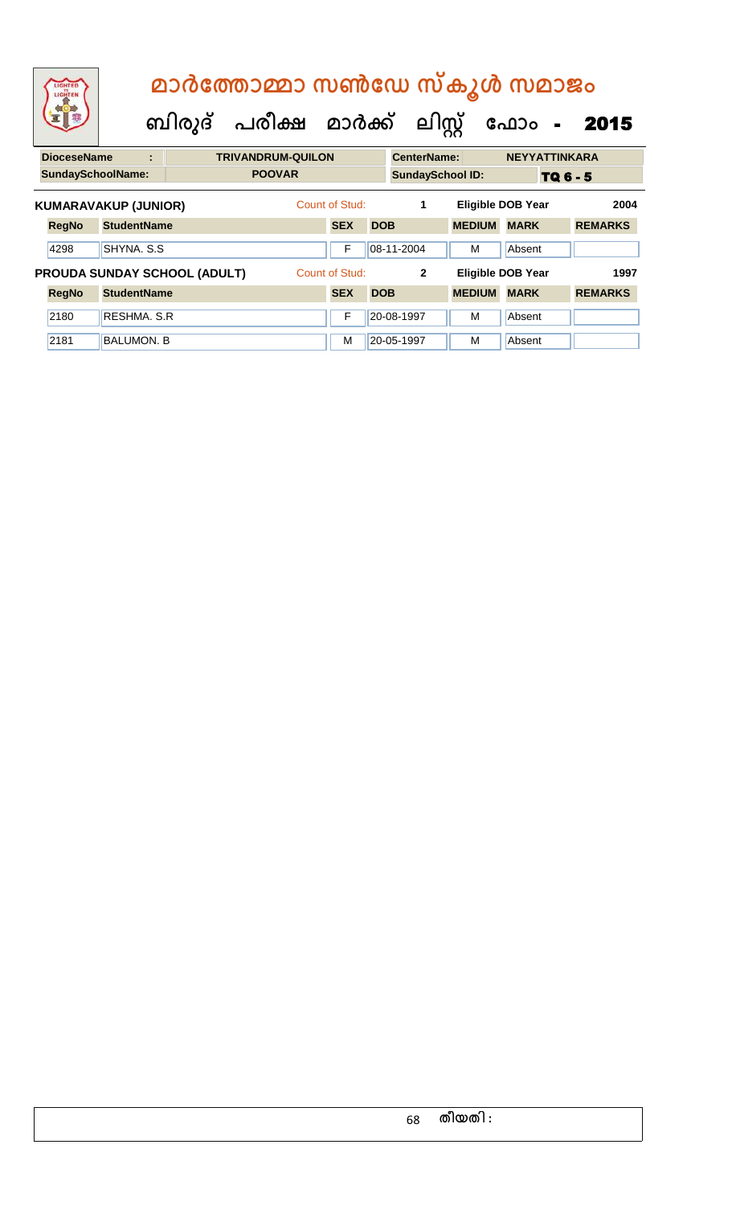| LIGHTED<br>LIGHTEN                          |                    |                                     | മാർത്തോമ്മാ സൺഡേ സ്കൂൾ സമാജം<br>ബിരുദ് പരീക്ഷ മാർക്ക് ലിസ്റ്റ് |                              |            |                         |               | ഫോം<br>$\blacksquare$                   | 2015                   |
|---------------------------------------------|--------------------|-------------------------------------|----------------------------------------------------------------|------------------------------|------------|-------------------------|---------------|-----------------------------------------|------------------------|
| <b>DioceseName</b>                          | ÷                  |                                     | <b>TRIVANDRUM-QUILON</b>                                       |                              |            | <b>CenterName:</b>      |               | <b>NEYYATTINKARA</b>                    |                        |
| <b>SundaySchoolName:</b>                    |                    |                                     | <b>POOVAR</b>                                                  |                              |            | <b>SundaySchool ID:</b> |               |                                         | TQ 6 - 5               |
| <b>KUMARAVAKUP (JUNIOR)</b><br><b>RegNo</b> | <b>StudentName</b> |                                     |                                                                | Count of Stud:<br><b>SEX</b> | <b>DOB</b> | 1                       | <b>MEDIUM</b> | <b>Eligible DOB Year</b><br><b>MARK</b> | 2004<br><b>REMARKS</b> |
| 4298                                        | SHYNA, S.S.        |                                     |                                                                | F                            |            | 08-11-2004              | M             | Absent                                  |                        |
|                                             |                    | <b>PROUDA SUNDAY SCHOOL (ADULT)</b> |                                                                | Count of Stud:               |            | $\mathbf{2}$            |               | <b>Eligible DOB Year</b>                | 1997                   |
| <b>RegNo</b>                                | <b>StudentName</b> |                                     |                                                                | <b>SEX</b>                   | <b>DOB</b> |                         | <b>MEDIUM</b> | <b>MARK</b>                             | <b>REMARKS</b>         |
| 2180                                        | RESHMA, S.R.       |                                     |                                                                | F                            |            | 20-08-1997              | M             | Absent                                  |                        |
| 2181                                        | <b>BALUMON, B</b>  |                                     |                                                                | м                            |            | 20-05-1997              | м             | Absent                                  |                        |

68 **തീയതി :**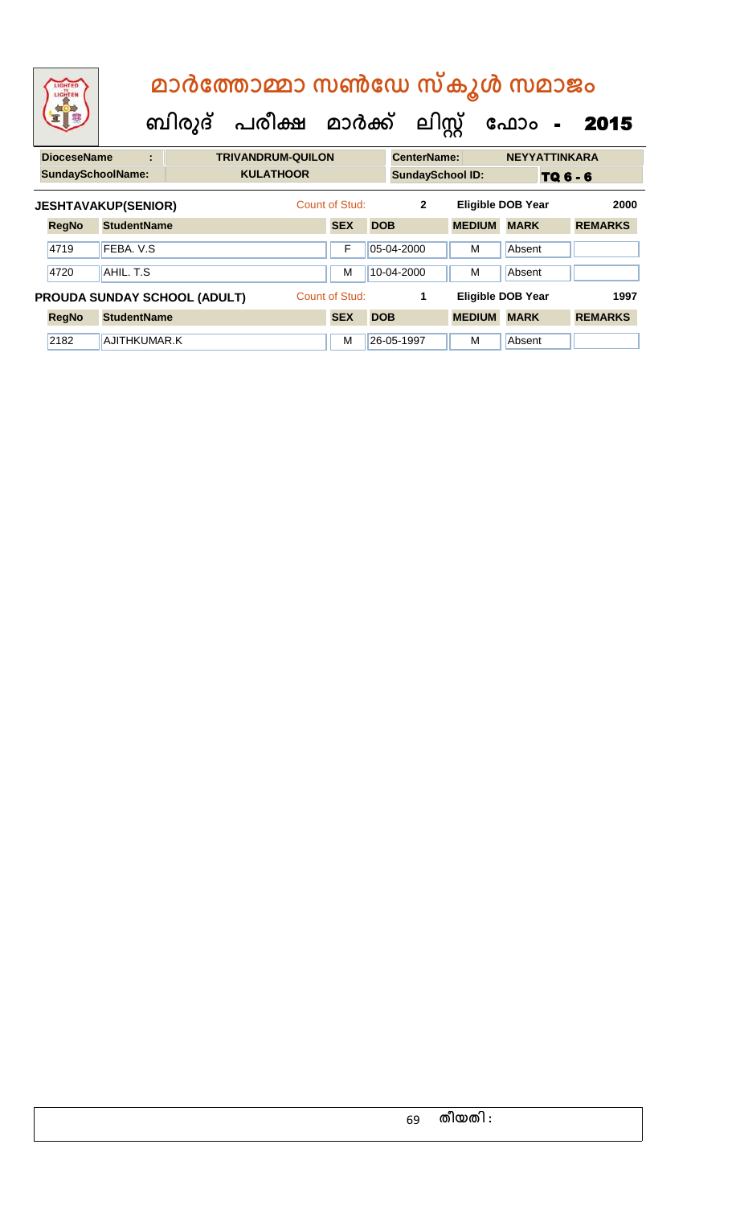| <b>EXECUTIVE AND RESIDENCE</b> |  | മാർത്തോമ്മാ സൺഡേ സ്കൂൾ സമാജം              |                    |                      |
|--------------------------------|--|-------------------------------------------|--------------------|----------------------|
|                                |  | ബിരുദ് പരീക്ഷ മാർക്ക് ലിസ്റ്റ് ഫോം - 2015 |                    |                      |
| <b>DioceseName</b>             |  | <b>TRIVANDRUM-QUILON</b>                  | <b>CenterName:</b> | <b>NEYYATTINKARA</b> |

| <b>SundaySchoolName:</b> |                            |                                     | <b>KULATHOOR</b> |                |            | <b>SundaySchool ID:</b> |               |                          | TQ 6 - 6       |      |
|--------------------------|----------------------------|-------------------------------------|------------------|----------------|------------|-------------------------|---------------|--------------------------|----------------|------|
|                          | <b>JESHTAVAKUP(SENIOR)</b> |                                     |                  | Count of Stud: |            | $\mathbf{2}$            |               | <b>Eligible DOB Year</b> |                | 2000 |
| <b>RegNo</b>             | <b>StudentName</b>         |                                     |                  | <b>SEX</b>     | <b>DOB</b> |                         | <b>MEDIUM</b> | <b>MARK</b>              | <b>REMARKS</b> |      |
| 4719                     | FEBA, V.S.                 |                                     |                  | F              |            | 05-04-2000              | м             | Absent                   |                |      |
| 4720                     | AHIL. T.S                  |                                     |                  | M              |            | $10-04-2000$            | м             | Absent                   |                |      |
|                          |                            | <b>PROUDA SUNDAY SCHOOL (ADULT)</b> |                  | Count of Stud: |            |                         |               | <b>Eligible DOB Year</b> |                | 1997 |
| <b>RegNo</b>             | <b>StudentName</b>         |                                     |                  | <b>SEX</b>     | <b>DOB</b> |                         | <b>MEDIUM</b> | <b>MARK</b>              | <b>REMARKS</b> |      |
| 2182                     | AJITHKUMAR.K               |                                     |                  | M              |            | 26-05-1997              | M             | Absent                   |                |      |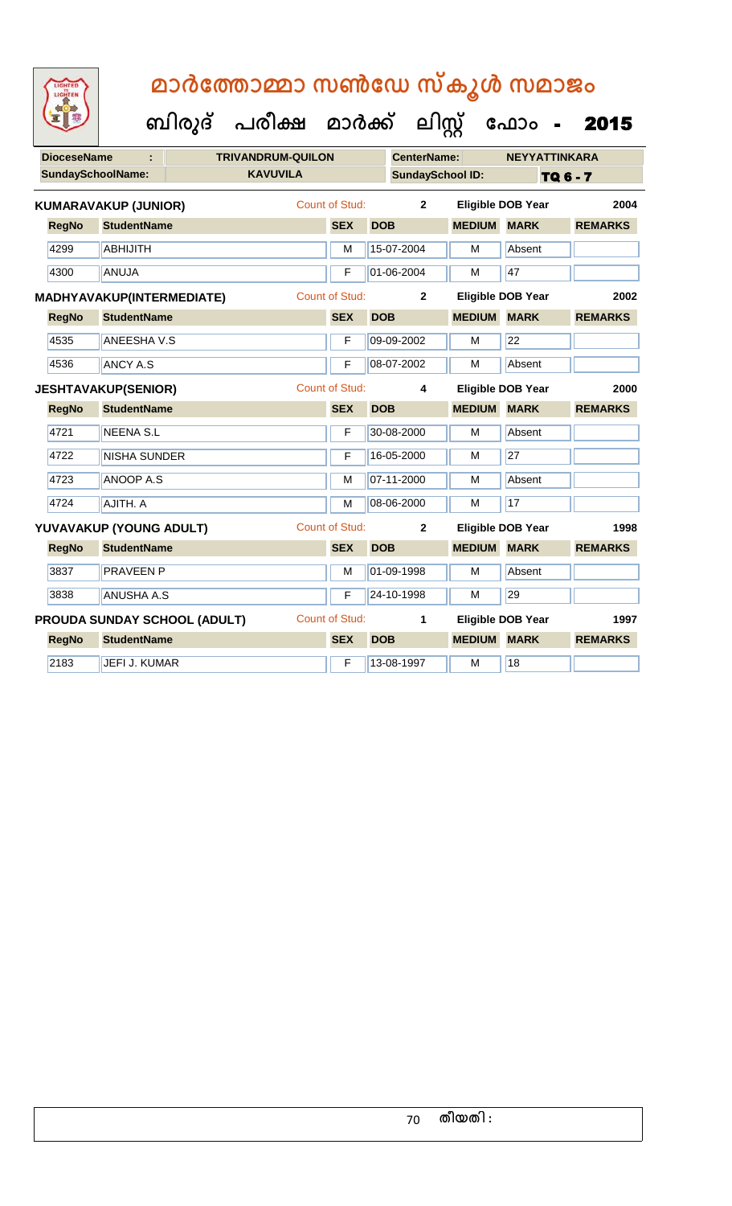

|              | <b>DioceseName</b>       | G                           |                                     | <b>TRIVANDRUM-QUILON</b> |                       |            | <b>CenterName:</b>      |                    | <b>NEYYATTINKARA</b>     |                |
|--------------|--------------------------|-----------------------------|-------------------------------------|--------------------------|-----------------------|------------|-------------------------|--------------------|--------------------------|----------------|
|              | <b>SundaySchoolName:</b> |                             |                                     | <b>KAVUVILA</b>          |                       |            | <b>SundaySchool ID:</b> |                    |                          | TQ 6 - 7       |
|              |                          | <b>KUMARAVAKUP (JUNIOR)</b> |                                     |                          | Count of Stud:        |            | $\overline{2}$          |                    | <b>Eligible DOB Year</b> | 2004           |
| <b>RegNo</b> |                          | <b>StudentName</b>          |                                     |                          | <b>SEX</b>            | <b>DOB</b> |                         | <b>MEDIUM</b>      | <b>MARK</b>              | <b>REMARKS</b> |
| 4299         |                          | <b>ABHIJITH</b>             |                                     |                          | M                     |            | 15-07-2004              | M                  | Absent                   |                |
| 4300         |                          | ANUJA                       |                                     |                          | F                     |            | 01-06-2004              | M                  | 47                       |                |
|              |                          |                             | MADHYAVAKUP(INTERMEDIATE)           |                          | <b>Count of Stud:</b> |            | $\mathbf 2$             |                    | <b>Eligible DOB Year</b> | 2002           |
| <b>RegNo</b> |                          | <b>StudentName</b>          |                                     |                          | <b>SEX</b>            | <b>DOB</b> |                         | <b>MEDIUM</b>      | <b>MARK</b>              | <b>REMARKS</b> |
| 4535         |                          | <b>ANEESHA V.S</b>          |                                     |                          | $\mathsf{F}$          |            | 09-09-2002              | M                  | 22                       |                |
| 4536         |                          | <b>ANCY A.S</b>             |                                     |                          | F                     |            | 08-07-2002              | M                  | Absent                   |                |
|              |                          | <b>JESHTAVAKUP(SENIOR)</b>  |                                     |                          | <b>Count of Stud:</b> |            | 4                       |                    | <b>Eligible DOB Year</b> | 2000           |
| <b>RegNo</b> |                          | <b>StudentName</b>          |                                     |                          | <b>SEX</b>            | <b>DOB</b> |                         | <b>MEDIUM MARK</b> |                          | <b>REMARKS</b> |
| 4721         |                          | <b>NEENA S.L</b>            |                                     |                          | F                     |            | 30-08-2000              | M                  | Absent                   |                |
| 4722         |                          | <b>NISHA SUNDER</b>         |                                     |                          | F                     |            | 16-05-2000              | M                  | 27                       |                |
| 4723         |                          | ANOOP A.S                   |                                     |                          | M                     |            | 07-11-2000              | M                  | Absent                   |                |
| 4724         |                          | AJITH. A                    |                                     |                          | M                     |            | 08-06-2000              | M                  | 17                       |                |
|              |                          | YUVAVAKUP (YOUNG ADULT)     |                                     |                          | <b>Count of Stud:</b> |            | $\overline{2}$          |                    | <b>Eligible DOB Year</b> | 1998           |
| <b>RegNo</b> |                          | <b>StudentName</b>          |                                     |                          | <b>SEX</b>            | <b>DOB</b> |                         | <b>MEDIUM MARK</b> |                          | <b>REMARKS</b> |
| 3837         |                          | <b>PRAVEEN P</b>            |                                     |                          | M                     |            | 01-09-1998              | M                  | Absent                   |                |
| 3838         |                          | <b>ANUSHA A.S</b>           |                                     |                          | F                     |            | 24-10-1998              | M                  | 29                       |                |
|              |                          |                             | <b>PROUDA SUNDAY SCHOOL (ADULT)</b> |                          | <b>Count of Stud:</b> |            | 1                       |                    | <b>Eligible DOB Year</b> | 1997           |
| <b>RegNo</b> |                          | <b>StudentName</b>          |                                     |                          | <b>SEX</b>            | <b>DOB</b> |                         | <b>MEDIUM</b>      | <b>MARK</b>              | <b>REMARKS</b> |
| 2183         |                          | <b>JEFI J. KUMAR</b>        |                                     |                          | F                     |            | 13-08-1997              | M                  | 18                       |                |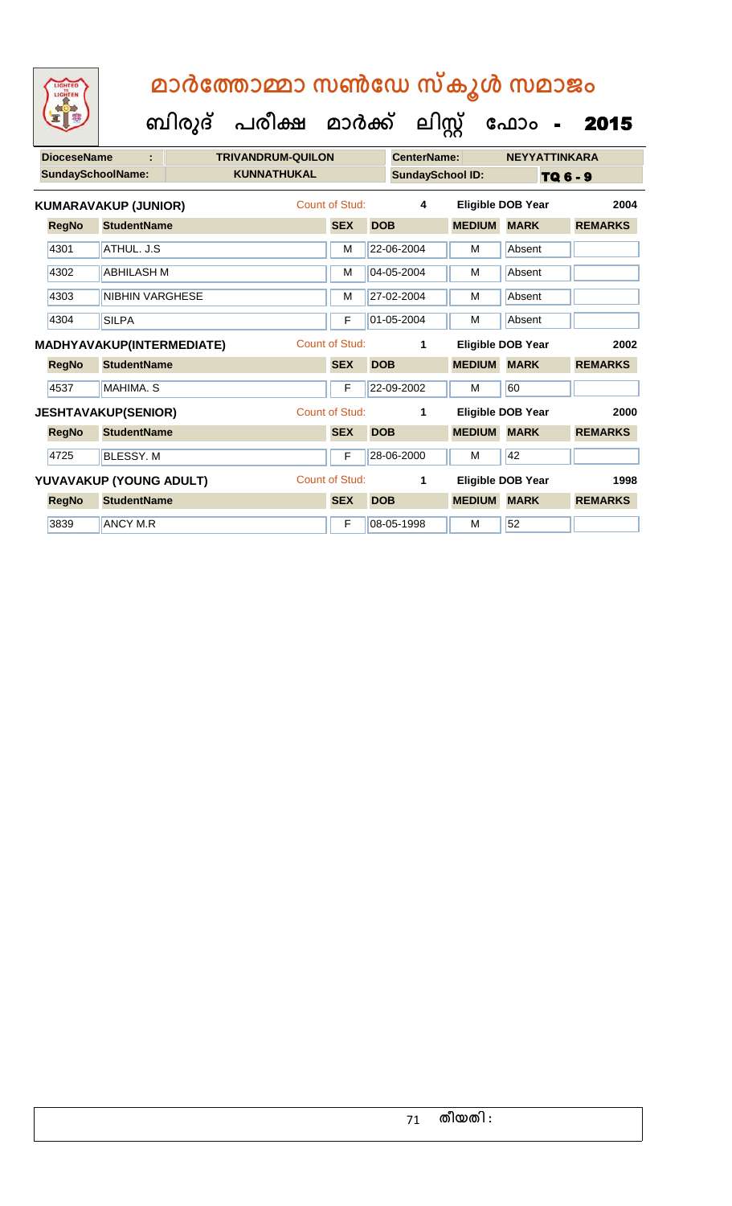**ക ലിസ്റ്റ**

**ക ഫ ാോം** - 2015

 **ബിരുദ് പരീക്ഷ മാര്ക്**

**DioceseName : TRIVANDRUM-QUILON CenterName: NEYYATTINKARA SundaySchoolName: KUNNATHUKAL SundaySchool ID:** TQ 6 - 9 **RegNo StudentName SEX DOB MEDIUM MARK REMARKS KUMARAVAKUP (JUNIOR)** Count of Stud: **4 Eligible DOB Year 2004** 4301 ATHUL. J.S M 22-06-2004 M Absent 4302 ABHILASH M M 04-05-2004 M Absent 4303 NIBHIN VARGHESE M 27-02-2004 M Absent 4304 SILPA F 01-05-2004 M Absent **RegNo StudentName SEX DOB MEDIUM MARK REMARKS MADHYAVAKUP(INTERMEDIATE)** Count of Stud: **1 Eligible DOB Year 2002** 4537 MAHIMA. S F 22-09-2002 M 60 **RegNo StudentName SEX DOB MEDIUM MARK REMARKS JESHTAVAKUP(SENIOR)** Count of Stud: **1 Eligible DOB Year 2000** 4725 BLESSY. M F 28-06-2000 M 42 **RegNo StudentName SEX DOB MEDIUM MARK REMARKS YUVAVAKUP (YOUNG ADULT)** Count of Stud: **1 Eligible DOB Year 1998** 3839 ANCY M.R F 08-05-1998 M 52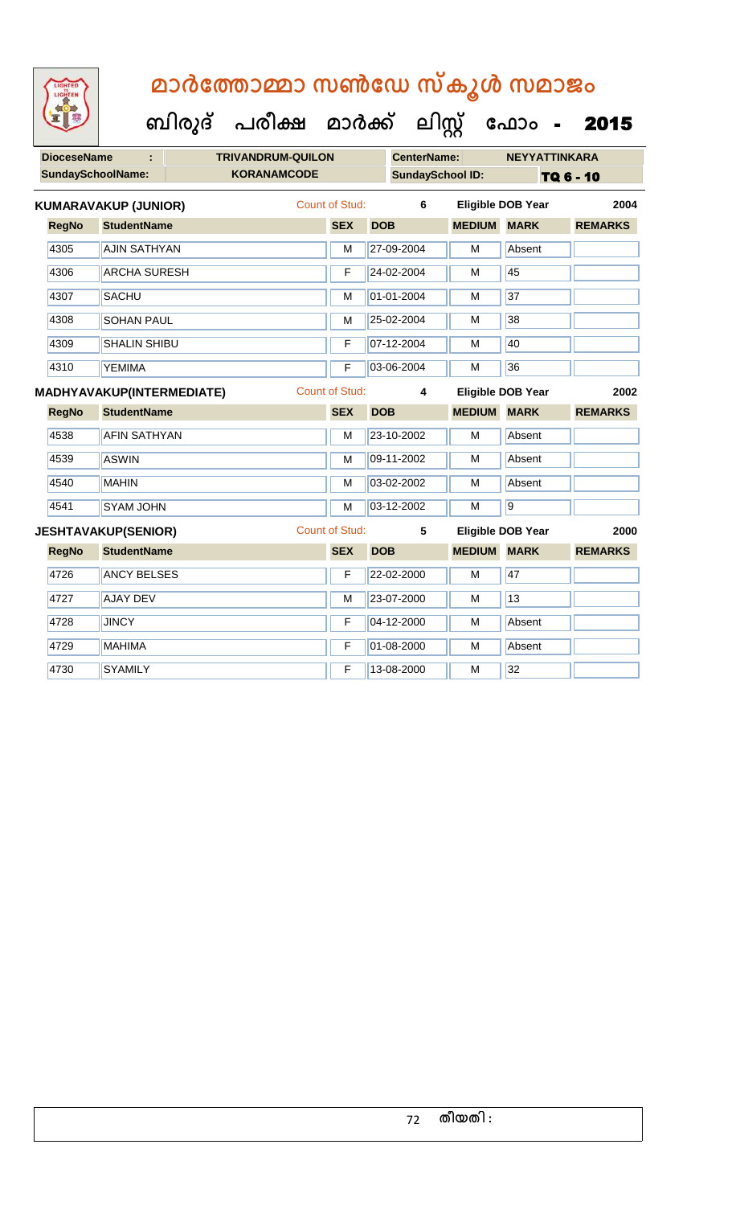|                                                      | LIGHTED<br>LIGHTEN | മാർത്തോമ്മാ സൺഡേ സ്കൂൾ സമാജം |                                    |                         |                    |                          |                          |                |
|------------------------------------------------------|--------------------|------------------------------|------------------------------------|-------------------------|--------------------|--------------------------|--------------------------|----------------|
|                                                      |                    |                              | ബിരുദ് പരീക്ഷ മാർക്ക് ലിസ്റ്റ് ഫോം |                         |                    |                          |                          | 2015           |
| <b>DioceseName</b><br>÷.<br><b>TRIVANDRUM-QUILON</b> |                    |                              |                                    |                         | <b>CenterName:</b> |                          | <b>NEYYATTINKARA</b>     |                |
| <b>SundaySchoolName:</b>                             |                    |                              | <b>KORANAMCODE</b>                 | <b>SundaySchool ID:</b> |                    | TQ 6 - 10                |                          |                |
| <b>KUMARAVAKUP (JUNIOR)</b>                          |                    |                              |                                    | <b>Count of Stud:</b>   | 6                  |                          | <b>Eligible DOB Year</b> | 2004           |
|                                                      | <b>RegNo</b>       | <b>StudentName</b>           |                                    | <b>SEX</b>              | <b>DOB</b>         | <b>MEDIUM</b>            | <b>MARK</b>              | <b>REMARKS</b> |
|                                                      | 4305               | <b>AJIN SATHYAN</b>          |                                    | М                       | 27-09-2004         | M                        | Absent                   |                |
|                                                      | 4306               | <b>ARCHA SURESH</b>          |                                    | F                       | 24-02-2004         | м                        | 45                       |                |
|                                                      | 4307               | <b>SACHU</b>                 |                                    | М                       | 01-01-2004         | м                        | 37                       |                |
|                                                      | 4308               | <b>SOHAN PAUL</b>            |                                    | М                       | 25-02-2004         | м                        | 38                       |                |
|                                                      | 4309               | <b>SHALIN SHIBU</b>          |                                    | F                       | 07-12-2004         | м                        | 40                       |                |
|                                                      | 4310               | <b>YEMIMA</b>                |                                    | F                       | 03-06-2004         | M                        | 36                       |                |
| Count of Stud:<br>MADHYAVAKUP(INTERMEDIATE)          |                    |                              |                                    |                         | 4                  |                          | <b>Eligible DOB Year</b> | 2002           |
|                                                      | <b>RegNo</b>       | <b>StudentName</b>           |                                    | <b>SEX</b>              | <b>DOB</b>         | <b>MEDIUM</b>            | <b>MARK</b>              | <b>REMARKS</b> |
|                                                      | 4538               | <b>AFIN SATHYAN</b>          |                                    | М                       | 23-10-2002         | м                        | Absent                   |                |
|                                                      | 4539               | <b>ASWIN</b>                 |                                    | М                       | 09-11-2002         | м                        | Absent                   |                |
|                                                      | 4540               | <b>MAHIN</b>                 |                                    | М                       | 03-02-2002         | м                        | Absent                   |                |
|                                                      | 4541               | <b>SYAM JOHN</b>             |                                    | М                       | 03-12-2002         | М                        | $\overline{9}$           |                |
| <b>JESHTAVAKUP(SENIOR)</b>                           |                    |                              |                                    | Count of Stud:          | 5                  | <b>Eligible DOB Year</b> |                          | 2000           |
|                                                      | <b>RegNo</b>       | <b>StudentName</b>           |                                    | <b>SEX</b>              | <b>DOB</b>         | <b>MEDIUM MARK</b>       |                          | <b>REMARKS</b> |
|                                                      | 4726               | <b>ANCY BELSES</b>           |                                    | F                       | 22-02-2000         | м                        | 47                       |                |
|                                                      | 4727               | <b>AJAY DEV</b>              |                                    | М                       | 23-07-2000         | м                        | 13                       |                |
|                                                      |                    |                              |                                    |                         |                    |                          |                          |                |
|                                                      | 4728               | <b>JINCY</b>                 |                                    | F                       | 04-12-2000         | м                        | Absent                   |                |
|                                                      | 4729               | <b>MAHIMA</b>                |                                    | F                       | 01-08-2000         | м                        | Absent                   |                |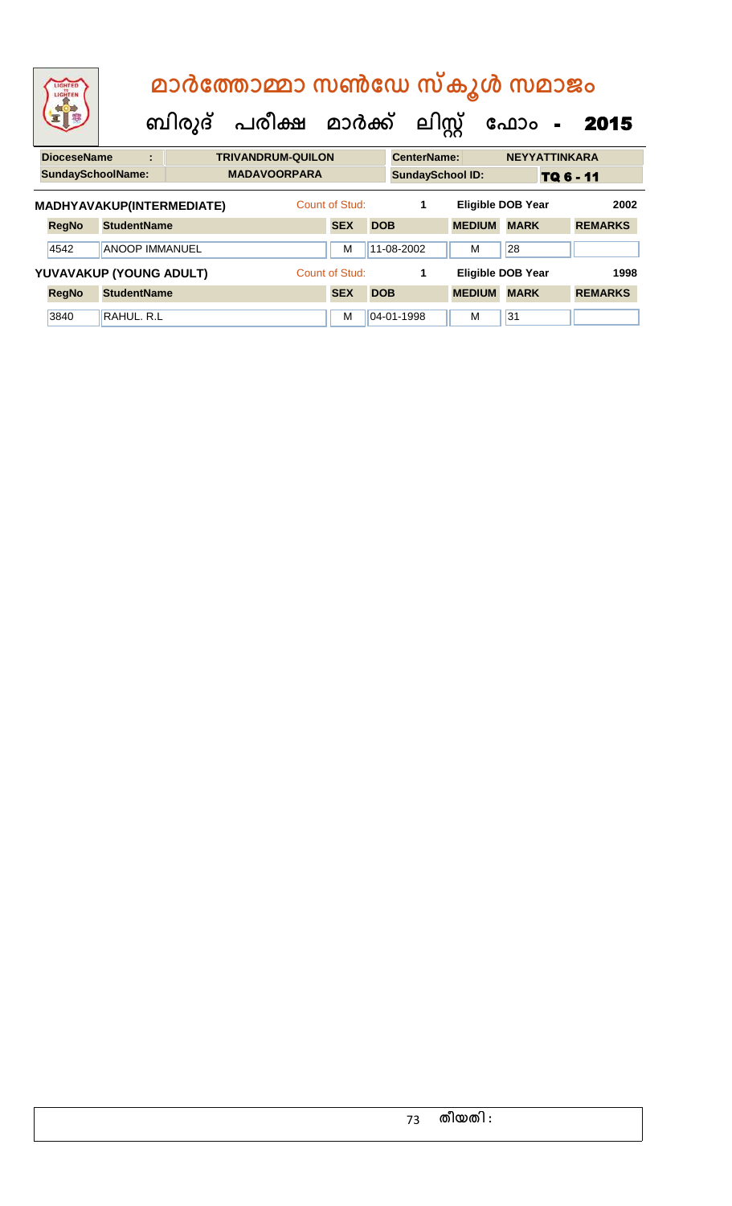| LIGHTED<br>TO<br>LIGHTEN |                       |   | മാർത്തോമ്മാ സൺഡേ സ്കൂൾ സമാജം<br>ബിരുദ് പരീക്ഷ മാർക്ക് ലിസ്റ്റ് |                          |                |            |                    | ഫോം -                   |                          | 2015      |                |  |
|--------------------------|-----------------------|---|----------------------------------------------------------------|--------------------------|----------------|------------|--------------------|-------------------------|--------------------------|-----------|----------------|--|
| <b>DioceseName</b>       |                       | ÷ |                                                                | <b>TRIVANDRUM-QUILON</b> |                |            | <b>CenterName:</b> |                         | <b>NEYYATTINKARA</b>     |           |                |  |
| <b>SundaySchoolName:</b> |                       |   |                                                                | <b>MADAVOORPARA</b>      |                |            |                    | <b>SundaySchool ID:</b> |                          | TQ 6 - 11 |                |  |
|                          |                       |   | MADHYAVAKUP(INTERMEDIATE)                                      |                          | Count of Stud: |            | 1                  |                         | <b>Eligible DOB Year</b> |           | 2002           |  |
| <b>RegNo</b>             | <b>StudentName</b>    |   |                                                                |                          | <b>SEX</b>     | <b>DOB</b> |                    | <b>MEDIUM</b>           | <b>MARK</b>              |           | <b>REMARKS</b> |  |
| 4542                     | <b>ANOOP IMMANUEL</b> |   |                                                                |                          | м              |            | 11-08-2002         | м                       | 28                       |           |                |  |
| YUVAVAKUP (YOUNG ADULT)  |                       |   |                                                                |                          | Count of Stud: |            | 1                  |                         | <b>Eligible DOB Year</b> |           | 1998           |  |
| <b>RegNo</b>             | <b>StudentName</b>    |   |                                                                |                          | <b>SEX</b>     | <b>DOB</b> |                    | <b>MEDIUM</b>           | <b>MARK</b>              |           | <b>REMARKS</b> |  |
| 3840                     | RAHUL, R.L            |   |                                                                |                          | м              |            | 04-01-1998         | м                       | 31                       |           |                |  |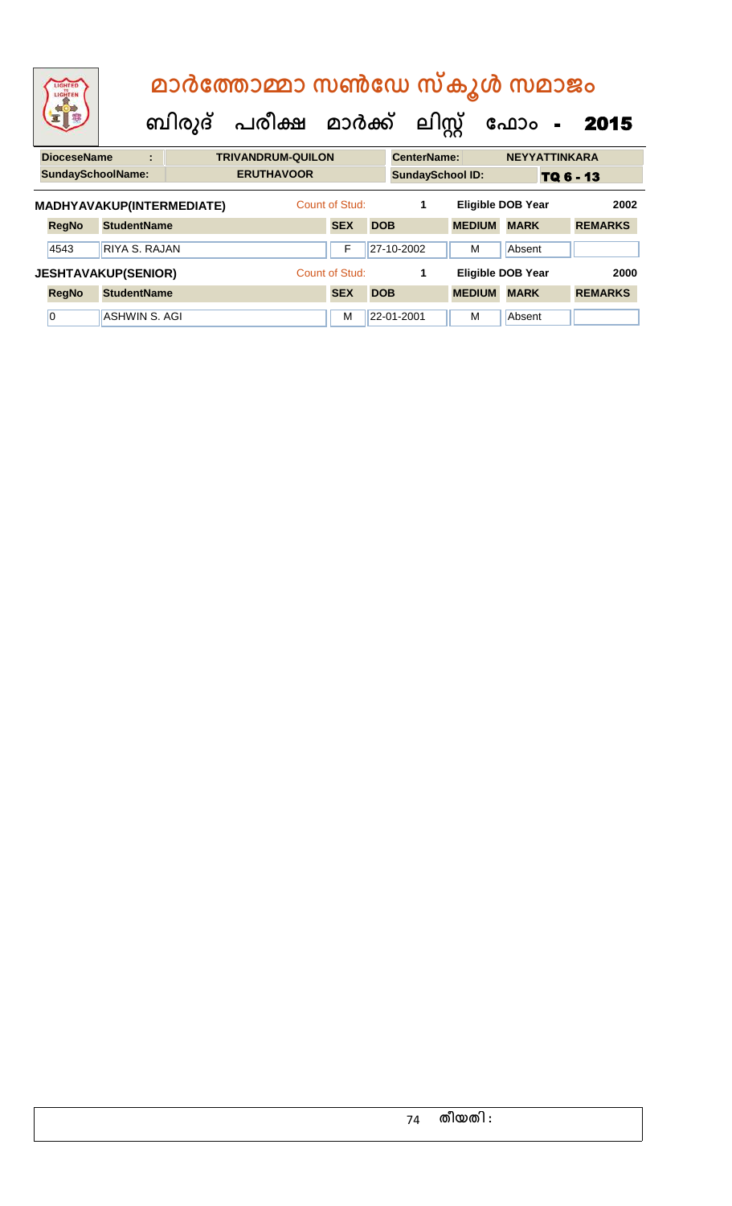| LIGHTED<br>LIGHTEN         |                    |   | മാർത്തോമ്മാ സൺഡേ സ്കൂൾ സമാജം   |                          |                |            |                    |                         |                          |                            |                |      |
|----------------------------|--------------------|---|--------------------------------|--------------------------|----------------|------------|--------------------|-------------------------|--------------------------|----------------------------|----------------|------|
|                            |                    |   | ബിരുദ് പരീക്ഷ മാർക്ക് ലിസ്റ്റ് |                          |                |            |                    |                         | ഫോം                      | $\mathcal{L}_{\mathbf{r}}$ | 2015           |      |
| <b>DioceseName</b>         |                    | t |                                | <b>TRIVANDRUM-QUILON</b> |                |            | <b>CenterName:</b> |                         |                          | <b>NEYYATTINKARA</b>       |                |      |
| <b>SundaySchoolName:</b>   |                    |   |                                | <b>ERUTHAVOOR</b>        |                |            |                    | <b>SundaySchool ID:</b> |                          | TQ 6 - 13                  |                |      |
| MADHYAVAKUP(INTERMEDIATE)  |                    |   |                                |                          | Count of Stud: |            | 1                  |                         | <b>Eligible DOB Year</b> |                            |                | 2002 |
| <b>RegNo</b>               | <b>StudentName</b> |   |                                |                          | <b>SEX</b>     | <b>DOB</b> |                    | <b>MEDIUM</b>           | <b>MARK</b>              |                            | <b>REMARKS</b> |      |
| 4543                       | RIYA S. RAJAN      |   |                                |                          | F              |            | 27-10-2002         | м                       | Absent                   |                            |                |      |
| <b>JESHTAVAKUP(SENIOR)</b> |                    |   |                                |                          | Count of Stud: |            | 1                  |                         | <b>Eligible DOB Year</b> |                            |                | 2000 |
| <b>RegNo</b>               | <b>StudentName</b> |   |                                |                          | <b>SEX</b>     | <b>DOB</b> |                    | <b>MEDIUM</b>           | <b>MARK</b>              |                            | <b>REMARKS</b> |      |
| 0                          | ASHWIN S. AGI      |   |                                |                          | м              |            | 22-01-2001         | м                       | Absent                   |                            |                |      |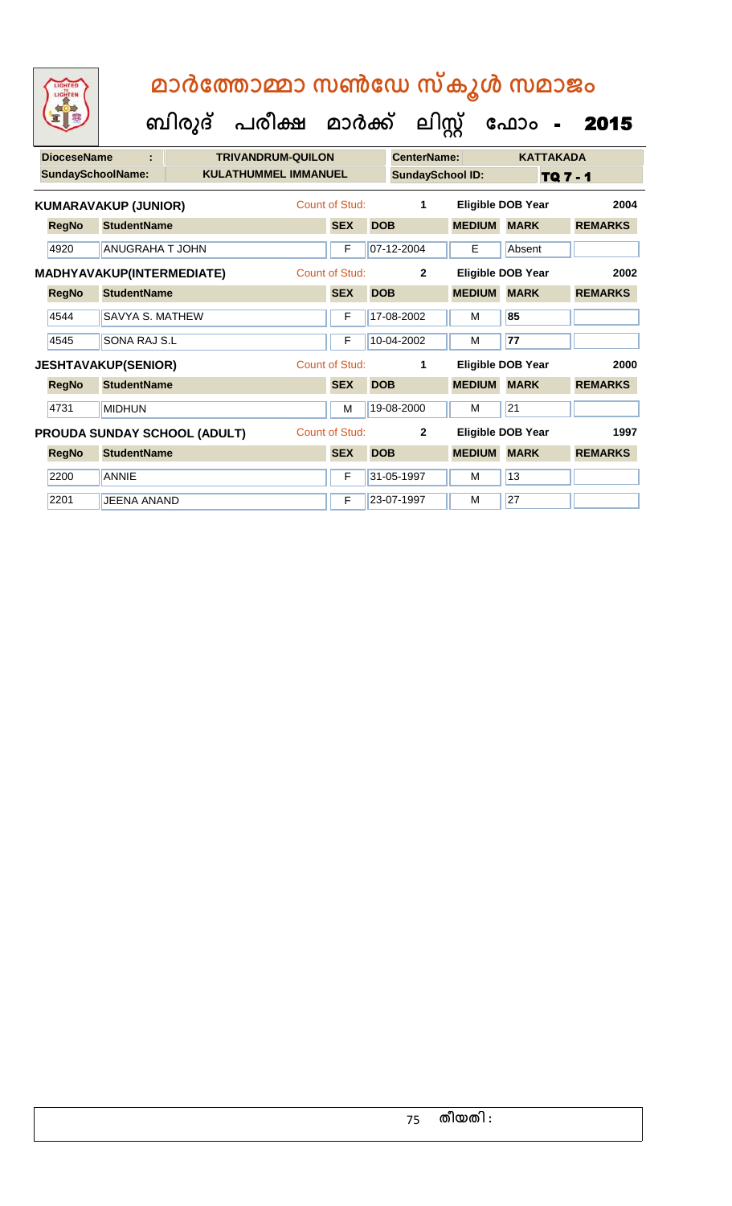| <b>DioceseName</b>       | t                           | <b>TRIVANDRUM-QUILON</b>            |                |            | CenterName:             |               | <b>KATTAKADA</b>         |                 |
|--------------------------|-----------------------------|-------------------------------------|----------------|------------|-------------------------|---------------|--------------------------|-----------------|
| <b>SundaySchoolName:</b> |                             | <b>KULATHUMMEL IMMANUEL</b>         |                |            | <b>SundaySchool ID:</b> |               |                          | <b>TQ 7 - 1</b> |
|                          | <b>KUMARAVAKUP (JUNIOR)</b> |                                     | Count of Stud: |            | $\mathbf 1$             |               | <b>Eligible DOB Year</b> | 2004            |
| <b>RegNo</b>             | <b>StudentName</b>          |                                     | <b>SEX</b>     | <b>DOB</b> |                         | <b>MEDIUM</b> | <b>MARK</b>              | <b>REMARKS</b>  |
| 4920                     | <b>ANUGRAHA T JOHN</b>      |                                     | F              |            | 07-12-2004              | E             | Absent                   |                 |
|                          | MADHYAVAKUP(INTERMEDIATE)   |                                     | Count of Stud: |            | $\mathbf{2}$            |               | Eligible DOB Year        | 2002            |
| <b>RegNo</b>             | <b>StudentName</b>          |                                     | <b>SEX</b>     | <b>DOB</b> |                         | <b>MEDIUM</b> | <b>MARK</b>              | <b>REMARKS</b>  |
| 4544                     | <b>SAVYA S. MATHEW</b>      |                                     | F              |            | 17-08-2002              | м             | 85                       |                 |
| 4545                     | SONA RAJ S.L                |                                     | F              |            | 10-04-2002              | м             | 77                       |                 |
|                          | <b>JESHTAVAKUP(SENIOR)</b>  |                                     | Count of Stud: |            | 1                       |               | <b>Eligible DOB Year</b> | 2000            |
| <b>RegNo</b>             | <b>StudentName</b>          |                                     | <b>SEX</b>     | <b>DOB</b> |                         | <b>MEDIUM</b> | <b>MARK</b>              | <b>REMARKS</b>  |
| 4731                     | <b>MIDHUN</b>               |                                     | M              |            | 19-08-2000              | м             | 21                       |                 |
|                          |                             | <b>PROUDA SUNDAY SCHOOL (ADULT)</b> | Count of Stud: |            | $\mathbf{2}$            |               | <b>Eligible DOB Year</b> | 1997            |
| <b>RegNo</b>             | <b>StudentName</b>          |                                     | <b>SEX</b>     | <b>DOB</b> |                         | <b>MEDIUM</b> | <b>MARK</b>              | <b>REMARKS</b>  |
| 2200                     | <b>ANNIE</b>                |                                     | F              |            | 31-05-1997              | м             | 13                       |                 |
| 2201                     | <b>JEENA ANAND</b>          |                                     | F              |            | 23-07-1997              | М             | 27                       |                 |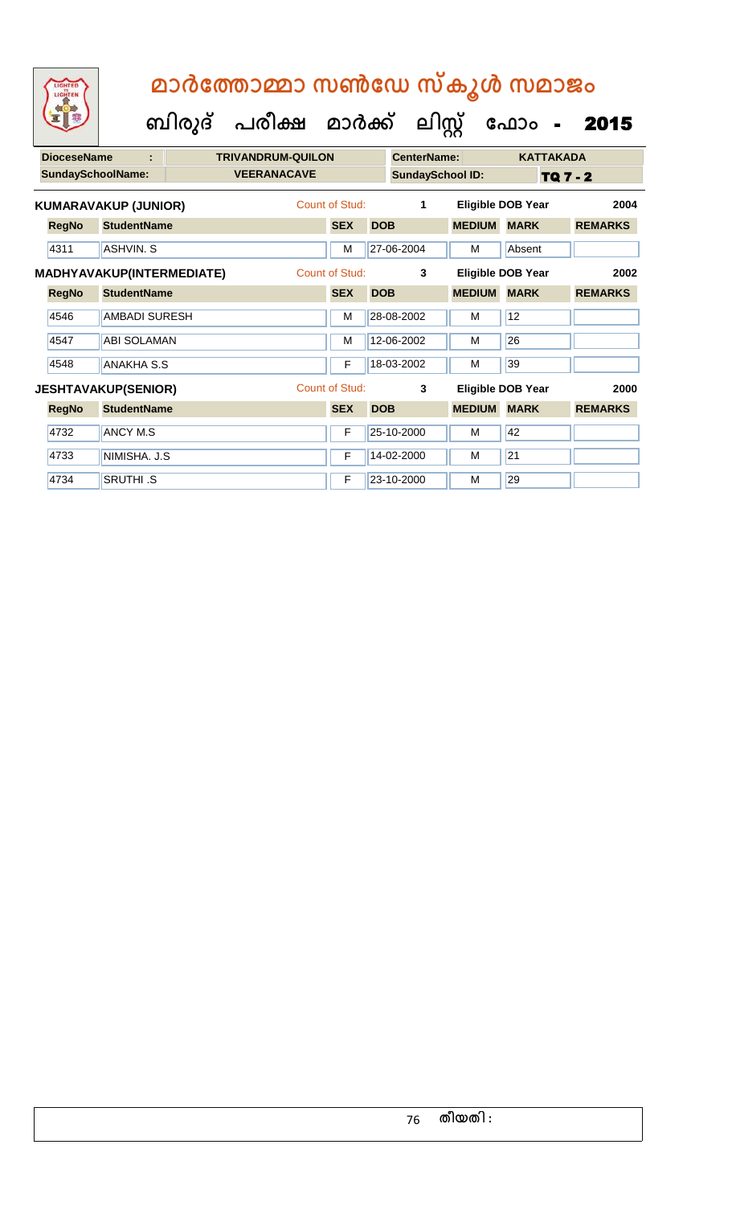| <b>DioceseName</b> | ÷                           | <b>TRIVANDRUM-QUILON</b> |                |            | <b>CenterName:</b>      |               | <b>KATTAKADA</b>         |                 |
|--------------------|-----------------------------|--------------------------|----------------|------------|-------------------------|---------------|--------------------------|-----------------|
|                    | <b>SundaySchoolName:</b>    | <b>VEERANACAVE</b>       |                |            | <b>SundaySchool ID:</b> |               |                          | <b>TQ 7 - 2</b> |
|                    | <b>KUMARAVAKUP (JUNIOR)</b> |                          | Count of Stud: |            | 1                       |               | <b>Eligible DOB Year</b> | 2004            |
| <b>RegNo</b>       | <b>StudentName</b>          |                          | <b>SEX</b>     | <b>DOB</b> |                         | <b>MEDIUM</b> | <b>MARK</b>              | <b>REMARKS</b>  |
| 4311               | <b>ASHVIN, S</b>            |                          | M              |            | 27-06-2004              | м             | Absent                   |                 |
|                    | MADHYAVAKUP(INTERMEDIATE)   |                          | Count of Stud: |            | 3                       |               | Eligible DOB Year        | 2002            |
| <b>RegNo</b>       | <b>StudentName</b>          |                          | <b>SEX</b>     | <b>DOB</b> |                         | <b>MEDIUM</b> | <b>MARK</b>              | <b>REMARKS</b>  |
| 4546               | <b>AMBADI SURESH</b>        |                          | M              |            | 28-08-2002              | м             | 12                       |                 |
| 4547               | <b>ABI SOLAMAN</b>          |                          | M              |            | 12-06-2002              | м             | 26                       |                 |
| 4548               | <b>ANAKHA S.S</b>           |                          | F              |            | 18-03-2002              | м             | 39                       |                 |
|                    | <b>JESHTAVAKUP(SENIOR)</b>  |                          | Count of Stud: |            | 3                       |               | Eligible DOB Year        | 2000            |
| <b>RegNo</b>       | <b>StudentName</b>          |                          | <b>SEX</b>     | <b>DOB</b> |                         | <b>MEDIUM</b> | <b>MARK</b>              | <b>REMARKS</b>  |
| 4732               | <b>ANCY M.S</b>             |                          | F              |            | 25-10-2000              | м             | 42                       |                 |
| 4733               | NIMISHA. J.S                |                          | F              |            | 14-02-2000              | М             | 21                       |                 |
| 4734               | <b>SRUTHI .S</b>            |                          | F              |            | 23-10-2000              | М             | 29                       |                 |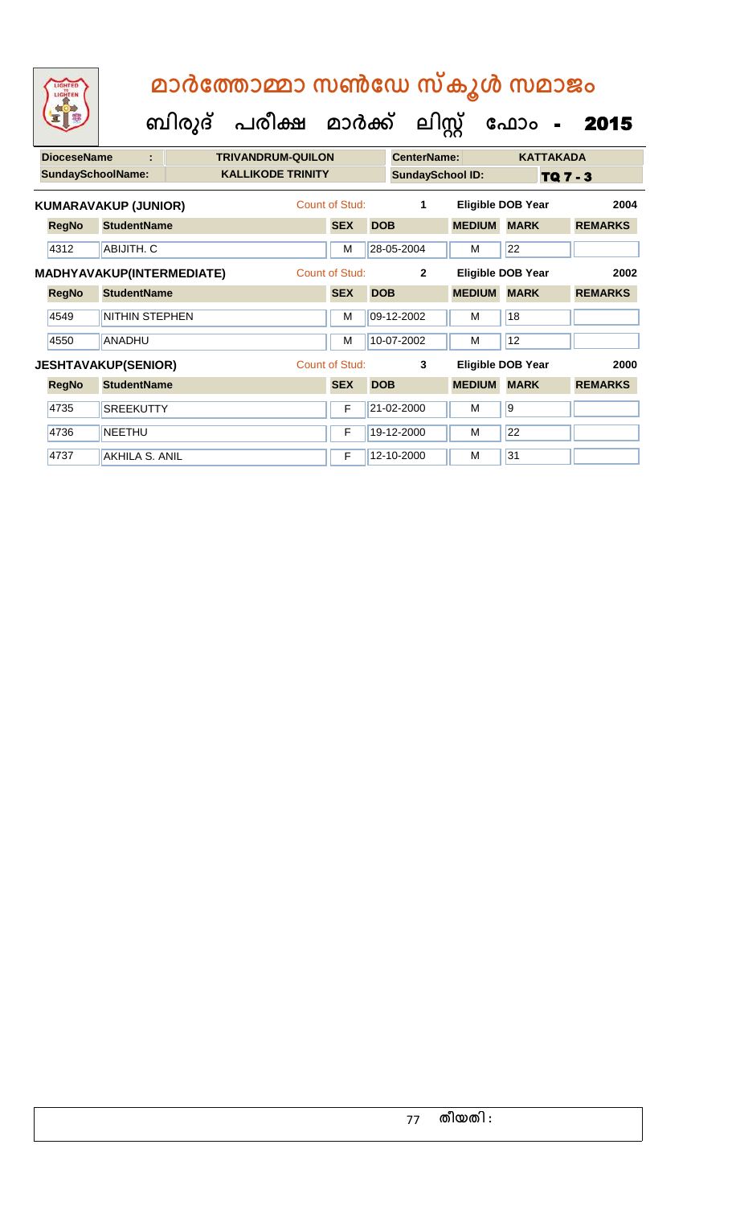| <b>DioceseName</b> | ÷                           | <b>TRIVANDRUM-QUILON</b> |                |            | CenterName:             |               | <b>KATTAKADA</b>         |                 |
|--------------------|-----------------------------|--------------------------|----------------|------------|-------------------------|---------------|--------------------------|-----------------|
|                    | <b>SundaySchoolName:</b>    | <b>KALLIKODE TRINITY</b> |                |            | <b>SundaySchool ID:</b> |               |                          | <b>TQ 7 - 3</b> |
|                    | <b>KUMARAVAKUP (JUNIOR)</b> |                          | Count of Stud: |            | 1                       |               | <b>Eligible DOB Year</b> | 2004            |
| <b>RegNo</b>       | <b>StudentName</b>          |                          | <b>SEX</b>     | <b>DOB</b> |                         | <b>MEDIUM</b> | <b>MARK</b>              | <b>REMARKS</b>  |
| 4312               | ABIJITH, C                  |                          | M              |            | 28-05-2004              | М             | 22                       |                 |
|                    | MADHYAVAKUP(INTERMEDIATE)   |                          | Count of Stud: |            | $\overline{2}$          |               | <b>Eligible DOB Year</b> | 2002            |
| <b>RegNo</b>       | <b>StudentName</b>          |                          | <b>SEX</b>     | <b>DOB</b> |                         | <b>MEDIUM</b> | <b>MARK</b>              | <b>REMARKS</b>  |
| 4549               | <b>NITHIN STEPHEN</b>       |                          | M              |            | 09-12-2002              | м             | 18                       |                 |
| 4550               | <b>ANADHU</b>               |                          | M              |            | 10-07-2002              | м             | 12                       |                 |
|                    | <b>JESHTAVAKUP(SENIOR)</b>  |                          | Count of Stud: |            | 3                       |               | <b>Eligible DOB Year</b> | 2000            |
| <b>RegNo</b>       | <b>StudentName</b>          |                          | <b>SEX</b>     | <b>DOB</b> |                         | <b>MEDIUM</b> | <b>MARK</b>              | <b>REMARKS</b>  |
| 4735               | <b>SREEKUTTY</b>            |                          | F              |            | 21-02-2000              | м             | <b>9</b>                 |                 |
| 4736               | <b>NEETHU</b>               |                          | F              |            | 19-12-2000              | M             | 22                       |                 |
| 4737               | AKHILA S. ANIL              |                          | F              |            | 12-10-2000              | М             | 31                       |                 |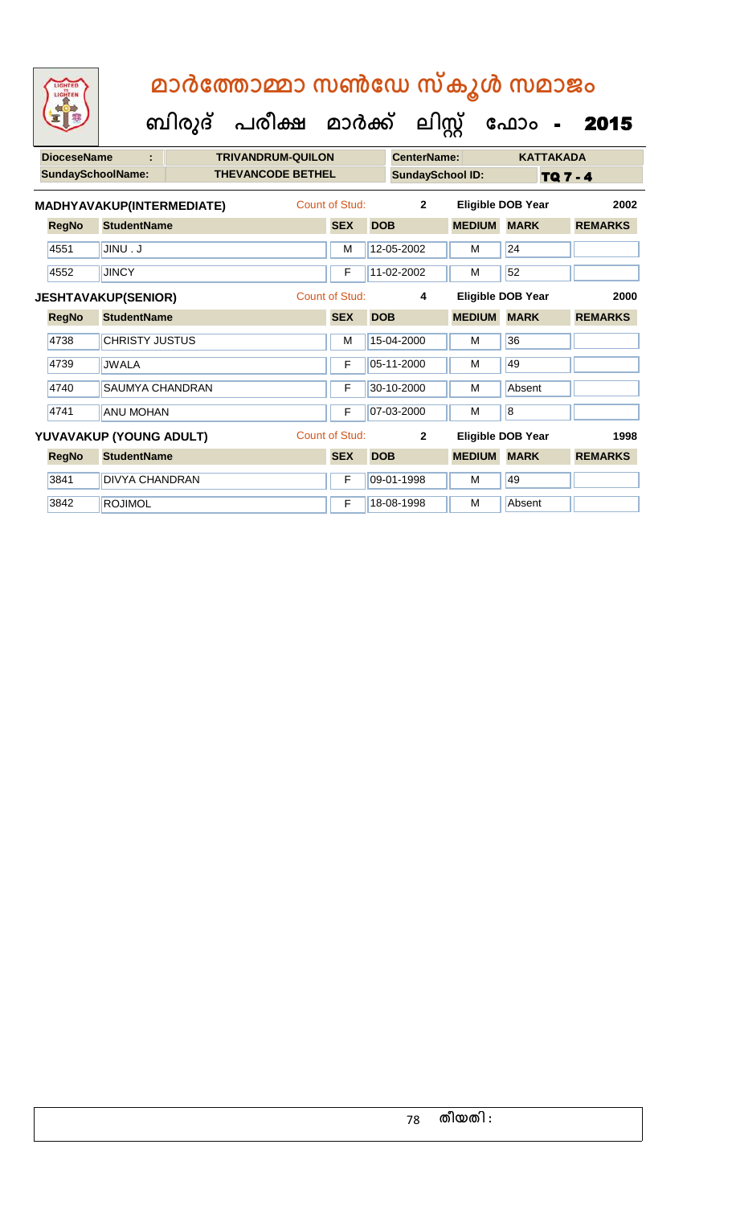| <b>DioceseName</b> | ÷                          | <b>TRIVANDRUM-QUILON</b> |                |            | CenterName:             |                   |                | <b>KATTAKADA</b> |                |
|--------------------|----------------------------|--------------------------|----------------|------------|-------------------------|-------------------|----------------|------------------|----------------|
|                    | <b>SundaySchoolName:</b>   | <b>THEVANCODE BETHEL</b> |                |            | <b>SundaySchool ID:</b> |                   |                | <b>TQ 7 - 4</b>  |                |
|                    | MADHYAVAKUP(INTERMEDIATE)  |                          | Count of Stud: |            | $\mathbf{2}$            | Eligible DOB Year |                |                  | 2002           |
| <b>RegNo</b>       | <b>StudentName</b>         |                          | <b>SEX</b>     | <b>DOB</b> |                         | <b>MEDIUM</b>     | <b>MARK</b>    |                  | <b>REMARKS</b> |
| 4551               | <b>U. UNIL</b>             |                          | M              |            | 12-05-2002              | M                 | 24             |                  |                |
| 4552               | <b>JINCY</b>               |                          | F              |            | $11-02-2002$            | M                 | 52             |                  |                |
|                    | <b>JESHTAVAKUP(SENIOR)</b> |                          | Count of Stud: |            | 4                       | Eligible DOB Year |                |                  | 2000           |
| <b>RegNo</b>       | <b>StudentName</b>         |                          | <b>SEX</b>     | <b>DOB</b> |                         | <b>MEDIUM</b>     | <b>MARK</b>    |                  | <b>REMARKS</b> |
| 4738               | <b>CHRISTY JUSTUS</b>      |                          | M              |            | 15-04-2000              | M                 | 36             |                  |                |
| 4739               | <b>JWALA</b>               |                          | F              |            | 05-11-2000              | M                 | 49             |                  |                |
| 4740               | <b>SAUMYA CHANDRAN</b>     |                          | F              |            | 30-10-2000              | M                 | Absent         |                  |                |
| 4741               | <b>ANU MOHAN</b>           |                          | F              |            | 07-03-2000              | м                 | $\overline{8}$ |                  |                |
|                    | YUVAVAKUP (YOUNG ADULT)    |                          | Count of Stud: |            | $\overline{2}$          | Eligible DOB Year |                |                  | 1998           |
| <b>RegNo</b>       | <b>StudentName</b>         |                          | <b>SEX</b>     | <b>DOB</b> |                         | <b>MEDIUM</b>     | <b>MARK</b>    |                  | <b>REMARKS</b> |
| 3841               | <b>DIVYA CHANDRAN</b>      |                          | F              |            | 09-01-1998              | M                 | 49             |                  |                |
| 3842               | <b>ROJIMOL</b>             |                          | F              |            | 18-08-1998              | м                 | Absent         |                  |                |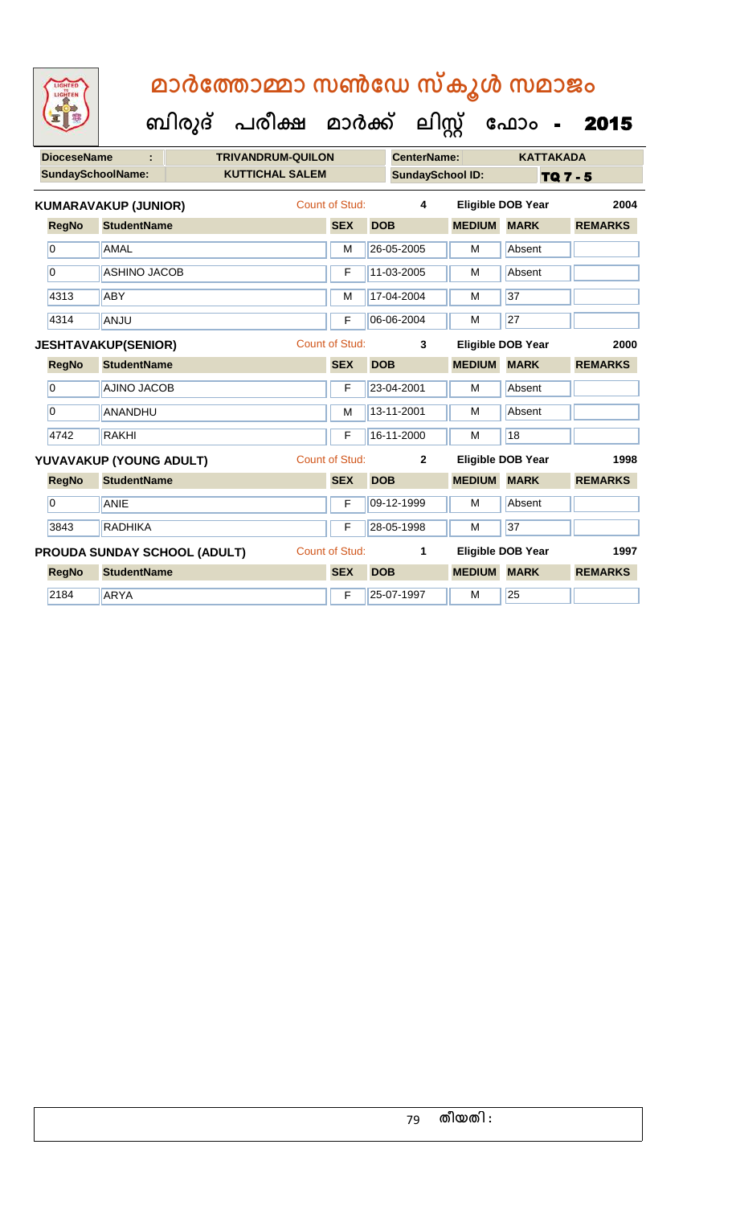**DioceseName : TRIVANDRUM-QUILON CenterName: KATTAKADA** SundaySchoolName: **KUTTICHAL SALEM SundaySchool ID:** TQ 7 - 5  **ബിരുദ് പരീക്ഷ മാര്ക് ക ലിസ്റ്റ ക ഫ ാോം** - 2015 **RegNo StudentName SEX DOB MEDIUM MARK REMARKS KUMARAVAKUP (JUNIOR)** Count of Stud: **4 Eligible DOB Year 2004** 0 AMAL M 26-05-2005 M Absent 0 ASHINO JACOB F 11-03-2005 M Absent 4313 ABY M 17-04-2004 M 37 4314 ANJU F 06-06-2004 M 27 **RegNo StudentName SEX DOB MEDIUM MARK REMARKS JESHTAVAKUP(SENIOR)** Count of Stud: **3 Eligible DOB Year 2000** 0 AJINO JACOB F 23-04-2001 M Absent 0 ANANDHU M 13-11-2001 M Absent 4742 RAKHI F 16-11-2000 M 18 **RegNo StudentName SEX DOB MEDIUM MARK REMARKS YUVAVAKUP (YOUNG ADULT)** Count of Stud: **2 Eligible DOB Year 1998** 0 ANIE F 09-12-1999 M Absent 3843 RADHIKA F 28-05-1998 M 37 **RegNo StudentName SEX DOB MEDIUM MARK REMARKS PROUDA SUNDAY SCHOOL (ADULT)** Count of Stud: **1 Ligible DOB Year 1997** 2184 ARYA F 25-07-1997 M 25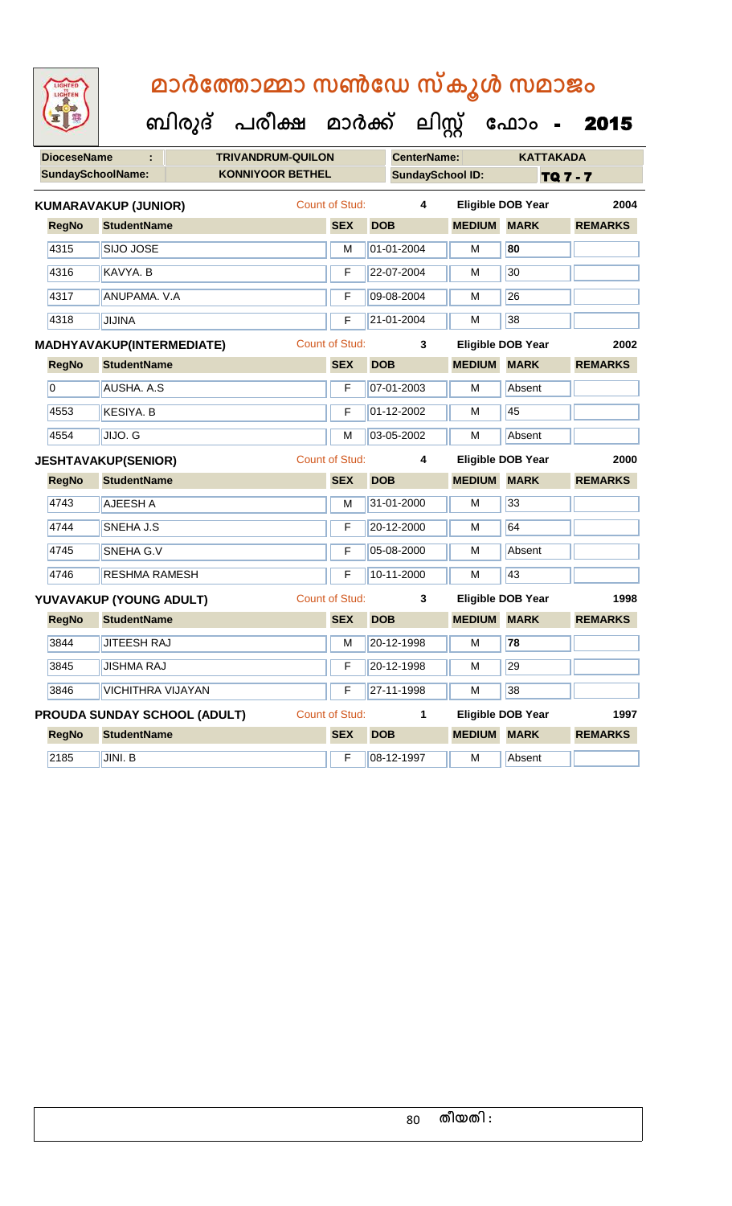| <b>IGHTED</b> |
|---------------|
|               |
|               |
|               |
|               |

| ၣဝ |  |
|----|--|
|    |  |

| <b>DioceseName</b>       |                             | <b>TRIVANDRUM-QUILON</b>     |                       |            | <b>CenterName:</b>      |                    | <b>KATTAKADA</b>         |                 |
|--------------------------|-----------------------------|------------------------------|-----------------------|------------|-------------------------|--------------------|--------------------------|-----------------|
| <b>SundaySchoolName:</b> |                             | <b>KONNIYOOR BETHEL</b>      |                       |            | <b>SundaySchool ID:</b> |                    |                          | <b>TQ 7 - 7</b> |
|                          | <b>KUMARAVAKUP (JUNIOR)</b> |                              | <b>Count of Stud:</b> |            | 4                       |                    | <b>Eligible DOB Year</b> | 2004            |
| <b>RegNo</b>             | <b>StudentName</b>          |                              | <b>SEX</b>            | <b>DOB</b> |                         | <b>MEDIUM</b>      | <b>MARK</b>              | <b>REMARKS</b>  |
| 4315                     | SIJO JOSE                   |                              | M                     |            | 01-01-2004              | M                  | 80                       |                 |
| 4316                     | KAVYA, B                    |                              | F                     |            | 22-07-2004              | м                  | 30                       |                 |
| 4317                     | ANUPAMA. V.A                |                              | F                     |            | 09-08-2004              | M                  | 26                       |                 |
| 4318                     | <b>JIJINA</b>               |                              | F                     |            | 21-01-2004              | M                  | 38                       |                 |
|                          | MADHYAVAKUP(INTERMEDIATE)   |                              | <b>Count of Stud:</b> |            | 3                       |                    | <b>Eligible DOB Year</b> | 2002            |
| <b>RegNo</b>             | <b>StudentName</b>          |                              | <b>SEX</b>            | <b>DOB</b> |                         | <b>MEDIUM MARK</b> |                          | <b>REMARKS</b>  |
| $\overline{0}$           | <b>AUSHA. A.S</b>           |                              | F                     |            | 07-01-2003              | M                  | Absent                   |                 |
| 4553                     | <b>KESIYA. B</b>            |                              | F                     |            | 01-12-2002              | м                  | 45                       |                 |
| 4554                     | JIJO. G                     |                              | м                     |            | 03-05-2002              | м                  | Absent                   |                 |
|                          | <b>JESHTAVAKUP(SENIOR)</b>  |                              | <b>Count of Stud:</b> |            | 4                       |                    | Eligible DOB Year        | 2000            |
| <b>RegNo</b>             | <b>StudentName</b>          |                              | <b>SEX</b>            | <b>DOB</b> |                         | <b>MEDIUM</b>      | <b>MARK</b>              | <b>REMARKS</b>  |
| 4743                     | AJEESH A                    |                              | M                     |            | 31-01-2000              | M                  | 33                       |                 |
| 4744                     | SNEHA J.S                   |                              | F                     |            | 20-12-2000              | м                  | 64                       |                 |
| 4745                     | SNEHA G.V                   |                              | F                     |            | 05-08-2000              | M                  | Absent                   |                 |
| 4746                     | RESHMA RAMESH               |                              | F                     |            | 10-11-2000              | M                  | 43                       |                 |
|                          | YUVAVAKUP (YOUNG ADULT)     |                              | <b>Count of Stud:</b> |            | 3                       |                    | <b>Eligible DOB Year</b> | 1998            |
| <b>RegNo</b>             | <b>StudentName</b>          |                              | <b>SEX</b>            | <b>DOB</b> |                         | <b>MEDIUM</b>      | <b>MARK</b>              | <b>REMARKS</b>  |
| 3844                     | <b>JITEESH RAJ</b>          |                              | М                     |            | 20-12-1998              | М                  | 78                       |                 |
| 3845                     | <b>JISHMA RAJ</b>           |                              | F                     |            | 20-12-1998              | M                  | 29                       |                 |
| 3846                     | <b>VICHITHRA VIJAYAN</b>    |                              | F                     |            | 27-11-1998              | м                  | 38                       |                 |
|                          |                             | PROUDA SUNDAY SCHOOL (ADULT) | <b>Count of Stud:</b> |            | 1                       |                    | <b>Eligible DOB Year</b> | 1997            |
| <b>RegNo</b>             | <b>StudentName</b>          |                              | <b>SEX</b>            | <b>DOB</b> |                         | <b>MEDIUM MARK</b> |                          | <b>REMARKS</b>  |
| 2185                     | JINI. B                     |                              | F                     |            | 08-12-1997              | M                  | Absent                   |                 |
|                          |                             |                              |                       |            |                         |                    |                          |                 |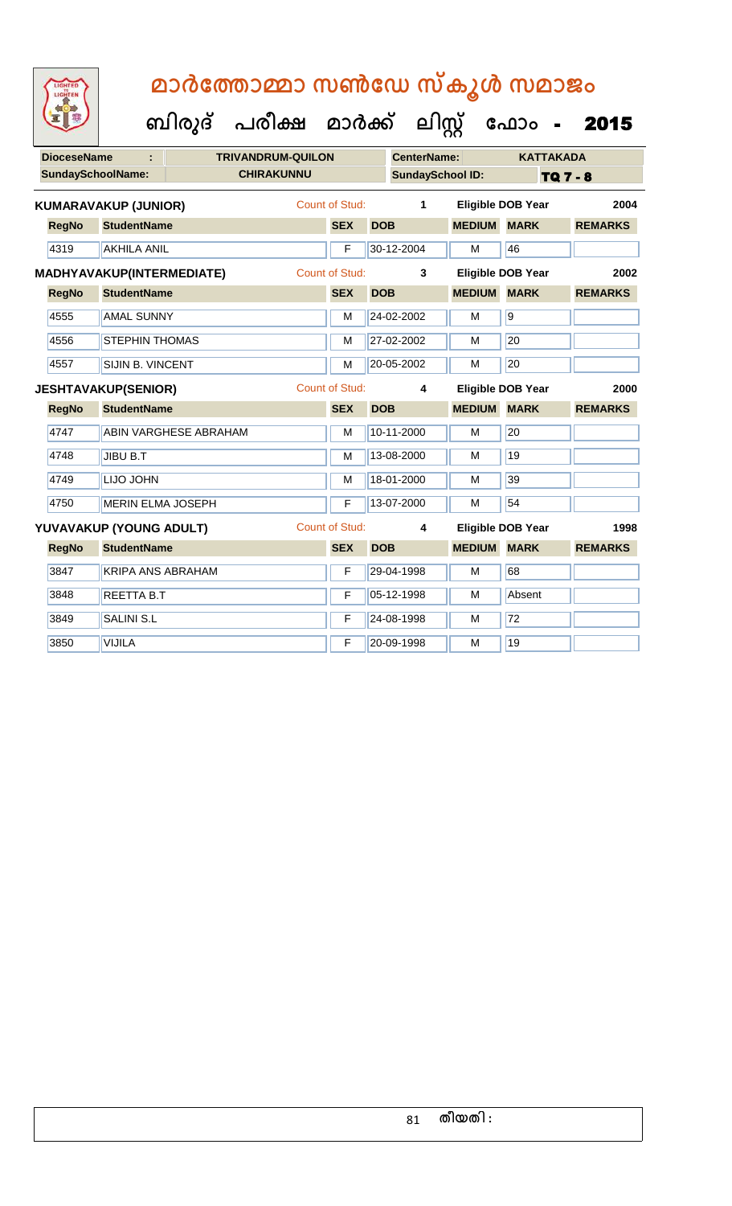|                          |                             | ബിരുദ്                       | പരീക്ഷ                   | മാർക്ക്               |            | ലിസ്റ്റ്                |                    | ഫോം                      | 2015            |
|--------------------------|-----------------------------|------------------------------|--------------------------|-----------------------|------------|-------------------------|--------------------|--------------------------|-----------------|
| <b>DioceseName</b>       | ÷                           |                              | <b>TRIVANDRUM-QUILON</b> |                       |            | <b>CenterName:</b>      |                    | <b>KATTAKADA</b>         |                 |
| <b>SundaySchoolName:</b> |                             |                              | <b>CHIRAKUNNU</b>        |                       |            | <b>SundaySchool ID:</b> |                    |                          | <b>TQ 7 - 8</b> |
|                          | <b>KUMARAVAKUP (JUNIOR)</b> |                              |                          | <b>Count of Stud:</b> |            | 1                       |                    | <b>Eligible DOB Year</b> | 2004            |
| <b>RegNo</b>             | <b>StudentName</b>          |                              |                          | <b>SEX</b>            | <b>DOB</b> |                         | <b>MEDIUM MARK</b> |                          | <b>REMARKS</b>  |
| 4319                     | <b>AKHILA ANIL</b>          |                              |                          | F                     |            | 30-12-2004              | М                  | 46                       |                 |
|                          | MADHYAVAKUP(INTERMEDIATE)   |                              |                          | <b>Count of Stud:</b> |            | 3                       |                    | Eligible DOB Year        | 2002            |
| <b>RegNo</b>             | <b>StudentName</b>          |                              |                          | <b>SEX</b>            | <b>DOB</b> |                         | <b>MEDIUM</b>      | <b>MARK</b>              | <b>REMARKS</b>  |
| 4555                     | <b>AMAL SUNNY</b>           |                              |                          | M                     |            | 24-02-2002              | M                  | $\overline{9}$           |                 |
| 4556                     | <b>STEPHIN THOMAS</b>       |                              |                          | M                     |            | 27-02-2002              | М                  | 20                       |                 |
| 4557                     | SIJIN B. VINCENT            |                              |                          | M                     |            | 20-05-2002              | м                  | 20                       |                 |
|                          | <b>JESHTAVAKUP(SENIOR)</b>  |                              |                          | Count of Stud:        |            | 4                       |                    | <b>Eligible DOB Year</b> | 2000            |
| <b>RegNo</b>             | <b>StudentName</b>          |                              |                          | <b>SEX</b>            | <b>DOB</b> |                         | <b>MEDIUM</b>      | <b>MARK</b>              | <b>REMARKS</b>  |
| 4747                     |                             | <b>ABIN VARGHESE ABRAHAM</b> |                          | M                     |            | 10-11-2000              | М                  | 20                       |                 |
| 4748                     | JIBU B.T                    |                              |                          | M                     |            | 13-08-2000              | M                  | 19                       |                 |
| 4749                     | <b>LIJO JOHN</b>            |                              |                          | M                     |            | 18-01-2000              | м                  | 39                       |                 |
| 4750                     | <b>MERIN ELMA JOSEPH</b>    |                              |                          | F                     |            | 13-07-2000              | М                  | 54                       |                 |
|                          | YUVAVAKUP (YOUNG ADULT)     |                              |                          | <b>Count of Stud:</b> |            | 4                       |                    | <b>Eligible DOB Year</b> | 1998            |
| <b>RegNo</b>             | <b>StudentName</b>          |                              |                          | <b>SEX</b>            | <b>DOB</b> |                         | <b>MEDIUM</b>      | <b>MARK</b>              | <b>REMARKS</b>  |
| 3847                     | <b>KRIPA ANS ABRAHAM</b>    |                              |                          | F                     |            | 29-04-1998              | M                  | 68                       |                 |
| 3848                     | <b>REETTA B.T</b>           |                              |                          | F                     |            | 05-12-1998              | М                  | Absent                   |                 |
| 3849                     | <b>SALINI S.L</b>           |                              |                          | F                     |            | 24-08-1998              | М                  | 72                       |                 |
| 3850                     | <b>VIJILA</b>               |                              |                          | F                     |            | 20-09-1998              | М                  | 19                       |                 |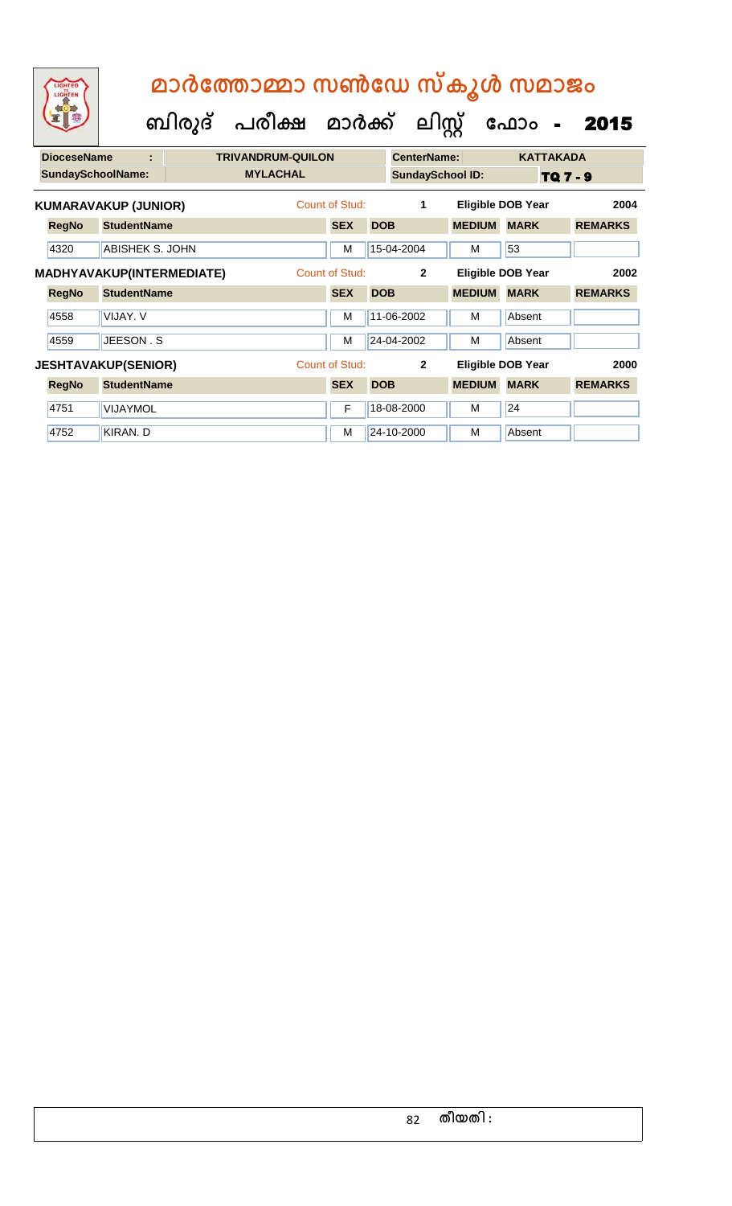| $\begin{pmatrix}\n\frac{1}{2} & \frac{1}{2} & \frac{1}{2} & \frac{1}{2} \\ \frac{1}{2} & \frac{1}{2} & \frac{1}{2} & \frac{1}{2} \\ \frac{1}{2} & \frac{1}{2} & \frac{1}{2} & \frac{1}{2}\n\end{pmatrix}$ |   | മാർത്തോമ്മാ സൺഡേ സ്കൂൾ സമാജം              |                         |                  |  |
|-----------------------------------------------------------------------------------------------------------------------------------------------------------------------------------------------------------|---|-------------------------------------------|-------------------------|------------------|--|
|                                                                                                                                                                                                           |   | ബിരുദ് പരീക്ഷ മാർക്ക് ലിസ്റ്റ് ഫോം - 2015 |                         |                  |  |
| <b>DioceseName</b>                                                                                                                                                                                        | ٠ | <b>TRIVANDRUM-QUILON</b>                  | <b>CenterName:</b>      | <b>KATTAKADA</b> |  |
| <b>SundaySchoolName:</b>                                                                                                                                                                                  |   | <b>MYLACHAL</b>                           | <b>SundaySchool ID:</b> | TO 7 - 9         |  |

|              | <b>SundaySchoolName:</b>    | <b>MYLACHAL</b> |                | <b>SundaySchool ID:</b> |               |                          | TQ 7 - 9       |
|--------------|-----------------------------|-----------------|----------------|-------------------------|---------------|--------------------------|----------------|
|              | <b>KUMARAVAKUP (JUNIOR)</b> |                 | Count of Stud: | 1                       |               | <b>Eligible DOB Year</b> | 2004           |
| <b>RegNo</b> | <b>StudentName</b>          |                 | <b>SEX</b>     | <b>DOB</b>              | <b>MEDIUM</b> | <b>MARK</b>              | <b>REMARKS</b> |
| 4320         | ABISHEK S. JOHN             |                 | M              | 15-04-2004              | M             | 53                       |                |
|              | MADHYAVAKUP(INTERMEDIATE)   |                 | Count of Stud: | $\mathbf{2}$            |               | <b>Eligible DOB Year</b> | 2002           |
| <b>RegNo</b> | <b>StudentName</b>          |                 | <b>SEX</b>     | <b>DOB</b>              | <b>MEDIUM</b> | <b>MARK</b>              | <b>REMARKS</b> |
| 4558         | VIJAY, V                    |                 | M              | 11-06-2002              | M             | Absent                   |                |
| 4559         | JEESON, S                   |                 | M              | 24-04-2002              | M             | Absent                   |                |
|              | <b>JESHTAVAKUP(SENIOR)</b>  |                 | Count of Stud: | $\mathbf{2}$            |               | <b>Eligible DOB Year</b> | 2000           |
| <b>RegNo</b> | <b>StudentName</b>          |                 | <b>SEX</b>     | <b>DOB</b>              | <b>MEDIUM</b> | <b>MARK</b>              | <b>REMARKS</b> |
| 4751         | <b>VIJAYMOL</b>             |                 | F              | 18-08-2000              | м             | 24                       |                |
| 4752         | KIRAN, D                    |                 | м              | 24-10-2000              | м             | Absent                   |                |
|              |                             |                 |                |                         |               |                          |                |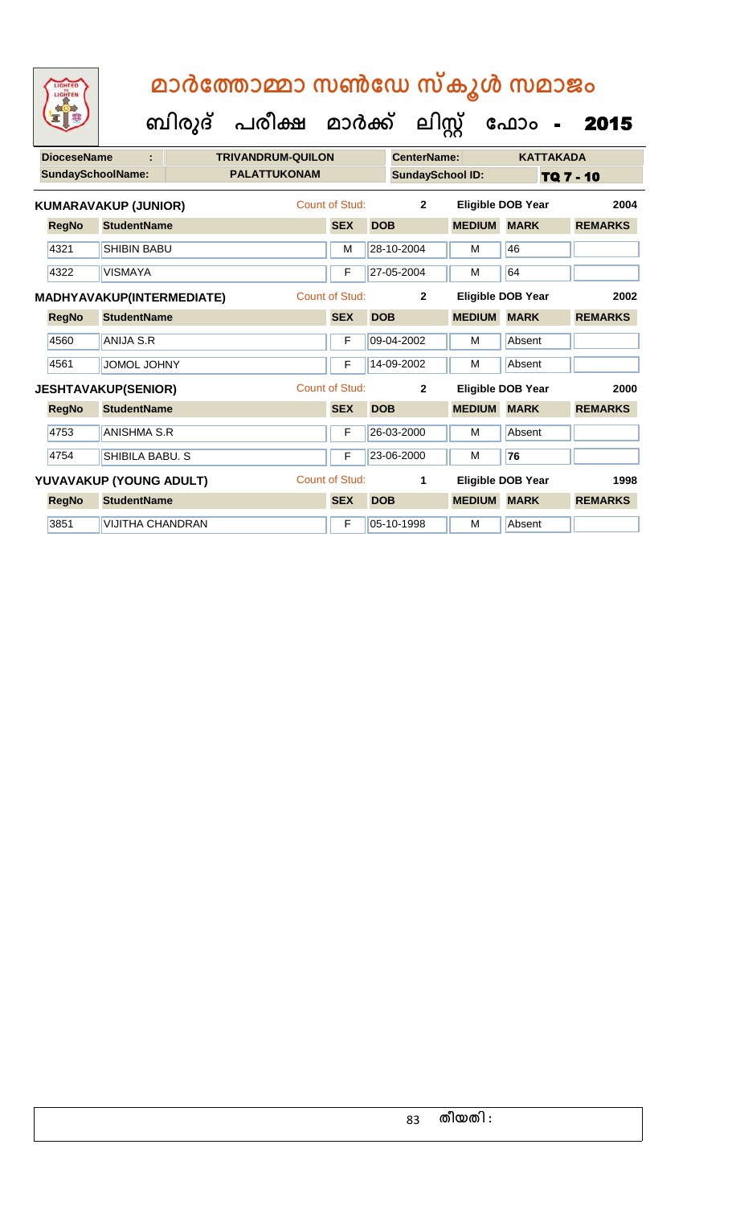| <b>DioceseName</b> |                             | <b>TRIVANDRUM-QUILON</b> |                     |                       | <b>CenterName:</b> |                         | <b>KATTAKADA</b> |                          |                |      |
|--------------------|-----------------------------|--------------------------|---------------------|-----------------------|--------------------|-------------------------|------------------|--------------------------|----------------|------|
|                    | SundaySchoolName:           |                          | <b>PALATTUKONAM</b> |                       |                    | <b>SundaySchool ID:</b> |                  | TQ 7 - 10                |                |      |
|                    | <b>KUMARAVAKUP (JUNIOR)</b> |                          |                     | Count of Stud:        |                    | $\overline{2}$          |                  | <b>Eligible DOB Year</b> |                | 2004 |
| <b>RegNo</b>       | <b>StudentName</b>          |                          |                     | <b>SEX</b>            | <b>DOB</b>         |                         | <b>MEDIUM</b>    | <b>MARK</b>              | <b>REMARKS</b> |      |
| 4321               | <b>SHIBIN BABU</b>          |                          |                     | M                     |                    | 28-10-2004              | М                | 46                       |                |      |
| 4322               | <b>VISMAYA</b>              |                          |                     | F                     |                    | 27-05-2004              | M                | 64                       |                |      |
|                    | MADHYAVAKUP(INTERMEDIATE)   |                          |                     | <b>Count of Stud:</b> |                    | $\overline{2}$          |                  | Eligible DOB Year        |                | 2002 |
| <b>RegNo</b>       | <b>StudentName</b>          |                          |                     | <b>SEX</b>            | <b>DOB</b>         |                         | <b>MEDIUM</b>    | <b>MARK</b>              | <b>REMARKS</b> |      |
| 4560               | <b>ANIJA S.R</b>            |                          |                     | F                     |                    | 09-04-2002              | м                | Absent                   |                |      |
| 4561               | JOMOL JOHNY                 |                          |                     | F                     |                    | 14-09-2002              | М                | Absent                   |                |      |
|                    | <b>JESHTAVAKUP(SENIOR)</b>  |                          |                     | <b>Count of Stud:</b> |                    | $\mathbf{2}$            |                  | Eligible DOB Year        |                | 2000 |
| <b>RegNo</b>       | <b>StudentName</b>          |                          |                     | <b>SEX</b>            | <b>DOB</b>         |                         | <b>MEDIUM</b>    | <b>MARK</b>              | <b>REMARKS</b> |      |
| 4753               | <b>ANISHMA S.R</b>          |                          |                     | F                     |                    | 26-03-2000              | м                | Absent                   |                |      |
| 4754               | SHIBILA BABU. S             |                          |                     | F                     |                    | 23-06-2000              | м                | 76                       |                |      |
|                    | YUVAVAKUP (YOUNG ADULT)     |                          |                     | <b>Count of Stud:</b> |                    | 1                       |                  | <b>Eligible DOB Year</b> |                | 1998 |
| <b>RegNo</b>       | <b>StudentName</b>          |                          |                     | <b>SEX</b>            | <b>DOB</b>         |                         | <b>MEDIUM</b>    | <b>MARK</b>              | <b>REMARKS</b> |      |
| 3851               | <b>VIJITHA CHANDRAN</b>     |                          |                     | F                     |                    | 05-10-1998              | м                | Absent                   |                |      |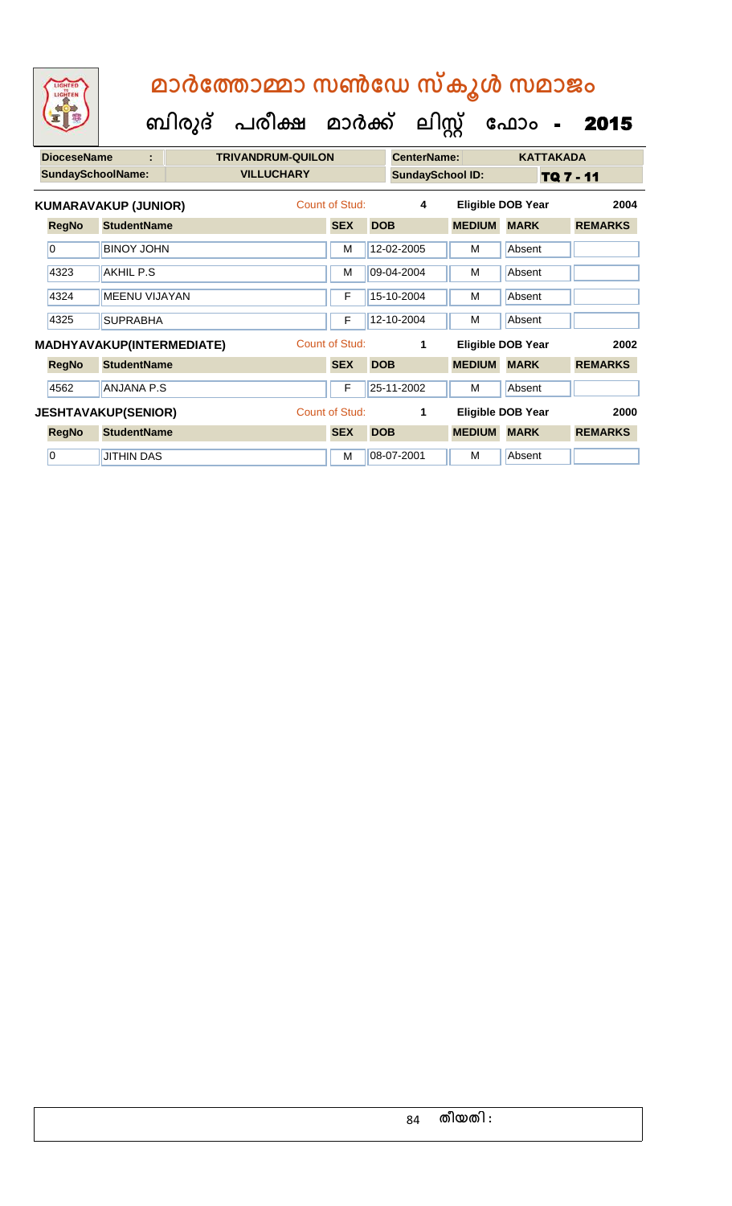| <b>DioceseName</b><br>÷ |                   |                          |                                                                                                                                                                                                                                   |            |                          |                                                    |                                                                                                                            | <b>KATTAKADA</b>                              |                                                                                                      |
|-------------------------|-------------------|--------------------------|-----------------------------------------------------------------------------------------------------------------------------------------------------------------------------------------------------------------------------------|------------|--------------------------|----------------------------------------------------|----------------------------------------------------------------------------------------------------------------------------|-----------------------------------------------|------------------------------------------------------------------------------------------------------|
|                         |                   |                          | <b>VILLUCHARY</b>                                                                                                                                                                                                                 |            |                          |                                                    |                                                                                                                            | TQ 7 - 11                                     |                                                                                                      |
|                         |                   |                          |                                                                                                                                                                                                                                   |            |                          | $\overline{\mathbf{4}}$                            |                                                                                                                            | 2004                                          |                                                                                                      |
| <b>RegNo</b>            |                   |                          |                                                                                                                                                                                                                                   | <b>SEX</b> |                          |                                                    |                                                                                                                            | <b>MARK</b>                                   | <b>REMARKS</b>                                                                                       |
| 0                       |                   |                          |                                                                                                                                                                                                                                   | M          |                          |                                                    | м                                                                                                                          | Absent                                        |                                                                                                      |
| 4323                    | AKHIL P.S         |                          |                                                                                                                                                                                                                                   | M          |                          |                                                    | м                                                                                                                          | Absent                                        |                                                                                                      |
| 4324                    |                   |                          |                                                                                                                                                                                                                                   | F          |                          |                                                    | м                                                                                                                          | Absent                                        |                                                                                                      |
| 4325                    | <b>SUPRABHA</b>   |                          |                                                                                                                                                                                                                                   | F          |                          |                                                    | м                                                                                                                          | Absent                                        |                                                                                                      |
|                         |                   |                          |                                                                                                                                                                                                                                   |            |                          | 1                                                  |                                                                                                                            |                                               | 2002                                                                                                 |
| <b>RegNo</b>            |                   |                          |                                                                                                                                                                                                                                   | <b>SEX</b> |                          |                                                    | <b>MEDIUM</b>                                                                                                              | <b>MARK</b>                                   | <b>REMARKS</b>                                                                                       |
| 4562                    |                   |                          |                                                                                                                                                                                                                                   | F          |                          |                                                    | м                                                                                                                          | Absent                                        |                                                                                                      |
|                         |                   |                          |                                                                                                                                                                                                                                   |            |                          | 1                                                  |                                                                                                                            |                                               | 2000                                                                                                 |
| <b>RegNo</b>            |                   |                          |                                                                                                                                                                                                                                   | <b>SEX</b> |                          |                                                    |                                                                                                                            | <b>MARK</b>                                   | <b>REMARKS</b>                                                                                       |
| $\overline{0}$          | <b>JITHIN DAS</b> |                          |                                                                                                                                                                                                                                   | M          |                          |                                                    | м                                                                                                                          | Absent                                        |                                                                                                      |
|                         |                   | <b>SundaySchoolName:</b> | <b>KUMARAVAKUP (JUNIOR)</b><br><b>StudentName</b><br><b>BINOY JOHN</b><br><b>MEENU VIJAYAN</b><br><b>MADHYAVAKUP(INTERMEDIATE)</b><br><b>StudentName</b><br><b>ANJANA P.S</b><br><b>JESHTAVAKUP(SENIOR)</b><br><b>StudentName</b> |            | <b>TRIVANDRUM-QUILON</b> | Count of Stud:<br>Count of Stud:<br>Count of Stud: | <b>DOB</b><br>12-02-2005<br>09-04-2004<br>15-10-2004<br>12-10-2004<br><b>DOB</b><br>25-11-2002<br><b>DOB</b><br>08-07-2001 | <b>CenterName:</b><br><b>SundaySchool ID:</b> | <b>Eligible DOB Year</b><br><b>MEDIUM</b><br>Eligible DOB Year<br>Eligible DOB Year<br><b>MEDIUM</b> |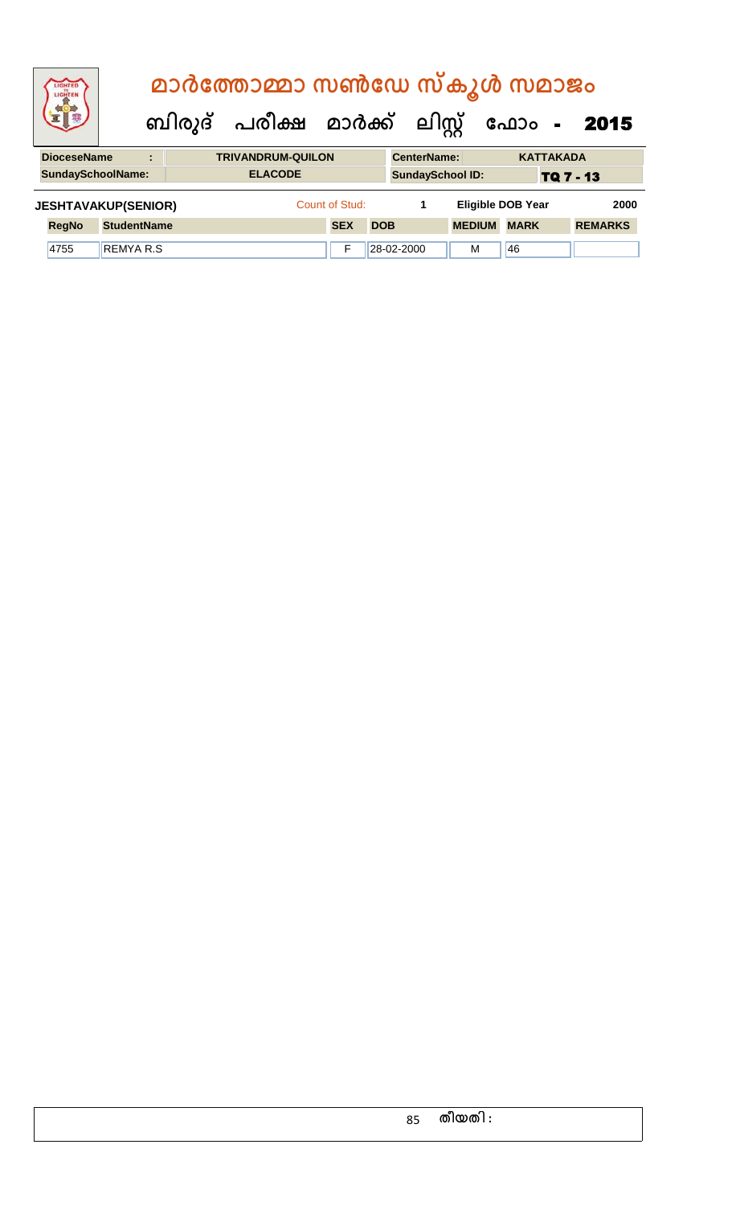| LIGHTED<br>LIGHTER         |                    |                                  |  | മാർത്തോമ്മാ സൺഡേ സ്കൂൾ സമാജം   |                |            |            |                    |                          |             |                  |                |
|----------------------------|--------------------|----------------------------------|--|--------------------------------|----------------|------------|------------|--------------------|--------------------------|-------------|------------------|----------------|
|                            |                    |                                  |  | ബിരുദ് പരീക്ഷ മാർക്ക് ലിസ്റ്റ് |                |            |            |                    |                          | ഫോം -       |                  | 2015           |
| <b>DioceseName</b>         |                    | $\blacksquare$<br>$\blacksquare$ |  | <b>TRIVANDRUM-QUILON</b>       |                |            |            | <b>CenterName:</b> |                          |             | <b>KATTAKADA</b> |                |
| <b>SundaySchoolName:</b>   |                    |                                  |  | <b>ELACODE</b>                 |                |            |            |                    | <b>SundaySchool ID:</b>  |             | <b>TQ 7 - 13</b> |                |
| <b>JESHTAVAKUP(SENIOR)</b> |                    |                                  |  |                                | Count of Stud: |            |            | 1                  | <b>Eligible DOB Year</b> |             |                  | 2000           |
| <b>RegNo</b>               | <b>StudentName</b> |                                  |  |                                | <b>SEX</b>     | <b>DOB</b> |            |                    | <b>MEDIUM</b>            | <b>MARK</b> |                  | <b>REMARKS</b> |
| 4755                       | <b>REMYAR.S</b>    |                                  |  |                                | F              |            | 28-02-2000 |                    | м                        | 46          |                  |                |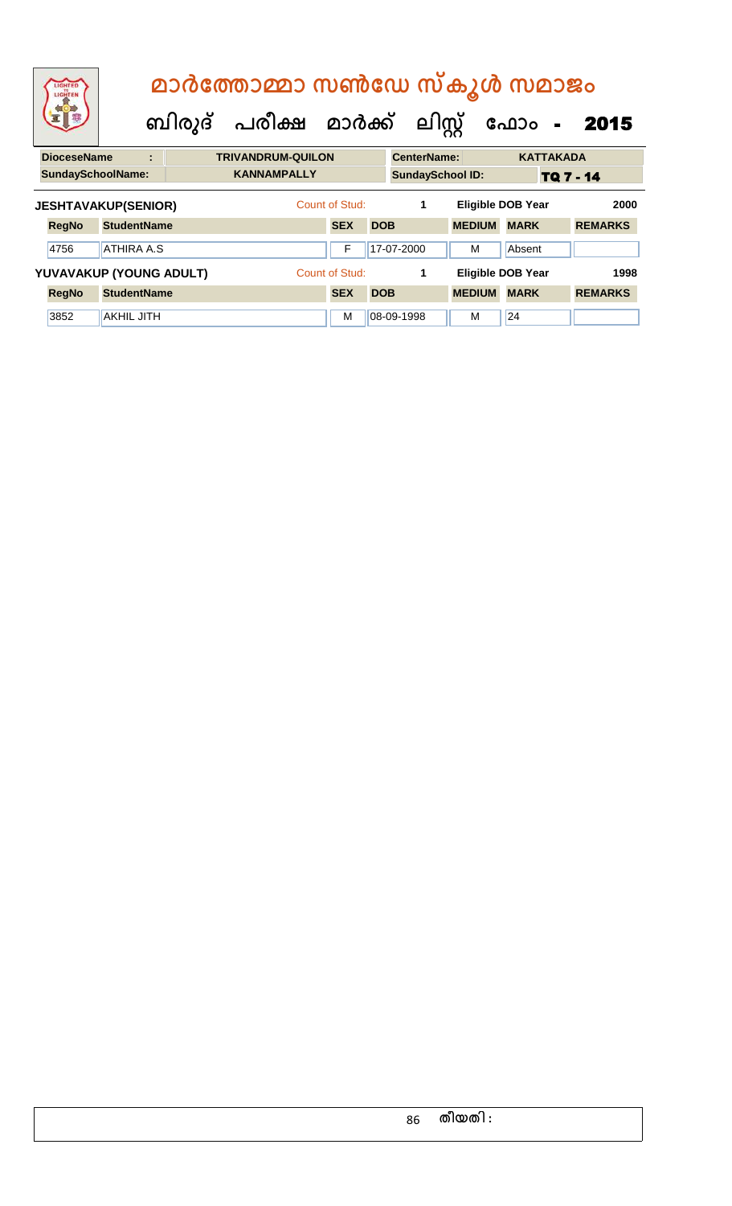| LIGHTED<br>LIGHTEN         |                    |   | മാർത്തോമ്മാ സൺഡേ സ്കൂൾ സമാജം<br>ബിരുദ് പരീക്ഷ മാർക്ക് ലിസ്റ്റ് |                |            |                    |                         | ഫോം -                    |                  | 2015           |  |
|----------------------------|--------------------|---|----------------------------------------------------------------|----------------|------------|--------------------|-------------------------|--------------------------|------------------|----------------|--|
| <b>DioceseName</b>         |                    | ÷ | <b>TRIVANDRUM-QUILON</b>                                       |                |            | <b>CenterName:</b> |                         |                          | <b>KATTAKADA</b> |                |  |
| <b>SundaySchoolName:</b>   |                    |   | <b>KANNAMPALLY</b>                                             |                |            |                    | <b>SundaySchool ID:</b> |                          | <b>TQ 7 - 14</b> |                |  |
| <b>JESHTAVAKUP(SENIOR)</b> |                    |   |                                                                | Count of Stud: |            | 1                  |                         | <b>Eligible DOB Year</b> |                  | 2000           |  |
| <b>RegNo</b>               | <b>StudentName</b> |   |                                                                | <b>SEX</b>     | <b>DOB</b> |                    | <b>MEDIUM</b>           | <b>MARK</b>              |                  | <b>REMARKS</b> |  |
| 4756                       | <b>ATHIRA A.S</b>  |   |                                                                | F              |            | 17-07-2000         | м                       | Absent                   |                  |                |  |
| YUVAVAKUP (YOUNG ADULT)    |                    |   |                                                                | Count of Stud: |            | 1                  |                         | <b>Eligible DOB Year</b> |                  | 1998           |  |
| <b>RegNo</b>               | <b>StudentName</b> |   |                                                                | <b>SEX</b>     | <b>DOB</b> |                    | <b>MEDIUM</b>           | <b>MARK</b>              |                  | <b>REMARKS</b> |  |
| 3852                       | <b>AKHIL JITH</b>  |   |                                                                | M              |            | 08-09-1998         | м                       | 24                       |                  |                |  |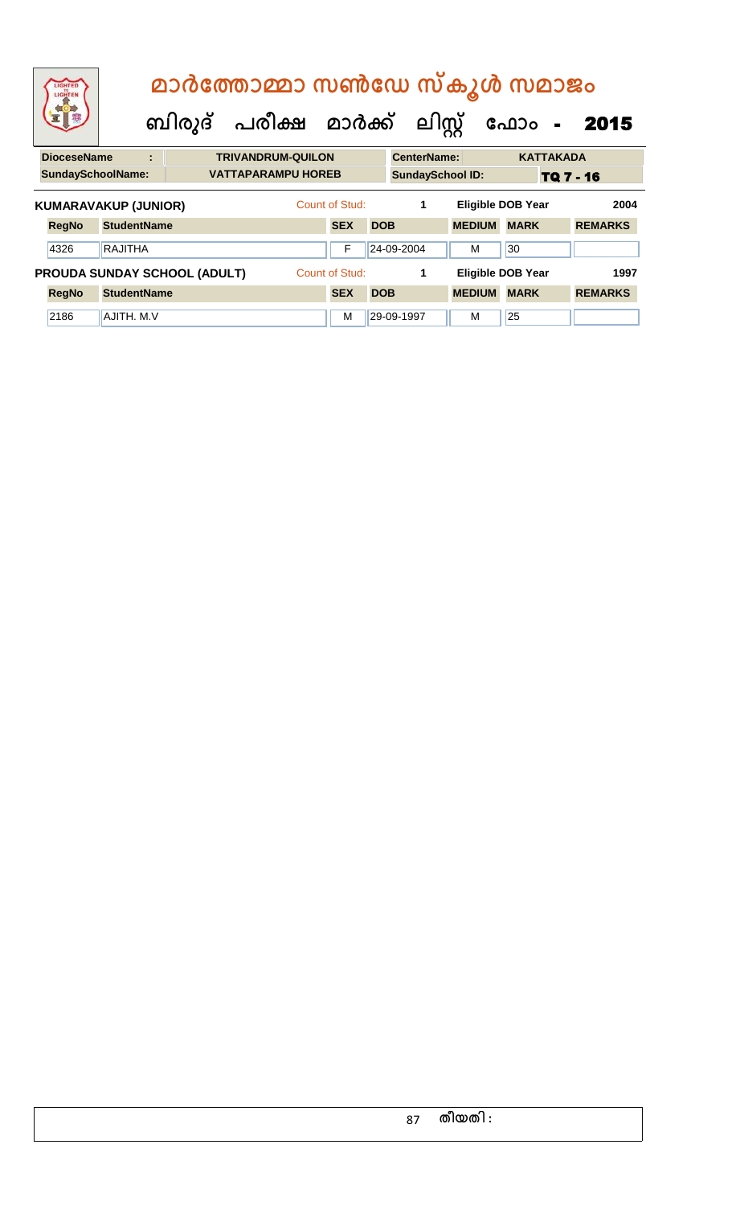| LIGHTED<br>LIGHTEN                  |                    |   | മാർത്തോമ്മാ സൺഡേ സ്കൂൾ സമാജം   |  |  |                           |                |            |                         |  |                          |             |                  |                |  |
|-------------------------------------|--------------------|---|--------------------------------|--|--|---------------------------|----------------|------------|-------------------------|--|--------------------------|-------------|------------------|----------------|--|
|                                     |                    |   | ബിരുദ് പരീക്ഷ മാർക്ക് ലിസ്റ്റ് |  |  |                           |                |            |                         |  |                          | ഫോം         | $\mathbf{r}$     | 2015           |  |
| <b>DioceseName</b>                  |                    | ÷ |                                |  |  | <b>TRIVANDRUM-QUILON</b>  |                |            | <b>CenterName:</b>      |  |                          |             | <b>KATTAKADA</b> |                |  |
| <b>SundaySchoolName:</b>            |                    |   |                                |  |  | <b>VATTAPARAMPU HOREB</b> |                |            | <b>SundaySchool ID:</b> |  |                          |             | TQ 7 - 16        |                |  |
| <b>KUMARAVAKUP (JUNIOR)</b>         |                    |   |                                |  |  |                           | Count of Stud: |            | 1                       |  | <b>Eligible DOB Year</b> |             |                  | 2004           |  |
| <b>RegNo</b>                        | <b>StudentName</b> |   |                                |  |  |                           | <b>SEX</b>     | <b>DOB</b> |                         |  | <b>MEDIUM</b>            | <b>MARK</b> |                  | <b>REMARKS</b> |  |
| 4326                                | <b>RAJITHA</b>     |   |                                |  |  |                           | F              |            | 24-09-2004              |  | м                        | 30          |                  |                |  |
| <b>PROUDA SUNDAY SCHOOL (ADULT)</b> |                    |   |                                |  |  |                           | Count of Stud: |            | 1                       |  | <b>Eligible DOB Year</b> |             |                  | 1997           |  |
| <b>RegNo</b>                        | <b>StudentName</b> |   |                                |  |  |                           | <b>SEX</b>     | <b>DOB</b> |                         |  | <b>MEDIUM</b>            | <b>MARK</b> |                  | <b>REMARKS</b> |  |
| 2186                                | AJITH, M.V.        |   |                                |  |  |                           | м              |            | 29-09-1997              |  | м                        | 25          |                  |                |  |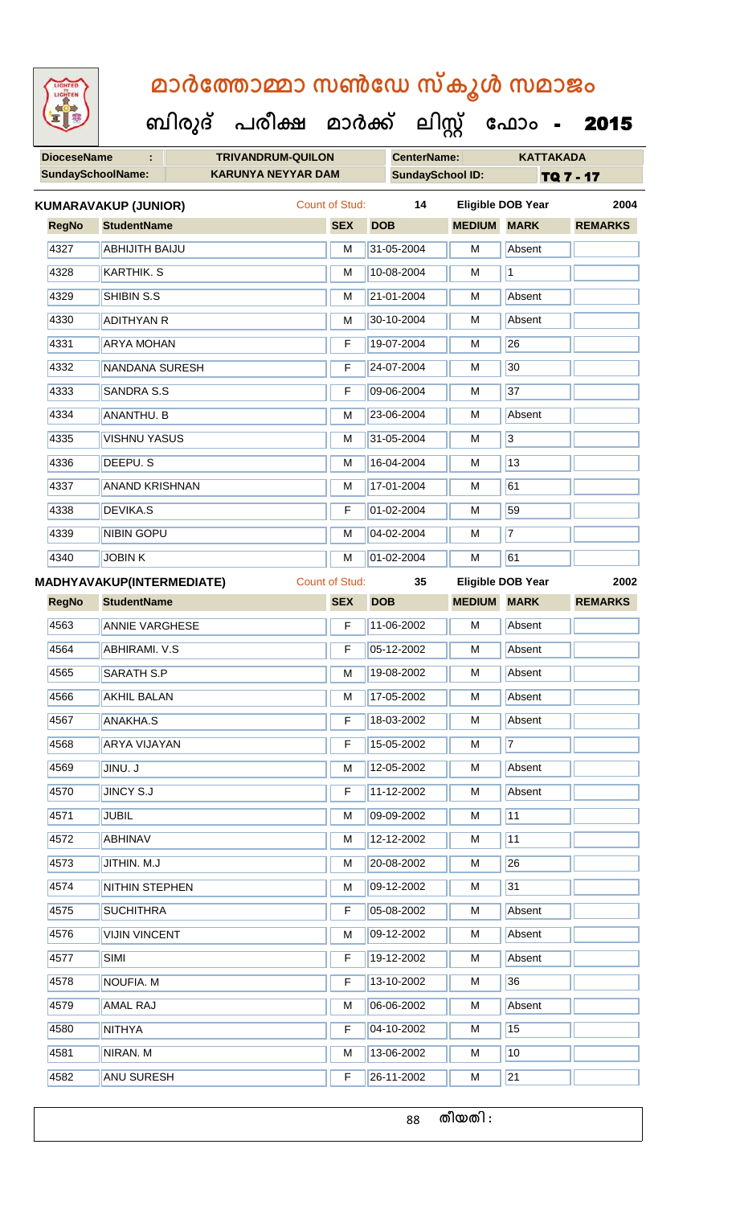**DioceseName : TRIVANDRUM-QUILON CenterName: KATTAKADA** SundaySchoolName: **KARUNYA NEYYAR DAM** SundaySchool ID: TQ 7 - 17  **ബിരുദ് പരീക്ഷ മാര്ക് ക ലിസ്റ്റ ക ഫ ാോം** - 2015 **RegNo StudentName SEX DOB MEDIUM MARK REMARKS KUMARAVAKUP (JUNIOR)** Count of Stud: **14 Eligible DOB Year 2004** 4327 ABHIJITH BAIJU M 31-05-2004 M Absent 4328 KARTHIK. S M 10-08-2004 M 11 |4329 || SHIBIN S.S || M || 21-01-2004 || M || Absent 4330 ADITHYAN R M 30-10-2004 M Absent 4331 ARYA MOHAN F 19-07-2004 M 26 4332 NANDANA SURESH F 24-07-2004 M 30 4333 SANDRA S.S F 7 09-06-2004 M 37 4334 ANANTHU. B M 23-06-2004 M Absent 4335 VISHNU YASUS M 31-05-2004 M 31 4336 DEEPU. S M 16-04-2004 M 16-04-2004 M 4337 ANAND KRISHNAN M 17-01-2004 M 61 4338 DEVIKA.S F 101-02-2004 M 59 4339 NIBIN GOPU M M 04-02-2004 M 7 4340 JOBIN K M 01-02-2004 M 61 **RegNo StudentName SEX DOB MEDIUM MARK REMARKS MADHYAVAKUP(INTERMEDIATE)** Count of Stud: **35 Eligible DOB Year 2002** 4563 ANNIE VARGHESE F 11-06-2002 M Absent 4564 **ABHIRAMI. V.S** F 05-12-2002 M Absent 4565 SARATH S.P M 19-08-2002 M Absent 4566 AKHIL BALAN M 17-05-2002 M Absent 4567 ANAKHA.S F 18-03-2002 M Absent 4568 ARYA VIJAYAN F 15-05-2002 M 7 4569 JINU. J M 12-05-2002 M Absent 4570 JINCY S.J F 11-12-2002 M Absent 4571 JUBIL M 09-09-2002 M 11 4572 ABHINAV M 12-12-2002 M 11 4573 JITHIN. M.J M 20-08-2002 M 26 4574 NITHIN STEPHEN M 09-12-2002 M 31 4575 SUCHITHRA TE 05-08-2002 M Absent 4576 VIJIN VINCENT M 09-12-2002 M Absent 4577 SIMI SIMI SIMI SIMI SIMI SIMI SIMI SIMI SIMI SIMI SIMI SIMI SIMI SI 4578 NOUFIA. M F 13-10-2002 M 36 4579 AMAL RAJ M 06-06-2002 M Absent 4580 NITHYA F 04-10-2002 M 15 4581 NIRAN. M M 13-06-2002 M 13-06-2002 M 4582 ANU SURESH F 26-11-2002 M 21

88 **തീയതി :**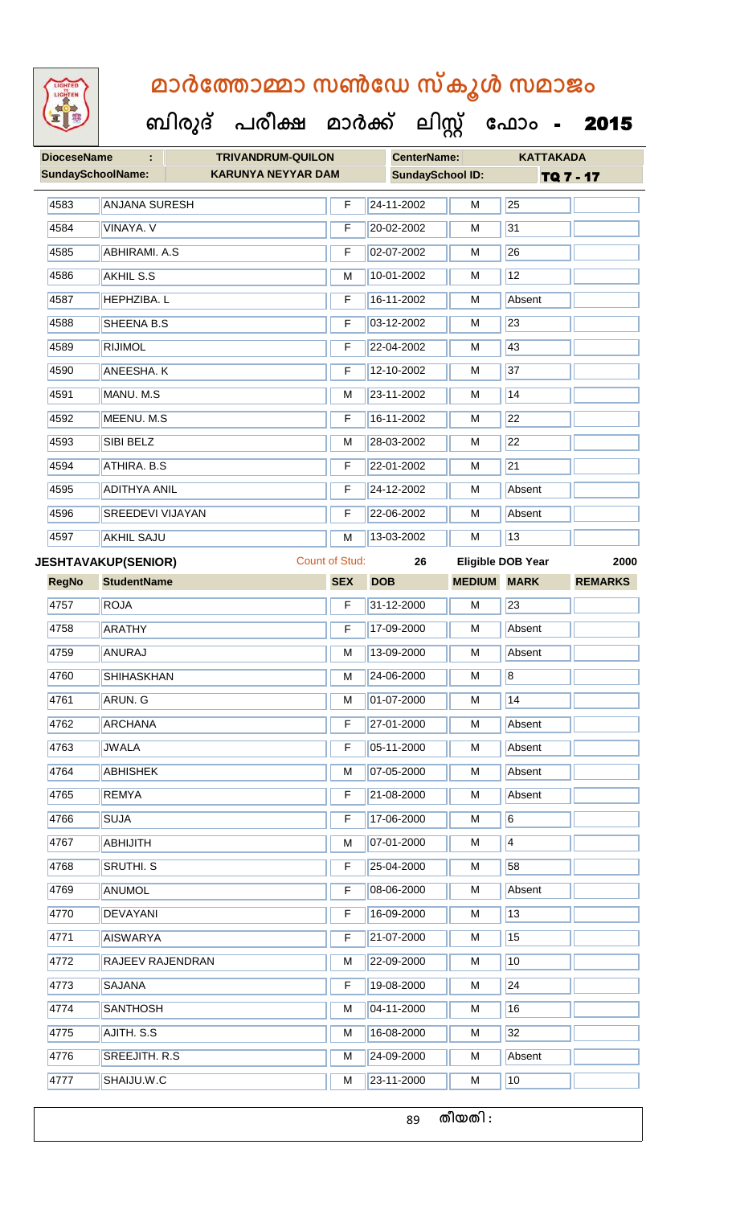

| <b>SundaySchoolName:</b><br><b>KARUNYA NEYYAR DAM</b><br><b>ANJANA SURESH</b><br>VINAYA. V<br><b>ABHIRAMI. A.S</b><br>AKHIL S.S<br><b>HEPHZIBA. L</b><br><b>SHEENA B.S</b><br><b>RIJIMOL</b><br><b>ANEESHA.K</b><br>MANU. M.S<br>MEENU. M.S | F<br>F<br>F<br>M<br>F<br>F<br>F<br>F | <b>SundaySchool ID:</b><br>24-11-2002<br>20-02-2002<br>02-07-2002<br>10-01-2002<br>16-11-2002<br>03-12-2002<br>22-04-2002 | M<br>M<br>M<br>M<br>M<br>M | 25<br>31<br>26<br>12<br>Absent | TQ 7 - 17                |
|---------------------------------------------------------------------------------------------------------------------------------------------------------------------------------------------------------------------------------------------|--------------------------------------|---------------------------------------------------------------------------------------------------------------------------|----------------------------|--------------------------------|--------------------------|
|                                                                                                                                                                                                                                             |                                      |                                                                                                                           |                            |                                |                          |
|                                                                                                                                                                                                                                             |                                      |                                                                                                                           |                            |                                |                          |
|                                                                                                                                                                                                                                             |                                      |                                                                                                                           |                            |                                |                          |
|                                                                                                                                                                                                                                             |                                      |                                                                                                                           |                            |                                |                          |
|                                                                                                                                                                                                                                             |                                      |                                                                                                                           |                            |                                |                          |
|                                                                                                                                                                                                                                             |                                      |                                                                                                                           |                            |                                |                          |
|                                                                                                                                                                                                                                             |                                      |                                                                                                                           |                            | 23                             |                          |
|                                                                                                                                                                                                                                             |                                      |                                                                                                                           | M                          | 43                             |                          |
|                                                                                                                                                                                                                                             |                                      | 12-10-2002                                                                                                                | M                          | 37                             |                          |
|                                                                                                                                                                                                                                             | M                                    | 23-11-2002                                                                                                                | M                          | 14                             |                          |
|                                                                                                                                                                                                                                             | F                                    | 16-11-2002                                                                                                                | M                          | 22                             |                          |
| <b>SIBI BELZ</b>                                                                                                                                                                                                                            | M                                    | 28-03-2002                                                                                                                | M                          | 22                             |                          |
| ATHIRA. B.S                                                                                                                                                                                                                                 | F                                    | 22-01-2002                                                                                                                | M                          | 21                             |                          |
| <b>ADITHYA ANIL</b>                                                                                                                                                                                                                         | F                                    | 24-12-2002                                                                                                                | M                          | Absent                         |                          |
| <b>SREEDEVI VIJAYAN</b>                                                                                                                                                                                                                     | F                                    | 22-06-2002                                                                                                                | M                          | Absent                         |                          |
| <b>AKHIL SAJU</b>                                                                                                                                                                                                                           | M                                    | 13-03-2002                                                                                                                | M                          | 13                             |                          |
| <b>JESHTAVAKUP(SENIOR)</b>                                                                                                                                                                                                                  |                                      | 26                                                                                                                        |                            |                                | 2000                     |
| <b>StudentName</b>                                                                                                                                                                                                                          | <b>SEX</b>                           | <b>DOB</b>                                                                                                                | <b>MEDIUM</b>              | <b>MARK</b>                    | <b>REMARKS</b>           |
| <b>ROJA</b>                                                                                                                                                                                                                                 | F                                    | 31-12-2000                                                                                                                | M                          | 23                             |                          |
| <b>ARATHY</b>                                                                                                                                                                                                                               | F                                    | 17-09-2000                                                                                                                | M                          | Absent                         |                          |
| ANURAJ                                                                                                                                                                                                                                      | M                                    | 13-09-2000                                                                                                                | M                          | Absent                         |                          |
| <b>SHIHASKHAN</b>                                                                                                                                                                                                                           | M                                    | 24-06-2000                                                                                                                | M                          | $\overline{8}$                 |                          |
| ARUN. G                                                                                                                                                                                                                                     | М                                    | 01-07-2000                                                                                                                | М                          | 14                             |                          |
| <b>ARCHANA</b>                                                                                                                                                                                                                              | F                                    | 27-01-2000                                                                                                                | М                          | Absent                         |                          |
| <b>JWALA</b>                                                                                                                                                                                                                                | F                                    | 05-11-2000                                                                                                                | M                          | Absent                         |                          |
| <b>ABHISHEK</b>                                                                                                                                                                                                                             | M                                    | 07-05-2000                                                                                                                | M                          | Absent                         |                          |
| <b>REMYA</b>                                                                                                                                                                                                                                | F                                    | 21-08-2000                                                                                                                | м                          | Absent                         |                          |
| <b>SUJA</b>                                                                                                                                                                                                                                 | F                                    | 17-06-2000                                                                                                                | M                          | $\vert 6 \vert$                |                          |
| <b>ABHIJITH</b>                                                                                                                                                                                                                             | М                                    | 07-01-2000                                                                                                                | M                          | $\vert 4 \vert$                |                          |
| SRUTHI. S                                                                                                                                                                                                                                   | F                                    | 25-04-2000                                                                                                                | M                          | 58                             |                          |
| ANUMOL                                                                                                                                                                                                                                      | F                                    | 08-06-2000                                                                                                                | M                          | Absent                         |                          |
| <b>DEVAYANI</b>                                                                                                                                                                                                                             | F                                    | 16-09-2000                                                                                                                | M                          | 13                             |                          |
| <b>AISWARYA</b>                                                                                                                                                                                                                             | F                                    | 21-07-2000                                                                                                                | M                          | 15                             |                          |
| RAJEEV RAJENDRAN                                                                                                                                                                                                                            | М                                    | 22-09-2000                                                                                                                | M                          | 10                             |                          |
| <b>SAJANA</b>                                                                                                                                                                                                                               | F                                    | 19-08-2000                                                                                                                | M                          | 24                             |                          |
| <b>SANTHOSH</b>                                                                                                                                                                                                                             | М                                    | 04-11-2000                                                                                                                | M                          | 16                             |                          |
| AJITH. S.S                                                                                                                                                                                                                                  | М                                    | 16-08-2000                                                                                                                | M                          | 32                             |                          |
| SREEJITH. R.S.                                                                                                                                                                                                                              | М                                    | 24-09-2000                                                                                                                | M                          | Absent                         |                          |
| SHAIJU.W.C                                                                                                                                                                                                                                  | М                                    | 23-11-2000                                                                                                                | м                          | 10                             |                          |
|                                                                                                                                                                                                                                             |                                      |                                                                                                                           | <b>Count of Stud:</b>      |                                | <b>Eligible DOB Year</b> |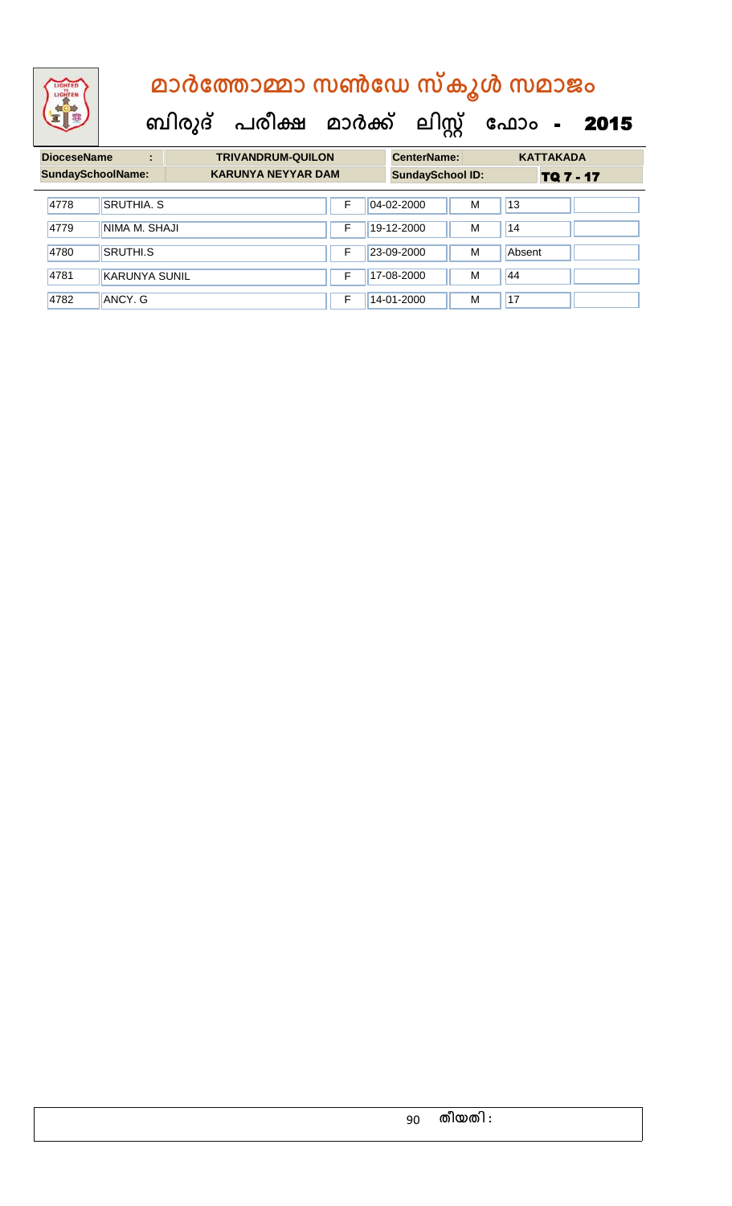

| <b>DioceseName</b> | ÷                        | <b>TRIVANDRUM-QUILON</b>  |   | <b>CenterName:</b>      |   | <b>KATTAKADA</b> |
|--------------------|--------------------------|---------------------------|---|-------------------------|---|------------------|
|                    | <b>SundaySchoolName:</b> | <b>KARUNYA NEYYAR DAM</b> |   | <b>SundaySchool ID:</b> |   | TQ 7 - 17        |
| 4778               | <b>SRUTHIA, S</b>        |                           | F | 04-02-2000              | M | 13               |
| 4779               | NIMA M. SHAJI            |                           | F | 19-12-2000              | M | 14               |
| 4780               | <b>SRUTHI.S</b>          |                           | F | 23-09-2000              | M | Absent           |
| 4781               | KARUNYA SUNIL            |                           | F | 17-08-2000              | M | 44               |
| 4782               | ANCY. G                  |                           | F | 14-01-2000              | M | 17               |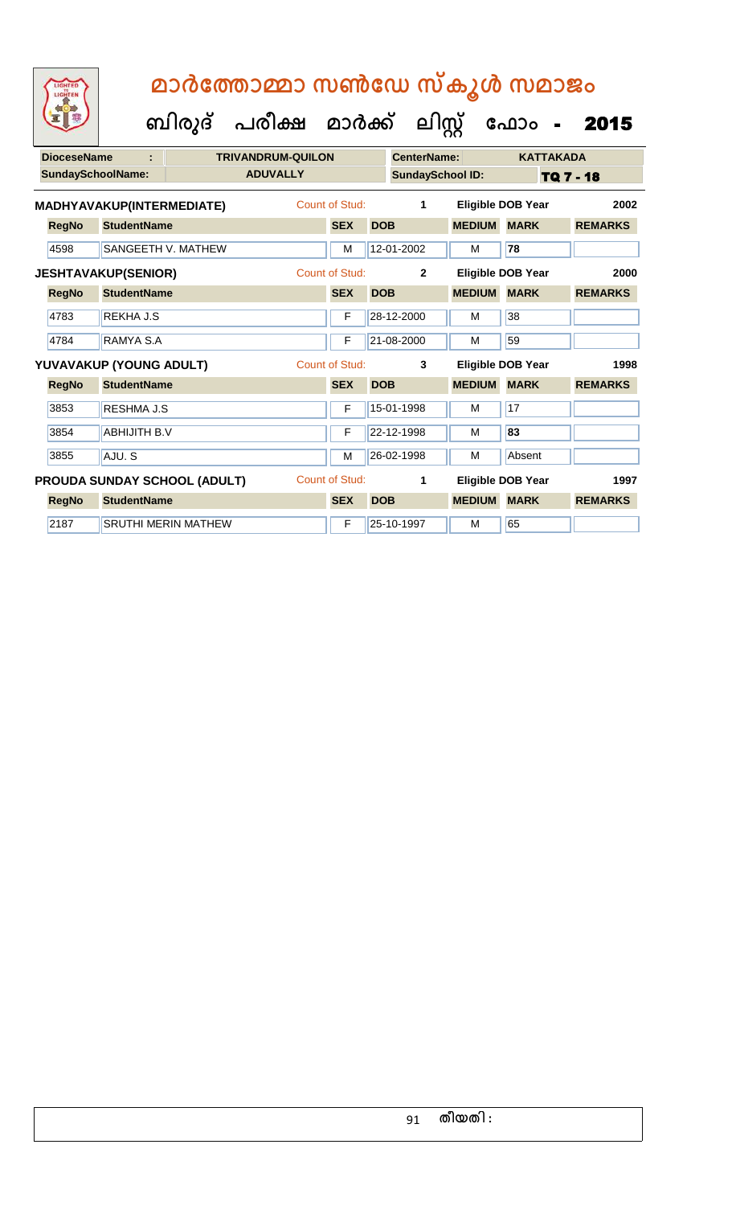| <b>DioceseName</b><br>t |                            |                              | <b>TRIVANDRUM-QUILON</b> |                       |            | <b>CenterName:</b>      |               | <b>KATTAKADA</b>         |                |  |
|-------------------------|----------------------------|------------------------------|--------------------------|-----------------------|------------|-------------------------|---------------|--------------------------|----------------|--|
|                         | <b>SundaySchoolName:</b>   |                              | <b>ADUVALLY</b>          |                       |            | <b>SundaySchool ID:</b> |               | TQ 7 - 18                |                |  |
|                         | MADHYAVAKUP(INTERMEDIATE)  |                              |                          | Count of Stud:        |            | 1                       |               | <b>Eligible DOB Year</b> | 2002           |  |
| <b>RegNo</b>            | <b>StudentName</b>         |                              |                          | <b>SEX</b>            | <b>DOB</b> |                         | <b>MEDIUM</b> | <b>MARK</b>              | <b>REMARKS</b> |  |
| 4598                    | <b>SANGEETH V. MATHEW</b>  |                              |                          | M                     |            | 12-01-2002              | м             | 78                       |                |  |
|                         | <b>JESHTAVAKUP(SENIOR)</b> |                              |                          | Count of Stud:        |            | $\overline{2}$          |               | Eligible DOB Year        | 2000           |  |
| <b>RegNo</b>            | <b>StudentName</b>         |                              |                          | <b>SEX</b>            | <b>DOB</b> |                         | <b>MEDIUM</b> | <b>MARK</b>              | <b>REMARKS</b> |  |
| 4783                    | <b>REKHA J.S</b>           |                              |                          | F                     |            | 28-12-2000              | м             | 38                       |                |  |
| 4784                    | RAMYA S.A                  |                              |                          | F                     |            | 21-08-2000              | м             | 59                       |                |  |
|                         | YUVAVAKUP (YOUNG ADULT)    |                              |                          | <b>Count of Stud:</b> |            | 3                       |               | Eligible DOB Year        | 1998           |  |
| <b>RegNo</b>            | <b>StudentName</b>         |                              |                          | <b>SEX</b>            | <b>DOB</b> |                         | <b>MEDIUM</b> | <b>MARK</b>              | <b>REMARKS</b> |  |
| 3853                    | RESHMA J.S                 |                              |                          | F                     |            | 15-01-1998              | м             | 17                       |                |  |
| 3854                    | <b>ABHIJITH B.V</b>        |                              |                          | F                     |            | 22-12-1998              | м             | 83                       |                |  |
| 3855                    | AJU.S                      |                              |                          | M                     |            | 26-02-1998              | М             | Absent                   |                |  |
|                         |                            | PROUDA SUNDAY SCHOOL (ADULT) |                          | Count of Stud:        |            | 1                       |               | <b>Eligible DOB Year</b> | 1997           |  |
| <b>RegNo</b>            | <b>StudentName</b>         |                              |                          | <b>SEX</b>            | <b>DOB</b> |                         | <b>MEDIUM</b> | <b>MARK</b>              | <b>REMARKS</b> |  |
| 2187                    |                            | <b>SRUTHI MERIN MATHEW</b>   |                          | F                     |            | 25-10-1997              | м             | 65                       |                |  |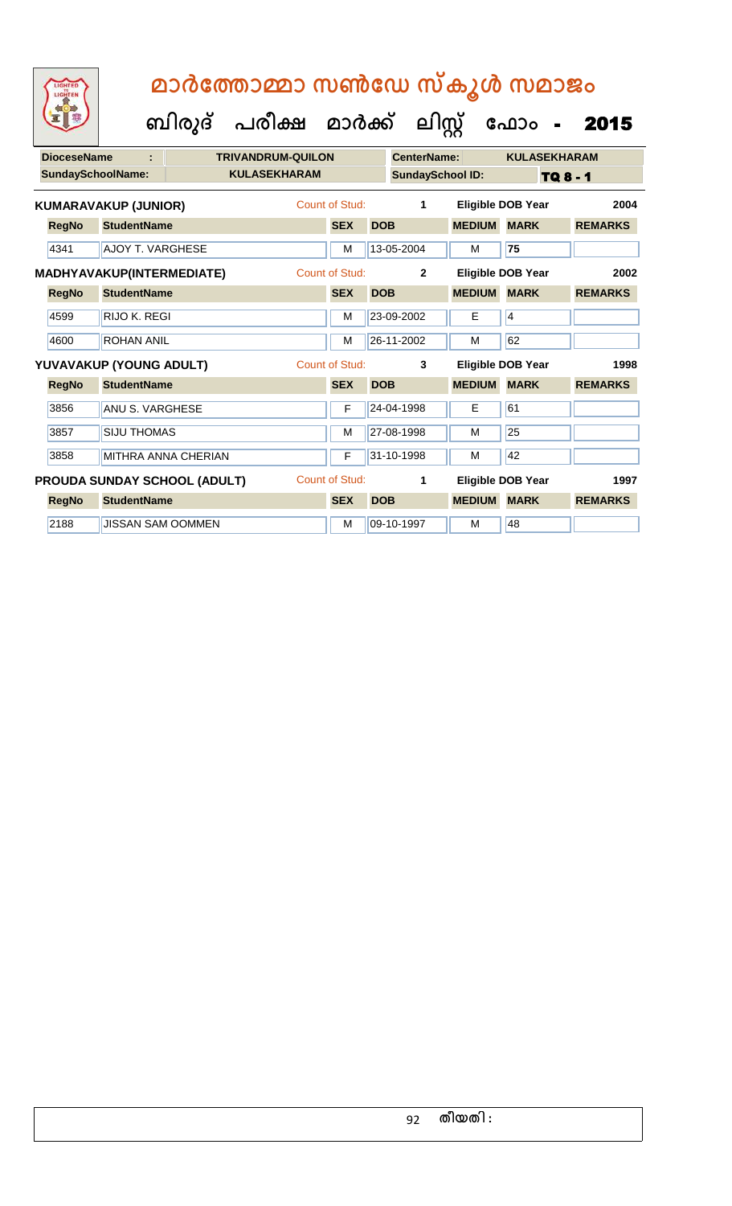**ബിരുദ് പരീക്ഷ മാര്ക്**

2188 JUSSAN SAM OOMMEN M M 09-10-1997 M 48

**ക ലിസ്റ്റ**

**DioceseName : TRIVANDRUM-QUILON CenterName: KULASEKHARAM** SundaySchoolName: **KULASEKHARAM SundaySchool ID:** TQ 8 - 1 ഫോം - 2015 **RegNo StudentName SEX DOB MEDIUM MARK REMARKS KUMARAVAKUP (JUNIOR)** Count of Stud: **1 Eligible DOB Year 2004** 4341 AJOY T. VARGHESE M 13-05-2004 M **75 RegNo StudentName SEX DOB MEDIUM MARK REMARKS MADHYAVAKUP(INTERMEDIATE)** Count of Stud: **2 Eligible DOB Year 2002** 4599 RIJO K. REGI M 23-09-2002 E 4 4600 ROHAN ANIL M 26-11-2002 M 62 **RegNo StudentName SEX DOB MEDIUM MARK REMARKS YUVAVAKUP (YOUNG ADULT)** Count of Stud: **3 Eligible DOB Year 1998** 3856 ANU S. VARGHESE F F 24-04-1998 F 61 3857 SIJU THOMAS M 27-08-1998 M 27-08-1998 M 3858 MITHRA ANNA CHERIAN F 31-10-1998 M 12 **RegNo StudentName SEX DOB MEDIUM MARK REMARKS PROUDA SUNDAY SCHOOL (ADULT)** Count of Stud: **1 Eligible DOB Year 1997**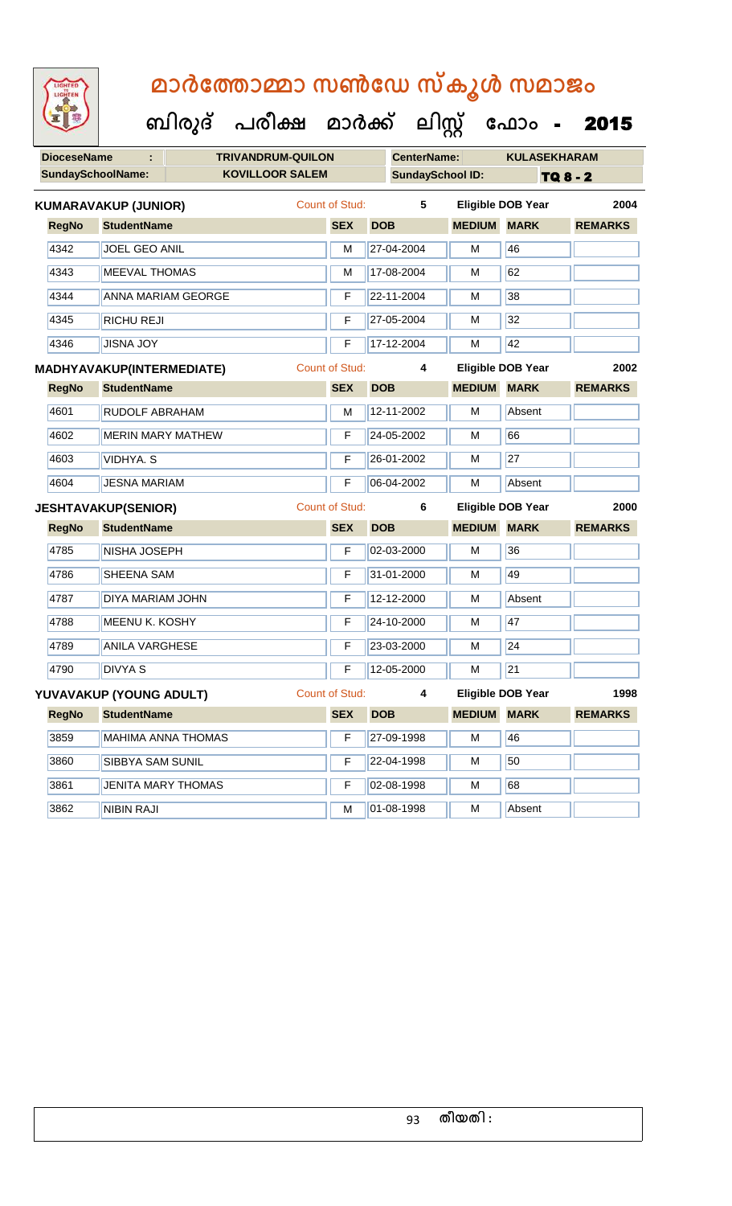| LIGHTED<br>LIGHTEN       | മാർത്തോമ്മാ സൺഡേ സ്കൂൾ സമാജം         |                       |                         |               |                          |                 |
|--------------------------|--------------------------------------|-----------------------|-------------------------|---------------|--------------------------|-----------------|
|                          | ബിരുദ് പരീക്ഷ മാർക്ക് ലിസ്റ്റ് ഫോം - |                       |                         |               |                          | 2015            |
| <b>DioceseName</b>       | <b>TRIVANDRUM-QUILON</b>             |                       | <b>CenterName:</b>      |               | <b>KULASEKHARAM</b>      |                 |
| <b>SundaySchoolName:</b> | <b>KOVILLOOR SALEM</b>               |                       | <b>SundaySchool ID:</b> |               |                          | <b>TQ 8 - 2</b> |
|                          | <b>KUMARAVAKUP (JUNIOR)</b>          | Count of Stud:        | 5                       |               | Eligible DOB Year        | 2004            |
| <b>RegNo</b>             | <b>StudentName</b>                   | <b>SEX</b>            | <b>DOB</b>              | <b>MEDIUM</b> | <b>MARK</b>              | <b>REMARKS</b>  |
| 4342                     | <b>JOEL GEO ANIL</b>                 | М                     | 27-04-2004              | м             | 46                       |                 |
| 4343                     | <b>MEEVAL THOMAS</b>                 | М                     | 17-08-2004              | м             | 62                       |                 |
| 4344                     | ANNA MARIAM GEORGE                   | F                     | 22-11-2004              | м             | 38                       |                 |
| 4345                     | <b>RICHU REJI</b>                    | F                     | 27-05-2004              | м             | 32                       |                 |
| 4346                     | <b>JISNA JOY</b>                     | F                     | 17-12-2004              | м             | 42                       |                 |
|                          | MADHYAVAKUP(INTERMEDIATE)            | <b>Count of Stud:</b> | 4                       |               | <b>Eligible DOB Year</b> | 2002            |
| <b>RegNo</b>             | <b>StudentName</b>                   | <b>SEX</b>            | <b>DOB</b>              | <b>MEDIUM</b> | <b>MARK</b>              | <b>REMARKS</b>  |
| 4601                     | <b>RUDOLF ABRAHAM</b>                | M                     | 12-11-2002              | м             | Absent                   |                 |
| 4602                     | <b>MERIN MARY MATHEW</b>             | F                     | 24-05-2002              | м             | 66                       |                 |
| 4603                     | <b>VIDHYA.S</b>                      | F                     | 26-01-2002              | м             | 27                       |                 |
| 4604                     | <b>JESNA MARIAM</b>                  | F                     | 06-04-2002              | м             | Absent                   |                 |
|                          | <b>JESHTAVAKUP(SENIOR)</b>           | <b>Count of Stud:</b> | 6                       |               | <b>Eligible DOB Year</b> | 2000            |
| <b>RegNo</b>             | <b>StudentName</b>                   | <b>SEX</b>            | <b>DOB</b>              | <b>MEDIUM</b> | <b>MARK</b>              | <b>REMARKS</b>  |
| 4785                     | <b>NISHA JOSEPH</b>                  | F                     | 02-03-2000              | M             | 36                       |                 |
| 4786                     | <b>SHEENA SAM</b>                    | F                     | 31-01-2000              | м             | 49                       |                 |
| 4787                     | DIYA MARIAM JOHN                     | F                     | 12-12-2000              | M             | Absent                   |                 |
| 4788                     | <b>MEENU K. KOSHY</b>                | F                     | 24-10-2000              | M             | 47                       |                 |
| 4789                     | <b>ANILA VARGHESE</b>                | F                     | 23-03-2000              | M             | 24                       |                 |
| 4790                     | <b>DIVYA S</b>                       | F                     | 12-05-2000              | M             | 21                       |                 |
|                          | YUVAVAKUP (YOUNG ADULT)              | Count of Stud:        | $\overline{\mathbf{4}}$ |               | <b>Eligible DOB Year</b> | 1998            |
| <b>RegNo</b>             | <b>StudentName</b>                   | <b>SEX</b>            | <b>DOB</b>              | <b>MEDIUM</b> | <b>MARK</b>              | <b>REMARKS</b>  |
| 3859                     | <b>MAHIMA ANNA THOMAS</b>            | F                     | 27-09-1998              | M             | 46                       |                 |
| 3860                     | SIBBYA SAM SUNIL                     | F                     | 22-04-1998              | M             | 50                       |                 |
| 3861                     | <b>JENITA MARY THOMAS</b>            | F                     | 02-08-1998              | M             | 68                       |                 |
| 3862                     | <b>NIBIN RAJI</b>                    | M                     | 01-08-1998              | M             | Absent                   |                 |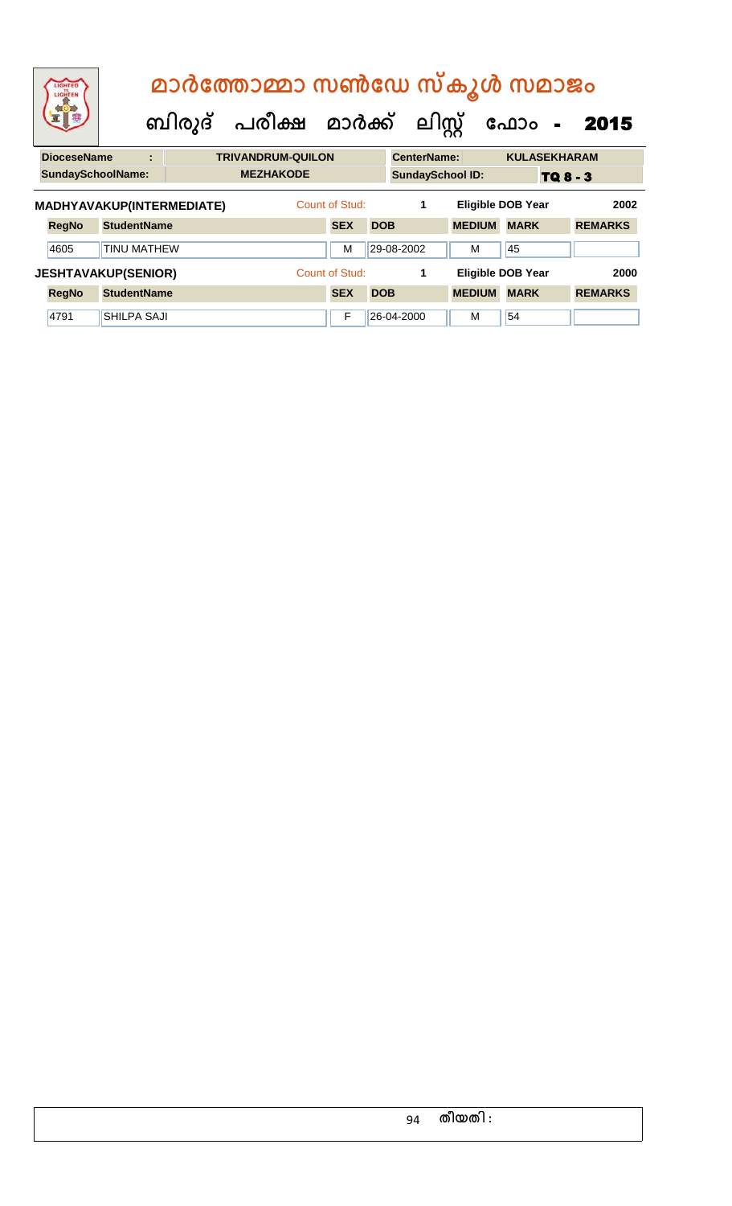| LIGHTED<br>LIGHTEN        |                            |   |  | മാർത്തോമ്മാ സൺഡേ സ്കൂൾ സമാജം<br>ബിരുദ് പരീക്ഷ മാർക്ക് ലിസ്റ്റ് |                |            |                         |               | ഫോം<br>$\blacksquare$    | 2015           |
|---------------------------|----------------------------|---|--|----------------------------------------------------------------|----------------|------------|-------------------------|---------------|--------------------------|----------------|
| <b>DioceseName</b>        |                            | t |  | <b>TRIVANDRUM-QUILON</b>                                       |                |            | <b>CenterName:</b>      |               | <b>KULASEKHARAM</b>      |                |
| <b>SundaySchoolName:</b>  |                            |   |  | <b>MEZHAKODE</b>                                               |                |            | <b>SundaySchool ID:</b> |               |                          | TQ 8 - 3       |
| MADHYAVAKUP(INTERMEDIATE) |                            |   |  |                                                                | Count of Stud: |            | 1                       |               | <b>Eligible DOB Year</b> | 2002           |
| <b>RegNo</b>              | <b>StudentName</b>         |   |  |                                                                | <b>SEX</b>     | <b>DOB</b> |                         | <b>MEDIUM</b> | <b>MARK</b>              | <b>REMARKS</b> |
| 4605                      | <b>TINU MATHEW</b>         |   |  |                                                                | м              |            | 29-08-2002              | м             | 45                       |                |
|                           | <b>JESHTAVAKUP(SENIOR)</b> |   |  |                                                                | Count of Stud: |            | 1                       |               | <b>Eligible DOB Year</b> | 2000           |
| <b>RegNo</b>              | <b>StudentName</b>         |   |  |                                                                | <b>SEX</b>     | <b>DOB</b> |                         | <b>MEDIUM</b> | <b>MARK</b>              | <b>REMARKS</b> |
| 4791                      | <b>SHILPA SAJI</b>         |   |  |                                                                | F              |            | 26-04-2000              | м             | 54                       |                |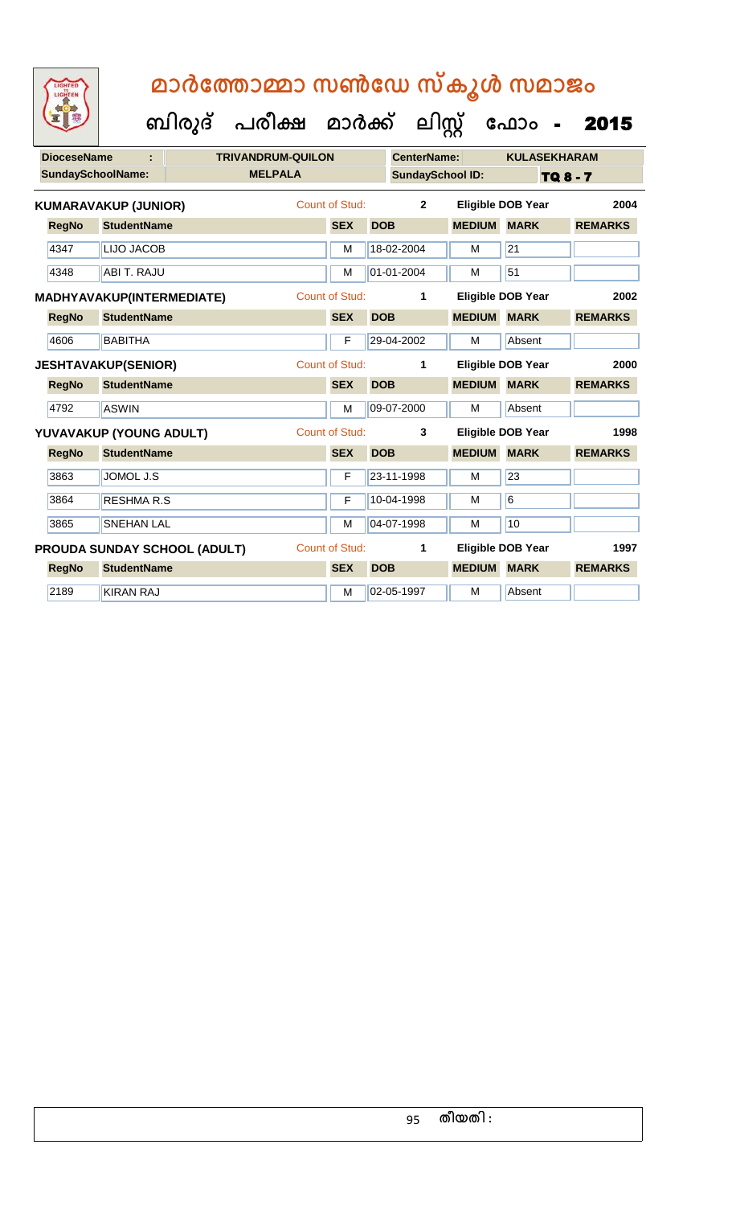| <b>DioceseName</b> |                             | <b>TRIVANDRUM-QUILON</b>     |  |                       |            | <b>CenterName:</b>      |               | <b>KULASEKHARAM</b>      |                 |  |
|--------------------|-----------------------------|------------------------------|--|-----------------------|------------|-------------------------|---------------|--------------------------|-----------------|--|
|                    | <b>SundaySchoolName:</b>    | <b>MELPALA</b>               |  |                       |            | <b>SundaySchool ID:</b> |               |                          | <b>TQ 8 - 7</b> |  |
|                    | <b>KUMARAVAKUP (JUNIOR)</b> |                              |  | Count of Stud:        |            | $\mathbf{2}$            |               | <b>Eligible DOB Year</b> | 2004            |  |
| <b>RegNo</b>       | <b>StudentName</b>          |                              |  | <b>SEX</b>            | <b>DOB</b> |                         | <b>MEDIUM</b> | <b>MARK</b>              | <b>REMARKS</b>  |  |
| 4347               | <b>LIJO JACOB</b>           |                              |  | M                     |            | 18-02-2004              | M             | $\overline{21}$          |                 |  |
| 4348               | ABI T. RAJU                 |                              |  | M                     |            | 01-01-2004              | M             | 51                       |                 |  |
|                    | MADHYAVAKUP(INTERMEDIATE)   |                              |  | <b>Count of Stud:</b> |            | 1                       |               | <b>Eligible DOB Year</b> | 2002            |  |
| <b>RegNo</b>       | <b>StudentName</b>          |                              |  | <b>SEX</b>            | <b>DOB</b> |                         | <b>MEDIUM</b> | <b>MARK</b>              | <b>REMARKS</b>  |  |
| 4606               | <b>BABITHA</b>              |                              |  | $\mathsf{F}$          |            | 29-04-2002              | M             | Absent                   |                 |  |
|                    | <b>JESHTAVAKUP(SENIOR)</b>  |                              |  | <b>Count of Stud:</b> |            | 1                       |               | <b>Eligible DOB Year</b> | 2000            |  |
| <b>RegNo</b>       | <b>StudentName</b>          |                              |  | <b>SEX</b>            | <b>DOB</b> |                         | <b>MEDIUM</b> | <b>MARK</b>              | <b>REMARKS</b>  |  |
| 4792               | <b>ASWIN</b>                |                              |  | M                     |            | 09-07-2000              | M             | Absent                   |                 |  |
|                    | YUVAVAKUP (YOUNG ADULT)     |                              |  | <b>Count of Stud:</b> |            | 3                       |               | <b>Eligible DOB Year</b> | 1998            |  |
| <b>RegNo</b>       | <b>StudentName</b>          |                              |  | <b>SEX</b>            | <b>DOB</b> |                         | <b>MEDIUM</b> | <b>MARK</b>              | <b>REMARKS</b>  |  |
| 3863               | JOMOL J.S                   |                              |  | F                     |            | 23-11-1998              | M             | 23                       |                 |  |
| 3864               | <b>RESHMAR.S</b>            |                              |  | $\mathsf{F}$          |            | 10-04-1998              | M             | 6                        |                 |  |
| 3865               | <b>SNEHAN LAL</b>           |                              |  | M                     |            | 04-07-1998              | M             | 10                       |                 |  |
|                    |                             | PROUDA SUNDAY SCHOOL (ADULT) |  | Count of Stud:        |            | 1                       |               | <b>Eligible DOB Year</b> | 1997            |  |
| <b>RegNo</b>       | <b>StudentName</b>          |                              |  | <b>SEX</b>            | <b>DOB</b> |                         | <b>MEDIUM</b> | <b>MARK</b>              | <b>REMARKS</b>  |  |
| 2189               | <b>KIRAN RAJ</b>            |                              |  | M                     |            | 02-05-1997              | M             | Absent                   |                 |  |